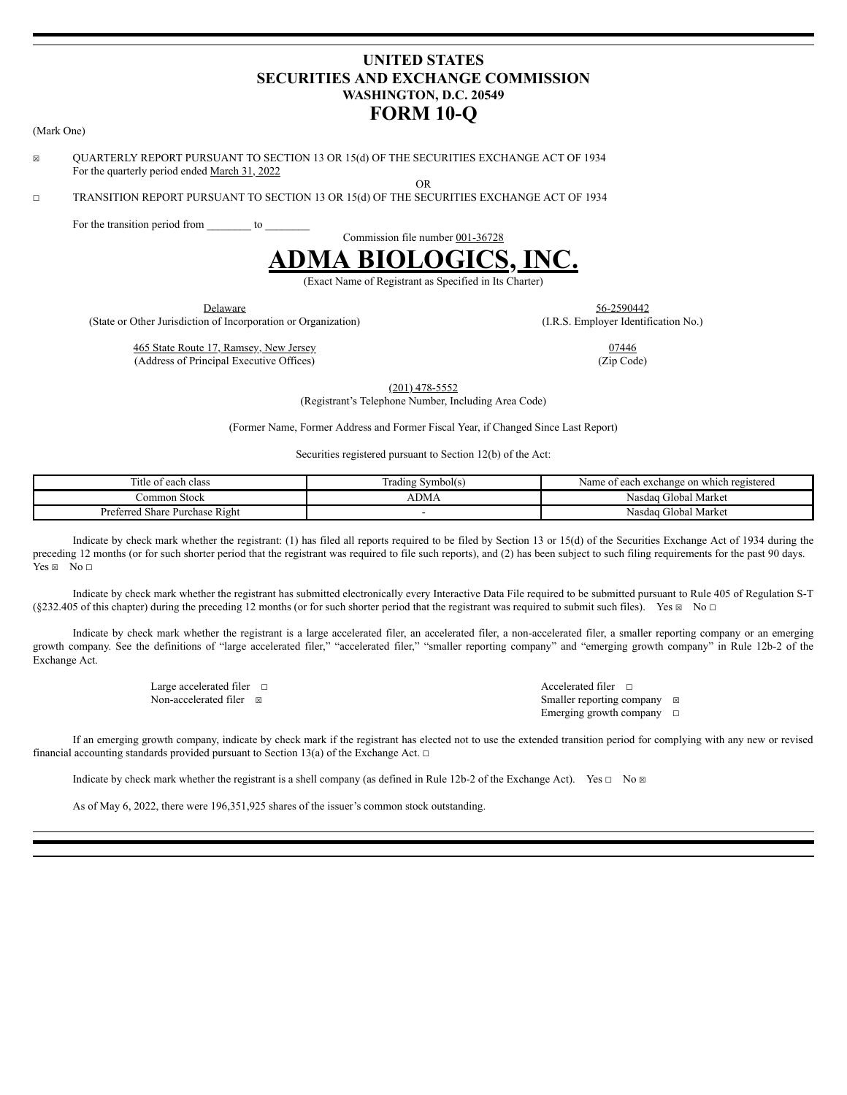# **UNITED STATES SECURITIES AND EXCHANGE COMMISSION WASHINGTON, D.C. 20549 FORM 10-Q**

☒ QUARTERLY REPORT PURSUANT TO SECTION 13 OR 15(d) OF THE SECURITIES EXCHANGE ACT OF 1934 For the quarterly period ended March 31, 2022

☐ TRANSITION REPORT PURSUANT TO SECTION 13 OR 15(d) OF THE SECURITIES EXCHANGE ACT OF 1934

For the transition period from \_\_\_\_\_\_\_\_ to

Commission file number 001-36728

OR



(Exact Name of Registrant as Specified in Its Charter)

Delaware 56-2590442

(State or Other Jurisdiction of Incorporation or Organization) (I.R.S. Employer Identification No.)

465 State Route 17, Ramsey, New Jersey 07446 (Address of Principal Executive Offices) (Zip Code)

(201) 478-5552

(Registrant's Telephone Number, Including Area Code)

(Former Name, Former Address and Former Fiscal Year, if Changed Since Last Report)

Securities registered pursuant to Section 12(b) of the Act:

| and the state of the<br>`itle<br>t each class<br>: OT | Irading Symbol(s) | i exchange on which registered<br>each<br>Name.<br>$\sim$<br>,,, |
|-------------------------------------------------------|-------------------|------------------------------------------------------------------|
| ∶ommon Stock                                          | ADM/              | Nasdag Global Market                                             |
| Purchase Right<br>Preferred<br>Share                  |                   | Nasdag Global Market                                             |

Indicate by check mark whether the registrant: (1) has filed all reports required to be filed by Section 13 or 15(d) of the Securities Exchange Act of 1934 during the preceding 12 months (or for such shorter period that the registrant was required to file such reports), and (2) has been subject to such filing requirements for the past 90 days.  $Yes \boxtimes No \sqcap$ 

Indicate by check mark whether the registrant has submitted electronically every Interactive Data File required to be submitted pursuant to Rule 405 of Regulation S-T (§232.405 of this chapter) during the preceding 12 months (or for such shorter period that the registrant was required to submit such files). Yes  $\boxtimes$  No  $\Box$ 

Indicate by check mark whether the registrant is a large accelerated filer, an accelerated filer, a non-accelerated filer, a smaller reporting company or an emerging growth company. See the definitions of "large accelerated filer," "accelerated filer," "smaller reporting company" and "emerging growth company" in Rule 12b-2 of the Exchange Act.

| Large accelerated filer $\Box$ | Accelerated filer $\Box$              |  |
|--------------------------------|---------------------------------------|--|
| Non-accelerated filer ⊠        | Smaller reporting company $\boxtimes$ |  |
|                                | Emerging growth company $\Box$        |  |

If an emerging growth company, indicate by check mark if the registrant has elected not to use the extended transition period for complying with any new or revised financial accounting standards provided pursuant to Section 13(a) of the Exchange Act.  $□$ 

Indicate by check mark whether the registrant is a shell company (as defined in Rule 12b-2 of the Exchange Act). Yes □ No ⊠

As of May 6, 2022, there were 196,351,925 shares of the issuer's common stock outstanding.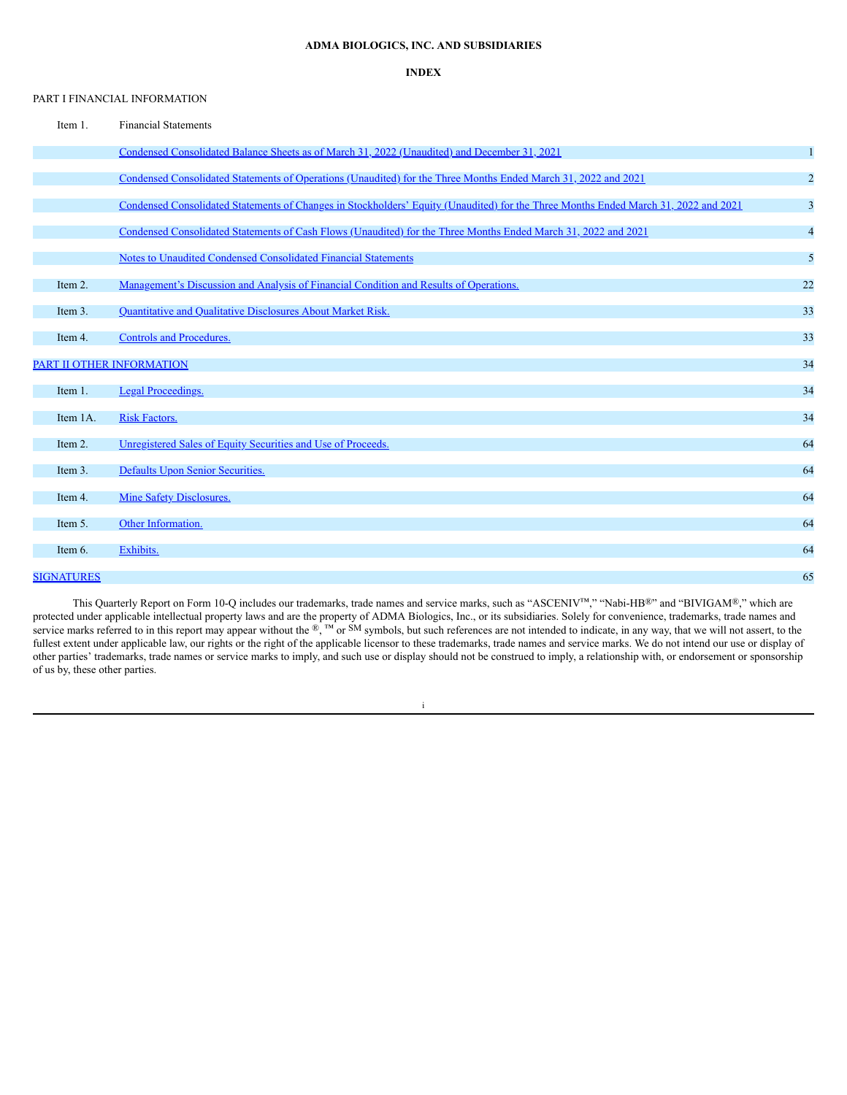# **ADMA BIOLOGICS, INC. AND SUBSIDIARIES**

### **INDEX**

### <span id="page-1-0"></span>PART I FINANCIAL INFORMATION

| Item 1.                          | <b>Financial Statements</b>                                                                                                         |                |
|----------------------------------|-------------------------------------------------------------------------------------------------------------------------------------|----------------|
|                                  | Condensed Consolidated Balance Sheets as of March 31, 2022 (Unaudited) and December 31, 2021                                        | $\mathbf{1}$   |
|                                  | Condensed Consolidated Statements of Operations (Unaudited) for the Three Months Ended March 31, 2022 and 2021                      | $\overline{c}$ |
|                                  | Condensed Consolidated Statements of Changes in Stockholders' Equity (Unaudited) for the Three Months Ended March 31, 2022 and 2021 | 3              |
|                                  | Condensed Consolidated Statements of Cash Flows (Unaudited) for the Three Months Ended March 31, 2022 and 2021                      | $\overline{4}$ |
|                                  | Notes to Unaudited Condensed Consolidated Financial Statements                                                                      | 5              |
| Item 2.                          | Management's Discussion and Analysis of Financial Condition and Results of Operations.                                              | 22             |
| Item 3.                          | Quantitative and Qualitative Disclosures About Market Risk.                                                                         | 33             |
| Item 4.                          | <b>Controls and Procedures.</b>                                                                                                     | 33             |
| <b>PART II OTHER INFORMATION</b> |                                                                                                                                     | 34             |
| Item 1.                          | <b>Legal Proceedings.</b>                                                                                                           | 34             |
| Item 1A.                         | <b>Risk Factors.</b>                                                                                                                | 34             |
| Item 2.                          | Unregistered Sales of Equity Securities and Use of Proceeds.                                                                        | 64             |
| Item 3.                          | Defaults Upon Senior Securities.                                                                                                    | 64             |
| Item 4.                          | <b>Mine Safety Disclosures.</b>                                                                                                     | 64             |
| Item 5.                          | Other Information.                                                                                                                  | 64             |
| Item 6.                          | Exhibits.                                                                                                                           | 64             |
| <b>SIGNATURES</b>                |                                                                                                                                     | 65             |

This Quarterly Report on Form 10-Q includes our trademarks, trade names and service marks, such as "ASCENIV™," "Nabi-HB®" and "BIVIGAM®," which are protected under applicable intellectual property laws and are the property of ADMA Biologics, Inc., or its subsidiaries. Solely for convenience, trademarks, trade names and service marks referred to in this report may appear without the ®, ™ or SM symbols, but such references are not intended to indicate, in any way, that we will not assert, to the fullest extent under applicable law, our rights or the right of the applicable licensor to these trademarks, trade names and service marks. We do not intend our use or display of other parties' trademarks, trade names or service marks to imply, and such use or display should not be construed to imply, a relationship with, or endorsement or sponsorship of us by, these other parties.

## i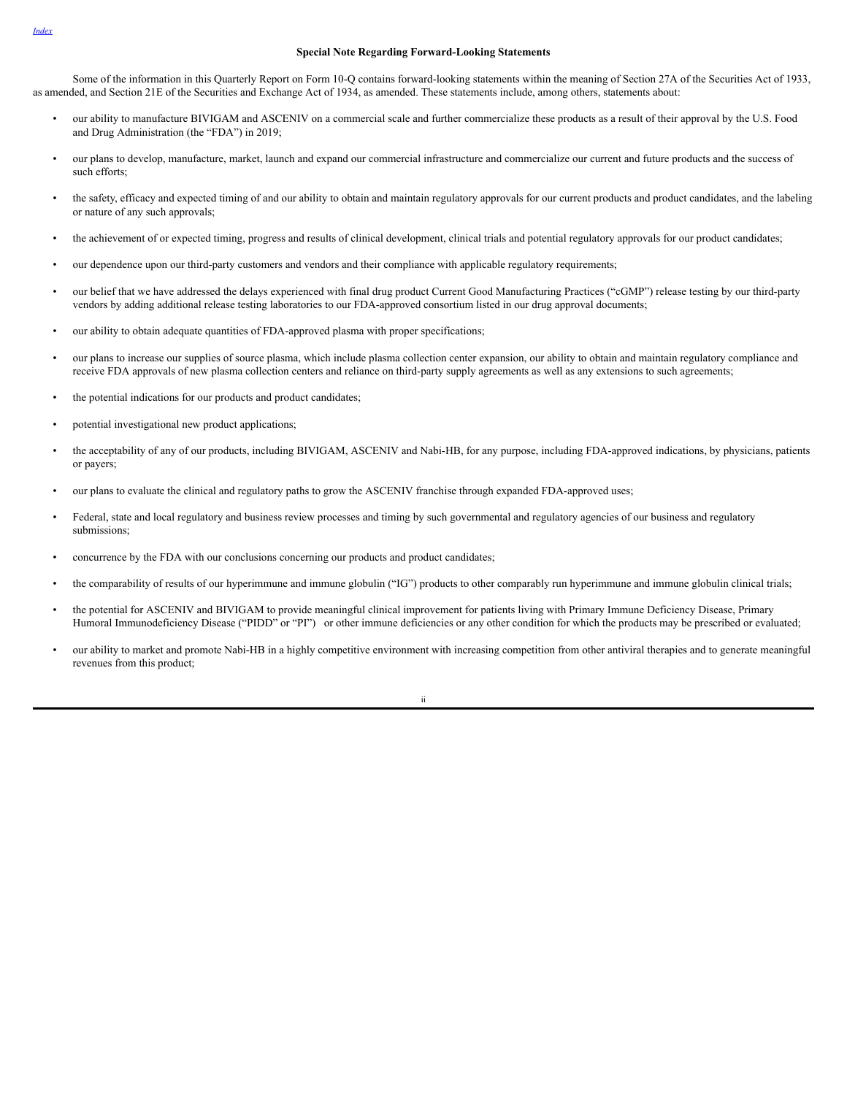#### **Special Note Regarding Forward-Looking Statements**

Some of the information in this Quarterly Report on Form 10-Q contains forward-looking statements within the meaning of Section 27A of the Securities Act of 1933, as amended, and Section 21E of the Securities and Exchange Act of 1934, as amended. These statements include, among others, statements about:

- our ability to manufacture BIVIGAM and ASCENIV on a commercial scale and further commercialize these products as a result of their approval by the U.S. Food and Drug Administration (the "FDA") in 2019;
- our plans to develop, manufacture, market, launch and expand our commercial infrastructure and commercialize our current and future products and the success of such efforts;
- the safety, efficacy and expected timing of and our ability to obtain and maintain regulatory approvals for our current products and product candidates, and the labeling or nature of any such approvals;
- the achievement of or expected timing, progress and results of clinical development, clinical trials and potential regulatory approvals for our product candidates;
- our dependence upon our third-party customers and vendors and their compliance with applicable regulatory requirements;
- our belief that we have addressed the delays experienced with final drug product Current Good Manufacturing Practices ("cGMP") release testing by our third-party vendors by adding additional release testing laboratories to our FDA-approved consortium listed in our drug approval documents;
- our ability to obtain adequate quantities of FDA-approved plasma with proper specifications;
- our plans to increase our supplies of source plasma, which include plasma collection center expansion, our ability to obtain and maintain regulatory compliance and receive FDA approvals of new plasma collection centers and reliance on third-party supply agreements as well as any extensions to such agreements;
- the potential indications for our products and product candidates;
- potential investigational new product applications;
- the acceptability of any of our products, including BIVIGAM, ASCENIV and Nabi-HB, for any purpose, including FDA-approved indications, by physicians, patients or payers;
- our plans to evaluate the clinical and regulatory paths to grow the ASCENIV franchise through expanded FDA-approved uses;
- Federal, state and local regulatory and business review processes and timing by such governmental and regulatory agencies of our business and regulatory submissions;
- concurrence by the FDA with our conclusions concerning our products and product candidates;
- the comparability of results of our hyperimmune and immune globulin ("IG") products to other comparably run hyperimmune and immune globulin clinical trials;
- the potential for ASCENIV and BIVIGAM to provide meaningful clinical improvement for patients living with Primary Immune Deficiency Disease, Primary Humoral Immunodeficiency Disease ("PIDD" or "PI") or other immune deficiencies or any other condition for which the products may be prescribed or evaluated;
- our ability to market and promote Nabi-HB in a highly competitive environment with increasing competition from other antiviral therapies and to generate meaningful revenues from this product;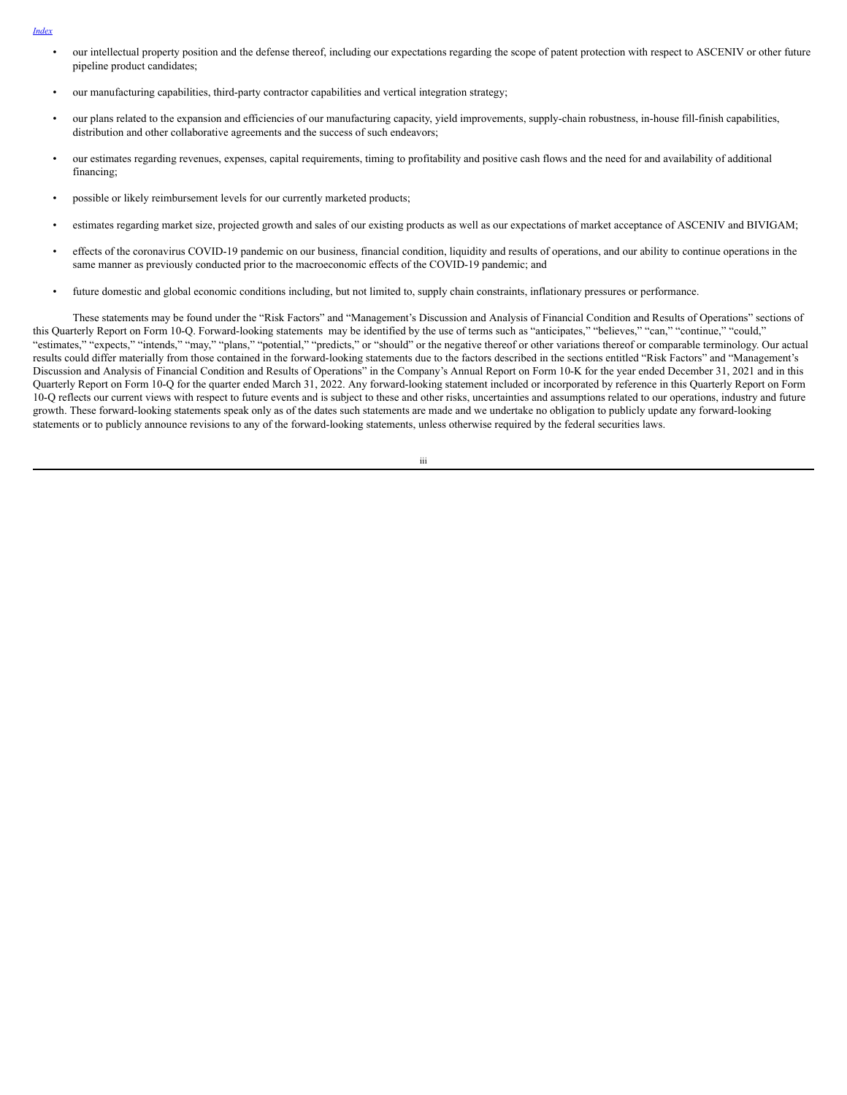- *[Index](#page-1-0)*
- our intellectual property position and the defense thereof, including our expectations regarding the scope of patent protection with respect to ASCENIV or other future pipeline product candidates;
- our manufacturing capabilities, third-party contractor capabilities and vertical integration strategy;
- our plans related to the expansion and efficiencies of our manufacturing capacity, yield improvements, supply-chain robustness, in-house fill-finish capabilities, distribution and other collaborative agreements and the success of such endeavors;
- our estimates regarding revenues, expenses, capital requirements, timing to profitability and positive cash flows and the need for and availability of additional financing;
- possible or likely reimbursement levels for our currently marketed products;
- estimates regarding market size, projected growth and sales of our existing products as well as our expectations of market acceptance of ASCENIV and BIVIGAM;
- effects of the coronavirus COVID-19 pandemic on our business, financial condition, liquidity and results of operations, and our ability to continue operations in the same manner as previously conducted prior to the macroeconomic effects of the COVID-19 pandemic; and
- future domestic and global economic conditions including, but not limited to, supply chain constraints, inflationary pressures or performance.

These statements may be found under the "Risk Factors" and "Management's Discussion and Analysis of Financial Condition and Results of Operations" sections of this Quarterly Report on Form 10-Q. Forward-looking statements may be identified by the use of terms such as "anticipates," "believes," "can," "continue," "could," "estimates," "expects," "intends," "may," "plans," "potential," "predicts," or "should" or the negative thereof or other variations thereof or comparable terminology. Our actual results could differ materially from those contained in the forward-looking statements due to the factors described in the sections entitled "Risk Factors" and "Management's Discussion and Analysis of Financial Condition and Results of Operations" in the Company's Annual Report on Form 10-K for the year ended December 31, 2021 and in this Quarterly Report on Form 10-Q for the quarter ended March 31, 2022. Any forward-looking statement included or incorporated by reference in this Quarterly Report on Form 10-Q reflects our current views with respect to future events and is subject to these and other risks, uncertainties and assumptions related to our operations, industry and future growth. These forward-looking statements speak only as of the dates such statements are made and we undertake no obligation to publicly update any forward-looking statements or to publicly announce revisions to any of the forward-looking statements, unless otherwise required by the federal securities laws.

iii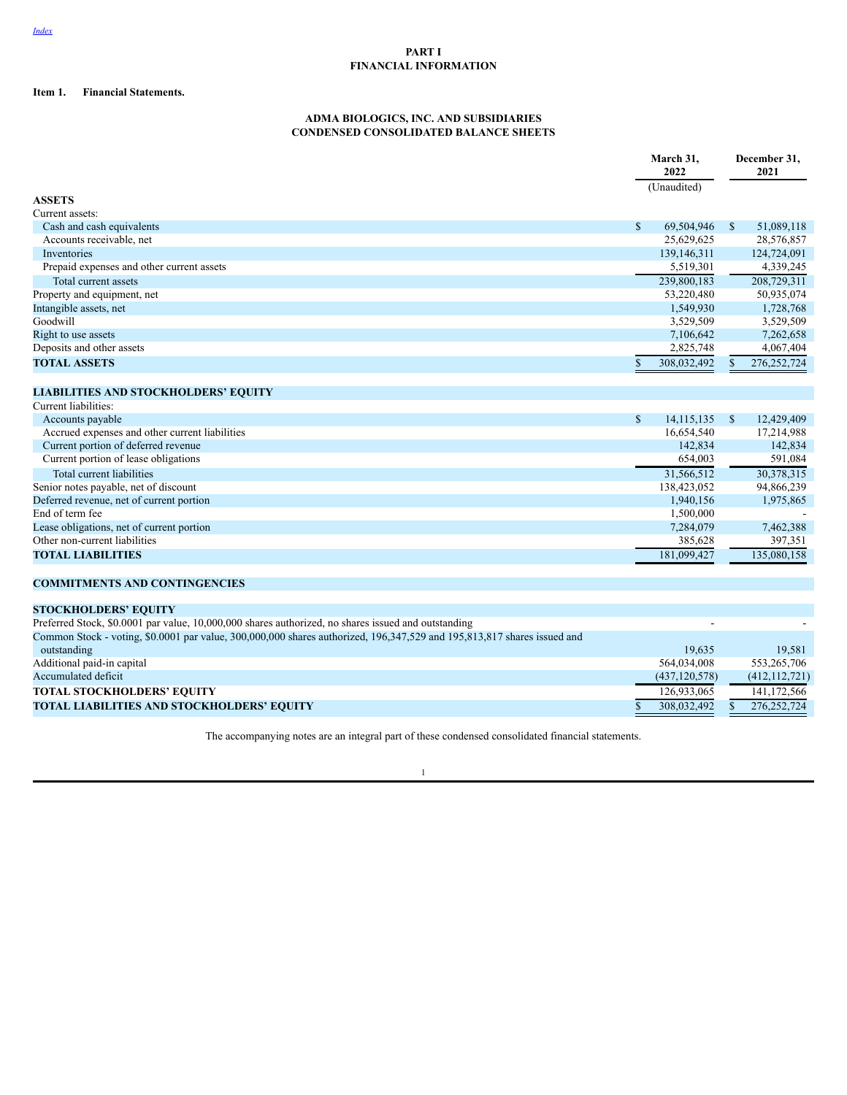# <span id="page-4-0"></span>**PART I FINANCIAL INFORMATION**

# **Item 1. Financial Statements.**

# **ADMA BIOLOGICS, INC. AND SUBSIDIARIES CONDENSED CONSOLIDATED BALANCE SHEETS**

|                                                                                                                         |              | March 31,       |              | December 31,<br>2021 |  |
|-------------------------------------------------------------------------------------------------------------------------|--------------|-----------------|--------------|----------------------|--|
|                                                                                                                         |              | 2022            |              |                      |  |
| <b>ASSETS</b>                                                                                                           |              | (Unaudited)     |              |                      |  |
| Current assets:                                                                                                         |              |                 |              |                      |  |
| Cash and cash equivalents                                                                                               | $\mathbb{S}$ | 69,504,946      | $\mathbb{S}$ | 51,089,118           |  |
| Accounts receivable, net                                                                                                |              | 25,629,625      |              | 28,576,857           |  |
| Inventories                                                                                                             |              | 139,146,311     |              | 124,724,091          |  |
| Prepaid expenses and other current assets                                                                               |              | 5,519,301       |              | 4,339,245            |  |
| Total current assets                                                                                                    |              | 239,800,183     |              | 208,729,311          |  |
| Property and equipment, net                                                                                             |              | 53,220,480      |              | 50,935,074           |  |
| Intangible assets, net                                                                                                  |              | 1,549,930       |              | 1,728,768            |  |
| Goodwill                                                                                                                |              | 3,529,509       |              | 3,529,509            |  |
| Right to use assets                                                                                                     |              | 7,106,642       |              | 7,262,658            |  |
| Deposits and other assets                                                                                               |              | 2,825,748       |              | 4,067,404            |  |
| <b>TOTAL ASSETS</b>                                                                                                     | \$.          | 308,032,492     | \$           | 276, 252, 724        |  |
|                                                                                                                         |              |                 |              |                      |  |
|                                                                                                                         |              |                 |              |                      |  |
| <b>LIABILITIES AND STOCKHOLDERS' EQUITY</b>                                                                             |              |                 |              |                      |  |
| Current liabilities:                                                                                                    |              |                 |              |                      |  |
| Accounts payable                                                                                                        | $\mathbb{S}$ | 14.115.135      | $\mathbb{S}$ | 12,429,409           |  |
| Accrued expenses and other current liabilities                                                                          |              | 16,654,540      |              | 17,214,988           |  |
| Current portion of deferred revenue                                                                                     |              | 142,834         |              | 142,834              |  |
| Current portion of lease obligations                                                                                    |              | 654,003         |              | 591,084              |  |
| Total current liabilities                                                                                               |              | 31,566,512      |              | 30,378,315           |  |
| Senior notes payable, net of discount                                                                                   |              | 138,423,052     |              | 94,866,239           |  |
| Deferred revenue, net of current portion                                                                                |              | 1,940,156       |              | 1,975,865            |  |
| End of term fee                                                                                                         |              | 1,500,000       |              |                      |  |
| Lease obligations, net of current portion                                                                               |              | 7,284,079       |              | 7,462,388            |  |
| Other non-current liabilities                                                                                           |              | 385,628         |              | 397,351              |  |
| <b>TOTAL LIABILITIES</b>                                                                                                |              | 181,099,427     |              | 135,080,158          |  |
| <b>COMMITMENTS AND CONTINGENCIES</b>                                                                                    |              |                 |              |                      |  |
| <b>STOCKHOLDERS' EQUITY</b>                                                                                             |              |                 |              |                      |  |
| Preferred Stock, \$0.0001 par value, 10,000,000 shares authorized, no shares issued and outstanding                     |              |                 |              |                      |  |
| Common Stock - voting, \$0.0001 par value, 300,000,000 shares authorized, 196,347,529 and 195,813,817 shares issued and |              |                 |              |                      |  |
| outstanding                                                                                                             |              | 19,635          |              | 19,581               |  |
| Additional paid-in capital                                                                                              |              | 564,034,008     |              | 553,265,706          |  |
| Accumulated deficit                                                                                                     |              | (437, 120, 578) |              | (412, 112, 721)      |  |
| <b>TOTAL STOCKHOLDERS' EQUITY</b>                                                                                       |              | 126,933,065     |              | 141,172,566          |  |
| TOTAL LIABILITIES AND STOCKHOLDERS' EQUITY                                                                              | \$           | 308,032,492     | \$           | 276, 252, 724        |  |
|                                                                                                                         |              |                 |              |                      |  |

The accompanying notes are an integral part of these condensed consolidated financial statements.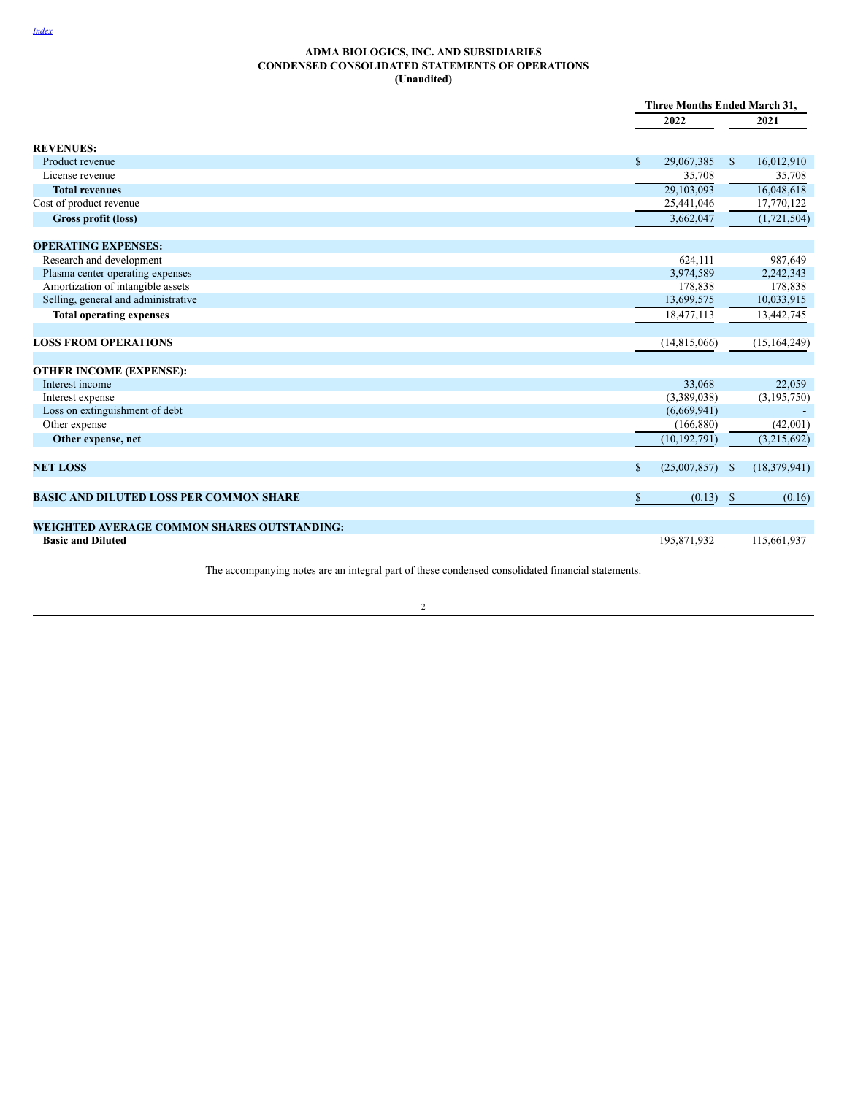### <span id="page-5-0"></span>**ADMA BIOLOGICS, INC. AND SUBSIDIARIES CONDENSED CONSOLIDATED STATEMENTS OF OPERATIONS (Unaudited)**

|                                                    |                            | Three Months Ended March 31, |
|----------------------------------------------------|----------------------------|------------------------------|
|                                                    | 2022                       | 2021                         |
| <b>REVENUES:</b>                                   |                            |                              |
| Product revenue                                    | $\mathbb{S}$<br>29,067,385 | 16,012,910<br>\$             |
| License revenue                                    | 35,708                     | 35,708                       |
| <b>Total revenues</b>                              | 29,103,093                 | 16,048,618                   |
| Cost of product revenue                            | 25,441,046                 | 17,770,122                   |
| Gross profit (loss)                                | 3,662,047                  | (1,721,504)                  |
| <b>OPERATING EXPENSES:</b>                         |                            |                              |
| Research and development                           | 624,111                    | 987,649                      |
| Plasma center operating expenses                   | 3,974,589                  | 2,242,343                    |
| Amortization of intangible assets                  | 178,838                    | 178,838                      |
| Selling, general and administrative                | 13,699,575                 | 10,033,915                   |
| <b>Total operating expenses</b>                    | 18,477,113                 | 13,442,745                   |
| <b>LOSS FROM OPERATIONS</b>                        | (14,815,066)               | (15, 164, 249)               |
| <b>OTHER INCOME (EXPENSE):</b>                     |                            |                              |
| Interest income                                    | 33,068                     | 22,059                       |
| Interest expense                                   | (3,389,038)                | (3,195,750)                  |
| Loss on extinguishment of debt                     | (6,669,941)                |                              |
| Other expense                                      | (166, 880)                 | (42,001)                     |
| Other expense, net                                 | (10, 192, 791)             | (3,215,692)                  |
| <b>NET LOSS</b>                                    | (25,007,857)<br>\$         | (18,379,941)<br>\$           |
|                                                    |                            |                              |
| <b>BASIC AND DILUTED LOSS PER COMMON SHARE</b>     | \$<br>(0.13)               | (0.16)<br>\$                 |
| <b>WEIGHTED AVERAGE COMMON SHARES OUTSTANDING:</b> |                            |                              |
| <b>Basic and Diluted</b>                           | 195,871,932                | 115,661,937                  |

The accompanying notes are an integral part of these condensed consolidated financial statements.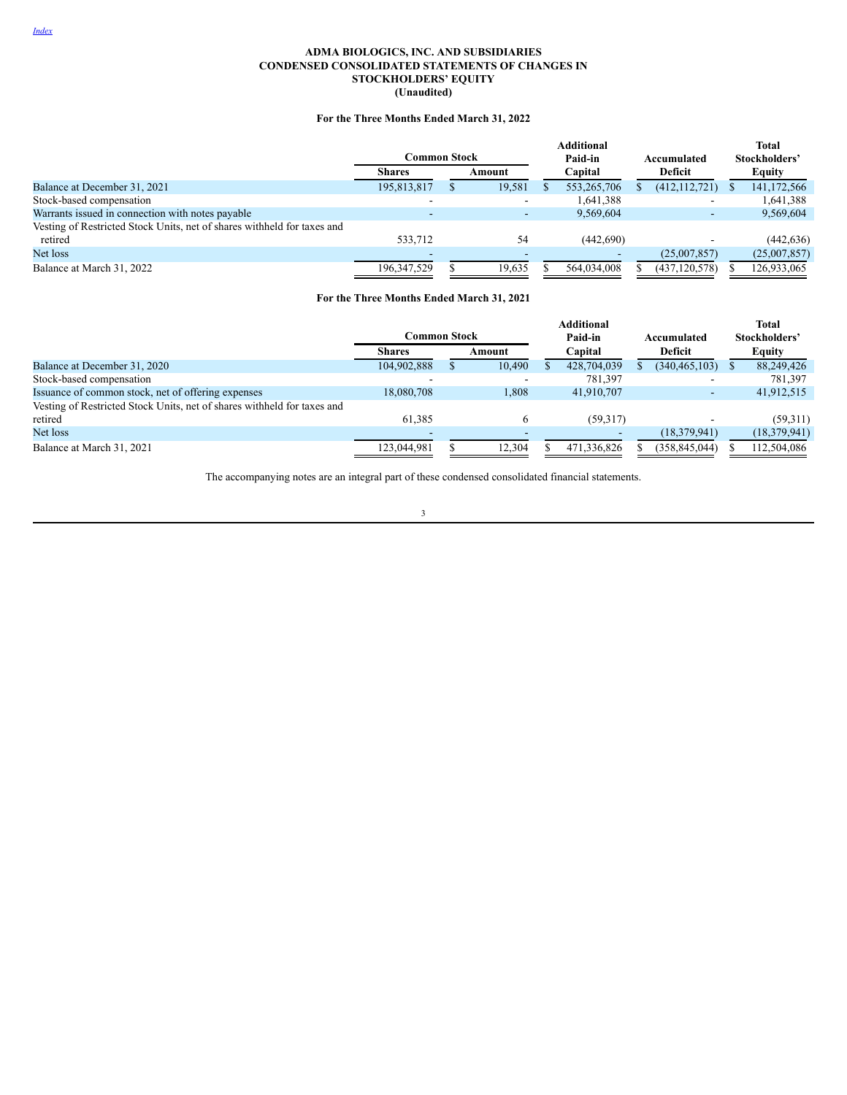# **ADMA BIOLOGICS, INC. AND SUBSIDIARIES CONDENSED CONSOLIDATED STATEMENTS OF CHANGES IN STOCKHOLDERS' EQUITY (Unaudited)**

# **For the Three Months Ended March 31, 2022**

<span id="page-6-0"></span>

|                                                                         | Common Stock  |          | <b>Additional</b><br>Paid-in | Accumulated     | <b>Total</b><br>Stockholders' |
|-------------------------------------------------------------------------|---------------|----------|------------------------------|-----------------|-------------------------------|
|                                                                         | <b>Shares</b> | Amount   | Capital                      | Deficit         | <b>Equity</b>                 |
| Balance at December 31, 2021                                            | 195,813,817   | 19,581   | 553,265,706                  | (412, 112, 721) | 141,172,566                   |
| Stock-based compensation                                                |               |          | 1,641,388                    |                 | 1,641,388                     |
| Warrants issued in connection with notes payable                        |               |          | 9,569,604                    |                 | 9,569,604                     |
| Vesting of Restricted Stock Units, net of shares withheld for taxes and |               |          |                              |                 |                               |
| retired                                                                 | 533,712       | 54       | (442,690)                    |                 | (442, 636)                    |
| Net loss                                                                |               | <b>.</b> |                              | (25,007,857)    | (25,007,857)                  |
| Balance at March 31, 2022                                               | 196.347.529   | 19.635   | 564.034.008                  | (437, 120, 578) | 126,933,065                   |

# **For the Three Months Ended March 31, 2021**

|                                                                         |               |  |              |         | <b>Additional</b> |  |                 | <b>Total</b>   |
|-------------------------------------------------------------------------|---------------|--|--------------|---------|-------------------|--|-----------------|----------------|
|                                                                         | Common Stock  |  |              | Paid-in |                   |  | Accumulated     | Stockholders'  |
|                                                                         | <b>Shares</b> |  | Amount       |         | Capital           |  | Deficit         | <b>Equity</b>  |
| Balance at December 31, 2020                                            | 104,902,888   |  | 10,490       |         | 428,704,039       |  | (340, 465, 103) | 88,249,426     |
| Stock-based compensation                                                |               |  |              |         | 781,397           |  |                 | 781,397        |
| Issuance of common stock, net of offering expenses                      | 18,080,708    |  | 1,808        |         | 41.910.707        |  |                 | 41,912,515     |
| Vesting of Restricted Stock Units, net of shares withheld for taxes and |               |  |              |         |                   |  |                 |                |
| retired                                                                 | 61.385        |  | <sub>(</sub> |         | (59,317)          |  |                 | (59,311)       |
| Net loss                                                                |               |  |              |         |                   |  | (18, 379, 941)  | (18, 379, 941) |
| Balance at March 31, 2021                                               | 123,044,981   |  | 12.304       |         | 471.336.826       |  | (358, 845, 044) | 112,504,086    |

The accompanying notes are an integral part of these condensed consolidated financial statements.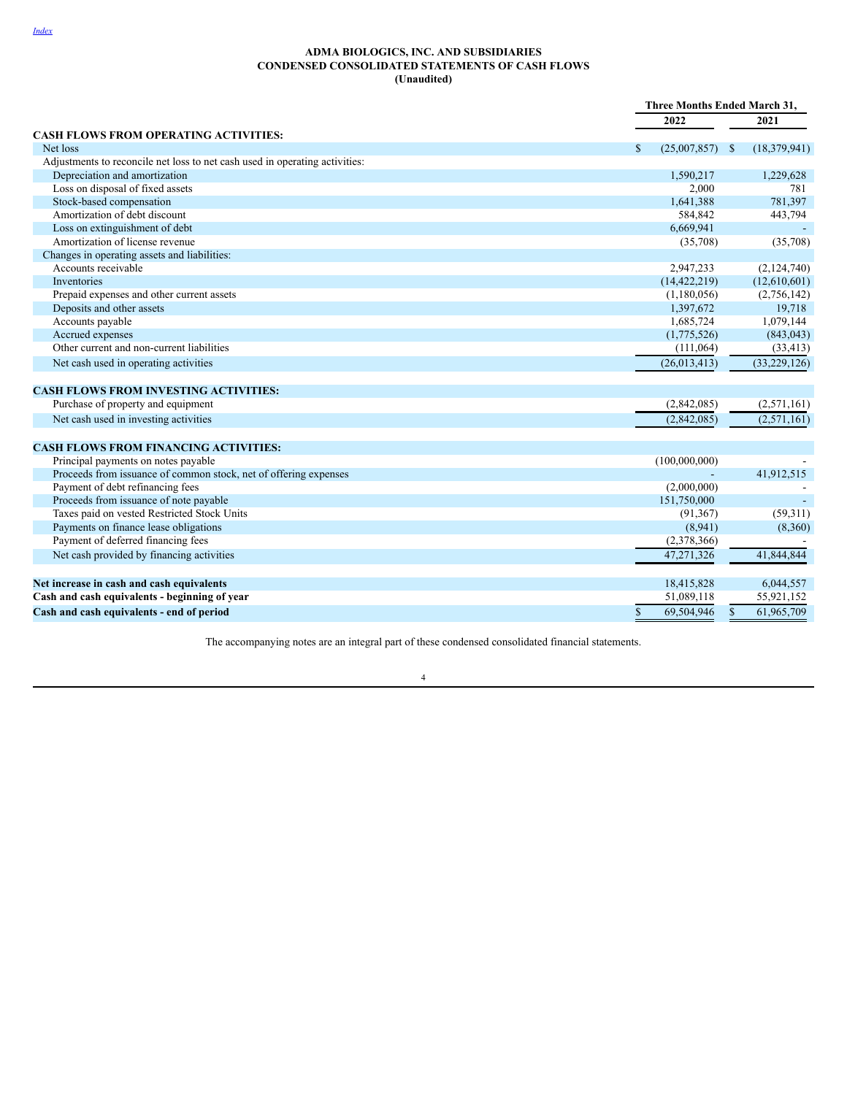### <span id="page-7-0"></span>**ADMA BIOLOGICS, INC. AND SUBSIDIARIES CONDENSED CONSOLIDATED STATEMENTS OF CASH FLOWS (Unaudited)**

|                                                                             | Three Months Ended March 31, |                            |
|-----------------------------------------------------------------------------|------------------------------|----------------------------|
|                                                                             | 2022                         | 2021                       |
| <b>CASH FLOWS FROM OPERATING ACTIVITIES:</b>                                |                              |                            |
| Net loss                                                                    | \$<br>$(25,007,857)$ \$      | (18, 379, 941)             |
| Adjustments to reconcile net loss to net cash used in operating activities: |                              |                            |
| Depreciation and amortization                                               | 1,590,217                    | 1,229,628                  |
| Loss on disposal of fixed assets                                            | 2,000                        | 781                        |
| Stock-based compensation                                                    | 1,641,388                    | 781,397                    |
| Amortization of debt discount                                               | 584,842                      | 443,794                    |
| Loss on extinguishment of debt                                              | 6,669,941                    |                            |
| Amortization of license revenue                                             | (35,708)                     | (35,708)                   |
| Changes in operating assets and liabilities:                                |                              |                            |
| Accounts receivable                                                         | 2,947,233                    | (2,124,740)                |
| Inventories                                                                 | (14, 422, 219)               | (12,610,601)               |
| Prepaid expenses and other current assets                                   | (1,180,056)                  | (2,756,142)                |
| Deposits and other assets                                                   | 1,397,672                    | 19,718                     |
| Accounts payable                                                            | 1,685,724                    | 1,079,144                  |
| Accrued expenses                                                            | (1,775,526)                  | (843, 043)                 |
| Other current and non-current liabilities                                   | (111, 064)                   | (33, 413)                  |
| Net cash used in operating activities                                       | (26, 013, 413)               | (33, 229, 126)             |
| <b>CASH FLOWS FROM INVESTING ACTIVITIES:</b>                                |                              |                            |
| Purchase of property and equipment                                          | (2,842,085)                  | (2,571,161)                |
| Net cash used in investing activities                                       | (2,842,085)                  | (2,571,161)                |
|                                                                             |                              |                            |
| <b>CASH FLOWS FROM FINANCING ACTIVITIES:</b>                                |                              |                            |
| Principal payments on notes payable                                         | (100,000,000)                |                            |
| Proceeds from issuance of common stock, net of offering expenses            |                              | 41,912,515                 |
| Payment of debt refinancing fees                                            | (2,000,000)                  |                            |
| Proceeds from issuance of note payable                                      | 151,750,000                  |                            |
| Taxes paid on vested Restricted Stock Units                                 | (91, 367)                    | (59,311)                   |
| Payments on finance lease obligations                                       | (8,941)                      | (8,360)                    |
| Payment of deferred financing fees                                          | (2,378,366)                  |                            |
| Net cash provided by financing activities                                   | 47,271,326                   | 41,844,844                 |
| Net increase in cash and cash equivalents                                   | 18,415,828                   | 6,044,557                  |
| Cash and cash equivalents - beginning of year                               | 51,089,118                   | 55,921,152                 |
| Cash and cash equivalents - end of period                                   | \$<br>69,504,946             | $\mathbb{S}$<br>61,965,709 |

The accompanying notes are an integral part of these condensed consolidated financial statements.

4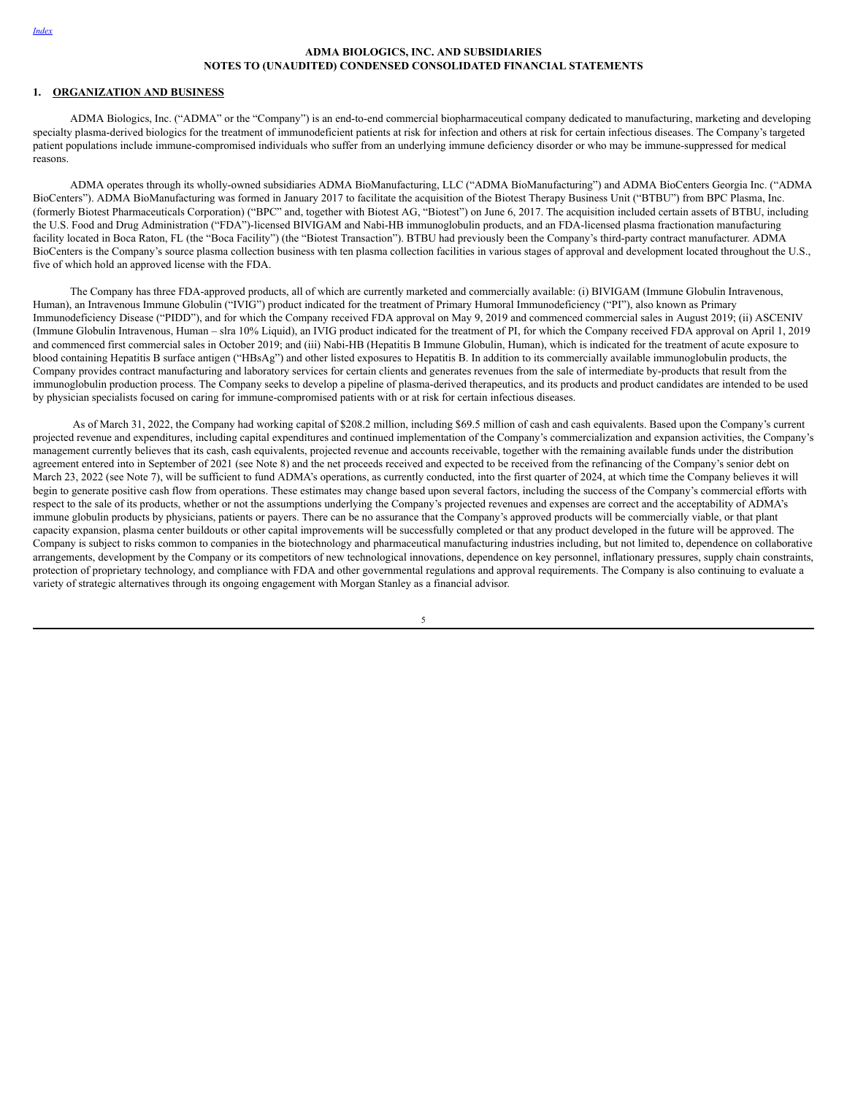# <span id="page-8-0"></span>**1. ORGANIZATION AND BUSINESS**

ADMA Biologics, Inc. ("ADMA" or the "Company") is an end-to-end commercial biopharmaceutical company dedicated to manufacturing, marketing and developing specialty plasma-derived biologics for the treatment of immunodeficient patients at risk for infection and others at risk for certain infectious diseases. The Company's targeted patient populations include immune-compromised individuals who suffer from an underlying immune deficiency disorder or who may be immune-suppressed for medical reasons.

ADMA operates through its wholly-owned subsidiaries ADMA BioManufacturing, LLC ("ADMA BioManufacturing") and ADMA BioCenters Georgia Inc. ("ADMA BioCenters"). ADMA BioManufacturing was formed in January 2017 to facilitate the acquisition of the Biotest Therapy Business Unit ("BTBU") from BPC Plasma, Inc. (formerly Biotest Pharmaceuticals Corporation) ("BPC" and, together with Biotest AG, "Biotest") on June 6, 2017. The acquisition included certain assets of BTBU, including the U.S. Food and Drug Administration ("FDA")-licensed BIVIGAM and Nabi-HB immunoglobulin products, and an FDA-licensed plasma fractionation manufacturing facility located in Boca Raton, FL (the "Boca Facility") (the "Biotest Transaction"). BTBU had previously been the Company's third-party contract manufacturer. ADMA BioCenters is the Company's source plasma collection business with ten plasma collection facilities in various stages of approval and development located throughout the U.S., five of which hold an approved license with the FDA.

The Company has three FDA-approved products, all of which are currently marketed and commercially available: (i) BIVIGAM (Immune Globulin Intravenous, Human), an Intravenous Immune Globulin ("IVIG") product indicated for the treatment of Primary Humoral Immunodeficiency ("PI"), also known as Primary Immunodeficiency Disease ("PIDD"), and for which the Company received FDA approval on May 9, 2019 and commenced commercial sales in August 2019; (ii) ASCENIV (Immune Globulin Intravenous, Human – slra 10% Liquid), an IVIG product indicated for the treatment of PI, for which the Company received FDA approval on April 1, 2019 and commenced first commercial sales in October 2019; and (iii) Nabi-HB (Hepatitis B Immune Globulin, Human), which is indicated for the treatment of acute exposure to blood containing Hepatitis B surface antigen ("HBsAg") and other listed exposures to Hepatitis B. In addition to its commercially available immunoglobulin products, the Company provides contract manufacturing and laboratory services for certain clients and generates revenues from the sale of intermediate by-products that result from the immunoglobulin production process. The Company seeks to develop a pipeline of plasma-derived therapeutics, and its products and product candidates are intended to be used by physician specialists focused on caring for immune-compromised patients with or at risk for certain infectious diseases.

As of March 31, 2022, the Company had working capital of \$208.2 million, including \$69.5 million of cash and cash equivalents. Based upon the Company's current projected revenue and expenditures, including capital expenditures and continued implementation of the Company's commercialization and expansion activities, the Company's management currently believes that its cash, cash equivalents, projected revenue and accounts receivable, together with the remaining available funds under the distribution agreement entered into in September of 2021 (see Note 8) and the net proceeds received and expected to be received from the refinancing of the Company's senior debt on March 23, 2022 (see Note 7), will be sufficient to fund ADMA's operations, as currently conducted, into the first quarter of 2024, at which time the Company believes it will begin to generate positive cash flow from operations. These estimates may change based upon several factors, including the success of the Company's commercial efforts with respect to the sale of its products, whether or not the assumptions underlying the Company's projected revenues and expenses are correct and the acceptability of ADMA's immune globulin products by physicians, patients or payers. There can be no assurance that the Company's approved products will be commercially viable, or that plant capacity expansion, plasma center buildouts or other capital improvements will be successfully completed or that any product developed in the future will be approved. The Company is subject to risks common to companies in the biotechnology and pharmaceutical manufacturing industries including, but not limited to, dependence on collaborative arrangements, development by the Company or its competitors of new technological innovations, dependence on key personnel, inflationary pressures, supply chain constraints, protection of proprietary technology, and compliance with FDA and other governmental regulations and approval requirements. The Company is also continuing to evaluate a variety of strategic alternatives through its ongoing engagement with Morgan Stanley as a financial advisor.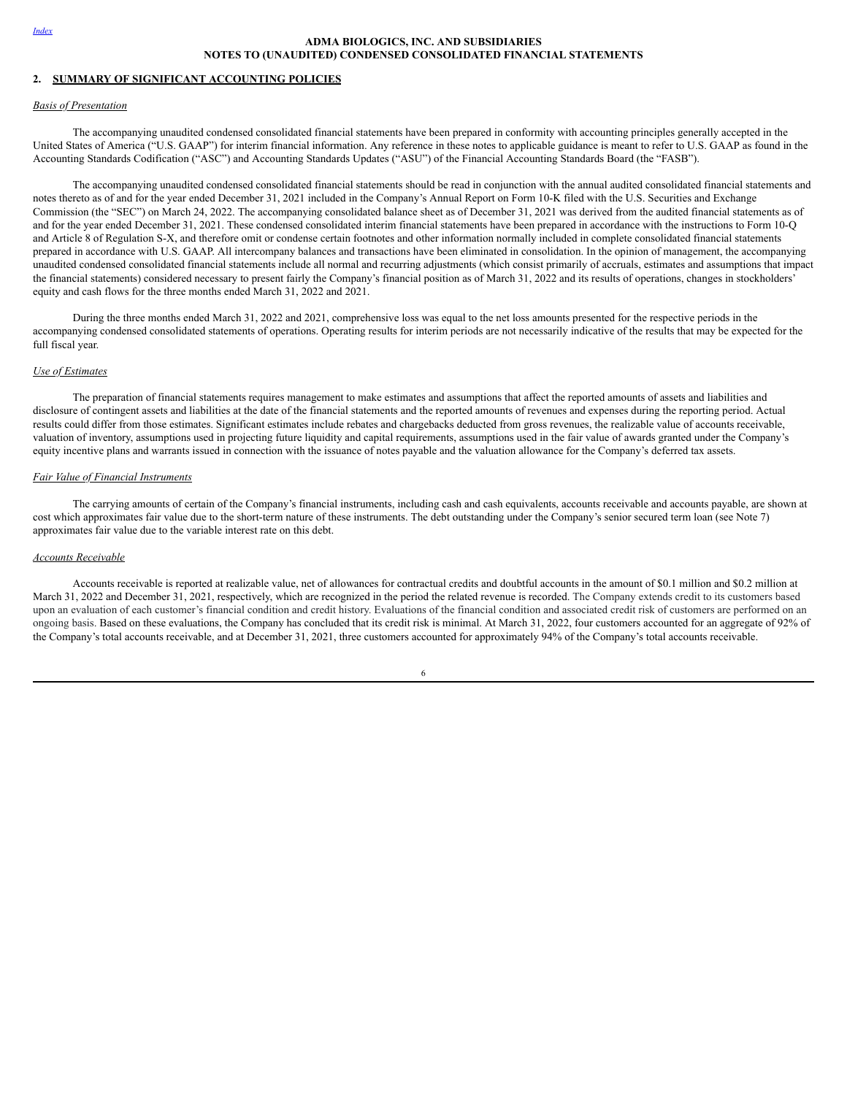# **2. SUMMARY OF SIGNIFICANT ACCOUNTING POLICIES**

#### *Basis of Presentation*

The accompanying unaudited condensed consolidated financial statements have been prepared in conformity with accounting principles generally accepted in the United States of America ("U.S. GAAP") for interim financial information. Any reference in these notes to applicable guidance is meant to refer to U.S. GAAP as found in the Accounting Standards Codification ("ASC") and Accounting Standards Updates ("ASU") of the Financial Accounting Standards Board (the "FASB").

The accompanying unaudited condensed consolidated financial statements should be read in conjunction with the annual audited consolidated financial statements and notes thereto as of and for the year ended December 31, 2021 included in the Company's Annual Report on Form 10-K filed with the U.S. Securities and Exchange Commission (the "SEC") on March 24, 2022. The accompanying consolidated balance sheet as of December 31, 2021 was derived from the audited financial statements as of and for the year ended December 31, 2021. These condensed consolidated interim financial statements have been prepared in accordance with the instructions to Form 10-Q and Article 8 of Regulation S-X, and therefore omit or condense certain footnotes and other information normally included in complete consolidated financial statements prepared in accordance with U.S. GAAP. All intercompany balances and transactions have been eliminated in consolidation. In the opinion of management, the accompanying unaudited condensed consolidated financial statements include all normal and recurring adjustments (which consist primarily of accruals, estimates and assumptions that impact the financial statements) considered necessary to present fairly the Company's financial position as of March 31, 2022 and its results of operations, changes in stockholders' equity and cash flows for the three months ended March 31, 2022 and 2021.

During the three months ended March 31, 2022 and 2021, comprehensive loss was equal to the net loss amounts presented for the respective periods in the accompanying condensed consolidated statements of operations. Operating results for interim periods are not necessarily indicative of the results that may be expected for the full fiscal year.

## *Use of Estimates*

The preparation of financial statements requires management to make estimates and assumptions that affect the reported amounts of assets and liabilities and disclosure of contingent assets and liabilities at the date of the financial statements and the reported amounts of revenues and expenses during the reporting period. Actual results could differ from those estimates. Significant estimates include rebates and chargebacks deducted from gross revenues, the realizable value of accounts receivable, valuation of inventory, assumptions used in projecting future liquidity and capital requirements, assumptions used in the fair value of awards granted under the Company's equity incentive plans and warrants issued in connection with the issuance of notes payable and the valuation allowance for the Company's deferred tax assets.

# *Fair Value of Financial Instruments*

The carrying amounts of certain of the Company's financial instruments, including cash and cash equivalents, accounts receivable and accounts payable, are shown at cost which approximates fair value due to the short-term nature of these instruments. The debt outstanding under the Company's senior secured term loan (see Note 7) approximates fair value due to the variable interest rate on this debt.

#### *Accounts Receivable*

Accounts receivable is reported at realizable value, net of allowances for contractual credits and doubtful accounts in the amount of \$0.1 million and \$0.2 million at March 31, 2022 and December 31, 2021, respectively, which are recognized in the period the related revenue is recorded. The Company extends credit to its customers based upon an evaluation of each customer's financial condition and credit history. Evaluations of the financial condition and associated credit risk of customers are performed on an ongoing basis. Based on these evaluations, the Company has concluded that its credit risk is minimal. At March 31, 2022, four customers accounted for an aggregate of 92% of the Company's total accounts receivable, and at December 31, 2021, three customers accounted for approximately 94% of the Company's total accounts receivable.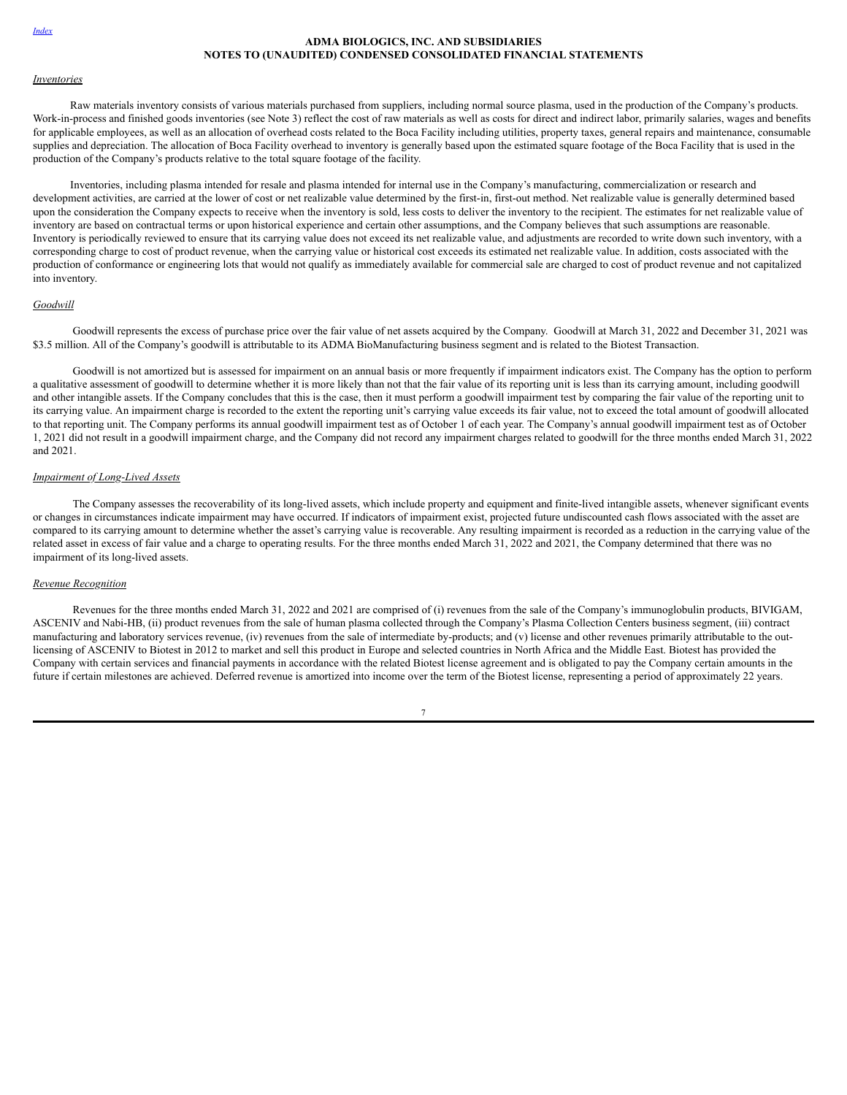#### *Inventories*

Raw materials inventory consists of various materials purchased from suppliers, including normal source plasma, used in the production of the Company's products. Work-in-process and finished goods inventories (see Note 3) reflect the cost of raw materials as well as costs for direct and indirect labor, primarily salaries, wages and benefits for applicable employees, as well as an allocation of overhead costs related to the Boca Facility including utilities, property taxes, general repairs and maintenance, consumable supplies and depreciation. The allocation of Boca Facility overhead to inventory is generally based upon the estimated square footage of the Boca Facility that is used in the production of the Company's products relative to the total square footage of the facility.

Inventories, including plasma intended for resale and plasma intended for internal use in the Company's manufacturing, commercialization or research and development activities, are carried at the lower of cost or net realizable value determined by the first-in, first-out method. Net realizable value is generally determined based upon the consideration the Company expects to receive when the inventory is sold, less costs to deliver the inventory to the recipient. The estimates for net realizable value of inventory are based on contractual terms or upon historical experience and certain other assumptions, and the Company believes that such assumptions are reasonable. Inventory is periodically reviewed to ensure that its carrying value does not exceed its net realizable value, and adjustments are recorded to write down such inventory, with a corresponding charge to cost of product revenue, when the carrying value or historical cost exceeds its estimated net realizable value. In addition, costs associated with the production of conformance or engineering lots that would not qualify as immediately available for commercial sale are charged to cost of product revenue and not capitalized into inventory.

# *Goodwill*

Goodwill represents the excess of purchase price over the fair value of net assets acquired by the Company. Goodwill at March 31, 2022 and December 31, 2021 was \$3.5 million. All of the Company's goodwill is attributable to its ADMA BioManufacturing business segment and is related to the Biotest Transaction.

Goodwill is not amortized but is assessed for impairment on an annual basis or more frequently if impairment indicators exist. The Company has the option to perform a qualitative assessment of goodwill to determine whether it is more likely than not that the fair value of its reporting unit is less than its carrying amount, including goodwill and other intangible assets. If the Company concludes that this is the case, then it must perform a goodwill impairment test by comparing the fair value of the reporting unit to its carrying value. An impairment charge is recorded to the extent the reporting unit's carrying value exceeds its fair value, not to exceed the total amount of goodwill allocated to that reporting unit. The Company performs its annual goodwill impairment test as of October 1 of each year. The Company's annual goodwill impairment test as of October 1, 2021 did not result in a goodwill impairment charge, and the Company did not record any impairment charges related to goodwill for the three months ended March 31, 2022 and 2021.

# *Impairment of Long-Lived Assets*

The Company assesses the recoverability of its long-lived assets, which include property and equipment and finite-lived intangible assets, whenever significant events or changes in circumstances indicate impairment may have occurred. If indicators of impairment exist, projected future undiscounted cash flows associated with the asset are compared to its carrying amount to determine whether the asset's carrying value is recoverable. Any resulting impairment is recorded as a reduction in the carrying value of the related asset in excess of fair value and a charge to operating results. For the three months ended March 31, 2022 and 2021, the Company determined that there was no impairment of its long-lived assets.

## *Revenue Recognition*

Revenues for the three months ended March 31, 2022 and 2021 are comprised of (i) revenues from the sale of the Company's immunoglobulin products, BIVIGAM, ASCENIV and Nabi-HB, (ii) product revenues from the sale of human plasma collected through the Company's Plasma Collection Centers business segment, (iii) contract manufacturing and laboratory services revenue, (iv) revenues from the sale of intermediate by-products; and (v) license and other revenues primarily attributable to the outlicensing of ASCENIV to Biotest in 2012 to market and sell this product in Europe and selected countries in North Africa and the Middle East. Biotest has provided the Company with certain services and financial payments in accordance with the related Biotest license agreement and is obligated to pay the Company certain amounts in the future if certain milestones are achieved. Deferred revenue is amortized into income over the term of the Biotest license, representing a period of approximately 22 years.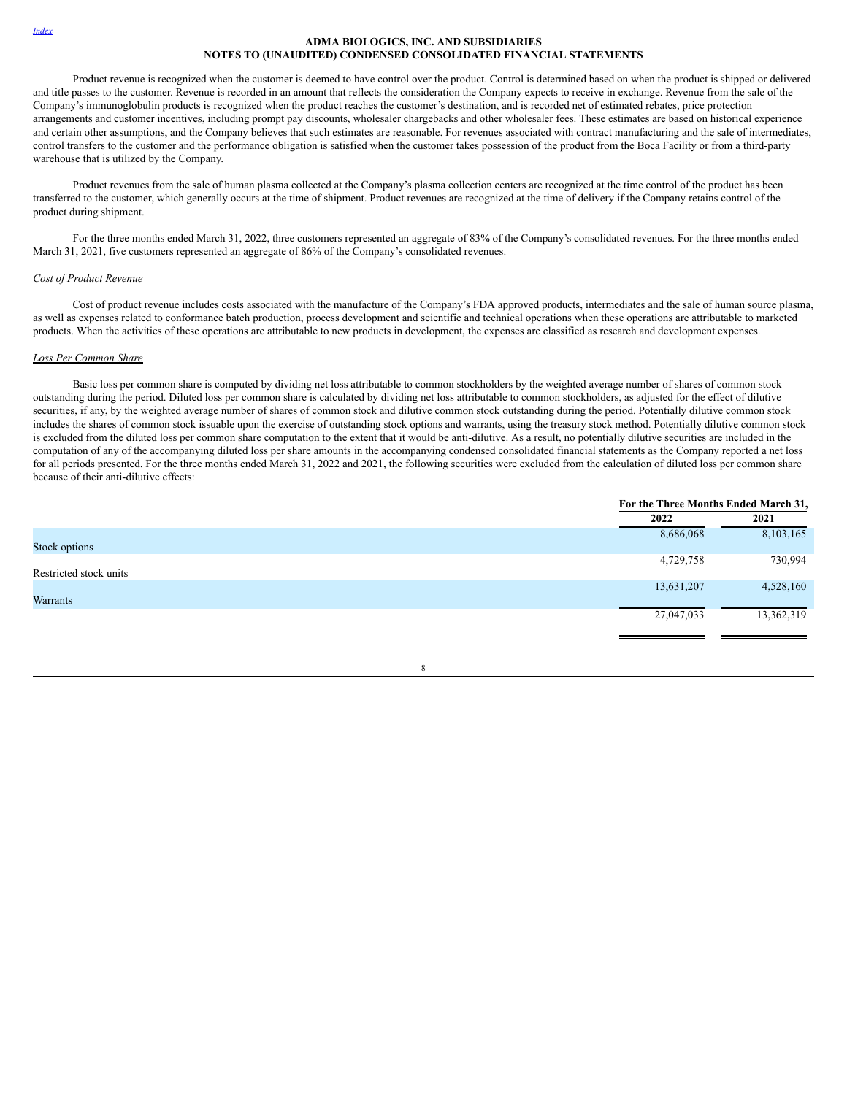Product revenue is recognized when the customer is deemed to have control over the product. Control is determined based on when the product is shipped or delivered and title passes to the customer. Revenue is recorded in an amount that reflects the consideration the Company expects to receive in exchange. Revenue from the sale of the Company's immunoglobulin products is recognized when the product reaches the customer's destination, and is recorded net of estimated rebates, price protection arrangements and customer incentives, including prompt pay discounts, wholesaler chargebacks and other wholesaler fees. These estimates are based on historical experience and certain other assumptions, and the Company believes that such estimates are reasonable. For revenues associated with contract manufacturing and the sale of intermediates, control transfers to the customer and the performance obligation is satisfied when the customer takes possession of the product from the Boca Facility or from a third-party warehouse that is utilized by the Company.

Product revenues from the sale of human plasma collected at the Company's plasma collection centers are recognized at the time control of the product has been transferred to the customer, which generally occurs at the time of shipment. Product revenues are recognized at the time of delivery if the Company retains control of the product during shipment.

For the three months ended March 31, 2022, three customers represented an aggregate of 83% of the Company's consolidated revenues. For the three months ended March 31, 2021, five customers represented an aggregate of 86% of the Company's consolidated revenues.

### *Cost of Product Revenue*

Cost of product revenue includes costs associated with the manufacture of the Company's FDA approved products, intermediates and the sale of human source plasma, as well as expenses related to conformance batch production, process development and scientific and technical operations when these operations are attributable to marketed products. When the activities of these operations are attributable to new products in development, the expenses are classified as research and development expenses.

## *Loss Per Common Share*

Basic loss per common share is computed by dividing net loss attributable to common stockholders by the weighted average number of shares of common stock outstanding during the period. Diluted loss per common share is calculated by dividing net loss attributable to common stockholders, as adjusted for the effect of dilutive securities, if any, by the weighted average number of shares of common stock and dilutive common stock outstanding during the period. Potentially dilutive common stock includes the shares of common stock issuable upon the exercise of outstanding stock options and warrants, using the treasury stock method. Potentially dilutive common stock is excluded from the diluted loss per common share computation to the extent that it would be anti-dilutive. As a result, no potentially dilutive securities are included in the computation of any of the accompanying diluted loss per share amounts in the accompanying condensed consolidated financial statements as the Company reported a net loss for all periods presented. For the three months ended March 31, 2022 and 2021, the following securities were excluded from the calculation of diluted loss per common share because of their anti-dilutive effects:

|                        | For the Three Months Ended March 31, |            |
|------------------------|--------------------------------------|------------|
|                        | 2022                                 | 2021       |
|                        | 8,686,068                            | 8,103,165  |
| Stock options          |                                      |            |
|                        | 4,729,758                            | 730,994    |
| Restricted stock units |                                      |            |
|                        | 13,631,207                           | 4,528,160  |
| <b>Warrants</b>        |                                      |            |
|                        | 27,047,033                           | 13,362,319 |
|                        |                                      |            |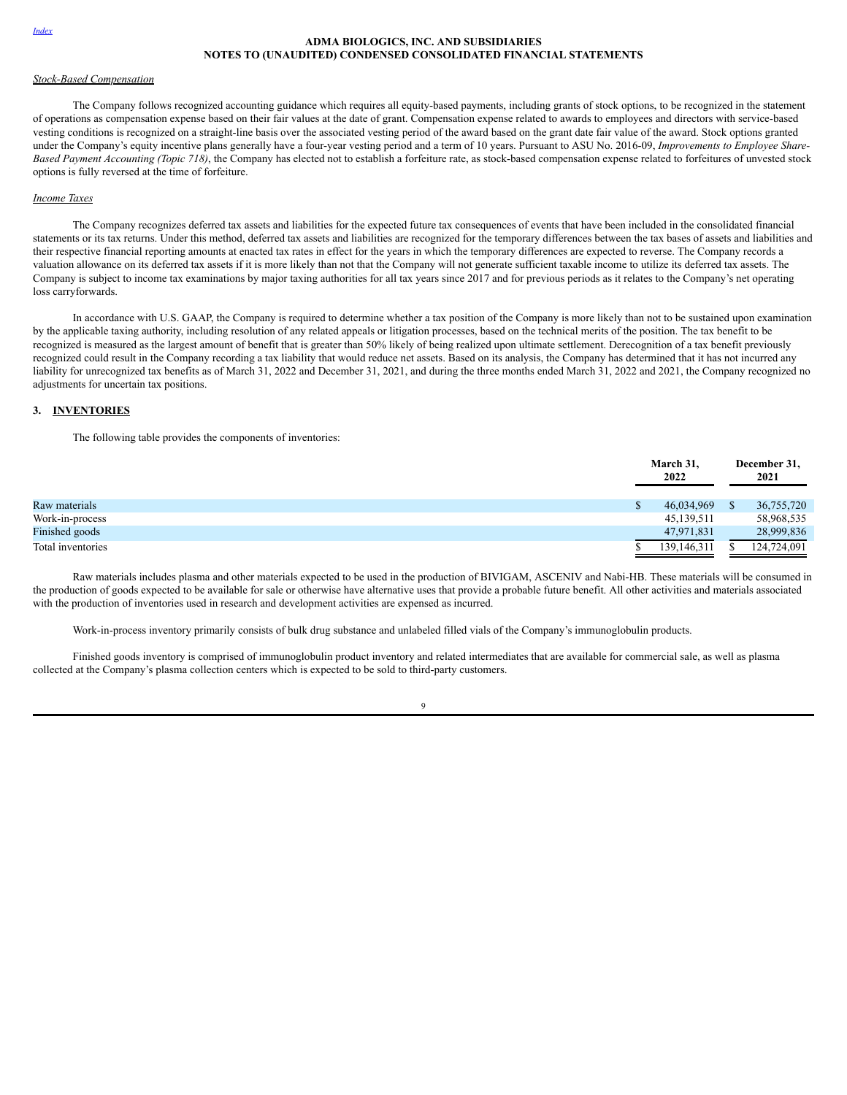#### *Stock-Based Compensation*

The Company follows recognized accounting guidance which requires all equity-based payments, including grants of stock options, to be recognized in the statement of operations as compensation expense based on their fair values at the date of grant. Compensation expense related to awards to employees and directors with service-based vesting conditions is recognized on a straight-line basis over the associated vesting period of the award based on the grant date fair value of the award. Stock options granted under the Company's equity incentive plans generally have a four-year vesting period and a term of 10 years. Pursuant to ASU No. 2016-09, *Improvements to Employee Share-Based Payment Accounting (Topic 718)*, the Company has elected not to establish a forfeiture rate, as stock-based compensation expense related to forfeitures of unvested stock options is fully reversed at the time of forfeiture.

# *Income Taxes*

The Company recognizes deferred tax assets and liabilities for the expected future tax consequences of events that have been included in the consolidated financial statements or its tax returns. Under this method, deferred tax assets and liabilities are recognized for the temporary differences between the tax bases of assets and liabilities and their respective financial reporting amounts at enacted tax rates in effect for the years in which the temporary differences are expected to reverse. The Company records a valuation allowance on its deferred tax assets if it is more likely than not that the Company will not generate sufficient taxable income to utilize its deferred tax assets. The Company is subject to income tax examinations by major taxing authorities for all tax years since 2017 and for previous periods as it relates to the Company's net operating loss carryforwards.

In accordance with U.S. GAAP, the Company is required to determine whether a tax position of the Company is more likely than not to be sustained upon examination by the applicable taxing authority, including resolution of any related appeals or litigation processes, based on the technical merits of the position. The tax benefit to be recognized is measured as the largest amount of benefit that is greater than 50% likely of being realized upon ultimate settlement. Derecognition of a tax benefit previously recognized could result in the Company recording a tax liability that would reduce net assets. Based on its analysis, the Company has determined that it has not incurred any liability for unrecognized tax benefits as of March 31, 2022 and December 31, 2021, and during the three months ended March 31, 2022 and 2021, the Company recognized no adjustments for uncertain tax positions.

# **3. INVENTORIES**

The following table provides the components of inventories:

|                   | March 31,<br>2022 | December 31,<br>2021 |
|-------------------|-------------------|----------------------|
| Raw materials     | 46,034,969        | 36,755,720           |
| Work-in-process   | 45,139,511        | 58,968,535           |
| Finished goods    | 47,971,831        | 28,999,836           |
| Total inventories | 139,146,311       | 124,724,091          |

Raw materials includes plasma and other materials expected to be used in the production of BIVIGAM, ASCENIV and Nabi-HB. These materials will be consumed in the production of goods expected to be available for sale or otherwise have alternative uses that provide a probable future benefit. All other activities and materials associated with the production of inventories used in research and development activities are expensed as incurred.

Work-in-process inventory primarily consists of bulk drug substance and unlabeled filled vials of the Company's immunoglobulin products.

Finished goods inventory is comprised of immunoglobulin product inventory and related intermediates that are available for commercial sale, as well as plasma collected at the Company's plasma collection centers which is expected to be sold to third-party customers.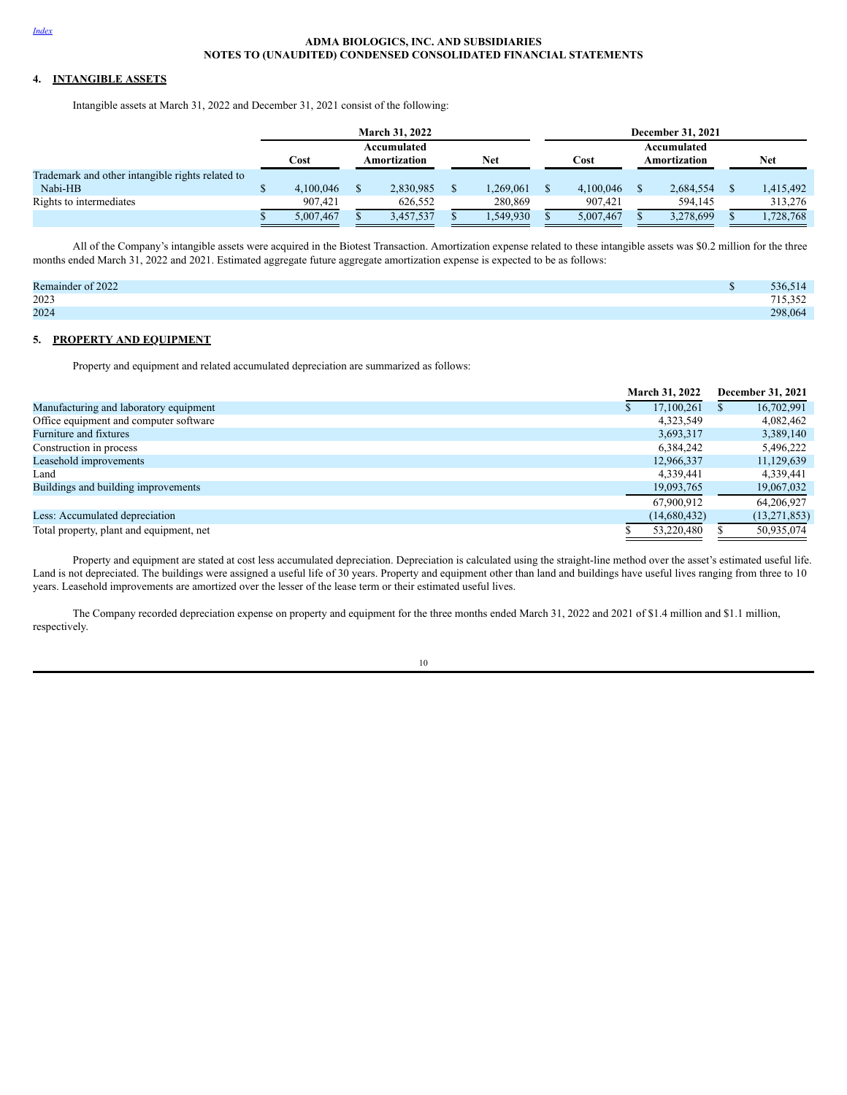# **4. INTANGIBLE ASSETS**

Intangible assets at March 31, 2022 and December 31, 2021 consist of the following:

|                                                  | <b>March 31, 2022</b>                              |  |                             |            |           |  | <b>December 31, 2021</b> |  |           |  |           |  |  |
|--------------------------------------------------|----------------------------------------------------|--|-----------------------------|------------|-----------|--|--------------------------|--|-----------|--|-----------|--|--|
|                                                  | Accumulated<br>Net<br>Cost<br>Cost<br>Amortization |  | Accumulated<br>Amortization | <b>Net</b> |           |  |                          |  |           |  |           |  |  |
| Trademark and other intangible rights related to |                                                    |  |                             |            |           |  |                          |  |           |  |           |  |  |
| Nabi-HB                                          | 4.100.046                                          |  | 2,830,985                   |            | .269,061  |  | 4.100.046                |  | 2.684.554 |  | 1,415,492 |  |  |
| Rights to intermediates                          | 907.421                                            |  | 626.552                     |            | 280,869   |  | 907.421                  |  | 594.145   |  | 313.276   |  |  |
|                                                  | 5.007.467                                          |  | 3,457,537                   |            | 1,549,930 |  | 5,007,467                |  | 3,278,699 |  | 1,728,768 |  |  |

All of the Company's intangible assets were acquired in the Biotest Transaction. Amortization expense related to these intangible assets was \$0.2 million for the three months ended March 31, 2022 and 2021. Estimated aggregate future aggregate amortization expense is expected to be as follows:

| Remainder of 2022 | 536,514 |
|-------------------|---------|
| 2023              | 715,352 |
| 2024              | 298,064 |

### **5. PROPERTY AND EQUIPMENT**

Property and equipment and related accumulated depreciation are summarized as follows:

|                                          | <b>March 31, 2022</b> | <b>December 31, 2021</b> |
|------------------------------------------|-----------------------|--------------------------|
| Manufacturing and laboratory equipment   | 17,100,261            | 16,702,991               |
| Office equipment and computer software   | 4,323,549             | 4,082,462                |
| Furniture and fixtures                   | 3,693,317             | 3,389,140                |
| Construction in process                  | 6,384,242             | 5,496,222                |
| Leasehold improvements                   | 12,966,337            | 11,129,639               |
| Land                                     | 4,339,441             | 4,339,441                |
| Buildings and building improvements      | 19,093,765            | 19,067,032               |
|                                          | 67.900.912            | 64.206.927               |
| Less: Accumulated depreciation           | (14,680,432)          | (13,271,853)             |
| Total property, plant and equipment, net | 53.220.480            | 50.935.074               |

Property and equipment are stated at cost less accumulated depreciation. Depreciation is calculated using the straight-line method over the asset's estimated useful life. Land is not depreciated. The buildings were assigned a useful life of 30 years. Property and equipment other than land and buildings have useful lives ranging from three to 10 years. Leasehold improvements are amortized over the lesser of the lease term or their estimated useful lives.

The Company recorded depreciation expense on property and equipment for the three months ended March 31, 2022 and 2021 of \$1.4 million and \$1.1 million, respectively.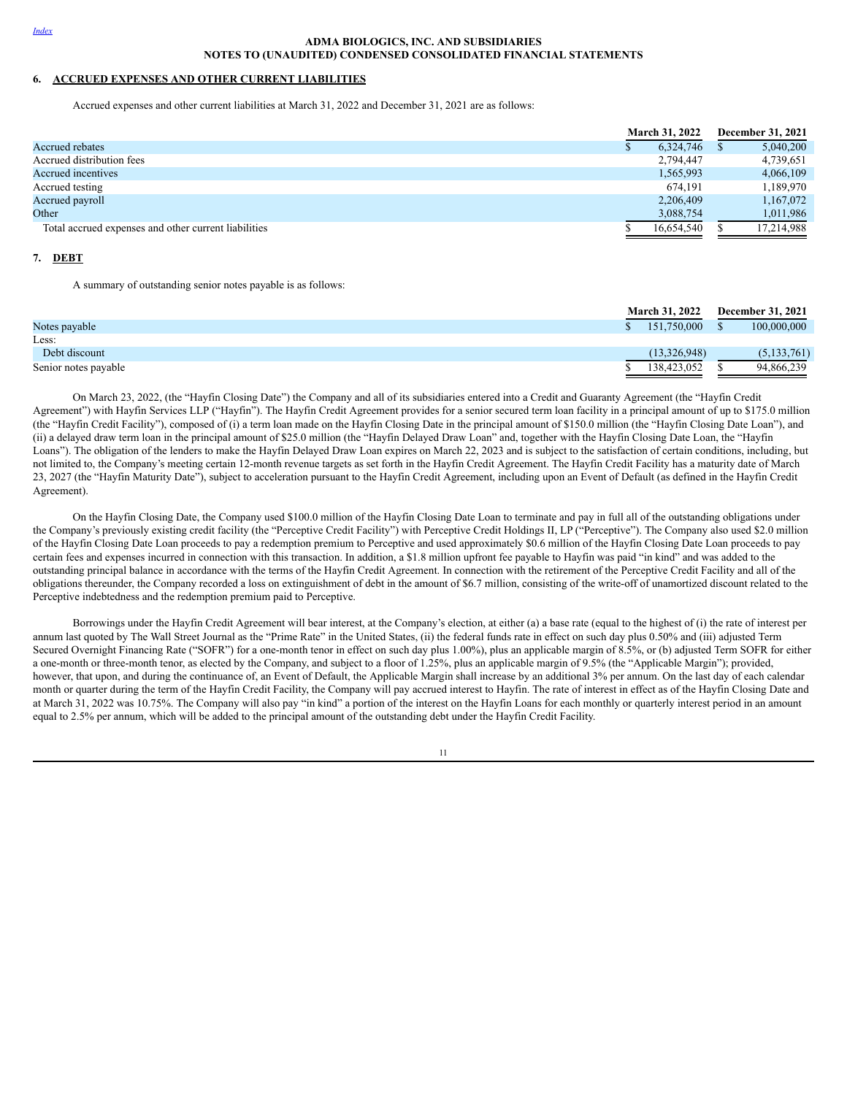# **6. ACCRUED EXPENSES AND OTHER CURRENT LIABILITIES**

Accrued expenses and other current liabilities at March 31, 2022 and December 31, 2021 are as follows:

|                                                      | <b>March 31, 2022</b> |  | <b>December 31, 2021</b> |  |  |
|------------------------------------------------------|-----------------------|--|--------------------------|--|--|
| Accrued rebates                                      | 6.324.746             |  | 5,040,200                |  |  |
| Accrued distribution fees                            | 2,794,447             |  | 4,739,651                |  |  |
| Accrued incentives                                   | 1,565,993             |  | 4,066,109                |  |  |
| Accrued testing                                      | 674.191               |  | 1,189,970                |  |  |
| Accrued payroll                                      | 2,206,409             |  | 1,167,072                |  |  |
| Other                                                | 3,088,754             |  | 1,011,986                |  |  |
| Total accrued expenses and other current liabilities | 16,654,540            |  | 17,214,988               |  |  |

#### **7. DEBT**

A summary of outstanding senior notes payable is as follows:

|                      | <b>March 31, 2022</b> |  | <b>December 31, 2021</b> |
|----------------------|-----------------------|--|--------------------------|
| Notes payable        | 151,750,000           |  | 100,000,000              |
| Less:                |                       |  |                          |
| Debt discount        | (13,326,948)          |  | (5, 133, 761)            |
| Senior notes payable | 138,423,052           |  | 94,866,239               |

On March 23, 2022, (the "Hayfin Closing Date") the Company and all of its subsidiaries entered into a Credit and Guaranty Agreement (the "Hayfin Credit Agreement") with Hayfin Services LLP ("Hayfin"). The Hayfin Credit Agreement provides for a senior secured term loan facility in a principal amount of up to \$175.0 million (the "Hayfin Credit Facility"), composed of (i) a term loan made on the Hayfin Closing Date in the principal amount of \$150.0 million (the "Hayfin Closing Date Loan"), and (ii) a delayed draw term loan in the principal amount of \$25.0 million (the "Hayfin Delayed Draw Loan" and, together with the Hayfin Closing Date Loan, the "Hayfin Loans"). The obligation of the lenders to make the Hayfin Delayed Draw Loan expires on March 22, 2023 and is subject to the satisfaction of certain conditions, including, but not limited to, the Company's meeting certain 12-month revenue targets as set forth in the Hayfin Credit Agreement. The Hayfin Credit Facility has a maturity date of March 23, 2027 (the "Hayfin Maturity Date"), subject to acceleration pursuant to the Hayfin Credit Agreement, including upon an Event of Default (as defined in the Hayfin Credit Agreement).

On the Hayfin Closing Date, the Company used \$100.0 million of the Hayfin Closing Date Loan to terminate and pay in full all of the outstanding obligations under the Company's previously existing credit facility (the "Perceptive Credit Facility") with Perceptive Credit Holdings II, LP ("Perceptive"). The Company also used \$2.0 million of the Hayfin Closing Date Loan proceeds to pay a redemption premium to Perceptive and used approximately \$0.6 million of the Hayfin Closing Date Loan proceeds to pay certain fees and expenses incurred in connection with this transaction. In addition, a \$1.8 million upfront fee payable to Hayfin was paid "in kind" and was added to the outstanding principal balance in accordance with the terms of the Hayfin Credit Agreement. In connection with the retirement of the Perceptive Credit Facility and all of the obligations thereunder, the Company recorded a loss on extinguishment of debt in the amount of \$6.7 million, consisting of the write-off of unamortized discount related to the Perceptive indebtedness and the redemption premium paid to Perceptive.

Borrowings under the Hayfin Credit Agreement will bear interest, at the Company's election, at either (a) a base rate (equal to the highest of (i) the rate of interest per annum last quoted by The Wall Street Journal as the "Prime Rate" in the United States, (ii) the federal funds rate in effect on such day plus 0.50% and (iii) adjusted Term Secured Overnight Financing Rate ("SOFR") for a one-month tenor in effect on such day plus 1.00%), plus an applicable margin of 8.5%, or (b) adjusted Term SOFR for either a one-month or three-month tenor, as elected by the Company, and subject to a floor of 1.25%, plus an applicable margin of 9.5% (the "Applicable Margin"); provided, however, that upon, and during the continuance of, an Event of Default, the Applicable Margin shall increase by an additional 3% per annum. On the last day of each calendar month or quarter during the term of the Hayfin Credit Facility, the Company will pay accrued interest to Hayfin. The rate of interest in effect as of the Hayfin Closing Date and at March 31, 2022 was 10.75%. The Company will also pay "in kind" a portion of the interest on the Hayfin Loans for each monthly or quarterly interest period in an amount equal to 2.5% per annum, which will be added to the principal amount of the outstanding debt under the Hayfin Credit Facility.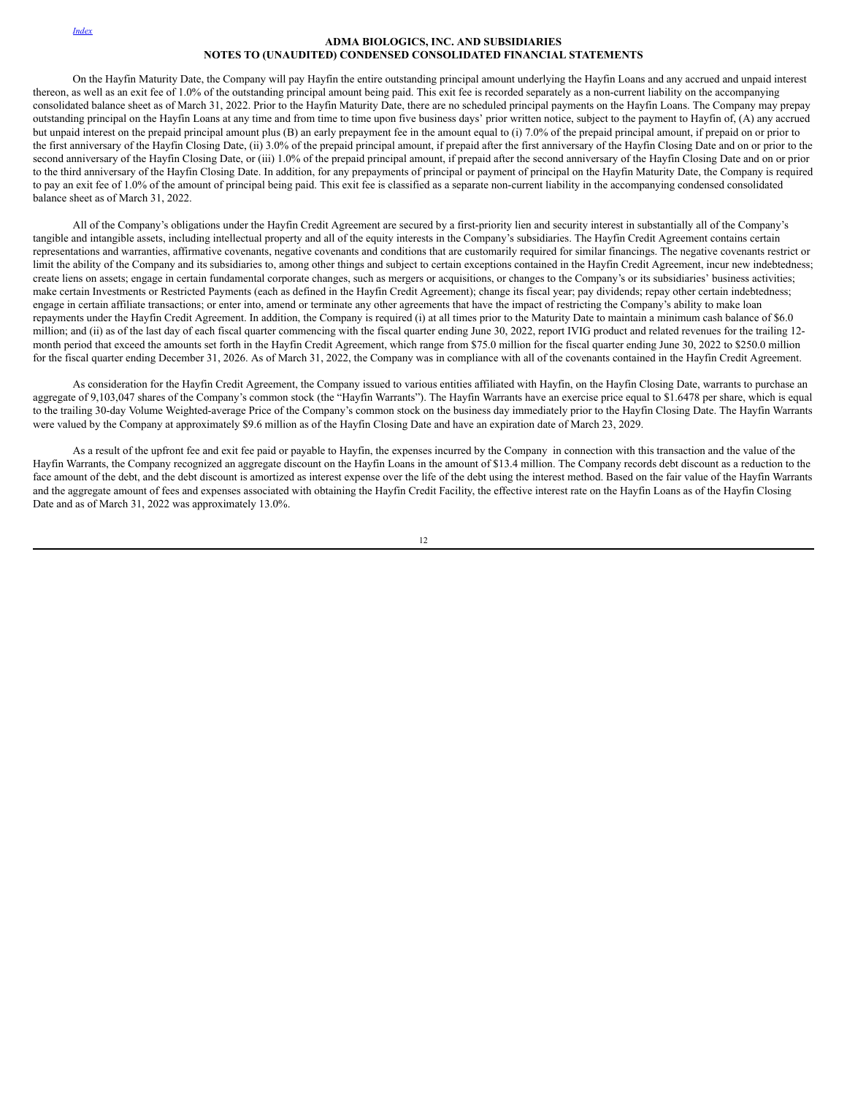On the Hayfin Maturity Date, the Company will pay Hayfin the entire outstanding principal amount underlying the Hayfin Loans and any accrued and unpaid interest thereon, as well as an exit fee of 1.0% of the outstanding principal amount being paid. This exit fee is recorded separately as a non-current liability on the accompanying consolidated balance sheet as of March 31, 2022. Prior to the Hayfin Maturity Date, there are no scheduled principal payments on the Hayfin Loans. The Company may prepay outstanding principal on the Hayfin Loans at any time and from time to time upon five business days' prior written notice, subject to the payment to Hayfin of, (A) any accrued but unpaid interest on the prepaid principal amount plus (B) an early prepayment fee in the amount equal to (i) 7.0% of the prepaid principal amount, if prepaid on or prior to the first anniversary of the Hayfin Closing Date, (ii) 3.0% of the prepaid principal amount, if prepaid after the first anniversary of the Hayfin Closing Date and on or prior to the second anniversary of the Hayfin Closing Date, or (iii) 1.0% of the prepaid principal amount, if prepaid after the second anniversary of the Hayfin Closing Date and on or prior to the third anniversary of the Hayfin Closing Date. In addition, for any prepayments of principal or payment of principal on the Hayfin Maturity Date, the Company is required to pay an exit fee of 1.0% of the amount of principal being paid. This exit fee is classified as a separate non-current liability in the accompanying condensed consolidated balance sheet as of March 31, 2022.

All of the Company's obligations under the Hayfin Credit Agreement are secured by a first-priority lien and security interest in substantially all of the Company's tangible and intangible assets, including intellectual property and all of the equity interests in the Company's subsidiaries. The Hayfin Credit Agreement contains certain representations and warranties, affirmative covenants, negative covenants and conditions that are customarily required for similar financings. The negative covenants restrict or limit the ability of the Company and its subsidiaries to, among other things and subject to certain exceptions contained in the Hayfin Credit Agreement, incur new indebtedness; create liens on assets; engage in certain fundamental corporate changes, such as mergers or acquisitions, or changes to the Company's or its subsidiaries' business activities; make certain Investments or Restricted Payments (each as defined in the Hayfin Credit Agreement); change its fiscal year; pay dividends; repay other certain indebtedness; engage in certain affiliate transactions; or enter into, amend or terminate any other agreements that have the impact of restricting the Company's ability to make loan repayments under the Hayfin Credit Agreement. In addition, the Company is required (i) at all times prior to the Maturity Date to maintain a minimum cash balance of \$6.0 million; and (ii) as of the last day of each fiscal quarter commencing with the fiscal quarter ending June 30, 2022, report IVIG product and related revenues for the trailing 12month period that exceed the amounts set forth in the Hayfin Credit Agreement, which range from \$75.0 million for the fiscal quarter ending June 30, 2022 to \$250.0 million for the fiscal quarter ending December 31, 2026. As of March 31, 2022, the Company was in compliance with all of the covenants contained in the Hayfin Credit Agreement.

As consideration for the Hayfin Credit Agreement, the Company issued to various entities affiliated with Hayfin, on the Hayfin Closing Date, warrants to purchase an aggregate of 9,103,047 shares of the Company's common stock (the "Hayfin Warrants"). The Hayfin Warrants have an exercise price equal to \$1.6478 per share, which is equal to the trailing 30-day Volume Weighted-average Price of the Company's common stock on the business day immediately prior to the Hayfin Closing Date. The Hayfin Warrants were valued by the Company at approximately \$9.6 million as of the Hayfin Closing Date and have an expiration date of March 23, 2029.

As a result of the upfront fee and exit fee paid or payable to Hayfin, the expenses incurred by the Company in connection with this transaction and the value of the Hayfin Warrants, the Company recognized an aggregate discount on the Hayfin Loans in the amount of \$13.4 million. The Company records debt discount as a reduction to the face amount of the debt, and the debt discount is amortized as interest expense over the life of the debt using the interest method. Based on the fair value of the Hayfin Warrants and the aggregate amount of fees and expenses associated with obtaining the Hayfin Credit Facility, the effective interest rate on the Hayfin Loans as of the Hayfin Closing Date and as of March 31, 2022 was approximately 13.0%.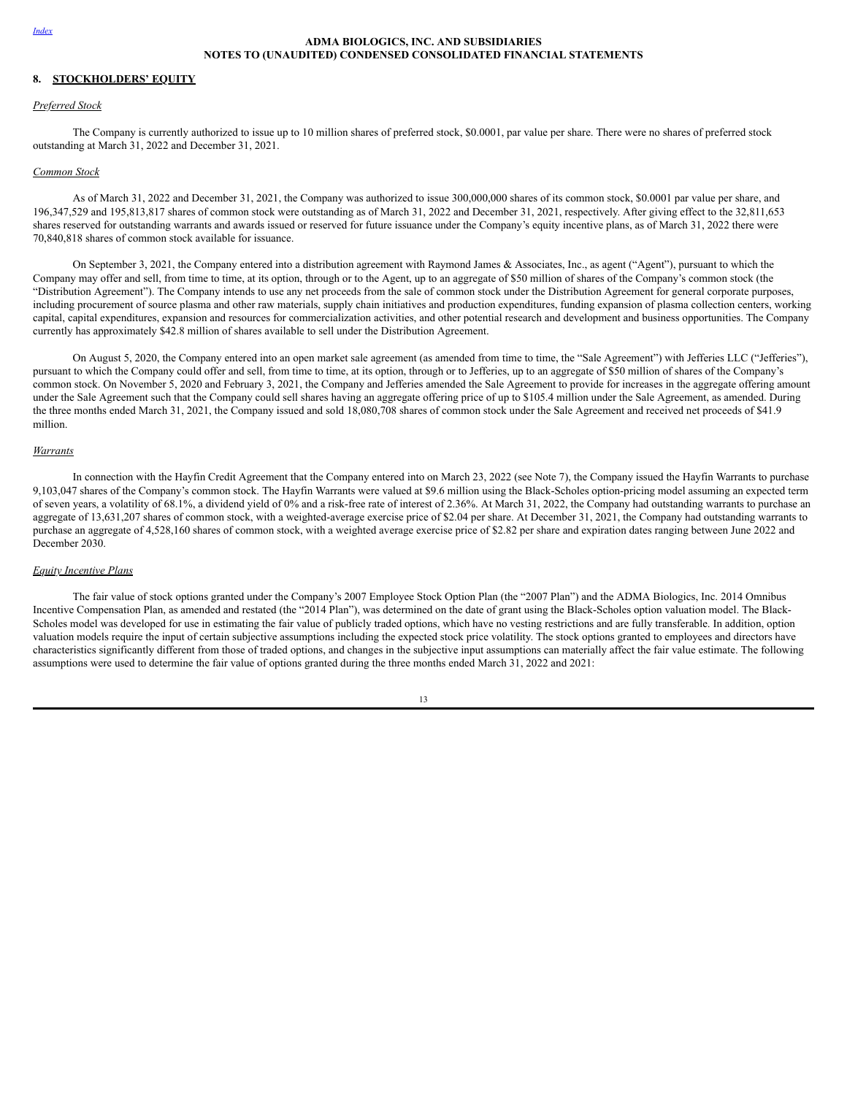## **8. STOCKHOLDERS' EQUITY**

#### *Preferred Stock*

The Company is currently authorized to issue up to 10 million shares of preferred stock, \$0.0001, par value per share. There were no shares of preferred stock outstanding at March 31, 2022 and December 31, 2021.

# *Common Stock*

As of March 31, 2022 and December 31, 2021, the Company was authorized to issue 300,000,000 shares of its common stock, \$0.0001 par value per share, and 196,347,529 and 195,813,817 shares of common stock were outstanding as of March 31, 2022 and December 31, 2021, respectively. After giving effect to the 32,811,653 shares reserved for outstanding warrants and awards issued or reserved for future issuance under the Company's equity incentive plans, as of March 31, 2022 there were 70,840,818 shares of common stock available for issuance.

On September 3, 2021, the Company entered into a distribution agreement with Raymond James & Associates, Inc., as agent ("Agent"), pursuant to which the Company may offer and sell, from time to time, at its option, through or to the Agent, up to an aggregate of \$50 million of shares of the Company's common stock (the "Distribution Agreement"). The Company intends to use any net proceeds from the sale of common stock under the Distribution Agreement for general corporate purposes, including procurement of source plasma and other raw materials, supply chain initiatives and production expenditures, funding expansion of plasma collection centers, working capital, capital expenditures, expansion and resources for commercialization activities, and other potential research and development and business opportunities. The Company currently has approximately \$42.8 million of shares available to sell under the Distribution Agreement.

On August 5, 2020, the Company entered into an open market sale agreement (as amended from time to time, the "Sale Agreement") with Jefferies LLC ("Jefferies"), pursuant to which the Company could offer and sell, from time to time, at its option, through or to Jefferies, up to an aggregate of \$50 million of shares of the Company's common stock. On November 5, 2020 and February 3, 2021, the Company and Jefferies amended the Sale Agreement to provide for increases in the aggregate offering amount under the Sale Agreement such that the Company could sell shares having an aggregate offering price of up to \$105.4 million under the Sale Agreement, as amended. During the three months ended March 31, 2021, the Company issued and sold 18,080,708 shares of common stock under the Sale Agreement and received net proceeds of \$41.9 million.

#### *Warrants*

In connection with the Hayfin Credit Agreement that the Company entered into on March 23, 2022 (see Note 7), the Company issued the Hayfin Warrants to purchase 9,103,047 shares of the Company's common stock. The Hayfin Warrants were valued at \$9.6 million using the Black-Scholes option-pricing model assuming an expected term of seven years, a volatility of 68.1%, a dividend yield of 0% and a risk-free rate of interest of 2.36%. At March 31, 2022, the Company had outstanding warrants to purchase an aggregate of 13,631,207 shares of common stock, with a weighted-average exercise price of \$2.04 per share. At December 31, 2021, the Company had outstanding warrants to purchase an aggregate of 4,528,160 shares of common stock, with a weighted average exercise price of \$2.82 per share and expiration dates ranging between June 2022 and December 2030.

# *Equity Incentive Plans*

The fair value of stock options granted under the Company's 2007 Employee Stock Option Plan (the "2007 Plan") and the ADMA Biologics, Inc. 2014 Omnibus Incentive Compensation Plan, as amended and restated (the "2014 Plan"), was determined on the date of grant using the Black-Scholes option valuation model. The Black-Scholes model was developed for use in estimating the fair value of publicly traded options, which have no vesting restrictions and are fully transferable. In addition, option valuation models require the input of certain subjective assumptions including the expected stock price volatility. The stock options granted to employees and directors have characteristics significantly different from those of traded options, and changes in the subjective input assumptions can materially affect the fair value estimate. The following assumptions were used to determine the fair value of options granted during the three months ended March 31, 2022 and 2021: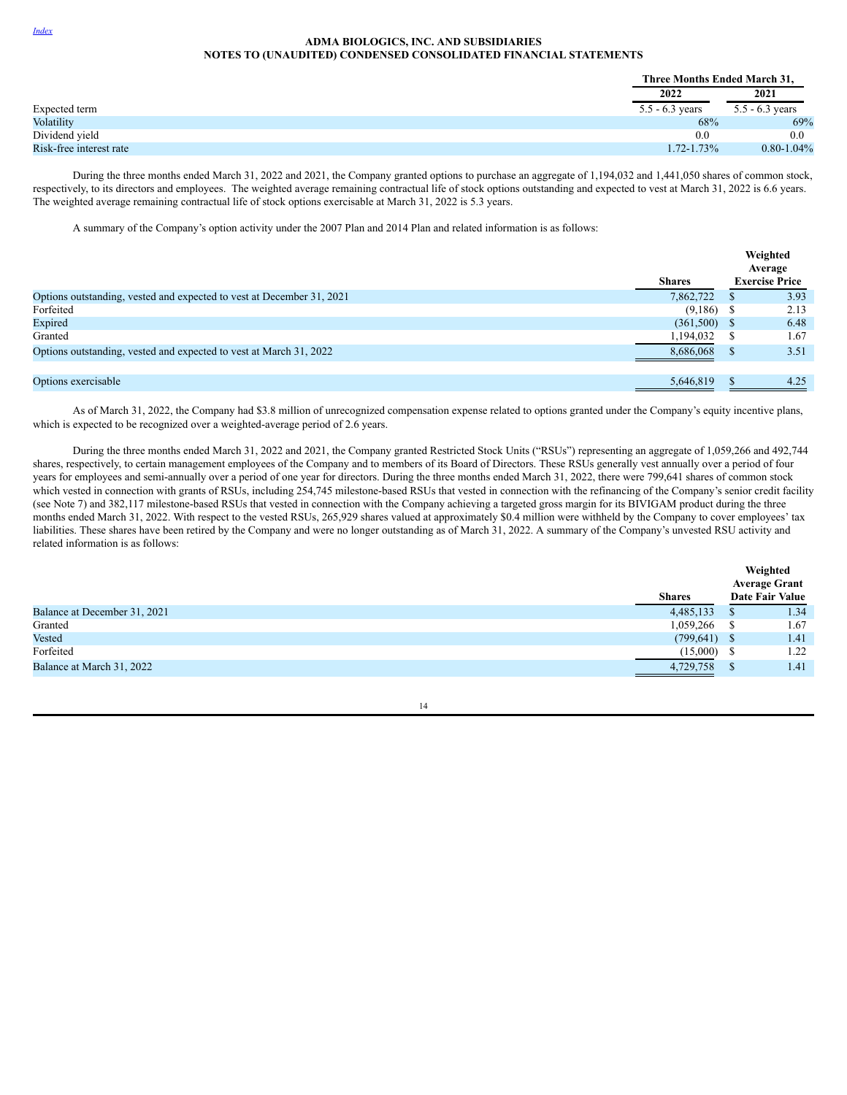|                         | Three Months Ended March 31, |                   |
|-------------------------|------------------------------|-------------------|
|                         | 2022                         | 2021              |
| Expected term           | $5.5 - 6.3$ years            | $5.5 - 6.3$ years |
| Volatility              | 68%                          | 69%               |
| Dividend yield          | 0.0                          | 0.0               |
| Risk-free interest rate | $1.72 - 1.73\%$              | $0.80 - 1.04\%$   |

During the three months ended March 31, 2022 and 2021, the Company granted options to purchase an aggregate of 1,194,032 and 1,441,050 shares of common stock, respectively, to its directors and employees. The weighted average remaining contractual life of stock options outstanding and expected to vest at March 31, 2022 is 6.6 years. The weighted average remaining contractual life of stock options exercisable at March 31, 2022 is 5.3 years.

A summary of the Company's option activity under the 2007 Plan and 2014 Plan and related information is as follows:

|                                                                       | <b>Shares</b> |              | Weighted<br>Average<br><b>Exercise Price</b> |
|-----------------------------------------------------------------------|---------------|--------------|----------------------------------------------|
| Options outstanding, vested and expected to vest at December 31, 2021 | 7,862,722     |              | 3.93                                         |
| Forfeited                                                             | (9,186)       |              | 2.13                                         |
| Expired                                                               | (361,500)     | <sup>S</sup> | 6.48                                         |
| Granted                                                               | 1,194,032     |              | 1.67                                         |
| Options outstanding, vested and expected to vest at March 31, 2022    | 8,686,068     |              | 3.51                                         |
|                                                                       |               |              |                                              |
| Options exercisable                                                   | 5,646,819     |              | 4.25                                         |

As of March 31, 2022, the Company had \$3.8 million of unrecognized compensation expense related to options granted under the Company's equity incentive plans, which is expected to be recognized over a weighted-average period of 2.6 years.

During the three months ended March 31, 2022 and 2021, the Company granted Restricted Stock Units ("RSUs") representing an aggregate of 1,059,266 and 492,744 shares, respectively, to certain management employees of the Company and to members of its Board of Directors. These RSUs generally vest annually over a period of four years for employees and semi-annually over a period of one year for directors. During the three months ended March 31, 2022, there were 799,641 shares of common stock which vested in connection with grants of RSUs, including 254,745 milestone-based RSUs that vested in connection with the refinancing of the Company's senior credit facility (see Note 7) and 382,117 milestone-based RSUs that vested in connection with the Company achieving a targeted gross margin for its BIVIGAM product during the three months ended March 31, 2022. With respect to the vested RSUs, 265,929 shares valued at approximately \$0.4 million were withheld by the Company to cover employees' tax liabilities. These shares have been retired by the Company and were no longer outstanding as of March 31, 2022. A summary of the Company's unvested RSU activity and related information is as follows:

|                              | <b>Shares</b> | Weighted<br><b>Average Grant</b><br><b>Date Fair Value</b> |
|------------------------------|---------------|------------------------------------------------------------|
| Balance at December 31, 2021 | 4,485,133     | 1.34                                                       |
| Granted                      | 1,059,266     | 1.67                                                       |
| Vested                       | (799, 641)    | 1.41                                                       |
| Forfeited                    | (15,000)      | 1.22                                                       |
| Balance at March 31, 2022    | 4,729,758     | 1.41                                                       |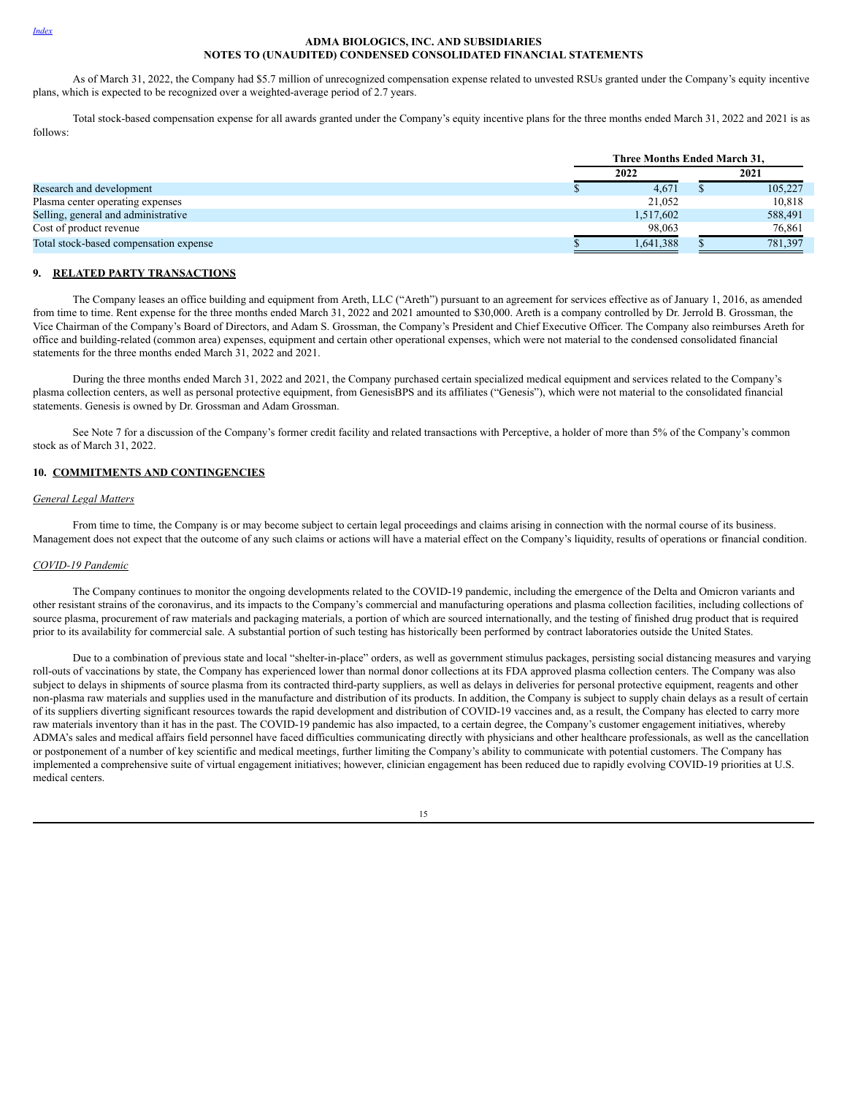As of March 31, 2022, the Company had \$5.7 million of unrecognized compensation expense related to unvested RSUs granted under the Company's equity incentive plans, which is expected to be recognized over a weighted-average period of 2.7 years.

Total stock-based compensation expense for all awards granted under the Company's equity incentive plans for the three months ended March 31, 2022 and 2021 is as follows:

|                                        | Three Months Ended March 31. |  |         |  |  |
|----------------------------------------|------------------------------|--|---------|--|--|
|                                        | 2022                         |  | 2021    |  |  |
| Research and development               | 4.671                        |  | 105,227 |  |  |
| Plasma center operating expenses       | 21.052                       |  | 10.818  |  |  |
| Selling, general and administrative    | 1,517,602                    |  | 588,491 |  |  |
| Cost of product revenue                | 98,063                       |  | 76,861  |  |  |
| Total stock-based compensation expense | 1,641,388                    |  | 781,397 |  |  |

## **9. RELATED PARTY TRANSACTIONS**

The Company leases an office building and equipment from Areth, LLC ("Areth") pursuant to an agreement for services effective as of January 1, 2016, as amended from time to time. Rent expense for the three months ended March 31, 2022 and 2021 amounted to \$30,000. Areth is a company controlled by Dr. Jerrold B. Grossman, the Vice Chairman of the Company's Board of Directors, and Adam S. Grossman, the Company's President and Chief Executive Officer. The Company also reimburses Areth for office and building-related (common area) expenses, equipment and certain other operational expenses, which were not material to the condensed consolidated financial statements for the three months ended March 31, 2022 and 2021.

During the three months ended March 31, 2022 and 2021, the Company purchased certain specialized medical equipment and services related to the Company's plasma collection centers, as well as personal protective equipment, from GenesisBPS and its affiliates ("Genesis"), which were not material to the consolidated financial statements. Genesis is owned by Dr. Grossman and Adam Grossman.

See Note 7 for a discussion of the Company's former credit facility and related transactions with Perceptive, a holder of more than 5% of the Company's common stock as of March 31, 2022.

# **10. COMMITMENTS AND CONTINGENCIES**

## *General Legal Matters*

From time to time, the Company is or may become subject to certain legal proceedings and claims arising in connection with the normal course of its business. Management does not expect that the outcome of any such claims or actions will have a material effect on the Company's liquidity, results of operations or financial condition.

#### *COVID-19 Pandemic*

The Company continues to monitor the ongoing developments related to the COVID-19 pandemic, including the emergence of the Delta and Omicron variants and other resistant strains of the coronavirus, and its impacts to the Company's commercial and manufacturing operations and plasma collection facilities, including collections of source plasma, procurement of raw materials and packaging materials, a portion of which are sourced internationally, and the testing of finished drug product that is required prior to its availability for commercial sale. A substantial portion of such testing has historically been performed by contract laboratories outside the United States.

Due to a combination of previous state and local "shelter-in-place" orders, as well as government stimulus packages, persisting social distancing measures and varying roll-outs of vaccinations by state, the Company has experienced lower than normal donor collections at its FDA approved plasma collection centers. The Company was also subject to delays in shipments of source plasma from its contracted third-party suppliers, as well as delays in deliveries for personal protective equipment, reagents and other non-plasma raw materials and supplies used in the manufacture and distribution of its products. In addition, the Company is subject to supply chain delays as a result of certain of its suppliers diverting significant resources towards the rapid development and distribution of COVID-19 vaccines and, as a result, the Company has elected to carry more raw materials inventory than it has in the past. The COVID-19 pandemic has also impacted, to a certain degree, the Company's customer engagement initiatives, whereby ADMA's sales and medical affairs field personnel have faced difficulties communicating directly with physicians and other healthcare professionals, as well as the cancellation or postponement of a number of key scientific and medical meetings, further limiting the Company's ability to communicate with potential customers. The Company has implemented a comprehensive suite of virtual engagement initiatives; however, clinician engagement has been reduced due to rapidly evolving COVID-19 priorities at U.S. medical centers.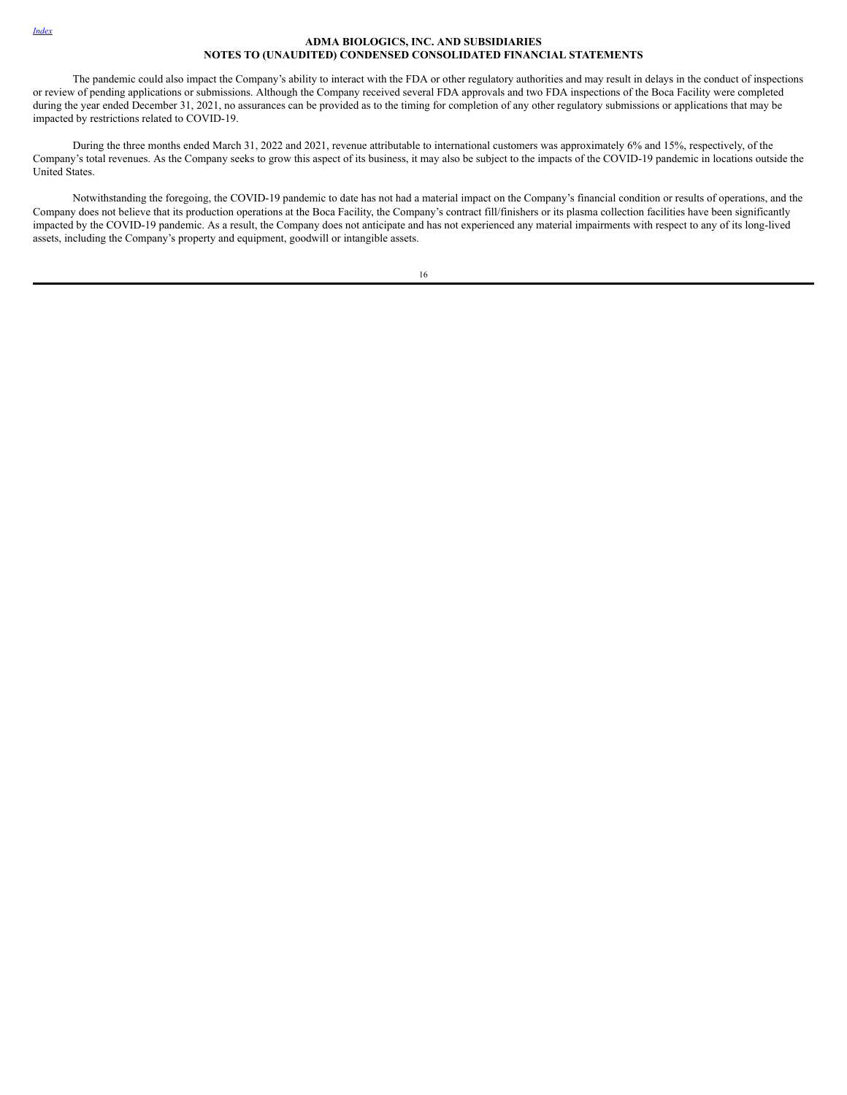#### *[Index](#page-1-0)*

# **ADMA BIOLOGICS, INC. AND SUBSIDIARIES NOTES TO (UNAUDITED) CONDENSED CONSOLIDATED FINANCIAL STATEMENTS**

The pandemic could also impact the Company's ability to interact with the FDA or other regulatory authorities and may result in delays in the conduct of inspections or review of pending applications or submissions. Although the Company received several FDA approvals and two FDA inspections of the Boca Facility were completed during the year ended December 31, 2021, no assurances can be provided as to the timing for completion of any other regulatory submissions or applications that may be impacted by restrictions related to COVID-19.

During the three months ended March 31, 2022 and 2021, revenue attributable to international customers was approximately 6% and 15%, respectively, of the Company's total revenues. As the Company seeks to grow this aspect of its business, it may also be subject to the impacts of the COVID-19 pandemic in locations outside the United States.

Notwithstanding the foregoing, the COVID-19 pandemic to date has not had a material impact on the Company's financial condition or results of operations, and the Company does not believe that its production operations at the Boca Facility, the Company's contract fill/finishers or its plasma collection facilities have been significantly impacted by the COVID-19 pandemic. As a result, the Company does not anticipate and has not experienced any material impairments with respect to any of its long-lived assets, including the Company's property and equipment, goodwill or intangible assets.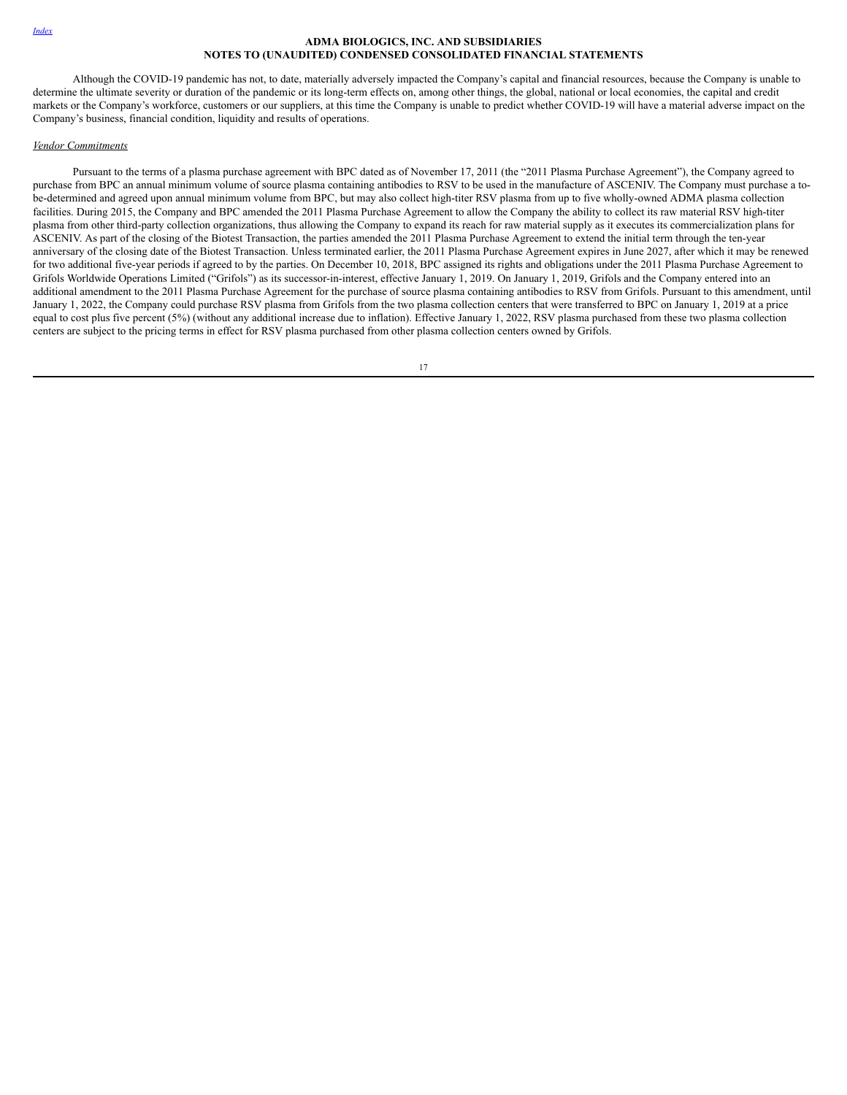Although the COVID-19 pandemic has not, to date, materially adversely impacted the Company's capital and financial resources, because the Company is unable to determine the ultimate severity or duration of the pandemic or its long-term effects on, among other things, the global, national or local economies, the capital and credit markets or the Company's workforce, customers or our suppliers, at this time the Company is unable to predict whether COVID-19 will have a material adverse impact on the Company's business, financial condition, liquidity and results of operations.

#### *Vendor Commitments*

Pursuant to the terms of a plasma purchase agreement with BPC dated as of November 17, 2011 (the "2011 Plasma Purchase Agreement"), the Company agreed to purchase from BPC an annual minimum volume of source plasma containing antibodies to RSV to be used in the manufacture of ASCENIV. The Company must purchase a tobe-determined and agreed upon annual minimum volume from BPC, but may also collect high-titer RSV plasma from up to five wholly-owned ADMA plasma collection facilities. During 2015, the Company and BPC amended the 2011 Plasma Purchase Agreement to allow the Company the ability to collect its raw material RSV high-titer plasma from other third-party collection organizations, thus allowing the Company to expand its reach for raw material supply as it executes its commercialization plans for ASCENIV. As part of the closing of the Biotest Transaction, the parties amended the 2011 Plasma Purchase Agreement to extend the initial term through the ten-year anniversary of the closing date of the Biotest Transaction. Unless terminated earlier, the 2011 Plasma Purchase Agreement expires in June 2027, after which it may be renewed for two additional five-year periods if agreed to by the parties. On December 10, 2018, BPC assigned its rights and obligations under the 2011 Plasma Purchase Agreement to Grifols Worldwide Operations Limited ("Grifols") as its successor-in-interest, effective January 1, 2019. On January 1, 2019, Grifols and the Company entered into an additional amendment to the 2011 Plasma Purchase Agreement for the purchase of source plasma containing antibodies to RSV from Grifols. Pursuant to this amendment, until January 1, 2022, the Company could purchase RSV plasma from Grifols from the two plasma collection centers that were transferred to BPC on January 1, 2019 at a price equal to cost plus five percent (5%) (without any additional increase due to inflation). Effective January 1, 2022, RSV plasma purchased from these two plasma collection centers are subject to the pricing terms in effect for RSV plasma purchased from other plasma collection centers owned by Grifols.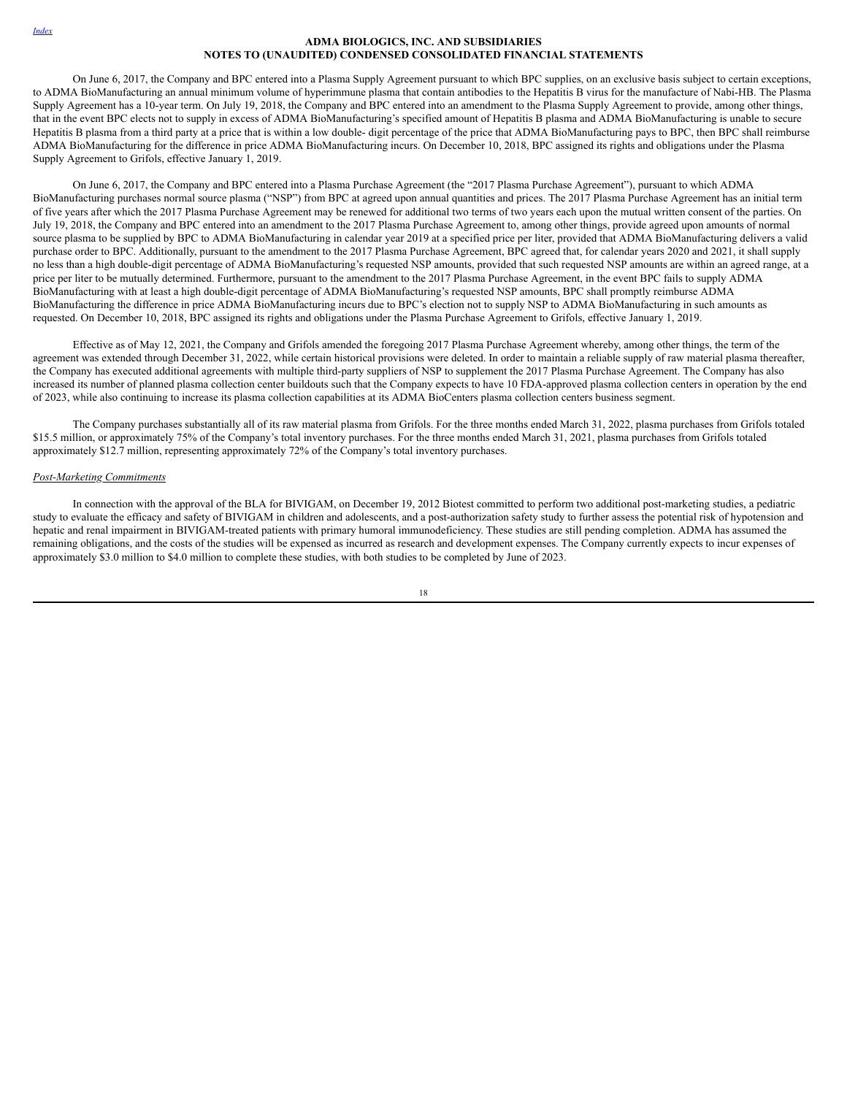#### *[Index](#page-1-0)*

# **ADMA BIOLOGICS, INC. AND SUBSIDIARIES NOTES TO (UNAUDITED) CONDENSED CONSOLIDATED FINANCIAL STATEMENTS**

On June 6, 2017, the Company and BPC entered into a Plasma Supply Agreement pursuant to which BPC supplies, on an exclusive basis subject to certain exceptions, to ADMA BioManufacturing an annual minimum volume of hyperimmune plasma that contain antibodies to the Hepatitis B virus for the manufacture of Nabi-HB. The Plasma Supply Agreement has a 10-year term. On July 19, 2018, the Company and BPC entered into an amendment to the Plasma Supply Agreement to provide, among other things, that in the event BPC elects not to supply in excess of ADMA BioManufacturing's specified amount of Hepatitis B plasma and ADMA BioManufacturing is unable to secure Hepatitis B plasma from a third party at a price that is within a low double- digit percentage of the price that ADMA BioManufacturing pays to BPC, then BPC shall reimburse ADMA BioManufacturing for the difference in price ADMA BioManufacturing incurs. On December 10, 2018, BPC assigned its rights and obligations under the Plasma Supply Agreement to Grifols, effective January 1, 2019.

On June 6, 2017, the Company and BPC entered into a Plasma Purchase Agreement (the "2017 Plasma Purchase Agreement"), pursuant to which ADMA BioManufacturing purchases normal source plasma ("NSP") from BPC at agreed upon annual quantities and prices. The 2017 Plasma Purchase Agreement has an initial term of five years after which the 2017 Plasma Purchase Agreement may be renewed for additional two terms of two years each upon the mutual written consent of the parties. On July 19, 2018, the Company and BPC entered into an amendment to the 2017 Plasma Purchase Agreement to, among other things, provide agreed upon amounts of normal source plasma to be supplied by BPC to ADMA BioManufacturing in calendar year 2019 at a specified price per liter, provided that ADMA BioManufacturing delivers a valid purchase order to BPC. Additionally, pursuant to the amendment to the 2017 Plasma Purchase Agreement, BPC agreed that, for calendar years 2020 and 2021, it shall supply no less than a high double-digit percentage of ADMA BioManufacturing's requested NSP amounts, provided that such requested NSP amounts are within an agreed range, at a price per liter to be mutually determined. Furthermore, pursuant to the amendment to the 2017 Plasma Purchase Agreement, in the event BPC fails to supply ADMA BioManufacturing with at least a high double-digit percentage of ADMA BioManufacturing's requested NSP amounts, BPC shall promptly reimburse ADMA BioManufacturing the difference in price ADMA BioManufacturing incurs due to BPC's election not to supply NSP to ADMA BioManufacturing in such amounts as requested. On December 10, 2018, BPC assigned its rights and obligations under the Plasma Purchase Agreement to Grifols, effective January 1, 2019.

Effective as of May 12, 2021, the Company and Grifols amended the foregoing 2017 Plasma Purchase Agreement whereby, among other things, the term of the agreement was extended through December 31, 2022, while certain historical provisions were deleted. In order to maintain a reliable supply of raw material plasma thereafter, the Company has executed additional agreements with multiple third-party suppliers of NSP to supplement the 2017 Plasma Purchase Agreement. The Company has also increased its number of planned plasma collection center buildouts such that the Company expects to have 10 FDA-approved plasma collection centers in operation by the end of 2023, while also continuing to increase its plasma collection capabilities at its ADMA BioCenters plasma collection centers business segment.

The Company purchases substantially all of its raw material plasma from Grifols. For the three months ended March 31, 2022, plasma purchases from Grifols totaled \$15.5 million, or approximately 75% of the Company's total inventory purchases. For the three months ended March 31, 2021, plasma purchases from Grifols totaled approximately \$12.7 million, representing approximately 72% of the Company's total inventory purchases.

#### *Post-Marketing Commitments*

In connection with the approval of the BLA for BIVIGAM, on December 19, 2012 Biotest committed to perform two additional post-marketing studies, a pediatric study to evaluate the efficacy and safety of BIVIGAM in children and adolescents, and a post-authorization safety study to further assess the potential risk of hypotension and hepatic and renal impairment in BIVIGAM-treated patients with primary humoral immunodeficiency. These studies are still pending completion. ADMA has assumed the remaining obligations, and the costs of the studies will be expensed as incurred as research and development expenses. The Company currently expects to incur expenses of approximately \$3.0 million to \$4.0 million to complete these studies, with both studies to be completed by June of 2023.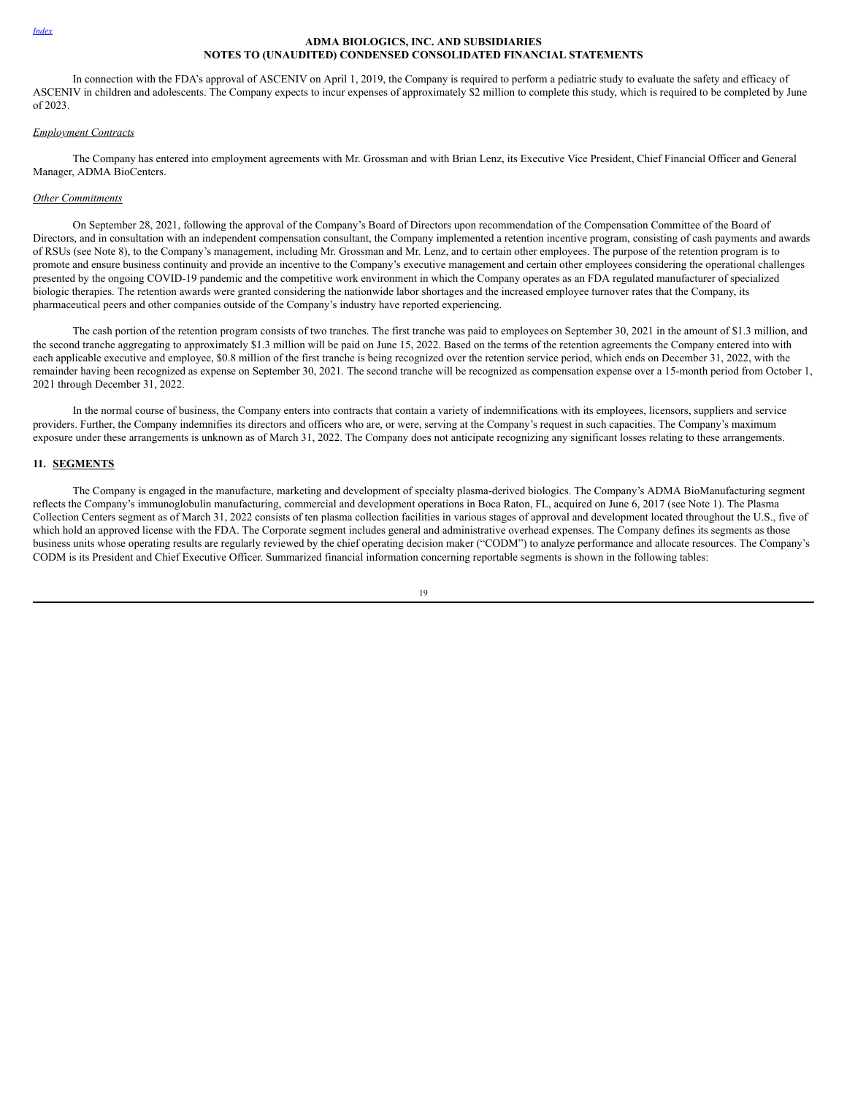In connection with the FDA's approval of ASCENIV on April 1, 2019, the Company is required to perform a pediatric study to evaluate the safety and efficacy of ASCENIV in children and adolescents. The Company expects to incur expenses of approximately \$2 million to complete this study, which is required to be completed by June of 2023.

# *Employment Contracts*

The Company has entered into employment agreements with Mr. Grossman and with Brian Lenz, its Executive Vice President, Chief Financial Officer and General Manager, ADMA BioCenters.

#### *Other Commitments*

On September 28, 2021, following the approval of the Company's Board of Directors upon recommendation of the Compensation Committee of the Board of Directors, and in consultation with an independent compensation consultant, the Company implemented a retention incentive program, consisting of cash payments and awards of RSUs (see Note 8), to the Company's management, including Mr. Grossman and Mr. Lenz, and to certain other employees. The purpose of the retention program is to promote and ensure business continuity and provide an incentive to the Company's executive management and certain other employees considering the operational challenges presented by the ongoing COVID-19 pandemic and the competitive work environment in which the Company operates as an FDA regulated manufacturer of specialized biologic therapies. The retention awards were granted considering the nationwide labor shortages and the increased employee turnover rates that the Company, its pharmaceutical peers and other companies outside of the Company's industry have reported experiencing.

The cash portion of the retention program consists of two tranches. The first tranche was paid to employees on September 30, 2021 in the amount of \$1.3 million, and the second tranche aggregating to approximately \$1.3 million will be paid on June 15, 2022. Based on the terms of the retention agreements the Company entered into with each applicable executive and employee, \$0.8 million of the first tranche is being recognized over the retention service period, which ends on December 31, 2022, with the remainder having been recognized as expense on September 30, 2021. The second tranche will be recognized as compensation expense over a 15-month period from October 1, 2021 through December 31, 2022.

In the normal course of business, the Company enters into contracts that contain a variety of indemnifications with its employees, licensors, suppliers and service providers. Further, the Company indemnifies its directors and officers who are, or were, serving at the Company's request in such capacities. The Company's maximum exposure under these arrangements is unknown as of March 31, 2022. The Company does not anticipate recognizing any significant losses relating to these arrangements.

# **11. SEGMENTS**

The Company is engaged in the manufacture, marketing and development of specialty plasma-derived biologics. The Company's ADMA BioManufacturing segment reflects the Company's immunoglobulin manufacturing, commercial and development operations in Boca Raton, FL, acquired on June 6, 2017 (see Note 1). The Plasma Collection Centers segment as of March 31, 2022 consists of ten plasma collection facilities in various stages of approval and development located throughout the U.S., five of which hold an approved license with the FDA. The Corporate segment includes general and administrative overhead expenses. The Company defines its segments as those business units whose operating results are regularly reviewed by the chief operating decision maker ("CODM") to analyze performance and allocate resources. The Company's CODM is its President and Chief Executive Officer. Summarized financial information concerning reportable segments is shown in the following tables: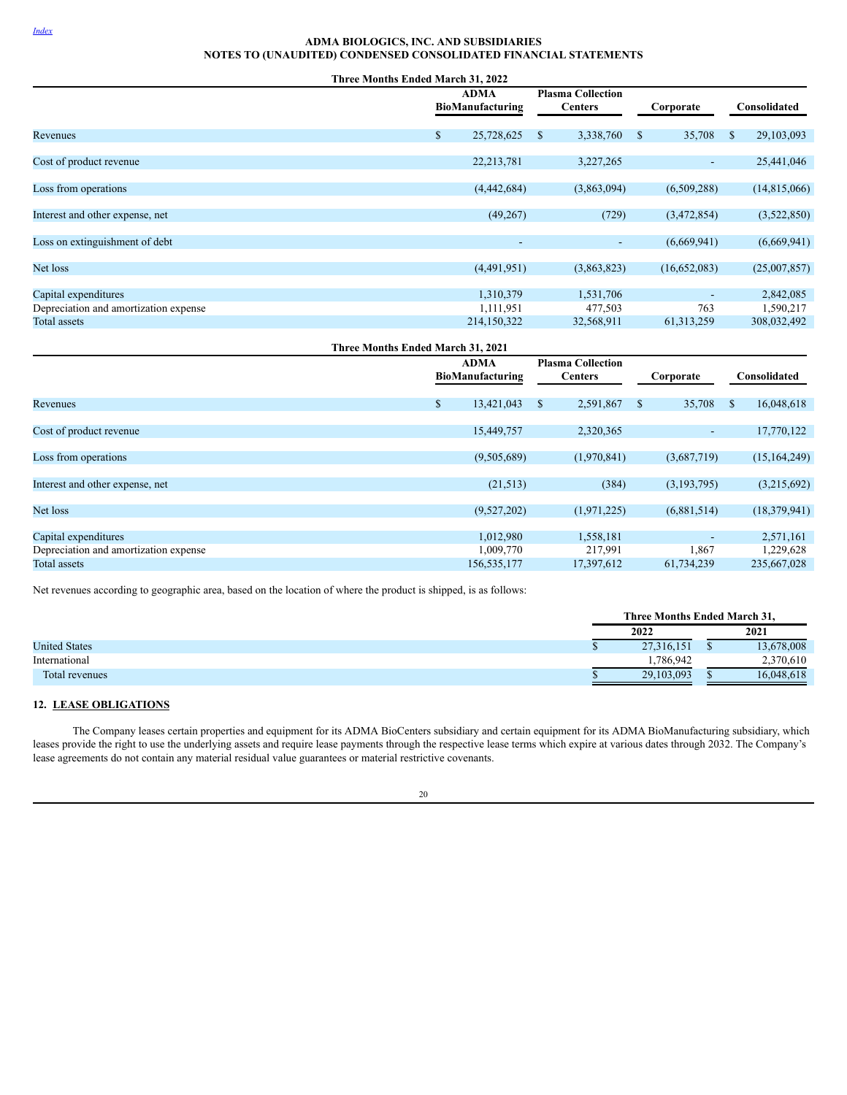|                                                       | Three Months Ended March 31, 2022 |                                            |              |                             |
|-------------------------------------------------------|-----------------------------------|--------------------------------------------|--------------|-----------------------------|
|                                                       | ADMA<br>BioManufacturing          | <b>Plasma Collection</b><br><b>Centers</b> | Corporate    | Consolidated                |
| Revenues                                              | 25,728,625<br>\$                  | 3,338,760<br><sup>\$</sup>                 | 35,708<br>\$ | 29,103,093<br><sup>\$</sup> |
| Cost of product revenue                               | 22,213,781                        | 3,227,265                                  | ٠            | 25,441,046                  |
| Loss from operations                                  | (4,442,684)                       | (3,863,094)                                | (6,509,288)  | (14,815,066)                |
| Interest and other expense, net                       | (49,267)                          | (729)                                      | (3,472,854)  | (3,522,850)                 |
| Loss on extinguishment of debt                        |                                   | $\overline{\phantom{a}}$<br>$\sim$         | (6,669,941)  | (6,669,941)                 |
| Net loss                                              | (4,491,951)                       | (3,863,823)                                | (16,652,083) | (25,007,857)                |
| Capital expenditures                                  | 1,310,379                         | 1,531,706                                  | 763          | 2,842,085                   |
| Depreciation and amortization expense<br>Total assets | 1,111,951<br>214,150,322          | 477,503<br>32,568,911                      | 61, 313, 259 | 1,590,217<br>308,032,492    |

| Three Months Ended March 31, 2021                     |                                 |                          |                                            |                       |               |                     |               |                          |
|-------------------------------------------------------|---------------------------------|--------------------------|--------------------------------------------|-----------------------|---------------|---------------------|---------------|--------------------------|
|                                                       | <b>ADMA</b><br>BioManufacturing |                          | <b>Plasma Collection</b><br><b>Centers</b> |                       | Corporate     |                     | Consolidated  |                          |
| Revenues                                              | \$                              | 13,421,043               | -S                                         | 2,591,867             | <sup>\$</sup> | 35,708              | <sup>\$</sup> | 16,048,618               |
| Cost of product revenue                               |                                 | 15,449,757               |                                            | 2,320,365             |               | ٠                   |               | 17,770,122               |
| Loss from operations                                  |                                 | (9,505,689)              |                                            | (1,970,841)           |               | (3,687,719)         |               | (15, 164, 249)           |
| Interest and other expense, net                       |                                 | (21, 513)                |                                            | (384)                 |               | (3,193,795)         |               | (3,215,692)              |
| Net loss                                              |                                 | (9,527,202)              |                                            | (1,971,225)           |               | (6,881,514)         |               | (18,379,941)             |
| Capital expenditures                                  |                                 | 1,012,980                |                                            | 1,558,181             |               |                     |               | 2,571,161                |
| Depreciation and amortization expense<br>Total assets |                                 | 1,009,770<br>156,535,177 |                                            | 217,991<br>17,397,612 |               | 1,867<br>61,734,239 |               | 1,229,628<br>235,667,028 |

Net revenues according to geographic area, based on the location of where the product is shipped, is as follows:

|                      | <b>Three Months Ended March 31.</b> |      |            |  |  |
|----------------------|-------------------------------------|------|------------|--|--|
|                      | 2022                                | 2021 |            |  |  |
| <b>United States</b> | 27,316,151                          |      | 13,678,008 |  |  |
| International        | .786.942                            |      | 2,370,610  |  |  |
| Total revenues       | 29,103,093                          |      | 16,048,618 |  |  |

# **12. LEASE OBLIGATIONS**

The Company leases certain properties and equipment for its ADMA BioCenters subsidiary and certain equipment for its ADMA BioManufacturing subsidiary, which leases provide the right to use the underlying assets and require lease payments through the respective lease terms which expire at various dates through 2032. The Company's lease agreements do not contain any material residual value guarantees or material restrictive covenants.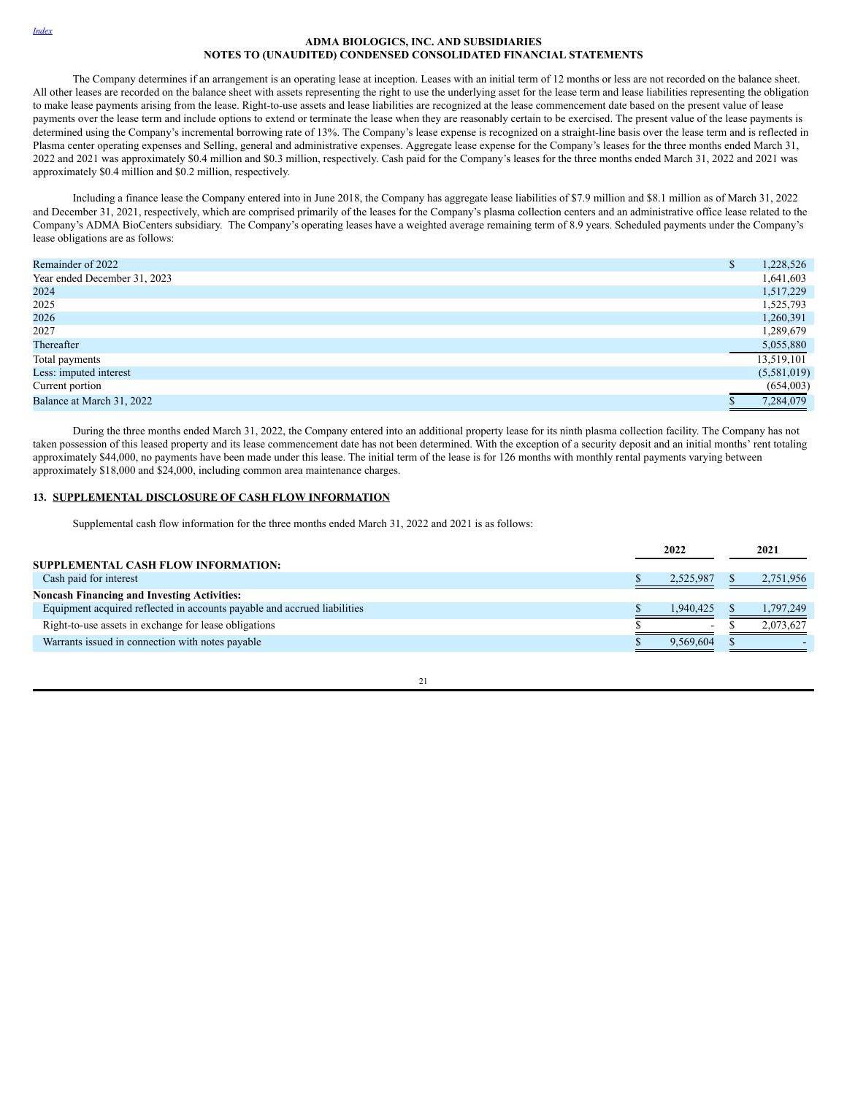#### *[Index](#page-1-0)*

# **ADMA BIOLOGICS, INC. AND SUBSIDIARIES NOTES TO (UNAUDITED) CONDENSED CONSOLIDATED FINANCIAL STATEMENTS**

The Company determines if an arrangement is an operating lease at inception. Leases with an initial term of 12 months or less are not recorded on the balance sheet. All other leases are recorded on the balance sheet with assets representing the right to use the underlying asset for the lease term and lease liabilities representing the obligation to make lease payments arising from the lease. Right-to-use assets and lease liabilities are recognized at the lease commencement date based on the present value of lease payments over the lease term and include options to extend or terminate the lease when they are reasonably certain to be exercised. The present value of the lease payments is determined using the Company's incremental borrowing rate of 13%. The Company's lease expense is recognized on a straight-line basis over the lease term and is reflected in Plasma center operating expenses and Selling, general and administrative expenses. Aggregate lease expense for the Company's leases for the three months ended March 31, 2022 and 2021 was approximately \$0.4 million and \$0.3 million, respectively. Cash paid for the Company's leases for the three months ended March 31, 2022 and 2021 was approximately \$0.4 million and \$0.2 million, respectively.

Including a finance lease the Company entered into in June 2018, the Company has aggregate lease liabilities of \$7.9 million and \$8.1 million as of March 31, 2022 and December 31, 2021, respectively, which are comprised primarily of the leases for the Company's plasma collection centers and an administrative office lease related to the Company's ADMA BioCenters subsidiary. The Company's operating leases have a weighted average remaining term of 8.9 years. Scheduled payments under the Company's lease obligations are as follows:

| Remainder of 2022            | 1,228,526   |
|------------------------------|-------------|
| Year ended December 31, 2023 | 1,641,603   |
| 2024                         | 1,517,229   |
| 2025                         | 1,525,793   |
| 2026                         | 1,260,391   |
| 2027                         | 1,289,679   |
| Thereafter                   | 5,055,880   |
| Total payments               | 13,519,101  |
| Less: imputed interest       | (5,581,019) |
| Current portion              | (654,003)   |
| Balance at March 31, 2022    | 7,284,079   |

During the three months ended March 31, 2022, the Company entered into an additional property lease for its ninth plasma collection facility. The Company has not taken possession of this leased property and its lease commencement date has not been determined. With the exception of a security deposit and an initial months' rent totaling approximately \$44,000, no payments have been made under this lease. The initial term of the lease is for 126 months with monthly rental payments varying between approximately \$18,000 and \$24,000, including common area maintenance charges.

# **13. SUPPLEMENTAL DISCLOSURE OF CASH FLOW INFORMATION**

Supplemental cash flow information for the three months ended March 31, 2022 and 2021 is as follows:

|                                                                          | 2022 |                          | 2021 |           |
|--------------------------------------------------------------------------|------|--------------------------|------|-----------|
| SUPPLEMENTAL CASH FLOW INFORMATION:                                      |      |                          |      |           |
| Cash paid for interest                                                   |      | 2,525,987                |      | 2,751,956 |
| <b>Noncash Financing and Investing Activities:</b>                       |      |                          |      |           |
| Equipment acquired reflected in accounts payable and accrued liabilities |      | 1.940.425                |      | 1.797.249 |
| Right-to-use assets in exchange for lease obligations                    |      | $\overline{\phantom{a}}$ |      | 2.073.627 |
| Warrants issued in connection with notes payable                         |      | 9.569.604                |      |           |

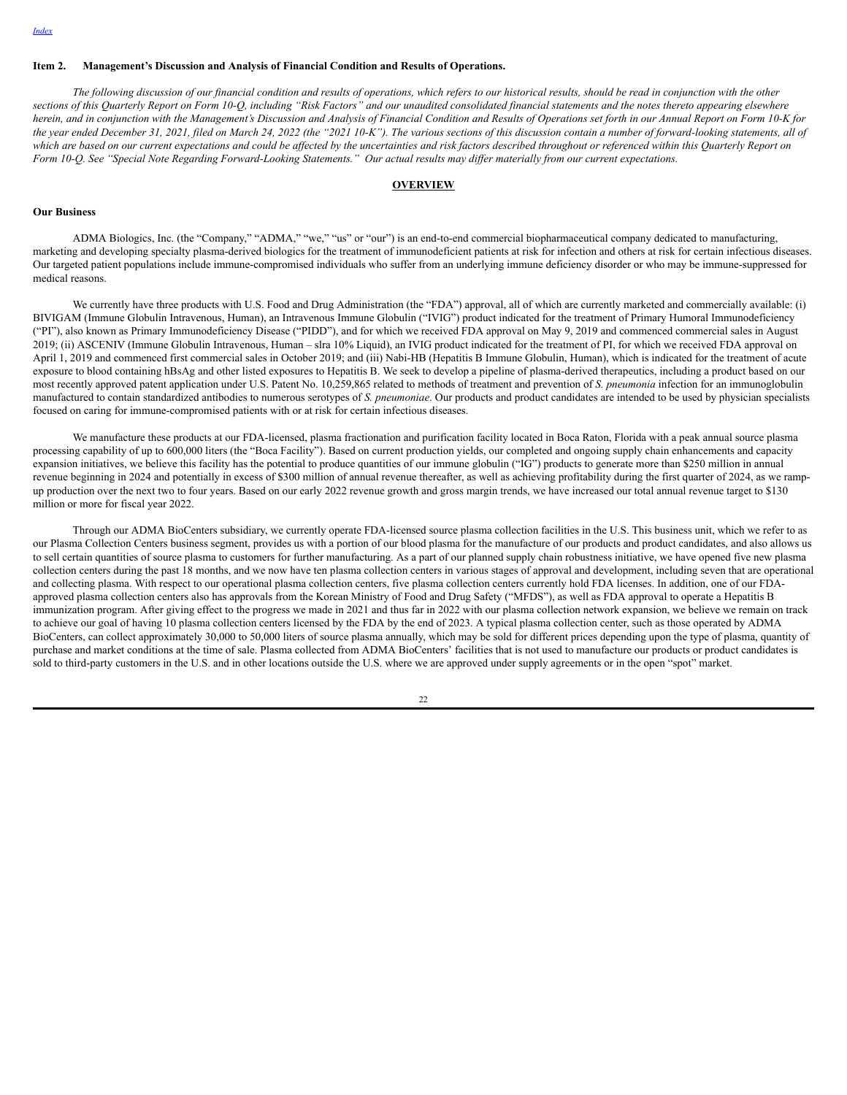#### <span id="page-25-0"></span>**Item 2. Management's Discussion and Analysis of Financial Condition and Results of Operations.**

The following discussion of our financial condition and results of operations, which refers to our historical results, should be read in conjunction with the other sections of this Quarterly Report on Form 10-Q, including "Risk Factors" and our unaudited consolidated financial statements and the notes thereto appearing elsewhere herein, and in conjunction with the Management's Discussion and Analysis of Financial Condition and Results of Operations set forth in our Annual Report on Form 10-K for the year ended December 31, 2021, filed on March 24, 2022 (the "2021 10-K"). The various sections of this discussion contain a number of forward-looking statements, all of which are based on our current expectations and could be affected by the uncertainties and risk factors described throughout or referenced within this Quarterly Report on Form 10-Q. See "Special Note Regarding Forward-Looking Statements." Our actual results may differ materially from our current expectations.

#### **OVERVIEW**

# **Our Business**

ADMA Biologics, Inc. (the "Company," "ADMA," "we," "us" or "our") is an end-to-end commercial biopharmaceutical company dedicated to manufacturing, marketing and developing specialty plasma-derived biologics for the treatment of immunodeficient patients at risk for infection and others at risk for certain infectious diseases. Our targeted patient populations include immune-compromised individuals who suffer from an underlying immune deficiency disorder or who may be immune-suppressed for medical reasons.

We currently have three products with U.S. Food and Drug Administration (the "FDA") approval, all of which are currently marketed and commercially available: (i) BIVIGAM (Immune Globulin Intravenous, Human), an Intravenous Immune Globulin ("IVIG") product indicated for the treatment of Primary Humoral Immunodeficiency ("PI"), also known as Primary Immunodeficiency Disease ("PIDD"), and for which we received FDA approval on May 9, 2019 and commenced commercial sales in August 2019; (ii) ASCENIV (Immune Globulin Intravenous, Human – slra 10% Liquid), an IVIG product indicated for the treatment of PI, for which we received FDA approval on April 1, 2019 and commenced first commercial sales in October 2019; and (iii) Nabi-HB (Hepatitis B Immune Globulin, Human), which is indicated for the treatment of acute exposure to blood containing hBsAg and other listed exposures to Hepatitis B. We seek to develop a pipeline of plasma-derived therapeutics, including a product based on our most recently approved patent application under U.S. Patent No. 10,259,865 related to methods of treatment and prevention of *S. pneumonia* infection for an immunoglobulin manufactured to contain standardized antibodies to numerous serotypes of *S. pneumoniae*. Our products and product candidates are intended to be used by physician specialists focused on caring for immune-compromised patients with or at risk for certain infectious diseases.

We manufacture these products at our FDA-licensed, plasma fractionation and purification facility located in Boca Raton, Florida with a peak annual source plasma processing capability of up to 600,000 liters (the "Boca Facility"). Based on current production yields, our completed and ongoing supply chain enhancements and capacity expansion initiatives, we believe this facility has the potential to produce quantities of our immune globulin ("IG") products to generate more than \$250 million in annual revenue beginning in 2024 and potentially in excess of \$300 million of annual revenue thereafter, as well as achieving profitability during the first quarter of 2024, as we rampup production over the next two to four years. Based on our early 2022 revenue growth and gross margin trends, we have increased our total annual revenue target to \$130 million or more for fiscal year 2022.

Through our ADMA BioCenters subsidiary, we currently operate FDA-licensed source plasma collection facilities in the U.S. This business unit, which we refer to as our Plasma Collection Centers business segment, provides us with a portion of our blood plasma for the manufacture of our products and product candidates, and also allows us to sell certain quantities of source plasma to customers for further manufacturing. As a part of our planned supply chain robustness initiative, we have opened five new plasma collection centers during the past 18 months, and we now have ten plasma collection centers in various stages of approval and development, including seven that are operational and collecting plasma. With respect to our operational plasma collection centers, five plasma collection centers currently hold FDA licenses. In addition, one of our FDAapproved plasma collection centers also has approvals from the Korean Ministry of Food and Drug Safety ("MFDS"), as well as FDA approval to operate a Hepatitis B immunization program. After giving effect to the progress we made in 2021 and thus far in 2022 with our plasma collection network expansion, we believe we remain on track to achieve our goal of having 10 plasma collection centers licensed by the FDA by the end of 2023. A typical plasma collection center, such as those operated by ADMA BioCenters, can collect approximately 30,000 to 50,000 liters of source plasma annually, which may be sold for different prices depending upon the type of plasma, quantity of purchase and market conditions at the time of sale. Plasma collected from ADMA BioCenters' facilities that is not used to manufacture our products or product candidates is sold to third-party customers in the U.S. and in other locations outside the U.S. where we are approved under supply agreements or in the open "spot" market.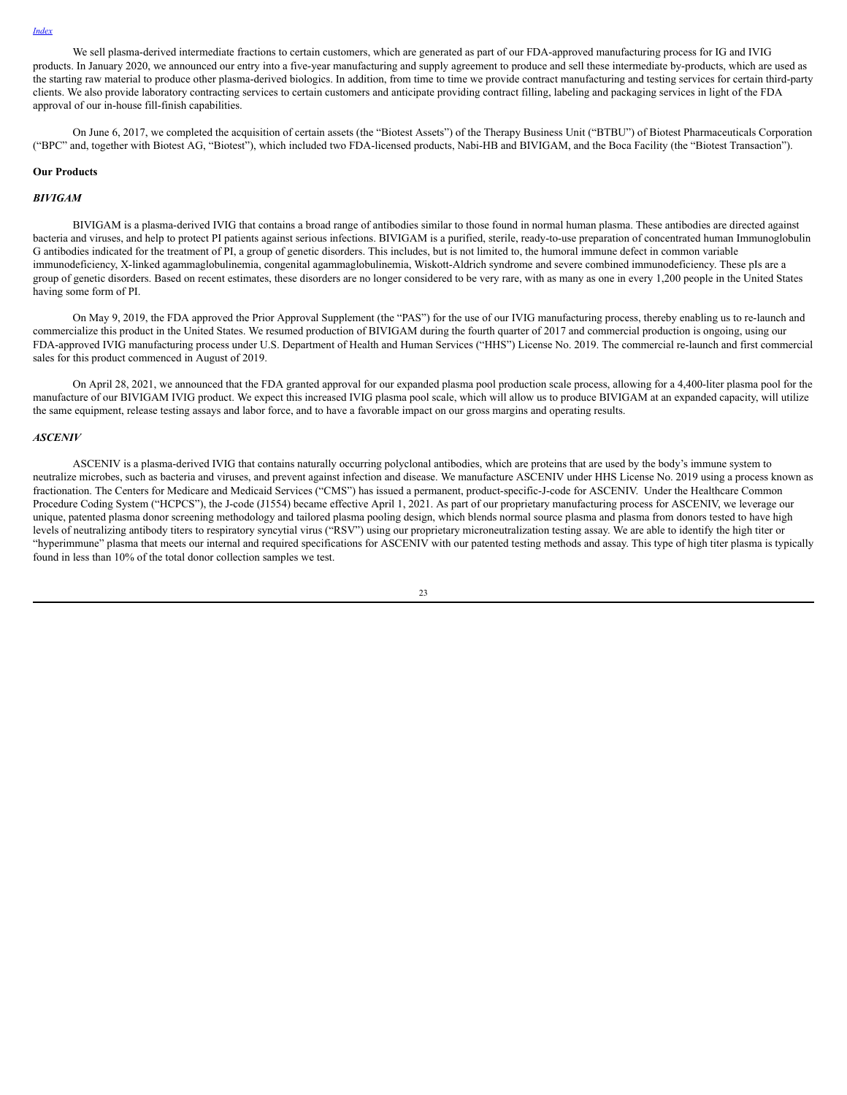We sell plasma-derived intermediate fractions to certain customers, which are generated as part of our FDA-approved manufacturing process for IG and IVIG products. In January 2020, we announced our entry into a five-year manufacturing and supply agreement to produce and sell these intermediate by-products, which are used as the starting raw material to produce other plasma-derived biologics. In addition, from time to time we provide contract manufacturing and testing services for certain third-party clients. We also provide laboratory contracting services to certain customers and anticipate providing contract filling, labeling and packaging services in light of the FDA approval of our in-house fill-finish capabilities.

On June 6, 2017, we completed the acquisition of certain assets (the "Biotest Assets") of the Therapy Business Unit ("BTBU") of Biotest Pharmaceuticals Corporation ("BPC" and, together with Biotest AG, "Biotest"), which included two FDA-licensed products, Nabi-HB and BIVIGAM, and the Boca Facility (the "Biotest Transaction").

#### **Our Products**

### *BIVIGAM*

BIVIGAM is a plasma-derived IVIG that contains a broad range of antibodies similar to those found in normal human plasma. These antibodies are directed against bacteria and viruses, and help to protect PI patients against serious infections. BIVIGAM is a purified, sterile, ready-to-use preparation of concentrated human Immunoglobulin G antibodies indicated for the treatment of PI, a group of genetic disorders. This includes, but is not limited to, the humoral immune defect in common variable immunodeficiency, X-linked agammaglobulinemia, congenital agammaglobulinemia, Wiskott-Aldrich syndrome and severe combined immunodeficiency. These pIs are a group of genetic disorders. Based on recent estimates, these disorders are no longer considered to be very rare, with as many as one in every 1,200 people in the United States having some form of PI.

On May 9, 2019, the FDA approved the Prior Approval Supplement (the "PAS") for the use of our IVIG manufacturing process, thereby enabling us to re-launch and commercialize this product in the United States. We resumed production of BIVIGAM during the fourth quarter of 2017 and commercial production is ongoing, using our FDA-approved IVIG manufacturing process under U.S. Department of Health and Human Services ("HHS") License No. 2019. The commercial re-launch and first commercial sales for this product commenced in August of 2019.

On April 28, 2021, we announced that the FDA granted approval for our expanded plasma pool production scale process, allowing for a 4,400-liter plasma pool for the manufacture of our BIVIGAM IVIG product. We expect this increased IVIG plasma pool scale, which will allow us to produce BIVIGAM at an expanded capacity, will utilize the same equipment, release testing assays and labor force, and to have a favorable impact on our gross margins and operating results.

#### *ASCENIV*

ASCENIV is a plasma-derived IVIG that contains naturally occurring polyclonal antibodies, which are proteins that are used by the body's immune system to neutralize microbes, such as bacteria and viruses, and prevent against infection and disease. We manufacture ASCENIV under HHS License No. 2019 using a process known as fractionation. The Centers for Medicare and Medicaid Services ("CMS") has issued a permanent, product-specific-J-code for ASCENIV. Under the Healthcare Common Procedure Coding System ("HCPCS"), the J-code (J1554) became effective April 1, 2021. As part of our proprietary manufacturing process for ASCENIV, we leverage our unique, patented plasma donor screening methodology and tailored plasma pooling design, which blends normal source plasma and plasma from donors tested to have high levels of neutralizing antibody titers to respiratory syncytial virus ("RSV") using our proprietary microneutralization testing assay. We are able to identify the high titer or "hyperimmune" plasma that meets our internal and required specifications for ASCENIV with our patented testing methods and assay. This type of high titer plasma is typically found in less than 10% of the total donor collection samples we test.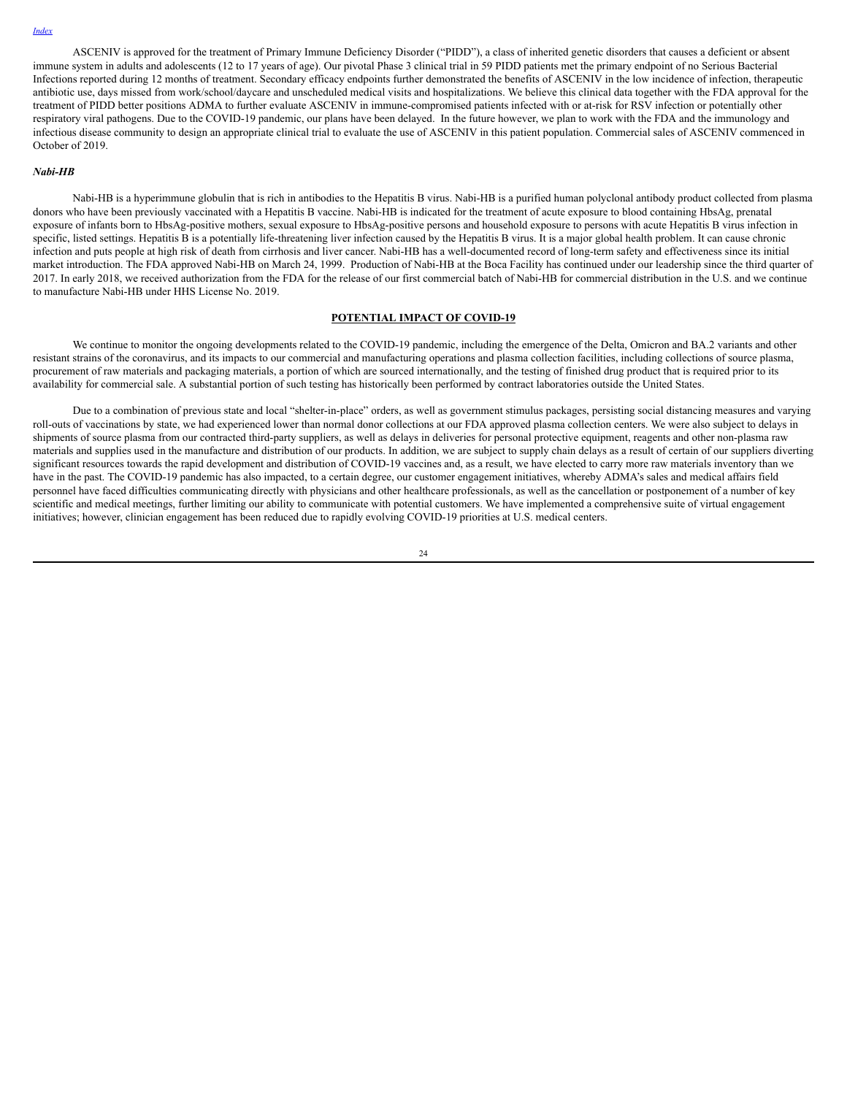ASCENIV is approved for the treatment of Primary Immune Deficiency Disorder ("PIDD"), a class of inherited genetic disorders that causes a deficient or absent immune system in adults and adolescents (12 to 17 years of age). Our pivotal Phase 3 clinical trial in 59 PIDD patients met the primary endpoint of no Serious Bacterial Infections reported during 12 months of treatment. Secondary efficacy endpoints further demonstrated the benefits of ASCENIV in the low incidence of infection, therapeutic antibiotic use, days missed from work/school/daycare and unscheduled medical visits and hospitalizations. We believe this clinical data together with the FDA approval for the treatment of PIDD better positions ADMA to further evaluate ASCENIV in immune-compromised patients infected with or at-risk for RSV infection or potentially other respiratory viral pathogens. Due to the COVID-19 pandemic, our plans have been delayed. In the future however, we plan to work with the FDA and the immunology and infectious disease community to design an appropriate clinical trial to evaluate the use of ASCENIV in this patient population. Commercial sales of ASCENIV commenced in October of 2019.

#### *Nabi-HB*

Nabi-HB is a hyperimmune globulin that is rich in antibodies to the Hepatitis B virus. Nabi-HB is a purified human polyclonal antibody product collected from plasma donors who have been previously vaccinated with a Hepatitis B vaccine. Nabi-HB is indicated for the treatment of acute exposure to blood containing HbsAg, prenatal exposure of infants born to HbsAg-positive mothers, sexual exposure to HbsAg-positive persons and household exposure to persons with acute Hepatitis B virus infection in specific, listed settings. Hepatitis B is a potentially life-threatening liver infection caused by the Hepatitis B virus. It is a major global health problem. It can cause chronic infection and puts people at high risk of death from cirrhosis and liver cancer. Nabi-HB has a well-documented record of long-term safety and effectiveness since its initial market introduction. The FDA approved Nabi-HB on March 24, 1999. Production of Nabi-HB at the Boca Facility has continued under our leadership since the third quarter of 2017. In early 2018, we received authorization from the FDA for the release of our first commercial batch of Nabi-HB for commercial distribution in the U.S. and we continue to manufacture Nabi-HB under HHS License No. 2019.

# **POTENTIAL IMPACT OF COVID-19**

We continue to monitor the ongoing developments related to the COVID-19 pandemic, including the emergence of the Delta, Omicron and BA.2 variants and other resistant strains of the coronavirus, and its impacts to our commercial and manufacturing operations and plasma collection facilities, including collections of source plasma, procurement of raw materials and packaging materials, a portion of which are sourced internationally, and the testing of finished drug product that is required prior to its availability for commercial sale. A substantial portion of such testing has historically been performed by contract laboratories outside the United States.

Due to a combination of previous state and local "shelter-in-place" orders, as well as government stimulus packages, persisting social distancing measures and varying roll-outs of vaccinations by state, we had experienced lower than normal donor collections at our FDA approved plasma collection centers. We were also subject to delays in shipments of source plasma from our contracted third-party suppliers, as well as delays in deliveries for personal protective equipment, reagents and other non-plasma raw materials and supplies used in the manufacture and distribution of our products. In addition, we are subject to supply chain delays as a result of certain of our suppliers diverting significant resources towards the rapid development and distribution of COVID-19 vaccines and, as a result, we have elected to carry more raw materials inventory than we have in the past. The COVID-19 pandemic has also impacted, to a certain degree, our customer engagement initiatives, whereby ADMA's sales and medical affairs field personnel have faced difficulties communicating directly with physicians and other healthcare professionals, as well as the cancellation or postponement of a number of key scientific and medical meetings, further limiting our ability to communicate with potential customers. We have implemented a comprehensive suite of virtual engagement initiatives; however, clinician engagement has been reduced due to rapidly evolving COVID-19 priorities at U.S. medical centers.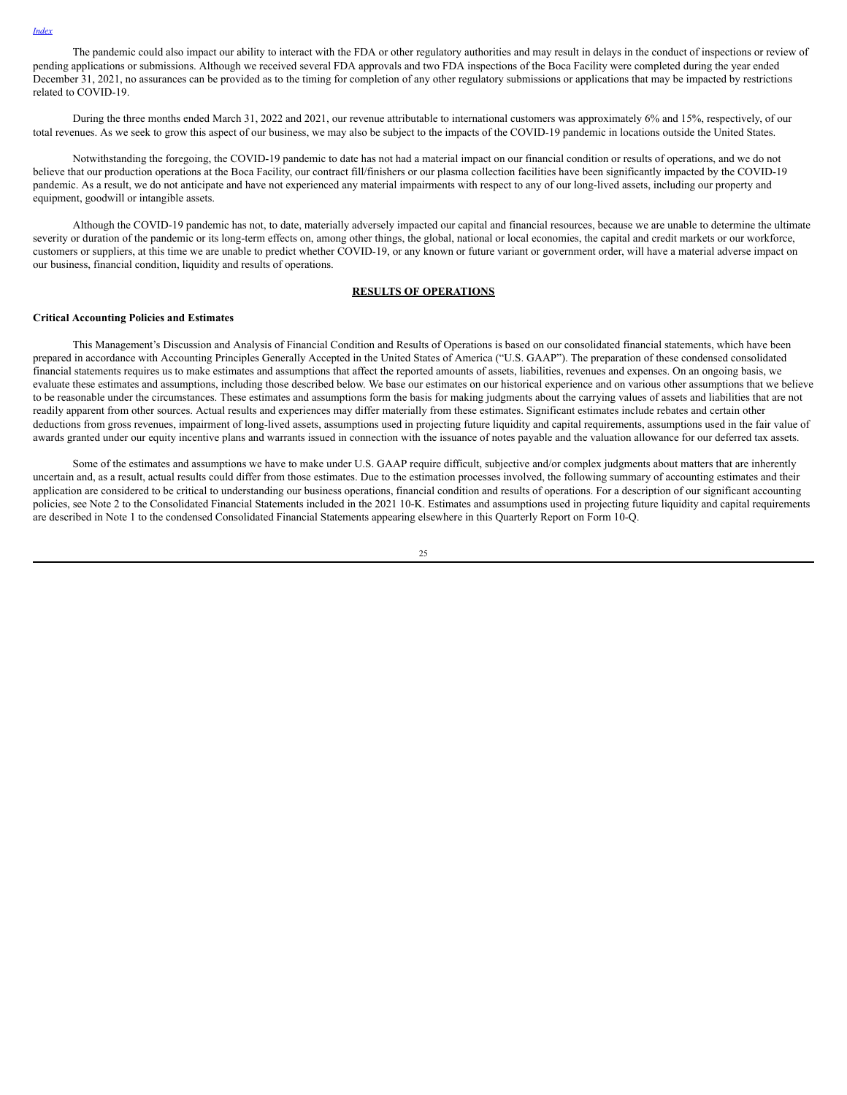The pandemic could also impact our ability to interact with the FDA or other regulatory authorities and may result in delays in the conduct of inspections or review of pending applications or submissions. Although we received several FDA approvals and two FDA inspections of the Boca Facility were completed during the year ended December 31, 2021, no assurances can be provided as to the timing for completion of any other regulatory submissions or applications that may be impacted by restrictions related to COVID-19.

During the three months ended March 31, 2022 and 2021, our revenue attributable to international customers was approximately 6% and 15%, respectively, of our total revenues. As we seek to grow this aspect of our business, we may also be subject to the impacts of the COVID-19 pandemic in locations outside the United States.

Notwithstanding the foregoing, the COVID-19 pandemic to date has not had a material impact on our financial condition or results of operations, and we do not believe that our production operations at the Boca Facility, our contract fill/finishers or our plasma collection facilities have been significantly impacted by the COVID-19 pandemic. As a result, we do not anticipate and have not experienced any material impairments with respect to any of our long-lived assets, including our property and equipment, goodwill or intangible assets.

Although the COVID-19 pandemic has not, to date, materially adversely impacted our capital and financial resources, because we are unable to determine the ultimate severity or duration of the pandemic or its long-term effects on, among other things, the global, national or local economies, the capital and credit markets or our workforce, customers or suppliers, at this time we are unable to predict whether COVID-19, or any known or future variant or government order, will have a material adverse impact on our business, financial condition, liquidity and results of operations.

#### **RESULTS OF OPERATIONS**

# **Critical Accounting Policies and Estimates**

This Management's Discussion and Analysis of Financial Condition and Results of Operations is based on our consolidated financial statements, which have been prepared in accordance with Accounting Principles Generally Accepted in the United States of America ("U.S. GAAP"). The preparation of these condensed consolidated financial statements requires us to make estimates and assumptions that affect the reported amounts of assets, liabilities, revenues and expenses. On an ongoing basis, we evaluate these estimates and assumptions, including those described below. We base our estimates on our historical experience and on various other assumptions that we believe to be reasonable under the circumstances. These estimates and assumptions form the basis for making judgments about the carrying values of assets and liabilities that are not readily apparent from other sources. Actual results and experiences may differ materially from these estimates. Significant estimates include rebates and certain other deductions from gross revenues, impairment of long-lived assets, assumptions used in projecting future liquidity and capital requirements, assumptions used in the fair value of awards granted under our equity incentive plans and warrants issued in connection with the issuance of notes payable and the valuation allowance for our deferred tax assets.

Some of the estimates and assumptions we have to make under U.S. GAAP require difficult, subjective and/or complex judgments about matters that are inherently uncertain and, as a result, actual results could differ from those estimates. Due to the estimation processes involved, the following summary of accounting estimates and their application are considered to be critical to understanding our business operations, financial condition and results of operations. For a description of our significant accounting policies, see Note 2 to the Consolidated Financial Statements included in the 2021 10-K. Estimates and assumptions used in projecting future liquidity and capital requirements are described in Note 1 to the condensed Consolidated Financial Statements appearing elsewhere in this Quarterly Report on Form 10-Q.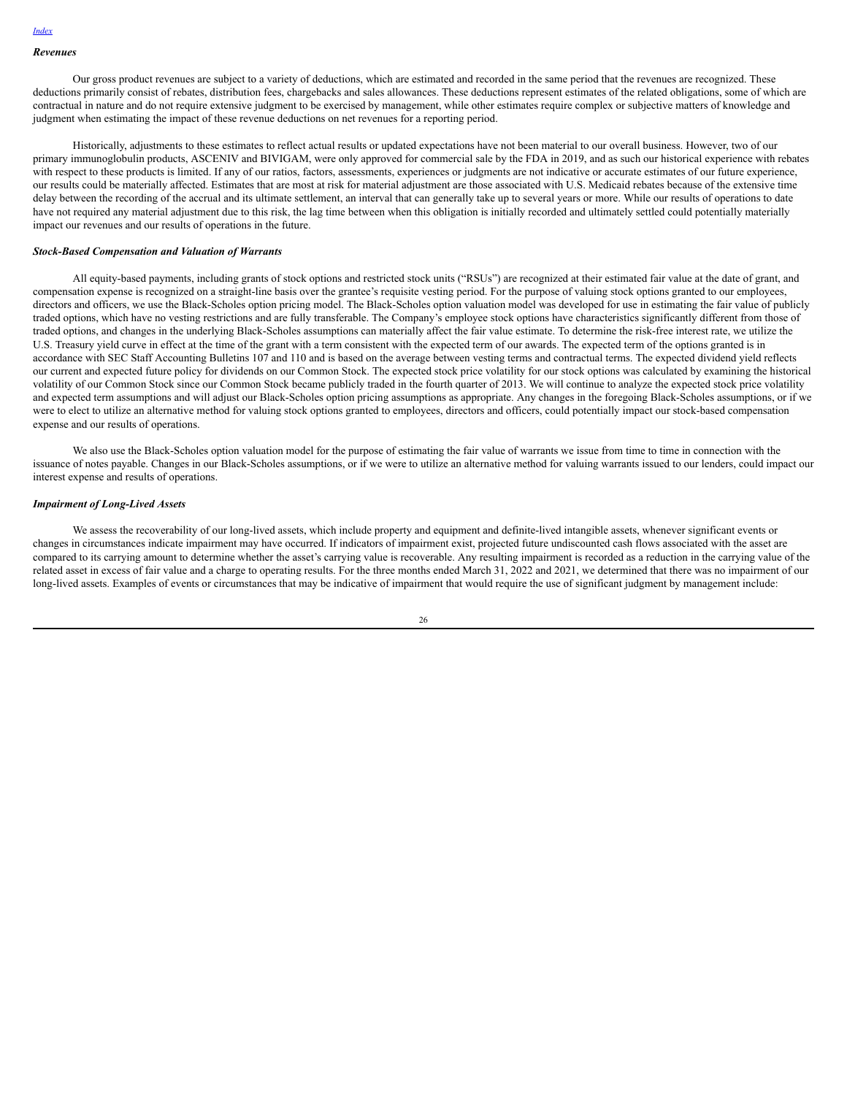#### *Revenues*

Our gross product revenues are subject to a variety of deductions, which are estimated and recorded in the same period that the revenues are recognized. These deductions primarily consist of rebates, distribution fees, chargebacks and sales allowances. These deductions represent estimates of the related obligations, some of which are contractual in nature and do not require extensive judgment to be exercised by management, while other estimates require complex or subjective matters of knowledge and judgment when estimating the impact of these revenue deductions on net revenues for a reporting period.

Historically, adjustments to these estimates to reflect actual results or updated expectations have not been material to our overall business. However, two of our primary immunoglobulin products, ASCENIV and BIVIGAM, were only approved for commercial sale by the FDA in 2019, and as such our historical experience with rebates with respect to these products is limited. If any of our ratios, factors, assessments, experiences or judgments are not indicative or accurate estimates of our future experience, our results could be materially affected. Estimates that are most at risk for material adjustment are those associated with U.S. Medicaid rebates because of the extensive time delay between the recording of the accrual and its ultimate settlement, an interval that can generally take up to several years or more. While our results of operations to date have not required any material adjustment due to this risk, the lag time between when this obligation is initially recorded and ultimately settled could potentially materially impact our revenues and our results of operations in the future.

#### *Stock-Based Compensation and Valuation of Warrants*

All equity-based payments, including grants of stock options and restricted stock units ("RSUs") are recognized at their estimated fair value at the date of grant, and compensation expense is recognized on a straight-line basis over the grantee's requisite vesting period. For the purpose of valuing stock options granted to our employees, directors and officers, we use the Black-Scholes option pricing model. The Black-Scholes option valuation model was developed for use in estimating the fair value of publicly traded options, which have no vesting restrictions and are fully transferable. The Company's employee stock options have characteristics significantly different from those of traded options, and changes in the underlying Black-Scholes assumptions can materially affect the fair value estimate. To determine the risk-free interest rate, we utilize the U.S. Treasury yield curve in effect at the time of the grant with a term consistent with the expected term of our awards. The expected term of the options granted is in accordance with SEC Staff Accounting Bulletins 107 and 110 and is based on the average between vesting terms and contractual terms. The expected dividend yield reflects our current and expected future policy for dividends on our Common Stock. The expected stock price volatility for our stock options was calculated by examining the historical volatility of our Common Stock since our Common Stock became publicly traded in the fourth quarter of 2013. We will continue to analyze the expected stock price volatility and expected term assumptions and will adjust our Black-Scholes option pricing assumptions as appropriate. Any changes in the foregoing Black-Scholes assumptions, or if we were to elect to utilize an alternative method for valuing stock options granted to employees, directors and officers, could potentially impact our stock-based compensation expense and our results of operations.

We also use the Black-Scholes option valuation model for the purpose of estimating the fair value of warrants we issue from time to time in connection with the issuance of notes payable. Changes in our Black-Scholes assumptions, or if we were to utilize an alternative method for valuing warrants issued to our lenders, could impact our interest expense and results of operations.

#### *Impairment of Long-Lived Assets*

We assess the recoverability of our long-lived assets, which include property and equipment and definite-lived intangible assets, whenever significant events or changes in circumstances indicate impairment may have occurred. If indicators of impairment exist, projected future undiscounted cash flows associated with the asset are compared to its carrying amount to determine whether the asset's carrying value is recoverable. Any resulting impairment is recorded as a reduction in the carrying value of the related asset in excess of fair value and a charge to operating results. For the three months ended March 31, 2022 and 2021, we determined that there was no impairment of our long-lived assets. Examples of events or circumstances that may be indicative of impairment that would require the use of significant judgment by management include: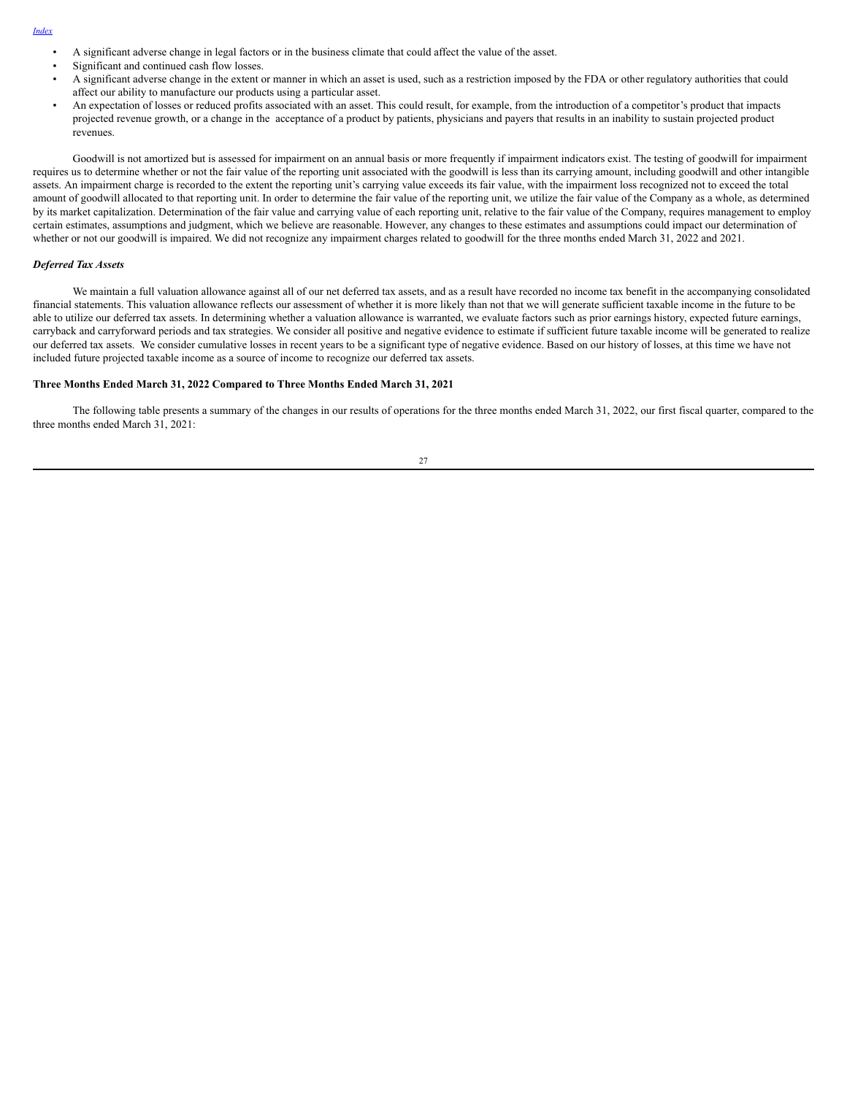#### *[Index](#page-1-0)*

- A significant adverse change in legal factors or in the business climate that could affect the value of the asset.
- Significant and continued cash flow losses.
- A significant adverse change in the extent or manner in which an asset is used, such as a restriction imposed by the FDA or other regulatory authorities that could affect our ability to manufacture our products using a particular asset.
- An expectation of losses or reduced profits associated with an asset. This could result, for example, from the introduction of a competitor's product that impacts projected revenue growth, or a change in the acceptance of a product by patients, physicians and payers that results in an inability to sustain projected product revenues.

Goodwill is not amortized but is assessed for impairment on an annual basis or more frequently if impairment indicators exist. The testing of goodwill for impairment requires us to determine whether or not the fair value of the reporting unit associated with the goodwill is less than its carrying amount, including goodwill and other intangible assets. An impairment charge is recorded to the extent the reporting unit's carrying value exceeds its fair value, with the impairment loss recognized not to exceed the total amount of goodwill allocated to that reporting unit. In order to determine the fair value of the reporting unit, we utilize the fair value of the Company as a whole, as determined by its market capitalization. Determination of the fair value and carrying value of each reporting unit, relative to the fair value of the Company, requires management to employ certain estimates, assumptions and judgment, which we believe are reasonable. However, any changes to these estimates and assumptions could impact our determination of whether or not our goodwill is impaired. We did not recognize any impairment charges related to goodwill for the three months ended March 31, 2022 and 2021.

#### *Deferred Tax Assets*

We maintain a full valuation allowance against all of our net deferred tax assets, and as a result have recorded no income tax benefit in the accompanying consolidated financial statements. This valuation allowance reflects our assessment of whether it is more likely than not that we will generate sufficient taxable income in the future to be able to utilize our deferred tax assets. In determining whether a valuation allowance is warranted, we evaluate factors such as prior earnings history, expected future earnings, carryback and carryforward periods and tax strategies. We consider all positive and negative evidence to estimate if sufficient future taxable income will be generated to realize our deferred tax assets. We consider cumulative losses in recent years to be a significant type of negative evidence. Based on our history of losses, at this time we have not included future projected taxable income as a source of income to recognize our deferred tax assets.

#### **Three Months Ended March 31, 2022 Compared to Three Months Ended March 31, 2021**

The following table presents a summary of the changes in our results of operations for the three months ended March 31, 2022, our first fiscal quarter, compared to the three months ended March 31, 2021:

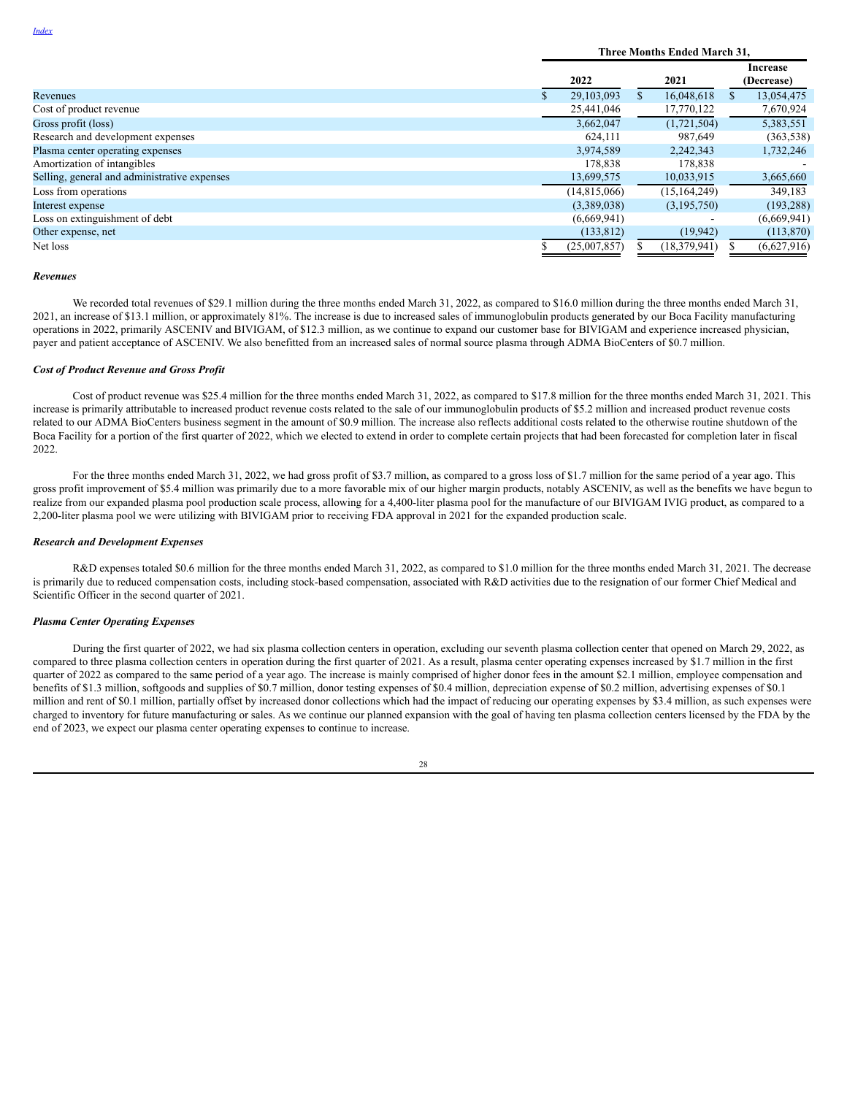|                                              | Three Months Ended March 31, |    |                |                        |             |  |
|----------------------------------------------|------------------------------|----|----------------|------------------------|-------------|--|
|                                              | 2022<br>2021                 |    |                | Increase<br>(Decrease) |             |  |
| Revenues                                     | 29.103.093                   | S. | 16.048.618     |                        | 13,054,475  |  |
| Cost of product revenue                      | 25,441,046                   |    | 17,770,122     |                        | 7,670,924   |  |
| Gross profit (loss)                          | 3.662.047                    |    | (1,721,504)    |                        | 5,383,551   |  |
| Research and development expenses            | 624,111                      |    | 987,649        |                        | (363, 538)  |  |
| Plasma center operating expenses             | 3,974,589                    |    | 2,242,343      |                        | 1,732,246   |  |
| Amortization of intangibles                  | 178.838                      |    | 178.838        |                        |             |  |
| Selling, general and administrative expenses | 13,699,575                   |    | 10,033,915     |                        | 3,665,660   |  |
| Loss from operations                         | (14,815,066)                 |    | (15, 164, 249) |                        | 349,183     |  |
| Interest expense                             | (3,389,038)                  |    | (3,195,750)    |                        | (193, 288)  |  |
| Loss on extinguishment of debt               | (6,669,941)                  |    |                |                        | (6,669,941) |  |
| Other expense, net                           | (133, 812)                   |    | (19, 942)      |                        | (113,870)   |  |
| Net loss                                     | (25,007,857)                 |    | (18, 379, 941) |                        | (6,627,916) |  |

#### *Revenues*

We recorded total revenues of \$29.1 million during the three months ended March 31, 2022, as compared to \$16.0 million during the three months ended March 31, 2021, an increase of \$13.1 million, or approximately 81%. The increase is due to increased sales of immunoglobulin products generated by our Boca Facility manufacturing operations in 2022, primarily ASCENIV and BIVIGAM, of \$12.3 million, as we continue to expand our customer base for BIVIGAM and experience increased physician, payer and patient acceptance of ASCENIV. We also benefitted from an increased sales of normal source plasma through ADMA BioCenters of \$0.7 million.

### *Cost of Product Revenue and Gross Profit*

Cost of product revenue was \$25.4 million for the three months ended March 31, 2022, as compared to \$17.8 million for the three months ended March 31, 2021. This increase is primarily attributable to increased product revenue costs related to the sale of our immunoglobulin products of \$5.2 million and increased product revenue costs related to our ADMA BioCenters business segment in the amount of \$0.9 million. The increase also reflects additional costs related to the otherwise routine shutdown of the Boca Facility for a portion of the first quarter of 2022, which we elected to extend in order to complete certain projects that had been forecasted for completion later in fiscal 2022.

For the three months ended March 31, 2022, we had gross profit of \$3.7 million, as compared to a gross loss of \$1.7 million for the same period of a year ago. This gross profit improvement of \$5.4 million was primarily due to a more favorable mix of our higher margin products, notably ASCENIV, as well as the benefits we have begun to realize from our expanded plasma pool production scale process, allowing for a 4,400-liter plasma pool for the manufacture of our BIVIGAM IVIG product, as compared to a 2,200-liter plasma pool we were utilizing with BIVIGAM prior to receiving FDA approval in 2021 for the expanded production scale.

#### *Research and Development Expenses*

R&D expenses totaled \$0.6 million for the three months ended March 31, 2022, as compared to \$1.0 million for the three months ended March 31, 2021. The decrease is primarily due to reduced compensation costs, including stock-based compensation, associated with R&D activities due to the resignation of our former Chief Medical and Scientific Officer in the second quarter of 2021.

# *Plasma Center Operating Expenses*

During the first quarter of 2022, we had six plasma collection centers in operation, excluding our seventh plasma collection center that opened on March 29, 2022, as compared to three plasma collection centers in operation during the first quarter of 2021. As a result, plasma center operating expenses increased by \$1.7 million in the first quarter of 2022 as compared to the same period of a year ago. The increase is mainly comprised of higher donor fees in the amount \$2.1 million, employee compensation and benefits of \$1.3 million, softgoods and supplies of \$0.7 million, donor testing expenses of \$0.4 million, depreciation expense of \$0.2 million, advertising expenses of \$0.1 million and rent of \$0.1 million, partially offset by increased donor collections which had the impact of reducing our operating expenses by \$3.4 million, as such expenses were charged to inventory for future manufacturing or sales. As we continue our planned expansion with the goal of having ten plasma collection centers licensed by the FDA by the end of 2023, we expect our plasma center operating expenses to continue to increase.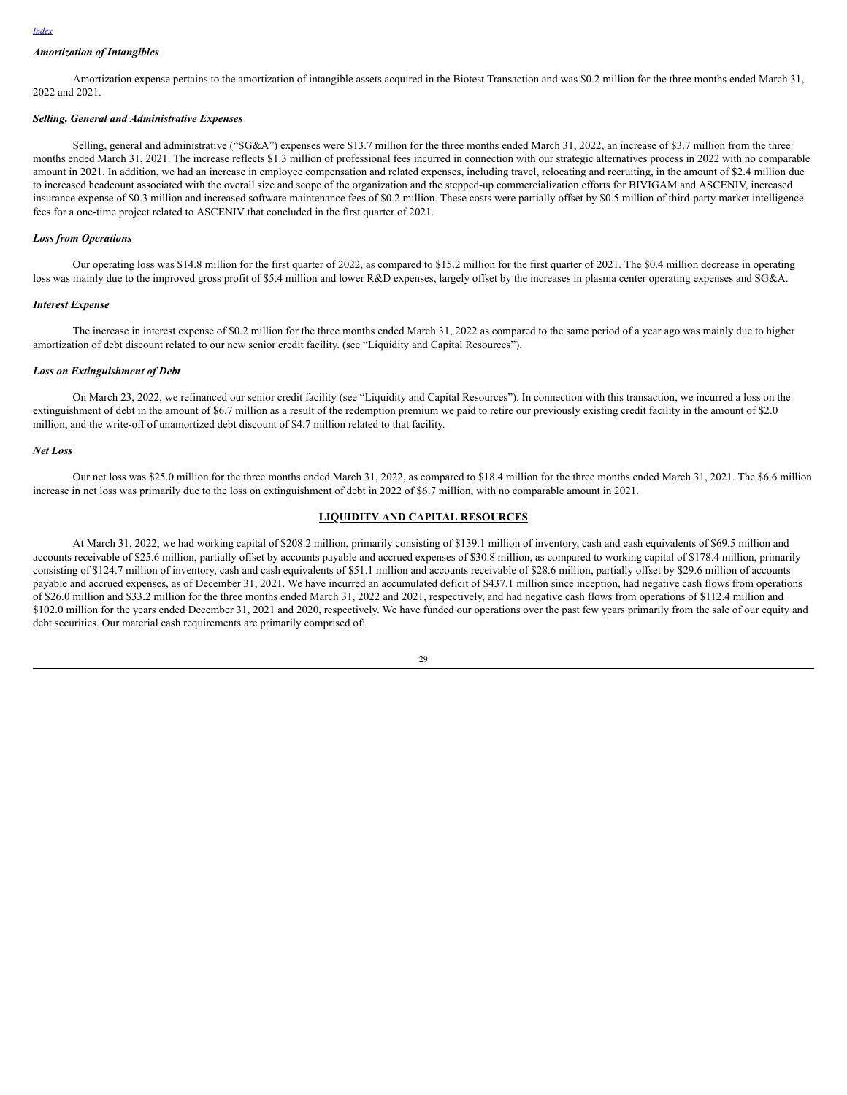#### *[Index](#page-1-0)*

# *Amortization of Intangibles*

Amortization expense pertains to the amortization of intangible assets acquired in the Biotest Transaction and was \$0.2 million for the three months ended March 31, 2022 and 2021.

#### *Selling, General and Administrative Expenses*

Selling, general and administrative ("SG&A") expenses were \$13.7 million for the three months ended March 31, 2022, an increase of \$3.7 million from the three months ended March 31, 2021. The increase reflects \$1.3 million of professional fees incurred in connection with our strategic alternatives process in 2022 with no comparable amount in 2021. In addition, we had an increase in employee compensation and related expenses, including travel, relocating and recruiting, in the amount of \$2.4 million due to increased headcount associated with the overall size and scope of the organization and the stepped-up commercialization efforts for BIVIGAM and ASCENIV, increased insurance expense of \$0.3 million and increased software maintenance fees of \$0.2 million. These costs were partially offset by \$0.5 million of third-party market intelligence fees for a one-time project related to ASCENIV that concluded in the first quarter of 2021.

### *Loss from Operations*

Our operating loss was \$14.8 million for the first quarter of 2022, as compared to \$15.2 million for the first quarter of 2021. The \$0.4 million decrease in operating loss was mainly due to the improved gross profit of \$5.4 million and lower R&D expenses, largely offset by the increases in plasma center operating expenses and SG&A.

#### *Interest Expense*

The increase in interest expense of \$0.2 million for the three months ended March 31, 2022 as compared to the same period of a year ago was mainly due to higher amortization of debt discount related to our new senior credit facility. (see "Liquidity and Capital Resources").

#### *Loss on Extinguishment of Debt*

On March 23, 2022, we refinanced our senior credit facility (see "Liquidity and Capital Resources"). In connection with this transaction, we incurred a loss on the extinguishment of debt in the amount of \$6.7 million as a result of the redemption premium we paid to retire our previously existing credit facility in the amount of \$2.0 million, and the write-off of unamortized debt discount of \$4.7 million related to that facility.

#### *Net Loss*

Our net loss was \$25.0 million for the three months ended March 31, 2022, as compared to \$18.4 million for the three months ended March 31, 2021. The \$6.6 million increase in net loss was primarily due to the loss on extinguishment of debt in 2022 of \$6.7 million, with no comparable amount in 2021.

### **LIQUIDITY AND CAPITAL RESOURCES**

At March 31, 2022, we had working capital of \$208.2 million, primarily consisting of \$139.1 million of inventory, cash and cash equivalents of \$69.5 million and accounts receivable of \$25.6 million, partially offset by accounts payable and accrued expenses of \$30.8 million, as compared to working capital of \$178.4 million, primarily consisting of \$124.7 million of inventory, cash and cash equivalents of \$51.1 million and accounts receivable of \$28.6 million, partially offset by \$29.6 million of accounts payable and accrued expenses, as of December 31, 2021. We have incurred an accumulated deficit of \$437.1 million since inception, had negative cash flows from operations of \$26.0 million and \$33.2 million for the three months ended March 31, 2022 and 2021, respectively, and had negative cash flows from operations of \$112.4 million and \$102.0 million for the years ended December 31, 2021 and 2020, respectively. We have funded our operations over the past few years primarily from the sale of our equity and debt securities. Our material cash requirements are primarily comprised of:

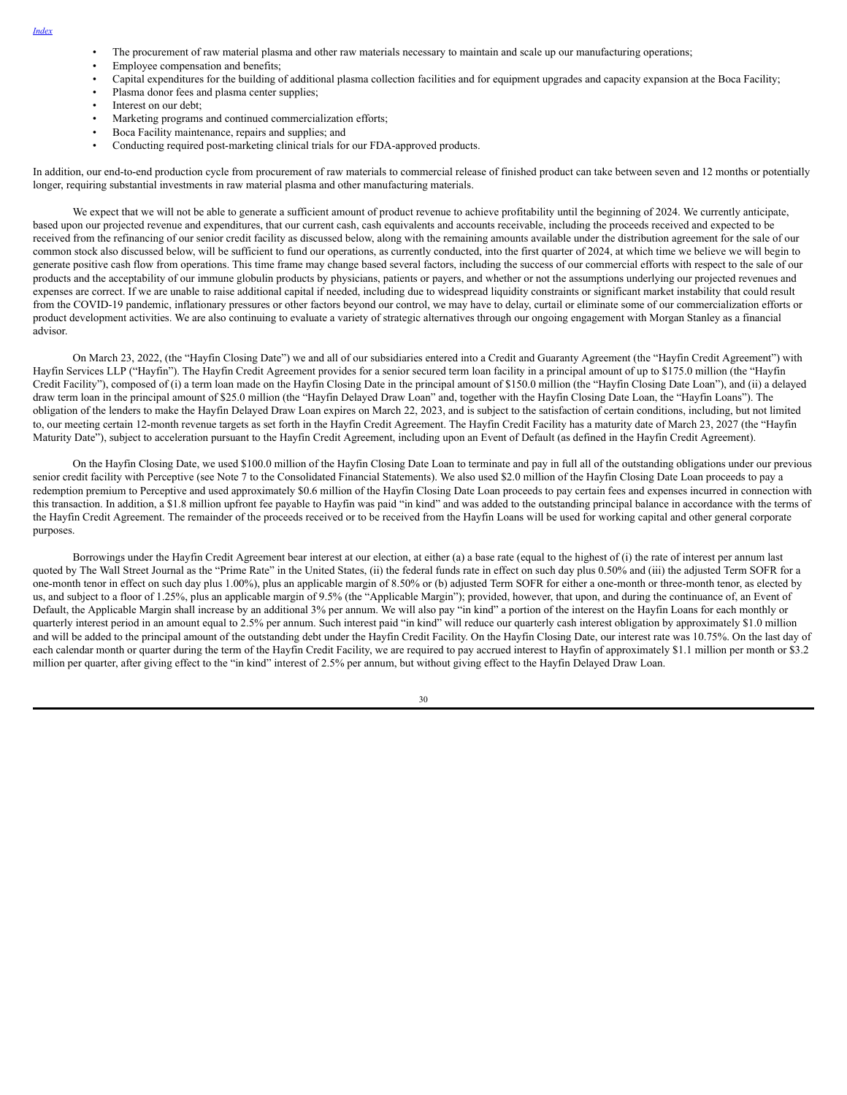- *[Index](#page-1-0)*
- The procurement of raw material plasma and other raw materials necessary to maintain and scale up our manufacturing operations;
- Employee compensation and benefits;
- Capital expenditures for the building of additional plasma collection facilities and for equipment upgrades and capacity expansion at the Boca Facility;
- Plasma donor fees and plasma center supplies;
- Interest on our debt;
- Marketing programs and continued commercialization efforts;
- Boca Facility maintenance, repairs and supplies; and
- Conducting required post-marketing clinical trials for our FDA-approved products.

In addition, our end-to-end production cycle from procurement of raw materials to commercial release of finished product can take between seven and 12 months or potentially longer, requiring substantial investments in raw material plasma and other manufacturing materials.

We expect that we will not be able to generate a sufficient amount of product revenue to achieve profitability until the beginning of 2024. We currently anticipate, based upon our projected revenue and expenditures, that our current cash, cash equivalents and accounts receivable, including the proceeds received and expected to be received from the refinancing of our senior credit facility as discussed below, along with the remaining amounts available under the distribution agreement for the sale of our common stock also discussed below, will be sufficient to fund our operations, as currently conducted, into the first quarter of 2024, at which time we believe we will begin to generate positive cash flow from operations. This time frame may change based several factors, including the success of our commercial efforts with respect to the sale of our products and the acceptability of our immune globulin products by physicians, patients or payers, and whether or not the assumptions underlying our projected revenues and expenses are correct. If we are unable to raise additional capital if needed, including due to widespread liquidity constraints or significant market instability that could result from the COVID-19 pandemic, inflationary pressures or other factors beyond our control, we may have to delay, curtail or eliminate some of our commercialization efforts or product development activities. We are also continuing to evaluate a variety of strategic alternatives through our ongoing engagement with Morgan Stanley as a financial advisor.

On March 23, 2022, (the "Hayfin Closing Date") we and all of our subsidiaries entered into a Credit and Guaranty Agreement (the "Hayfin Credit Agreement") with Hayfin Services LLP ("Hayfin"). The Hayfin Credit Agreement provides for a senior secured term loan facility in a principal amount of up to \$175.0 million (the "Hayfin Credit Facility"), composed of (i) a term loan made on the Hayfin Closing Date in the principal amount of \$150.0 million (the "Hayfin Closing Date Loan"), and (ii) a delayed draw term loan in the principal amount of \$25.0 million (the "Hayfin Delayed Draw Loan" and, together with the Hayfin Closing Date Loan, the "Hayfin Loans"). The obligation of the lenders to make the Hayfin Delayed Draw Loan expires on March 22, 2023, and is subject to the satisfaction of certain conditions, including, but not limited to, our meeting certain 12-month revenue targets as set forth in the Hayfin Credit Agreement. The Hayfin Credit Facility has a maturity date of March 23, 2027 (the "Hayfin Maturity Date"), subject to acceleration pursuant to the Hayfin Credit Agreement, including upon an Event of Default (as defined in the Hayfin Credit Agreement).

On the Hayfin Closing Date, we used \$100.0 million of the Hayfin Closing Date Loan to terminate and pay in full all of the outstanding obligations under our previous senior credit facility with Perceptive (see Note 7 to the Consolidated Financial Statements). We also used \$2.0 million of the Hayfin Closing Date Loan proceeds to pay a redemption premium to Perceptive and used approximately \$0.6 million of the Hayfin Closing Date Loan proceeds to pay certain fees and expenses incurred in connection with this transaction. In addition, a \$1.8 million upfront fee payable to Hayfin was paid "in kind" and was added to the outstanding principal balance in accordance with the terms of the Hayfin Credit Agreement. The remainder of the proceeds received or to be received from the Hayfin Loans will be used for working capital and other general corporate purposes.

Borrowings under the Hayfin Credit Agreement bear interest at our election, at either (a) a base rate (equal to the highest of (i) the rate of interest per annum last quoted by The Wall Street Journal as the "Prime Rate" in the United States, (ii) the federal funds rate in effect on such day plus 0.50% and (iii) the adjusted Term SOFR for a one-month tenor in effect on such day plus 1.00%), plus an applicable margin of 8.50% or (b) adjusted Term SOFR for either a one-month or three-month tenor, as elected by us, and subject to a floor of 1.25%, plus an applicable margin of 9.5% (the "Applicable Margin"); provided, however, that upon, and during the continuance of, an Event of Default, the Applicable Margin shall increase by an additional 3% per annum. We will also pay "in kind" a portion of the interest on the Hayfin Loans for each monthly or quarterly interest period in an amount equal to 2.5% per annum. Such interest paid "in kind" will reduce our quarterly cash interest obligation by approximately \$1.0 million and will be added to the principal amount of the outstanding debt under the Hayfin Credit Facility. On the Hayfin Closing Date, our interest rate was 10.75%. On the last day of each calendar month or quarter during the term of the Hayfin Credit Facility, we are required to pay accrued interest to Hayfin of approximately \$1.1 million per month or \$3.2 million per quarter, after giving effect to the "in kind" interest of 2.5% per annum, but without giving effect to the Hayfin Delayed Draw Loan.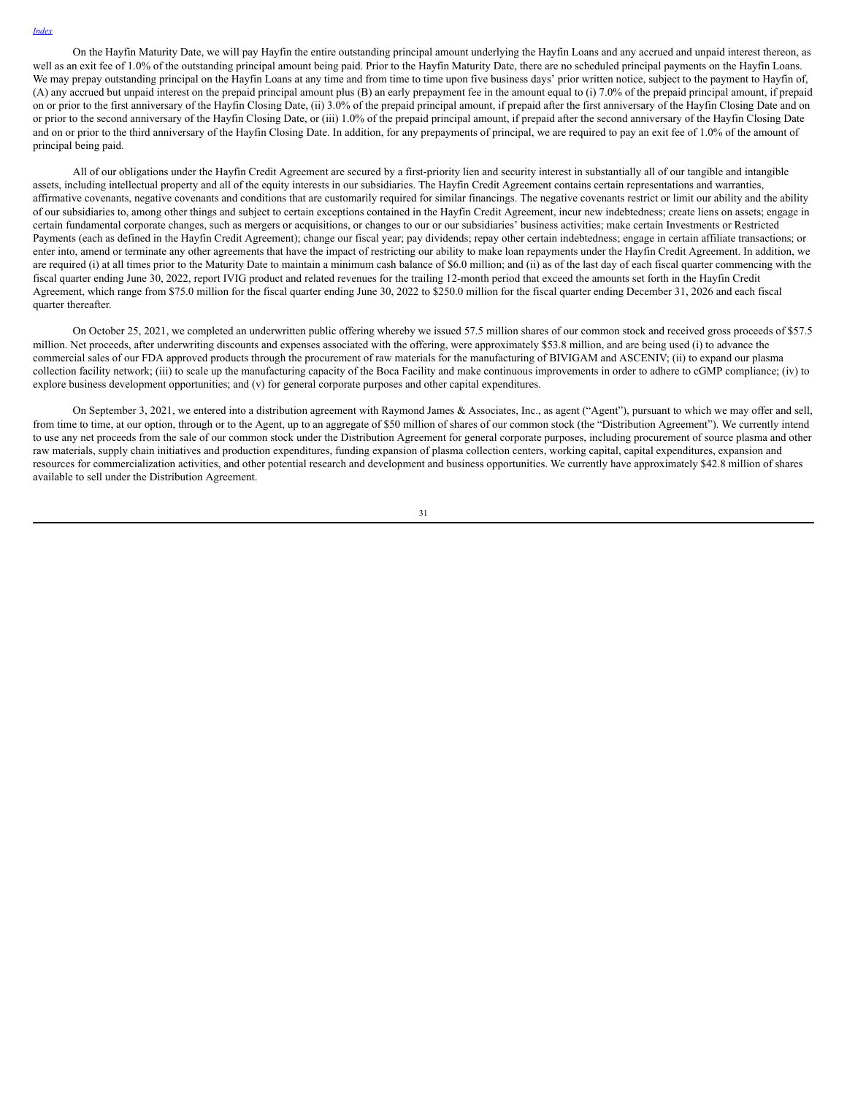On the Hayfin Maturity Date, we will pay Hayfin the entire outstanding principal amount underlying the Hayfin Loans and any accrued and unpaid interest thereon, as well as an exit fee of 1.0% of the outstanding principal amount being paid. Prior to the Hayfin Maturity Date, there are no scheduled principal payments on the Hayfin Loans. We may prepay outstanding principal on the Hayfin Loans at any time and from time to time upon five business days' prior written notice, subject to the payment to Hayfin of, (A) any accrued but unpaid interest on the prepaid principal amount plus (B) an early prepayment fee in the amount equal to (i) 7.0% of the prepaid principal amount, if prepaid on or prior to the first anniversary of the Hayfin Closing Date, (ii) 3.0% of the prepaid principal amount, if prepaid after the first anniversary of the Hayfin Closing Date and on or prior to the second anniversary of the Hayfin Closing Date, or (iii) 1.0% of the prepaid principal amount, if prepaid after the second anniversary of the Hayfin Closing Date and on or prior to the third anniversary of the Hayfin Closing Date. In addition, for any prepayments of principal, we are required to pay an exit fee of 1.0% of the amount of principal being paid.

All of our obligations under the Hayfin Credit Agreement are secured by a first-priority lien and security interest in substantially all of our tangible and intangible assets, including intellectual property and all of the equity interests in our subsidiaries. The Hayfin Credit Agreement contains certain representations and warranties, affirmative covenants, negative covenants and conditions that are customarily required for similar financings. The negative covenants restrict or limit our ability and the ability of our subsidiaries to, among other things and subject to certain exceptions contained in the Hayfin Credit Agreement, incur new indebtedness; create liens on assets; engage in certain fundamental corporate changes, such as mergers or acquisitions, or changes to our or our subsidiaries' business activities; make certain Investments or Restricted Payments (each as defined in the Hayfin Credit Agreement); change our fiscal year; pay dividends; repay other certain indebtedness; engage in certain affiliate transactions; or enter into, amend or terminate any other agreements that have the impact of restricting our ability to make loan repayments under the Hayfin Credit Agreement. In addition, we are required (i) at all times prior to the Maturity Date to maintain a minimum cash balance of \$6.0 million; and (ii) as of the last day of each fiscal quarter commencing with the fiscal quarter ending June 30, 2022, report IVIG product and related revenues for the trailing 12-month period that exceed the amounts set forth in the Hayfin Credit Agreement, which range from \$75.0 million for the fiscal quarter ending June 30, 2022 to \$250.0 million for the fiscal quarter ending December 31, 2026 and each fiscal quarter thereafter.

On October 25, 2021, we completed an underwritten public offering whereby we issued 57.5 million shares of our common stock and received gross proceeds of \$57.5 million. Net proceeds, after underwriting discounts and expenses associated with the offering, were approximately \$53.8 million, and are being used (i) to advance the commercial sales of our FDA approved products through the procurement of raw materials for the manufacturing of BIVIGAM and ASCENIV; (ii) to expand our plasma collection facility network; (iii) to scale up the manufacturing capacity of the Boca Facility and make continuous improvements in order to adhere to cGMP compliance; (iv) to explore business development opportunities; and (v) for general corporate purposes and other capital expenditures.

On September 3, 2021, we entered into a distribution agreement with Raymond James & Associates, Inc., as agent ("Agent"), pursuant to which we may offer and sell, from time to time, at our option, through or to the Agent, up to an aggregate of \$50 million of shares of our common stock (the "Distribution Agreement"). We currently intend to use any net proceeds from the sale of our common stock under the Distribution Agreement for general corporate purposes, including procurement of source plasma and other raw materials, supply chain initiatives and production expenditures, funding expansion of plasma collection centers, working capital, capital expenditures, expansion and resources for commercialization activities, and other potential research and development and business opportunities. We currently have approximately \$42.8 million of shares available to sell under the Distribution Agreement.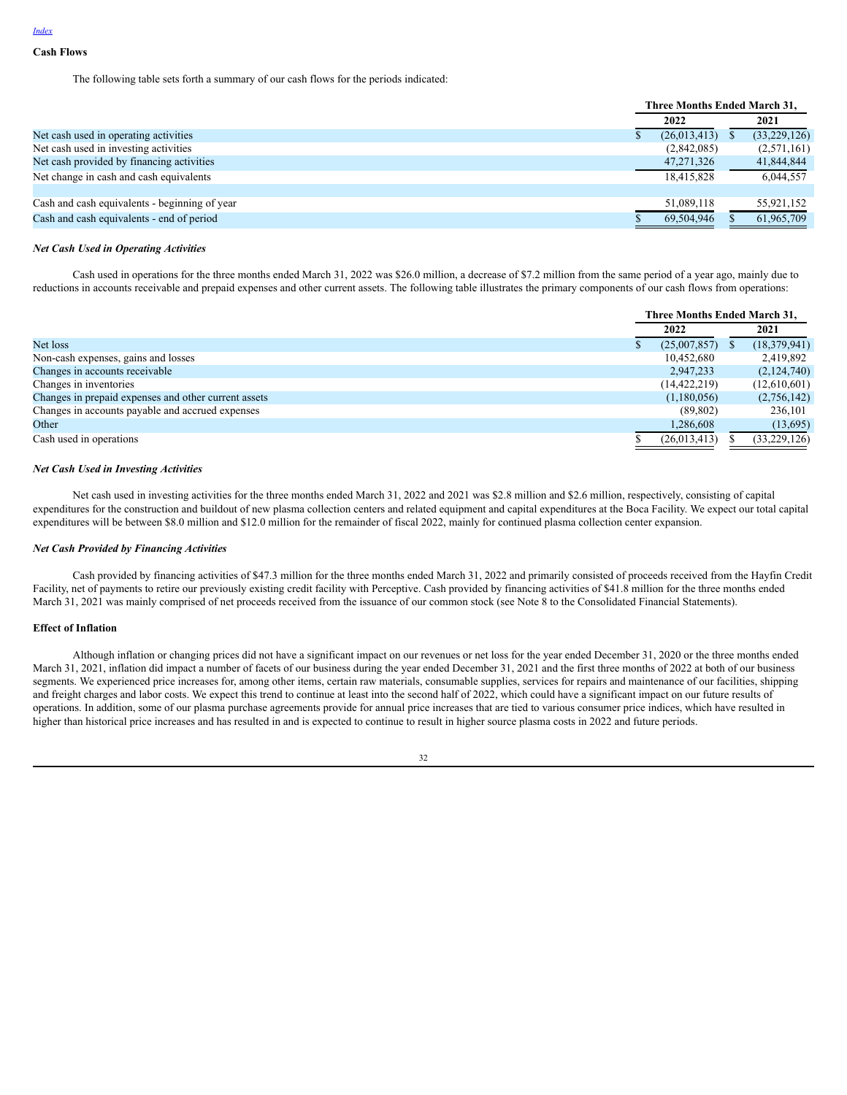**Cash Flows**

The following table sets forth a summary of our cash flows for the periods indicated:

|                                               | Three Months Ended March 31. |              |  |              |
|-----------------------------------------------|------------------------------|--------------|--|--------------|
|                                               |                              | 2022         |  | 2021         |
| Net cash used in operating activities         |                              | (26,013,413) |  | (33,229,126) |
| Net cash used in investing activities         |                              | (2,842,085)  |  | (2,571,161)  |
| Net cash provided by financing activities     |                              | 47, 271, 326 |  | 41,844,844   |
| Net change in cash and cash equivalents       |                              | 18,415,828   |  | 6,044,557    |
|                                               |                              |              |  |              |
| Cash and cash equivalents - beginning of year |                              | 51.089.118   |  | 55,921,152   |
| Cash and cash equivalents - end of period     |                              | 69.504.946   |  | 61,965,709   |

#### *Net Cash Used in Operating Activities*

Cash used in operations for the three months ended March 31, 2022 was \$26.0 million, a decrease of \$7.2 million from the same period of a year ago, mainly due to reductions in accounts receivable and prepaid expenses and other current assets. The following table illustrates the primary components of our cash flows from operations:

|                                                      | <b>Three Months Ended March 31.</b> |  |                |  |
|------------------------------------------------------|-------------------------------------|--|----------------|--|
|                                                      | 2022                                |  | 2021           |  |
| Net loss                                             | (25,007,857)                        |  | (18, 379, 941) |  |
| Non-cash expenses, gains and losses                  | 10,452,680                          |  | 2,419,892      |  |
| Changes in accounts receivable                       | 2,947,233                           |  | (2,124,740)    |  |
| Changes in inventories                               | (14, 422, 219)                      |  | (12,610,601)   |  |
| Changes in prepaid expenses and other current assets | (1,180,056)                         |  | (2,756,142)    |  |
| Changes in accounts payable and accrued expenses     | (89, 802)                           |  | 236,101        |  |
| Other                                                | 1,286,608                           |  | (13,695)       |  |
| Cash used in operations                              | (26,013,413)                        |  | (33, 229, 126) |  |

### *Net Cash Used in Investing Activities*

Net cash used in investing activities for the three months ended March 31, 2022 and 2021 was \$2.8 million and \$2.6 million, respectively, consisting of capital expenditures for the construction and buildout of new plasma collection centers and related equipment and capital expenditures at the Boca Facility. We expect our total capital expenditures will be between \$8.0 million and \$12.0 million for the remainder of fiscal 2022, mainly for continued plasma collection center expansion.

## *Net Cash Provided by Financing Activities*

Cash provided by financing activities of \$47.3 million for the three months ended March 31, 2022 and primarily consisted of proceeds received from the Hayfin Credit Facility, net of payments to retire our previously existing credit facility with Perceptive. Cash provided by financing activities of \$41.8 million for the three months ended March 31, 2021 was mainly comprised of net proceeds received from the issuance of our common stock (see Note 8 to the Consolidated Financial Statements).

#### **Effect of Inflation**

Although inflation or changing prices did not have a significant impact on our revenues or net loss for the year ended December 31, 2020 or the three months ended March 31, 2021, inflation did impact a number of facets of our business during the year ended December 31, 2021 and the first three months of 2022 at both of our business segments. We experienced price increases for, among other items, certain raw materials, consumable supplies, services for repairs and maintenance of our facilities, shipping and freight charges and labor costs. We expect this trend to continue at least into the second half of 2022, which could have a significant impact on our future results of operations. In addition, some of our plasma purchase agreements provide for annual price increases that are tied to various consumer price indices, which have resulted in higher than historical price increases and has resulted in and is expected to continue to result in higher source plasma costs in 2022 and future periods.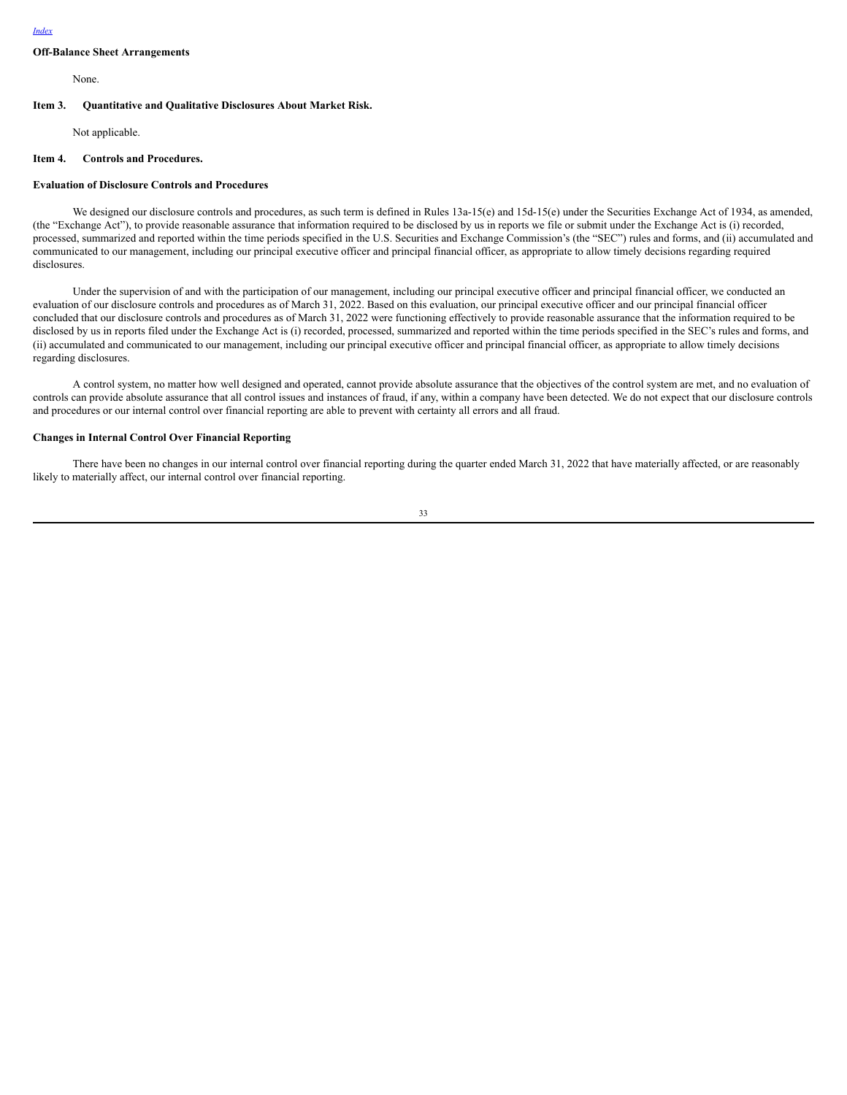## **Off-Balance Sheet Arrangements**

None.

#### **Item 3. Quantitative and Qualitative Disclosures About Market Risk.**

Not applicable.

#### **Item 4. Controls and Procedures.**

#### **Evaluation of Disclosure Controls and Procedures**

We designed our disclosure controls and procedures, as such term is defined in Rules 13a-15(e) and 15d-15(e) under the Securities Exchange Act of 1934, as amended, (the "Exchange Act"), to provide reasonable assurance that information required to be disclosed by us in reports we file or submit under the Exchange Act is (i) recorded, processed, summarized and reported within the time periods specified in the U.S. Securities and Exchange Commission's (the "SEC") rules and forms, and (ii) accumulated and communicated to our management, including our principal executive officer and principal financial officer, as appropriate to allow timely decisions regarding required disclosures.

Under the supervision of and with the participation of our management, including our principal executive officer and principal financial officer, we conducted an evaluation of our disclosure controls and procedures as of March 31, 2022. Based on this evaluation, our principal executive officer and our principal financial officer concluded that our disclosure controls and procedures as of March 31, 2022 were functioning effectively to provide reasonable assurance that the information required to be disclosed by us in reports filed under the Exchange Act is (i) recorded, processed, summarized and reported within the time periods specified in the SEC's rules and forms, and (ii) accumulated and communicated to our management, including our principal executive officer and principal financial officer, as appropriate to allow timely decisions regarding disclosures.

A control system, no matter how well designed and operated, cannot provide absolute assurance that the objectives of the control system are met, and no evaluation of controls can provide absolute assurance that all control issues and instances of fraud, if any, within a company have been detected. We do not expect that our disclosure controls and procedures or our internal control over financial reporting are able to prevent with certainty all errors and all fraud.

## **Changes in Internal Control Over Financial Reporting**

There have been no changes in our internal control over financial reporting during the quarter ended March 31, 2022 that have materially affected, or are reasonably likely to materially affect, our internal control over financial reporting.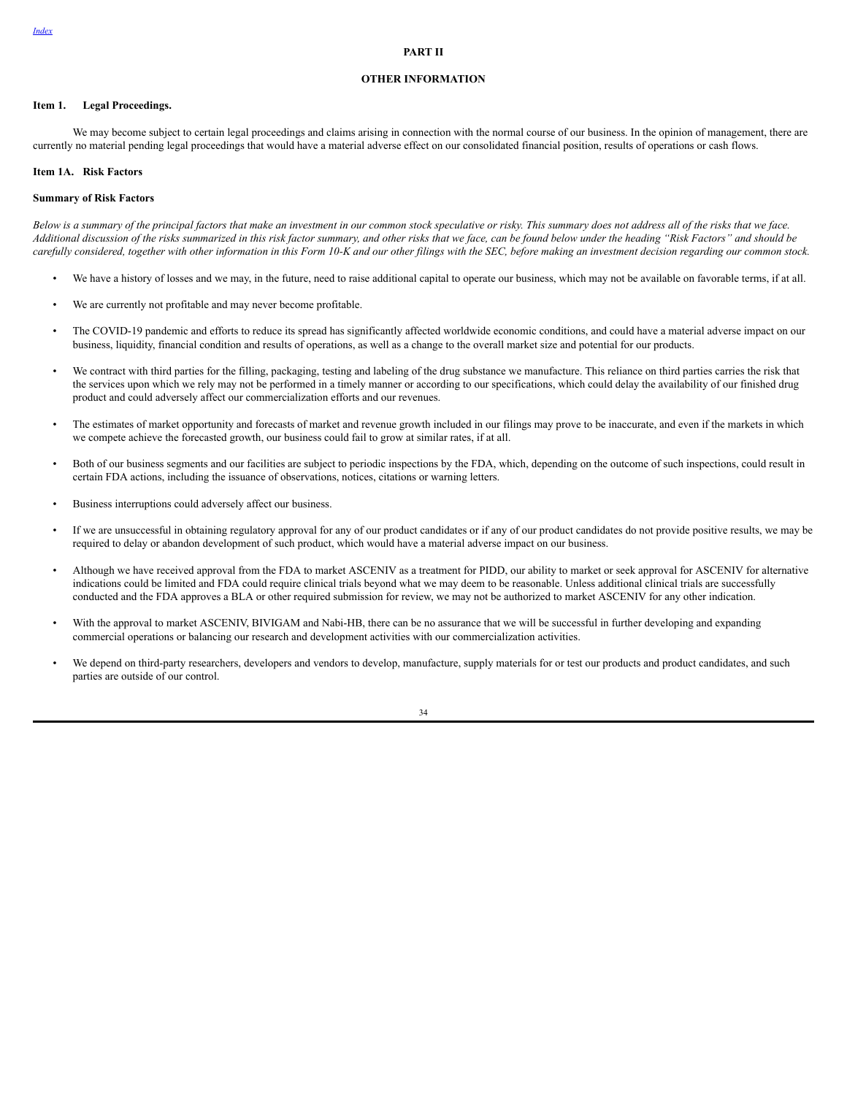#### **PART II**

### **OTHER INFORMATION**

#### **Item 1. Legal Proceedings.**

We may become subject to certain legal proceedings and claims arising in connection with the normal course of our business. In the opinion of management, there are currently no material pending legal proceedings that would have a material adverse effect on our consolidated financial position, results of operations or cash flows.

#### **Item 1A. Risk Factors**

### **Summary of Risk Factors**

Below is a summary of the principal factors that make an investment in our common stock speculative or risky. This summary does not address all of the risks that we face. Additional discussion of the risks summarized in this risk factor summary, and other risks that we face, can be found below under the heading "Risk Factors" and should be carefully considered, together with other information in this Form 10-K and our other filings with the SEC, before making an investment decision regarding our common stock.

- We have a history of losses and we may, in the future, need to raise additional capital to operate our business, which may not be available on favorable terms, if at all.
- We are currently not profitable and may never become profitable.
- The COVID-19 pandemic and efforts to reduce its spread has significantly affected worldwide economic conditions, and could have a material adverse impact on our business, liquidity, financial condition and results of operations, as well as a change to the overall market size and potential for our products.
- We contract with third parties for the filling, packaging, testing and labeling of the drug substance we manufacture. This reliance on third parties carries the risk that the services upon which we rely may not be performed in a timely manner or according to our specifications, which could delay the availability of our finished drug product and could adversely affect our commercialization efforts and our revenues.
- The estimates of market opportunity and forecasts of market and revenue growth included in our filings may prove to be inaccurate, and even if the markets in which we compete achieve the forecasted growth, our business could fail to grow at similar rates, if at all.
- Both of our business segments and our facilities are subject to periodic inspections by the FDA, which, depending on the outcome of such inspections, could result in certain FDA actions, including the issuance of observations, notices, citations or warning letters.
- Business interruptions could adversely affect our business.
- If we are unsuccessful in obtaining regulatory approval for any of our product candidates or if any of our product candidates do not provide positive results, we may be required to delay or abandon development of such product, which would have a material adverse impact on our business.
- Although we have received approval from the FDA to market ASCENIV as a treatment for PIDD, our ability to market or seek approval for ASCENIV for alternative indications could be limited and FDA could require clinical trials beyond what we may deem to be reasonable. Unless additional clinical trials are successfully conducted and the FDA approves a BLA or other required submission for review, we may not be authorized to market ASCENIV for any other indication.
- With the approval to market ASCENIV, BIVIGAM and Nabi-HB, there can be no assurance that we will be successful in further developing and expanding commercial operations or balancing our research and development activities with our commercialization activities.
- We depend on third-party researchers, developers and vendors to develop, manufacture, supply materials for or test our products and product candidates, and such parties are outside of our control.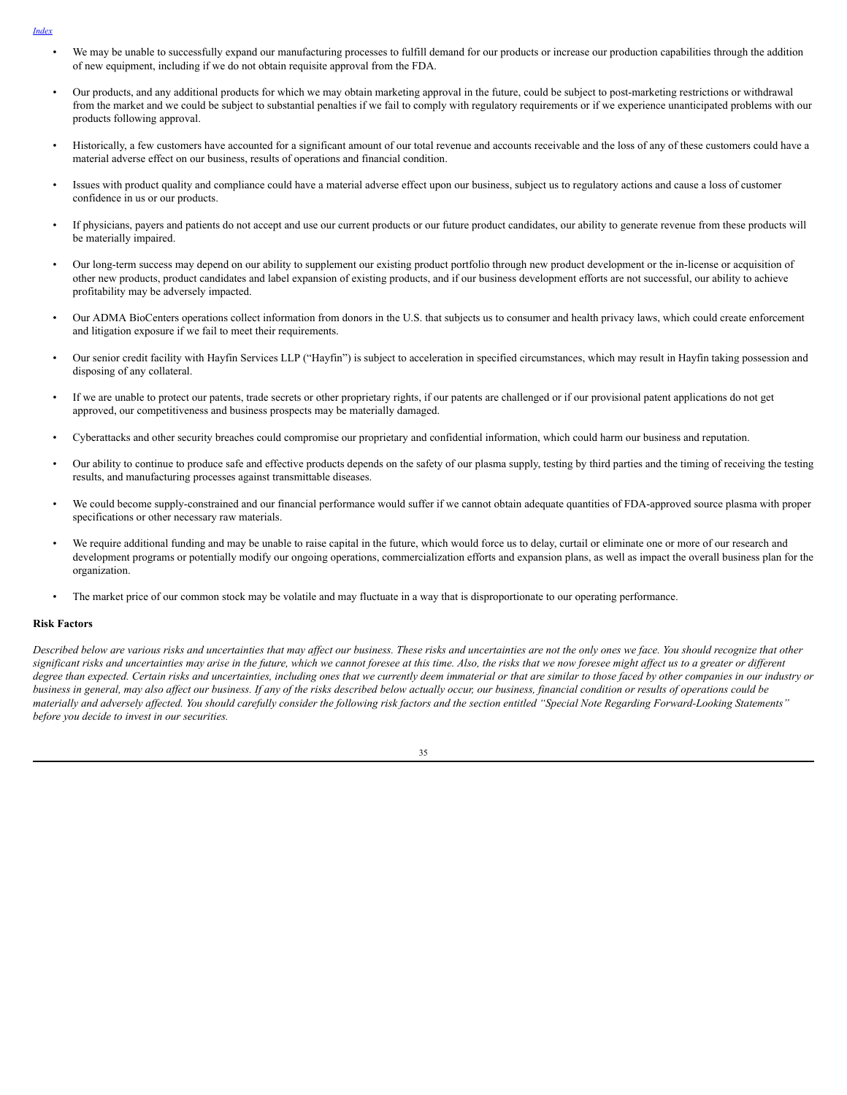- *[Index](#page-1-0)*
	- We may be unable to successfully expand our manufacturing processes to fulfill demand for our products or increase our production capabilities through the addition of new equipment, including if we do not obtain requisite approval from the FDA.
	- Our products, and any additional products for which we may obtain marketing approval in the future, could be subject to post-marketing restrictions or withdrawal from the market and we could be subject to substantial penalties if we fail to comply with regulatory requirements or if we experience unanticipated problems with our products following approval.
	- Historically, a few customers have accounted for a significant amount of our total revenue and accounts receivable and the loss of any of these customers could have a material adverse effect on our business, results of operations and financial condition.
	- Issues with product quality and compliance could have a material adverse effect upon our business, subject us to regulatory actions and cause a loss of customer confidence in us or our products.
	- If physicians, payers and patients do not accept and use our current products or our future product candidates, our ability to generate revenue from these products will be materially impaired.
	- Our long-term success may depend on our ability to supplement our existing product portfolio through new product development or the in-license or acquisition of other new products, product candidates and label expansion of existing products, and if our business development efforts are not successful, our ability to achieve profitability may be adversely impacted.
	- Our ADMA BioCenters operations collect information from donors in the U.S. that subjects us to consumer and health privacy laws, which could create enforcement and litigation exposure if we fail to meet their requirements.
	- Our senior credit facility with Hayfin Services LLP ("Hayfin") is subject to acceleration in specified circumstances, which may result in Hayfin taking possession and disposing of any collateral.
	- If we are unable to protect our patents, trade secrets or other proprietary rights, if our patents are challenged or if our provisional patent applications do not get approved, our competitiveness and business prospects may be materially damaged.
	- Cyberattacks and other security breaches could compromise our proprietary and confidential information, which could harm our business and reputation.
	- Our ability to continue to produce safe and effective products depends on the safety of our plasma supply, testing by third parties and the timing of receiving the testing results, and manufacturing processes against transmittable diseases.
	- We could become supply-constrained and our financial performance would suffer if we cannot obtain adequate quantities of FDA-approved source plasma with proper specifications or other necessary raw materials.
	- We require additional funding and may be unable to raise capital in the future, which would force us to delay, curtail or eliminate one or more of our research and development programs or potentially modify our ongoing operations, commercialization efforts and expansion plans, as well as impact the overall business plan for the organization.
	- The market price of our common stock may be volatile and may fluctuate in a way that is disproportionate to our operating performance.

## **Risk Factors**

Described below are various risks and uncertainties that may affect our business. These risks and uncertainties are not the only ones we face. You should recognize that other significant risks and uncertainties may arise in the future, which we cannot foresee at this time. Also, the risks that we now foresee might affect us to a greater or different degree than expected. Certain risks and uncertainties, including ones that we currently deem immaterial or that are similar to those faced by other companies in our industry or business in general, may also affect our business. If any of the risks described below actually occur, our business, financial condition or results of operations could be materially and adversely affected. You should carefully consider the following risk factors and the section entitled "Special Note Regarding Forward-Looking Statements" *before you decide to invest in our securities.*

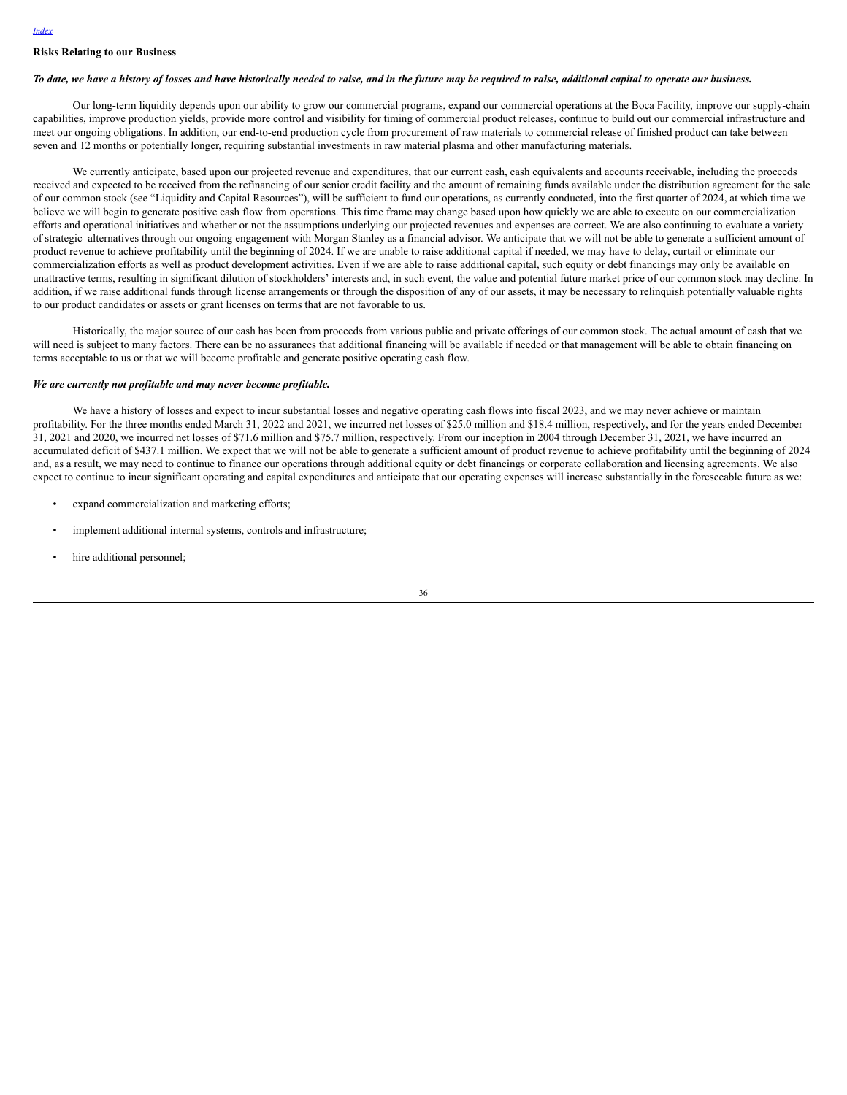#### *[Index](#page-1-0)*

## **Risks Relating to our Business**

#### To date, we have a history of losses and have historically needed to raise, and in the future may be required to raise, additional capital to operate our business.

Our long-term liquidity depends upon our ability to grow our commercial programs, expand our commercial operations at the Boca Facility, improve our supply-chain capabilities, improve production yields, provide more control and visibility for timing of commercial product releases, continue to build out our commercial infrastructure and meet our ongoing obligations. In addition, our end-to-end production cycle from procurement of raw materials to commercial release of finished product can take between seven and 12 months or potentially longer, requiring substantial investments in raw material plasma and other manufacturing materials.

We currently anticipate, based upon our projected revenue and expenditures, that our current cash, cash equivalents and accounts receivable, including the proceeds received and expected to be received from the refinancing of our senior credit facility and the amount of remaining funds available under the distribution agreement for the sale of our common stock (see "Liquidity and Capital Resources"), will be sufficient to fund our operations, as currently conducted, into the first quarter of 2024, at which time we believe we will begin to generate positive cash flow from operations. This time frame may change based upon how quickly we are able to execute on our commercialization efforts and operational initiatives and whether or not the assumptions underlying our projected revenues and expenses are correct. We are also continuing to evaluate a variety of strategic alternatives through our ongoing engagement with Morgan Stanley as a financial advisor. We anticipate that we will not be able to generate a sufficient amount of product revenue to achieve profitability until the beginning of 2024. If we are unable to raise additional capital if needed, we may have to delay, curtail or eliminate our commercialization efforts as well as product development activities. Even if we are able to raise additional capital, such equity or debt financings may only be available on unattractive terms, resulting in significant dilution of stockholders' interests and, in such event, the value and potential future market price of our common stock may decline. In addition, if we raise additional funds through license arrangements or through the disposition of any of our assets, it may be necessary to relinquish potentially valuable rights to our product candidates or assets or grant licenses on terms that are not favorable to us.

Historically, the major source of our cash has been from proceeds from various public and private offerings of our common stock. The actual amount of cash that we will need is subject to many factors. There can be no assurances that additional financing will be available if needed or that management will be able to obtain financing on terms acceptable to us or that we will become profitable and generate positive operating cash flow.

#### *We are currently not profitable and may never become profitable.*

We have a history of losses and expect to incur substantial losses and negative operating cash flows into fiscal 2023, and we may never achieve or maintain profitability. For the three months ended March 31, 2022 and 2021, we incurred net losses of \$25.0 million and \$18.4 million, respectively, and for the years ended December 31, 2021 and 2020, we incurred net losses of \$71.6 million and \$75.7 million, respectively. From our inception in 2004 through December 31, 2021, we have incurred an accumulated deficit of \$437.1 million. We expect that we will not be able to generate a sufficient amount of product revenue to achieve profitability until the beginning of 2024 and, as a result, we may need to continue to finance our operations through additional equity or debt financings or corporate collaboration and licensing agreements. We also expect to continue to incur significant operating and capital expenditures and anticipate that our operating expenses will increase substantially in the foreseeable future as we:

- expand commercialization and marketing efforts;
- implement additional internal systems, controls and infrastructure;
- hire additional personnel;

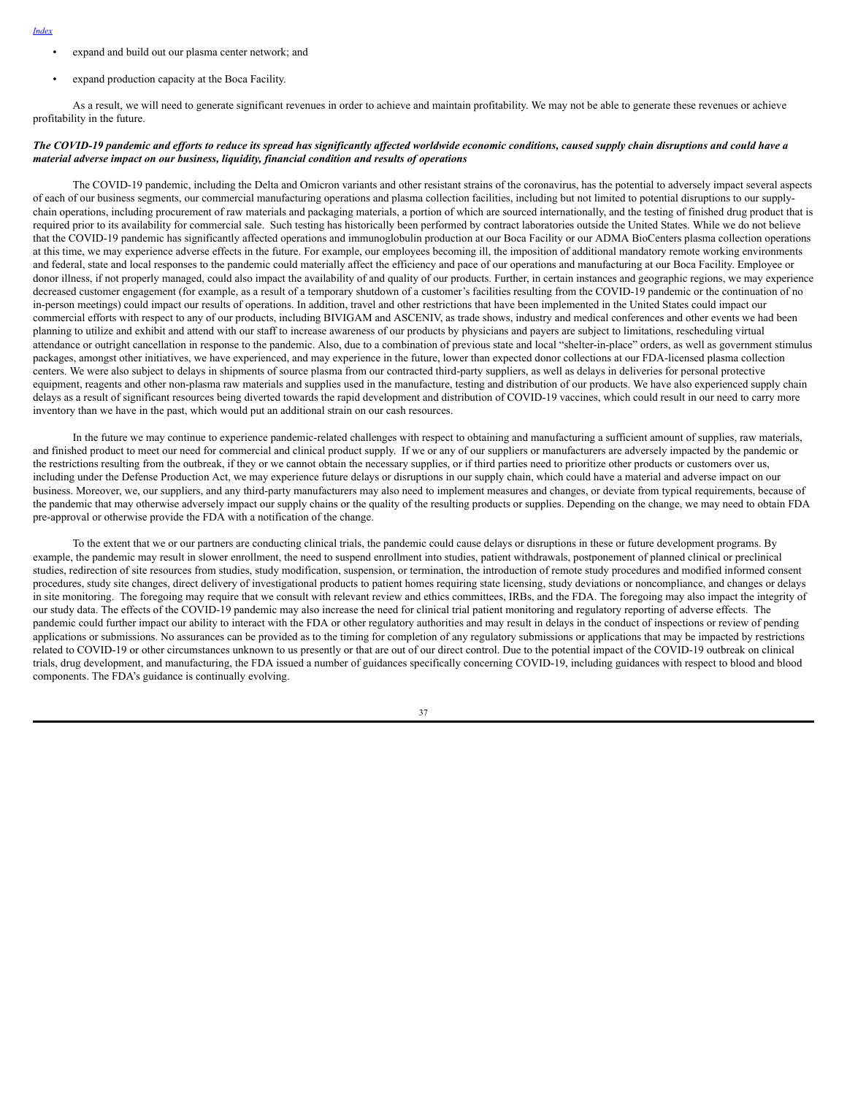- *[Index](#page-1-0)*
- expand and build out our plasma center network; and
- expand production capacity at the Boca Facility.

As a result, we will need to generate significant revenues in order to achieve and maintain profitability. We may not be able to generate these revenues or achieve profitability in the future.

### The COVID-19 pandemic and efforts to reduce its spread has significantly affected worldwide economic conditions, caused supply chain disruptions and could have a *material adverse impact on our business, liquidity, financial condition and results of operations*

The COVID-19 pandemic, including the Delta and Omicron variants and other resistant strains of the coronavirus, has the potential to adversely impact several aspects of each of our business segments, our commercial manufacturing operations and plasma collection facilities, including but not limited to potential disruptions to our supplychain operations, including procurement of raw materials and packaging materials, a portion of which are sourced internationally, and the testing of finished drug product that is required prior to its availability for commercial sale. Such testing has historically been performed by contract laboratories outside the United States. While we do not believe that the COVID-19 pandemic has significantly affected operations and immunoglobulin production at our Boca Facility or our ADMA BioCenters plasma collection operations at this time, we may experience adverse effects in the future. For example, our employees becoming ill, the imposition of additional mandatory remote working environments and federal, state and local responses to the pandemic could materially affect the efficiency and pace of our operations and manufacturing at our Boca Facility. Employee or donor illness, if not properly managed, could also impact the availability of and quality of our products. Further, in certain instances and geographic regions, we may experience decreased customer engagement (for example, as a result of a temporary shutdown of a customer's facilities resulting from the COVID-19 pandemic or the continuation of no in-person meetings) could impact our results of operations. In addition, travel and other restrictions that have been implemented in the United States could impact our commercial efforts with respect to any of our products, including BIVIGAM and ASCENIV, as trade shows, industry and medical conferences and other events we had been planning to utilize and exhibit and attend with our staff to increase awareness of our products by physicians and payers are subject to limitations, rescheduling virtual attendance or outright cancellation in response to the pandemic. Also, due to a combination of previous state and local "shelter-in-place" orders, as well as government stimulus packages, amongst other initiatives, we have experienced, and may experience in the future, lower than expected donor collections at our FDA-licensed plasma collection centers. We were also subject to delays in shipments of source plasma from our contracted third-party suppliers, as well as delays in deliveries for personal protective equipment, reagents and other non-plasma raw materials and supplies used in the manufacture, testing and distribution of our products. We have also experienced supply chain delays as a result of significant resources being diverted towards the rapid development and distribution of COVID-19 vaccines, which could result in our need to carry more inventory than we have in the past, which would put an additional strain on our cash resources.

In the future we may continue to experience pandemic-related challenges with respect to obtaining and manufacturing a sufficient amount of supplies, raw materials, and finished product to meet our need for commercial and clinical product supply. If we or any of our suppliers or manufacturers are adversely impacted by the pandemic or the restrictions resulting from the outbreak, if they or we cannot obtain the necessary supplies, or if third parties need to prioritize other products or customers over us, including under the Defense Production Act, we may experience future delays or disruptions in our supply chain, which could have a material and adverse impact on our business. Moreover, we, our suppliers, and any third-party manufacturers may also need to implement measures and changes, or deviate from typical requirements, because of the pandemic that may otherwise adversely impact our supply chains or the quality of the resulting products or supplies. Depending on the change, we may need to obtain FDA pre-approval or otherwise provide the FDA with a notification of the change.

To the extent that we or our partners are conducting clinical trials, the pandemic could cause delays or disruptions in these or future development programs. By example, the pandemic may result in slower enrollment, the need to suspend enrollment into studies, patient withdrawals, postponement of planned clinical or preclinical studies, redirection of site resources from studies, study modification, suspension, or termination, the introduction of remote study procedures and modified informed consent procedures, study site changes, direct delivery of investigational products to patient homes requiring state licensing, study deviations or noncompliance, and changes or delays in site monitoring. The foregoing may require that we consult with relevant review and ethics committees, IRBs, and the FDA. The foregoing may also impact the integrity of our study data. The effects of the COVID-19 pandemic may also increase the need for clinical trial patient monitoring and regulatory reporting of adverse effects. The pandemic could further impact our ability to interact with the FDA or other regulatory authorities and may result in delays in the conduct of inspections or review of pending applications or submissions. No assurances can be provided as to the timing for completion of any regulatory submissions or applications that may be impacted by restrictions related to COVID-19 or other circumstances unknown to us presently or that are out of our direct control. Due to the potential impact of the COVID-19 outbreak on clinical trials, drug development, and manufacturing, the FDA issued a number of guidances specifically concerning COVID-19, including guidances with respect to blood and blood components. The FDA's guidance is continually evolving.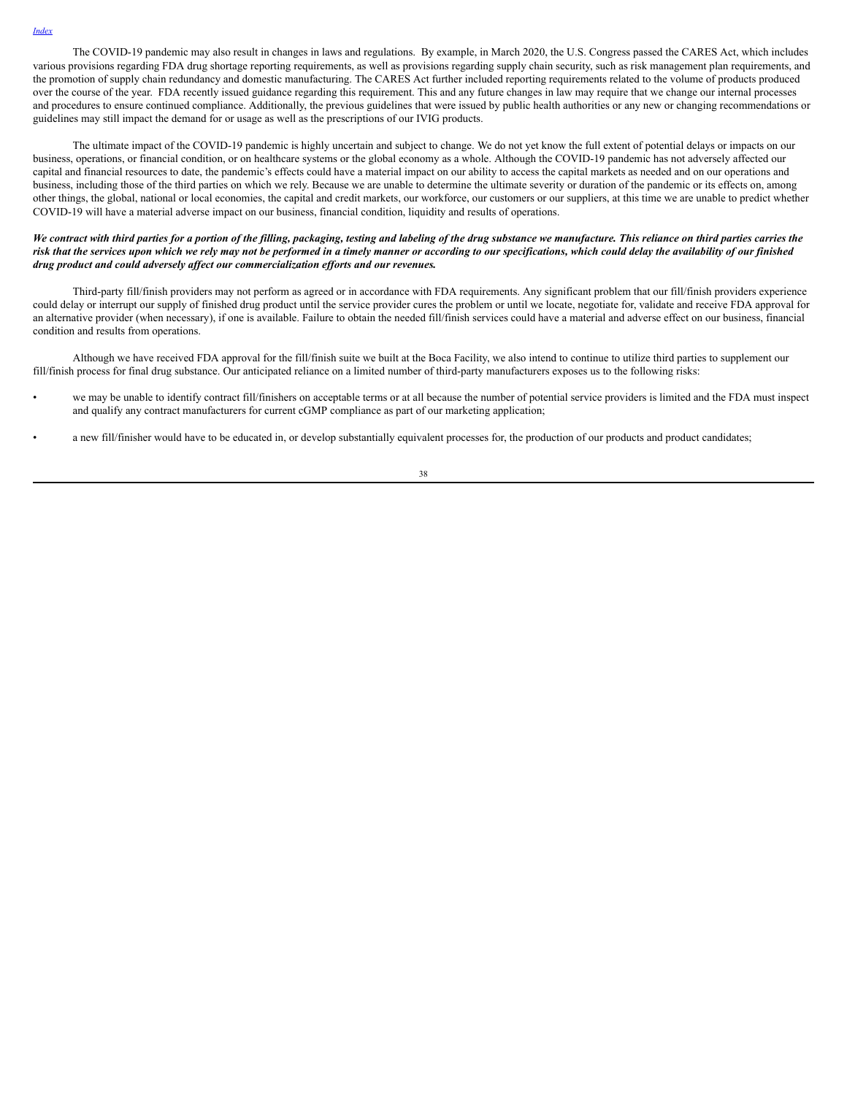The COVID-19 pandemic may also result in changes in laws and regulations. By example, in March 2020, the U.S. Congress passed the CARES Act, which includes various provisions regarding FDA drug shortage reporting requirements, as well as provisions regarding supply chain security, such as risk management plan requirements, and the promotion of supply chain redundancy and domestic manufacturing. The CARES Act further included reporting requirements related to the volume of products produced over the course of the year. FDA recently issued guidance regarding this requirement. This and any future changes in law may require that we change our internal processes and procedures to ensure continued compliance. Additionally, the previous guidelines that were issued by public health authorities or any new or changing recommendations or guidelines may still impact the demand for or usage as well as the prescriptions of our IVIG products.

The ultimate impact of the COVID-19 pandemic is highly uncertain and subject to change. We do not yet know the full extent of potential delays or impacts on our business, operations, or financial condition, or on healthcare systems or the global economy as a whole. Although the COVID-19 pandemic has not adversely affected our capital and financial resources to date, the pandemic's effects could have a material impact on our ability to access the capital markets as needed and on our operations and business, including those of the third parties on which we rely. Because we are unable to determine the ultimate severity or duration of the pandemic or its effects on, among other things, the global, national or local economies, the capital and credit markets, our workforce, our customers or our suppliers, at this time we are unable to predict whether COVID-19 will have a material adverse impact on our business, financial condition, liquidity and results of operations.

## We contract with third parties for a portion of the filling, packaging, testing and labeling of the drug substance we manufacture. This reliance on third parties carries the risk that the services upon which we rely may not be performed in a timely manner or according to our specifications, which could delay the availability of our finished *drug product and could adversely af ect our commercialization ef orts and our revenues.*

Third-party fill/finish providers may not perform as agreed or in accordance with FDA requirements. Any significant problem that our fill/finish providers experience could delay or interrupt our supply of finished drug product until the service provider cures the problem or until we locate, negotiate for, validate and receive FDA approval for an alternative provider (when necessary), if one is available. Failure to obtain the needed fill/finish services could have a material and adverse effect on our business, financial condition and results from operations.

Although we have received FDA approval for the fill/finish suite we built at the Boca Facility, we also intend to continue to utilize third parties to supplement our fill/finish process for final drug substance. Our anticipated reliance on a limited number of third-party manufacturers exposes us to the following risks:

- we may be unable to identify contract fill/finishers on acceptable terms or at all because the number of potential service providers is limited and the FDA must inspect and qualify any contract manufacturers for current cGMP compliance as part of our marketing application;
- a new fill/finisher would have to be educated in, or develop substantially equivalent processes for, the production of our products and product candidates;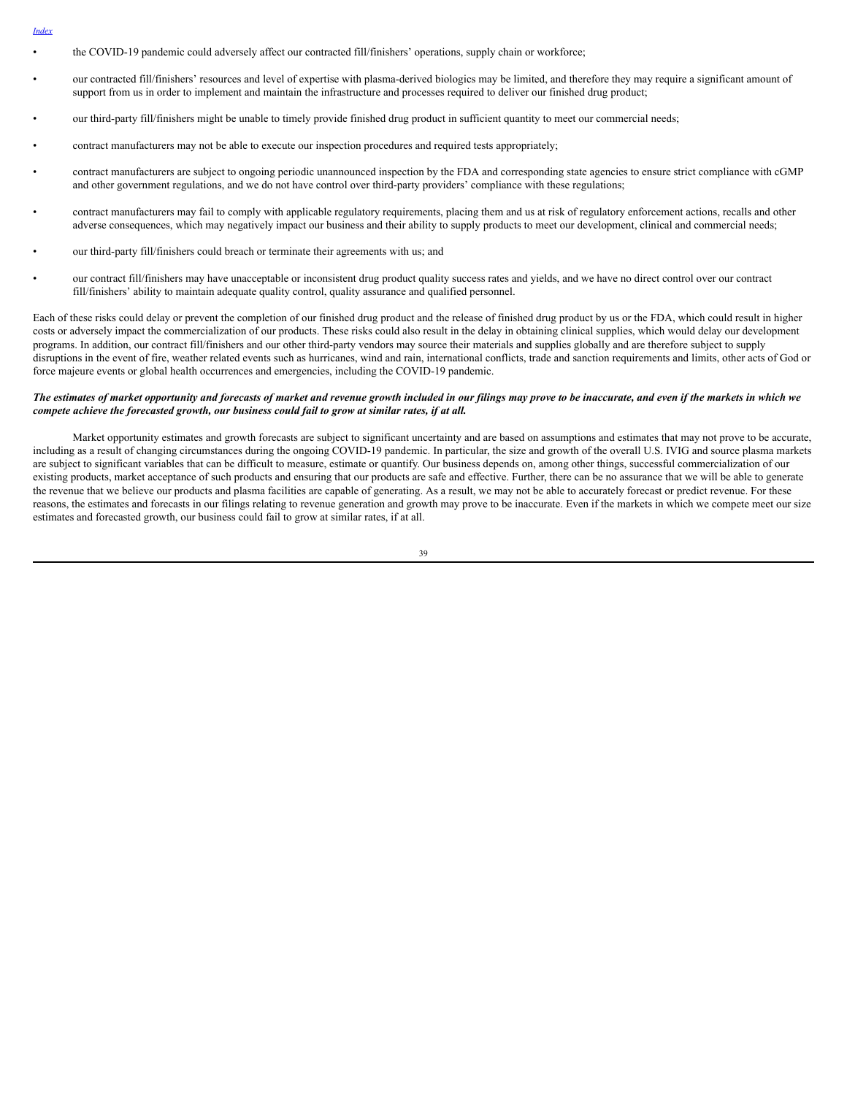- *[Index](#page-1-0)*
- the COVID-19 pandemic could adversely affect our contracted fill/finishers' operations, supply chain or workforce;
- our contracted fill/finishers' resources and level of expertise with plasma-derived biologics may be limited, and therefore they may require a significant amount of support from us in order to implement and maintain the infrastructure and processes required to deliver our finished drug product;
- our third-party fill/finishers might be unable to timely provide finished drug product in sufficient quantity to meet our commercial needs;
- contract manufacturers may not be able to execute our inspection procedures and required tests appropriately;
- contract manufacturers are subject to ongoing periodic unannounced inspection by the FDA and corresponding state agencies to ensure strict compliance with cGMP and other government regulations, and we do not have control over third-party providers' compliance with these regulations;
- contract manufacturers may fail to comply with applicable regulatory requirements, placing them and us at risk of regulatory enforcement actions, recalls and other adverse consequences, which may negatively impact our business and their ability to supply products to meet our development, clinical and commercial needs;
- our third-party fill/finishers could breach or terminate their agreements with us; and
- our contract fill/finishers may have unacceptable or inconsistent drug product quality success rates and yields, and we have no direct control over our contract fill/finishers' ability to maintain adequate quality control, quality assurance and qualified personnel.

Each of these risks could delay or prevent the completion of our finished drug product and the release of finished drug product by us or the FDA, which could result in higher costs or adversely impact the commercialization of our products. These risks could also result in the delay in obtaining clinical supplies, which would delay our development programs. In addition, our contract fill/finishers and our other third-party vendors may source their materials and supplies globally and are therefore subject to supply disruptions in the event of fire, weather related events such as hurricanes, wind and rain, international conflicts, trade and sanction requirements and limits, other acts of God or force majeure events or global health occurrences and emergencies, including the COVID-19 pandemic.

### The estimates of market opportunity and forecasts of market and revenue growth included in our filings may prove to be inaccurate, and even if the markets in which we *compete achieve the forecasted growth, our business could fail to grow at similar rates, if at all.*

Market opportunity estimates and growth forecasts are subject to significant uncertainty and are based on assumptions and estimates that may not prove to be accurate, including as a result of changing circumstances during the ongoing COVID-19 pandemic. In particular, the size and growth of the overall U.S. IVIG and source plasma markets are subject to significant variables that can be difficult to measure, estimate or quantify. Our business depends on, among other things, successful commercialization of our existing products, market acceptance of such products and ensuring that our products are safe and effective. Further, there can be no assurance that we will be able to generate the revenue that we believe our products and plasma facilities are capable of generating. As a result, we may not be able to accurately forecast or predict revenue. For these reasons, the estimates and forecasts in our filings relating to revenue generation and growth may prove to be inaccurate. Even if the markets in which we compete meet our size estimates and forecasted growth, our business could fail to grow at similar rates, if at all.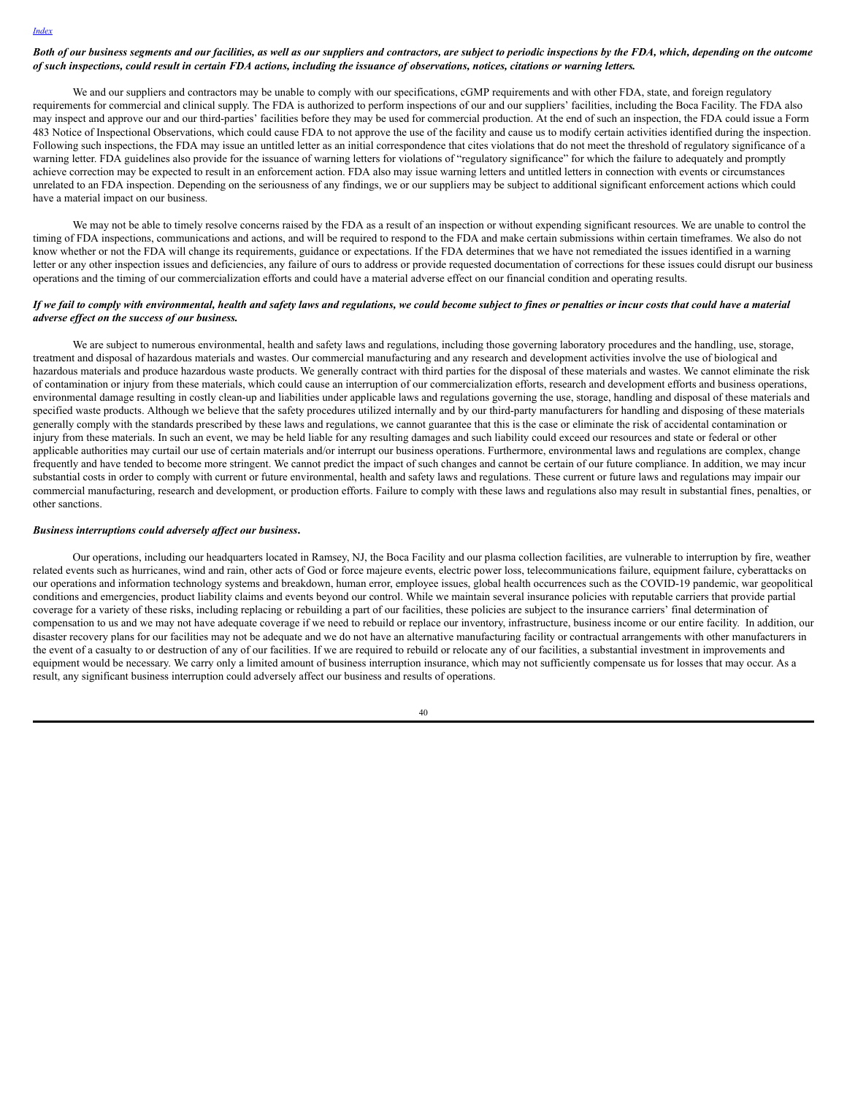## Both of our business segments and our facilities, as well as our suppliers and contractors, are subject to periodic inspections by the FDA, which, depending on the outcome of such inspections, could result in certain FDA actions, including the issuance of observations, notices, citations or warning letters.

We and our suppliers and contractors may be unable to comply with our specifications, cGMP requirements and with other FDA, state, and foreign regulatory requirements for commercial and clinical supply. The FDA is authorized to perform inspections of our and our suppliers' facilities, including the Boca Facility. The FDA also may inspect and approve our and our third-parties' facilities before they may be used for commercial production. At the end of such an inspection, the FDA could issue a Form 483 Notice of Inspectional Observations, which could cause FDA to not approve the use of the facility and cause us to modify certain activities identified during the inspection. Following such inspections, the FDA may issue an untitled letter as an initial correspondence that cites violations that do not meet the threshold of regulatory significance of a warning letter. FDA guidelines also provide for the issuance of warning letters for violations of "regulatory significance" for which the failure to adequately and promptly achieve correction may be expected to result in an enforcement action. FDA also may issue warning letters and untitled letters in connection with events or circumstances unrelated to an FDA inspection. Depending on the seriousness of any findings, we or our suppliers may be subject to additional significant enforcement actions which could have a material impact on our business.

We may not be able to timely resolve concerns raised by the FDA as a result of an inspection or without expending significant resources. We are unable to control the timing of FDA inspections, communications and actions, and will be required to respond to the FDA and make certain submissions within certain timeframes. We also do not know whether or not the FDA will change its requirements, guidance or expectations. If the FDA determines that we have not remediated the issues identified in a warning letter or any other inspection issues and deficiencies, any failure of ours to address or provide requested documentation of corrections for these issues could disrupt our business operations and the timing of our commercialization efforts and could have a material adverse effect on our financial condition and operating results.

## If we fail to comply with environmental, health and safety laws and regulations, we could become subject to fines or penalties or incur costs that could have a material *adverse ef ect on the success of our business.*

We are subject to numerous environmental, health and safety laws and regulations, including those governing laboratory procedures and the handling, use, storage, treatment and disposal of hazardous materials and wastes. Our commercial manufacturing and any research and development activities involve the use of biological and hazardous materials and produce hazardous waste products. We generally contract with third parties for the disposal of these materials and wastes. We cannot eliminate the risk of contamination or injury from these materials, which could cause an interruption of our commercialization efforts, research and development efforts and business operations, environmental damage resulting in costly clean-up and liabilities under applicable laws and regulations governing the use, storage, handling and disposal of these materials and specified waste products. Although we believe that the safety procedures utilized internally and by our third-party manufacturers for handling and disposing of these materials generally comply with the standards prescribed by these laws and regulations, we cannot guarantee that this is the case or eliminate the risk of accidental contamination or injury from these materials. In such an event, we may be held liable for any resulting damages and such liability could exceed our resources and state or federal or other applicable authorities may curtail our use of certain materials and/or interrupt our business operations. Furthermore, environmental laws and regulations are complex, change frequently and have tended to become more stringent. We cannot predict the impact of such changes and cannot be certain of our future compliance. In addition, we may incur substantial costs in order to comply with current or future environmental, health and safety laws and regulations. These current or future laws and regulations may impair our commercial manufacturing, research and development, or production efforts. Failure to comply with these laws and regulations also may result in substantial fines, penalties, or other sanctions.

#### *Business interruptions could adversely af ect our business***.**

Our operations, including our headquarters located in Ramsey, NJ, the Boca Facility and our plasma collection facilities, are vulnerable to interruption by fire, weather related events such as hurricanes, wind and rain, other acts of God or force majeure events, electric power loss, telecommunications failure, equipment failure, cyberattacks on our operations and information technology systems and breakdown, human error, employee issues, global health occurrences such as the COVID-19 pandemic, war geopolitical conditions and emergencies, product liability claims and events beyond our control. While we maintain several insurance policies with reputable carriers that provide partial coverage for a variety of these risks, including replacing or rebuilding a part of our facilities, these policies are subject to the insurance carriers' final determination of compensation to us and we may not have adequate coverage if we need to rebuild or replace our inventory, infrastructure, business income or our entire facility. In addition, our disaster recovery plans for our facilities may not be adequate and we do not have an alternative manufacturing facility or contractual arrangements with other manufacturers in the event of a casualty to or destruction of any of our facilities. If we are required to rebuild or relocate any of our facilities, a substantial investment in improvements and equipment would be necessary. We carry only a limited amount of business interruption insurance, which may not sufficiently compensate us for losses that may occur. As a result, any significant business interruption could adversely affect our business and results of operations.

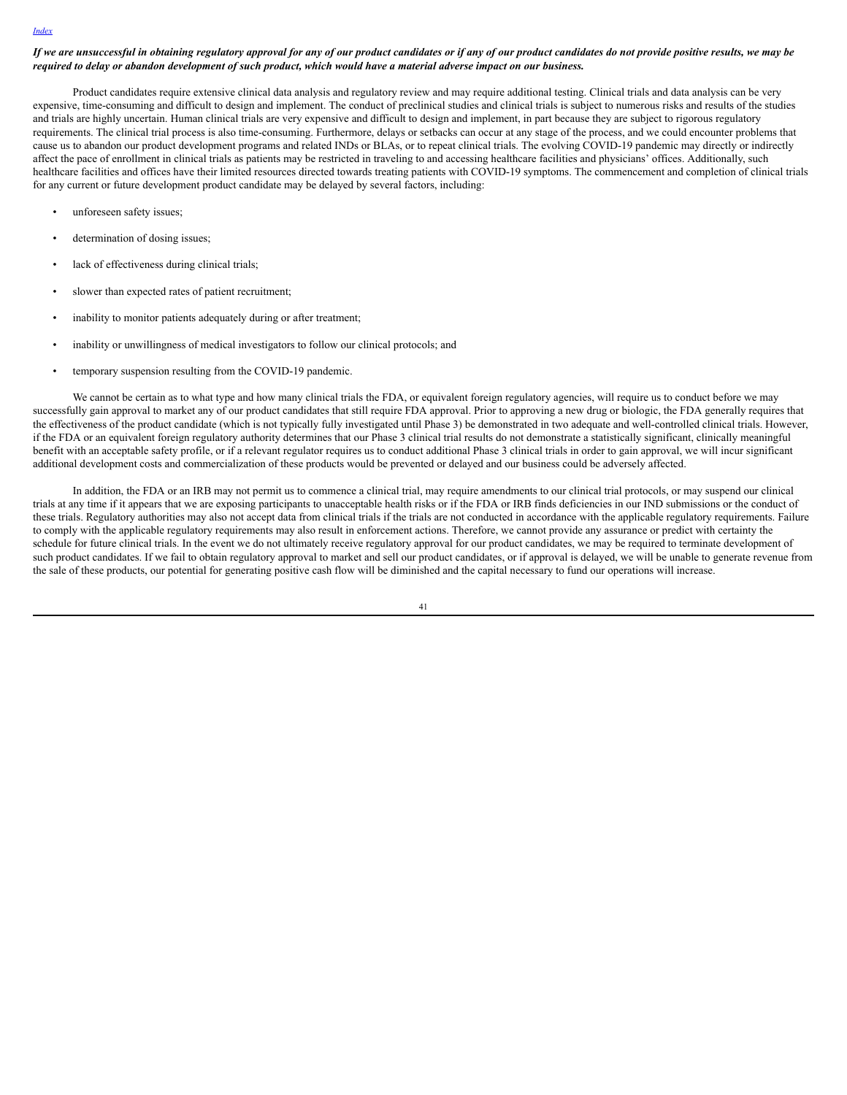## If we are unsuccessful in obtaining regulatory approval for any of our product candidates or if any of our product candidates do not provide positive results, we may be required to delay or abandon development of such product, which would have a material adverse impact on our business.

Product candidates require extensive clinical data analysis and regulatory review and may require additional testing. Clinical trials and data analysis can be very expensive, time-consuming and difficult to design and implement. The conduct of preclinical studies and clinical trials is subject to numerous risks and results of the studies and trials are highly uncertain. Human clinical trials are very expensive and difficult to design and implement, in part because they are subject to rigorous regulatory requirements. The clinical trial process is also time-consuming. Furthermore, delays or setbacks can occur at any stage of the process, and we could encounter problems that cause us to abandon our product development programs and related INDs or BLAs, or to repeat clinical trials. The evolving COVID-19 pandemic may directly or indirectly affect the pace of enrollment in clinical trials as patients may be restricted in traveling to and accessing healthcare facilities and physicians' offices. Additionally, such healthcare facilities and offices have their limited resources directed towards treating patients with COVID-19 symptoms. The commencement and completion of clinical trials for any current or future development product candidate may be delayed by several factors, including:

- unforeseen safety issues;
- determination of dosing issues;
- lack of effectiveness during clinical trials;
- slower than expected rates of patient recruitment;
- inability to monitor patients adequately during or after treatment;
- inability or unwillingness of medical investigators to follow our clinical protocols; and
- temporary suspension resulting from the COVID-19 pandemic.

We cannot be certain as to what type and how many clinical trials the FDA, or equivalent foreign regulatory agencies, will require us to conduct before we may successfully gain approval to market any of our product candidates that still require FDA approval. Prior to approving a new drug or biologic, the FDA generally requires that the effectiveness of the product candidate (which is not typically fully investigated until Phase 3) be demonstrated in two adequate and well-controlled clinical trials. However, if the FDA or an equivalent foreign regulatory authority determines that our Phase 3 clinical trial results do not demonstrate a statistically significant, clinically meaningful benefit with an acceptable safety profile, or if a relevant regulator requires us to conduct additional Phase 3 clinical trials in order to gain approval, we will incur significant additional development costs and commercialization of these products would be prevented or delayed and our business could be adversely affected.

In addition, the FDA or an IRB may not permit us to commence a clinical trial, may require amendments to our clinical trial protocols, or may suspend our clinical trials at any time if it appears that we are exposing participants to unacceptable health risks or if the FDA or IRB finds deficiencies in our IND submissions or the conduct of these trials. Regulatory authorities may also not accept data from clinical trials if the trials are not conducted in accordance with the applicable regulatory requirements. Failure to comply with the applicable regulatory requirements may also result in enforcement actions. Therefore, we cannot provide any assurance or predict with certainty the schedule for future clinical trials. In the event we do not ultimately receive regulatory approval for our product candidates, we may be required to terminate development of such product candidates. If we fail to obtain regulatory approval to market and sell our product candidates, or if approval is delayed, we will be unable to generate revenue from the sale of these products, our potential for generating positive cash flow will be diminished and the capital necessary to fund our operations will increase.

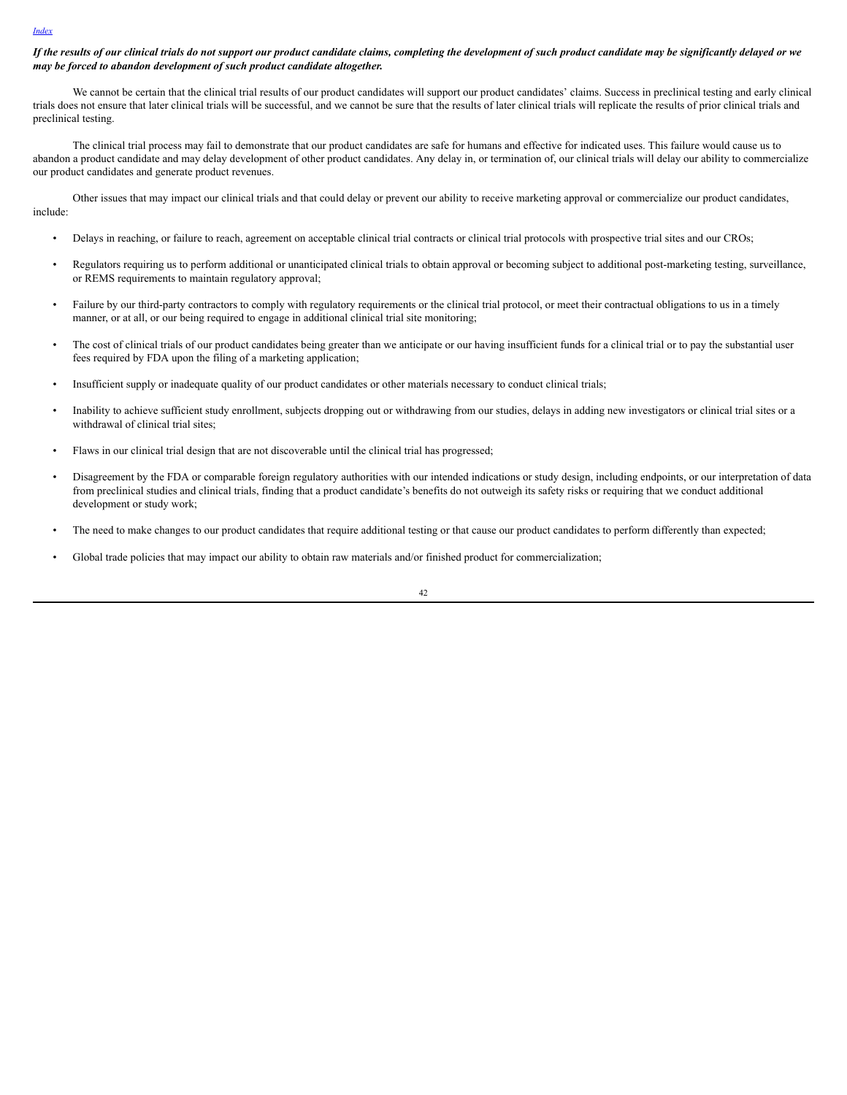#### *[Index](#page-1-0)*

## If the results of our clinical trials do not support our product candidate claims, completing the development of such product candidate may be significantly delayed or we *may be forced to abandon development of such product candidate altogether.*

We cannot be certain that the clinical trial results of our product candidates will support our product candidates' claims. Success in preclinical testing and early clinical trials does not ensure that later clinical trials will be successful, and we cannot be sure that the results of later clinical trials will replicate the results of prior clinical trials and preclinical testing.

The clinical trial process may fail to demonstrate that our product candidates are safe for humans and effective for indicated uses. This failure would cause us to abandon a product candidate and may delay development of other product candidates. Any delay in, or termination of, our clinical trials will delay our ability to commercialize our product candidates and generate product revenues.

Other issues that may impact our clinical trials and that could delay or prevent our ability to receive marketing approval or commercialize our product candidates, include:

- Delays in reaching, or failure to reach, agreement on acceptable clinical trial contracts or clinical trial protocols with prospective trial sites and our CROs;
- Regulators requiring us to perform additional or unanticipated clinical trials to obtain approval or becoming subject to additional post-marketing testing, surveillance, or REMS requirements to maintain regulatory approval;
- Failure by our third-party contractors to comply with regulatory requirements or the clinical trial protocol, or meet their contractual obligations to us in a timely manner, or at all, or our being required to engage in additional clinical trial site monitoring;
- The cost of clinical trials of our product candidates being greater than we anticipate or our having insufficient funds for a clinical trial or to pay the substantial user fees required by FDA upon the filing of a marketing application;
- Insufficient supply or inadequate quality of our product candidates or other materials necessary to conduct clinical trials;
- Inability to achieve sufficient study enrollment, subjects dropping out or withdrawing from our studies, delays in adding new investigators or clinical trial sites or a withdrawal of clinical trial sites;
- Flaws in our clinical trial design that are not discoverable until the clinical trial has progressed;
- Disagreement by the FDA or comparable foreign regulatory authorities with our intended indications or study design, including endpoints, or our interpretation of data from preclinical studies and clinical trials, finding that a product candidate's benefits do not outweigh its safety risks or requiring that we conduct additional development or study work;
- The need to make changes to our product candidates that require additional testing or that cause our product candidates to perform differently than expected;
- Global trade policies that may impact our ability to obtain raw materials and/or finished product for commercialization;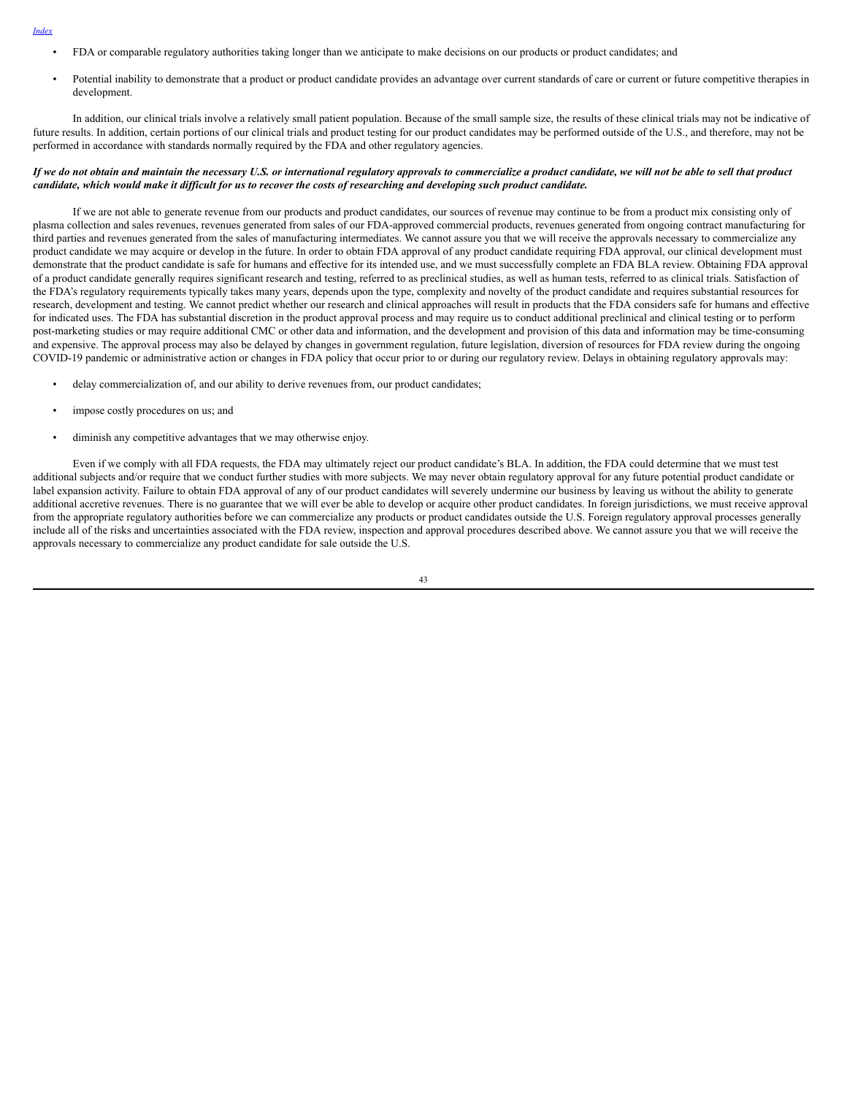- *[Index](#page-1-0)*
- FDA or comparable regulatory authorities taking longer than we anticipate to make decisions on our products or product candidates; and
- Potential inability to demonstrate that a product or product candidate provides an advantage over current standards of care or current or future competitive therapies in development.

In addition, our clinical trials involve a relatively small patient population. Because of the small sample size, the results of these clinical trials may not be indicative of future results. In addition, certain portions of our clinical trials and product testing for our product candidates may be performed outside of the U.S., and therefore, may not be performed in accordance with standards normally required by the FDA and other regulatory agencies.

### If we do not obtain and maintain the necessary U.S. or international regulatory approvals to commercialize a product candidate, we will not be able to sell that product candidate, which would make it difficult for us to recover the costs of researching and developing such product candidate.

If we are not able to generate revenue from our products and product candidates, our sources of revenue may continue to be from a product mix consisting only of plasma collection and sales revenues, revenues generated from sales of our FDA-approved commercial products, revenues generated from ongoing contract manufacturing for third parties and revenues generated from the sales of manufacturing intermediates. We cannot assure you that we will receive the approvals necessary to commercialize any product candidate we may acquire or develop in the future. In order to obtain FDA approval of any product candidate requiring FDA approval, our clinical development must demonstrate that the product candidate is safe for humans and effective for its intended use, and we must successfully complete an FDA BLA review. Obtaining FDA approval of a product candidate generally requires significant research and testing, referred to as preclinical studies, as well as human tests, referred to as clinical trials. Satisfaction of the FDA's regulatory requirements typically takes many years, depends upon the type, complexity and novelty of the product candidate and requires substantial resources for research, development and testing. We cannot predict whether our research and clinical approaches will result in products that the FDA considers safe for humans and effective for indicated uses. The FDA has substantial discretion in the product approval process and may require us to conduct additional preclinical and clinical testing or to perform post-marketing studies or may require additional CMC or other data and information, and the development and provision of this data and information may be time-consuming and expensive. The approval process may also be delayed by changes in government regulation, future legislation, diversion of resources for FDA review during the ongoing COVID-19 pandemic or administrative action or changes in FDA policy that occur prior to or during our regulatory review. Delays in obtaining regulatory approvals may:

- delay commercialization of, and our ability to derive revenues from, our product candidates;
- impose costly procedures on us; and
- diminish any competitive advantages that we may otherwise enjoy.

Even if we comply with all FDA requests, the FDA may ultimately reject our product candidate's BLA. In addition, the FDA could determine that we must test additional subjects and/or require that we conduct further studies with more subjects. We may never obtain regulatory approval for any future potential product candidate or label expansion activity. Failure to obtain FDA approval of any of our product candidates will severely undermine our business by leaving us without the ability to generate additional accretive revenues. There is no guarantee that we will ever be able to develop or acquire other product candidates. In foreign jurisdictions, we must receive approval from the appropriate regulatory authorities before we can commercialize any products or product candidates outside the U.S. Foreign regulatory approval processes generally include all of the risks and uncertainties associated with the FDA review, inspection and approval procedures described above. We cannot assure you that we will receive the approvals necessary to commercialize any product candidate for sale outside the U.S.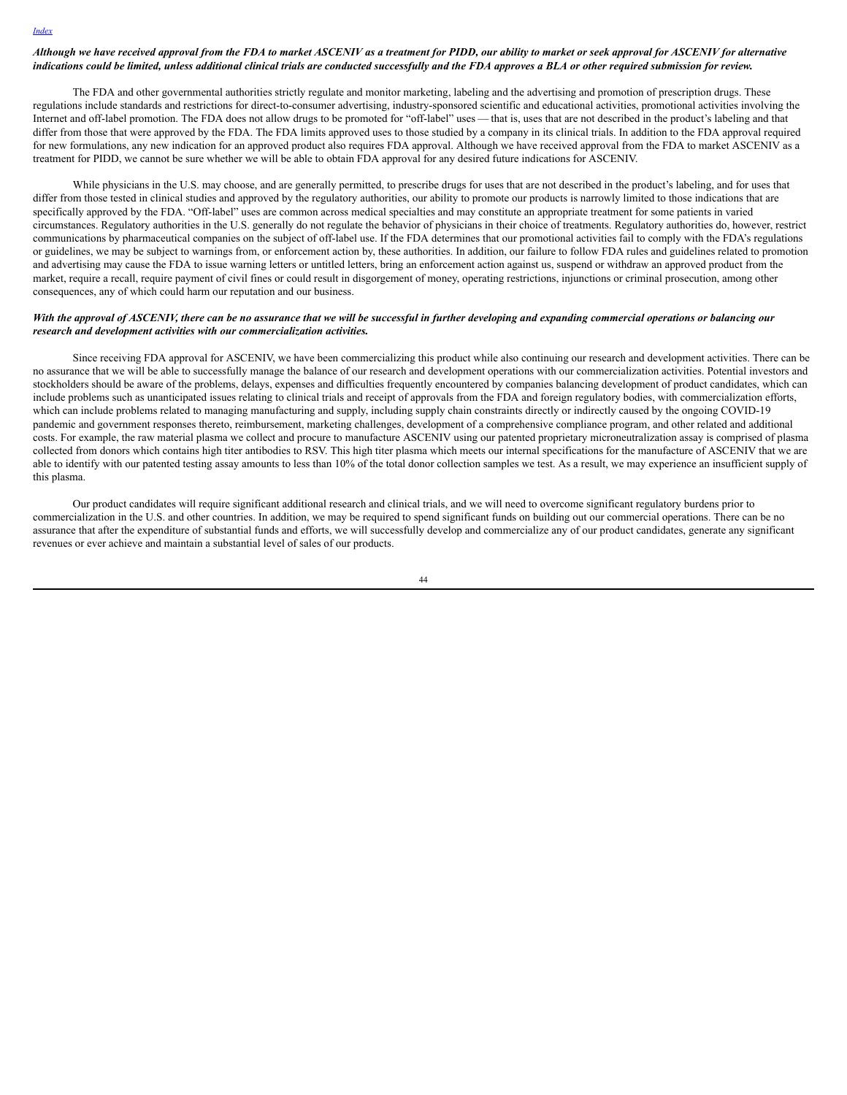## Although we have received approval from the FDA to market ASCENIV as a treatment for PIDD, our ability to market or seek approval for ASCENIV for alternative indications could be limited, unless additional clinical trials are conducted successfully and the FDA approves a BLA or other required submission for review.

The FDA and other governmental authorities strictly regulate and monitor marketing, labeling and the advertising and promotion of prescription drugs. These regulations include standards and restrictions for direct-to-consumer advertising, industry-sponsored scientific and educational activities, promotional activities involving the Internet and off-label promotion. The FDA does not allow drugs to be promoted for "off-label" uses — that is, uses that are not described in the product's labeling and that differ from those that were approved by the FDA. The FDA limits approved uses to those studied by a company in its clinical trials. In addition to the FDA approval required for new formulations, any new indication for an approved product also requires FDA approval. Although we have received approval from the FDA to market ASCENIV as a treatment for PIDD, we cannot be sure whether we will be able to obtain FDA approval for any desired future indications for ASCENIV.

While physicians in the U.S. may choose, and are generally permitted, to prescribe drugs for uses that are not described in the product's labeling, and for uses that differ from those tested in clinical studies and approved by the regulatory authorities, our ability to promote our products is narrowly limited to those indications that are specifically approved by the FDA. "Off-label" uses are common across medical specialties and may constitute an appropriate treatment for some patients in varied circumstances. Regulatory authorities in the U.S. generally do not regulate the behavior of physicians in their choice of treatments. Regulatory authorities do, however, restrict communications by pharmaceutical companies on the subject of off-label use. If the FDA determines that our promotional activities fail to comply with the FDA's regulations or guidelines, we may be subject to warnings from, or enforcement action by, these authorities. In addition, our failure to follow FDA rules and guidelines related to promotion and advertising may cause the FDA to issue warning letters or untitled letters, bring an enforcement action against us, suspend or withdraw an approved product from the market, require a recall, require payment of civil fines or could result in disgorgement of money, operating restrictions, injunctions or criminal prosecution, among other consequences, any of which could harm our reputation and our business.

## With the approval of ASCENIV, there can be no assurance that we will be successful in further developing and expanding commercial operations or balancing our *research and development activities with our commercialization activities.*

Since receiving FDA approval for ASCENIV, we have been commercializing this product while also continuing our research and development activities. There can be no assurance that we will be able to successfully manage the balance of our research and development operations with our commercialization activities. Potential investors and stockholders should be aware of the problems, delays, expenses and difficulties frequently encountered by companies balancing development of product candidates, which can include problems such as unanticipated issues relating to clinical trials and receipt of approvals from the FDA and foreign regulatory bodies, with commercialization efforts, which can include problems related to managing manufacturing and supply, including supply chain constraints directly or indirectly caused by the ongoing COVID-19 pandemic and government responses thereto, reimbursement, marketing challenges, development of a comprehensive compliance program, and other related and additional costs. For example, the raw material plasma we collect and procure to manufacture ASCENIV using our patented proprietary microneutralization assay is comprised of plasma collected from donors which contains high titer antibodies to RSV. This high titer plasma which meets our internal specifications for the manufacture of ASCENIV that we are able to identify with our patented testing assay amounts to less than 10% of the total donor collection samples we test. As a result, we may experience an insufficient supply of this plasma.

Our product candidates will require significant additional research and clinical trials, and we will need to overcome significant regulatory burdens prior to commercialization in the U.S. and other countries. In addition, we may be required to spend significant funds on building out our commercial operations. There can be no assurance that after the expenditure of substantial funds and efforts, we will successfully develop and commercialize any of our product candidates, generate any significant revenues or ever achieve and maintain a substantial level of sales of our products.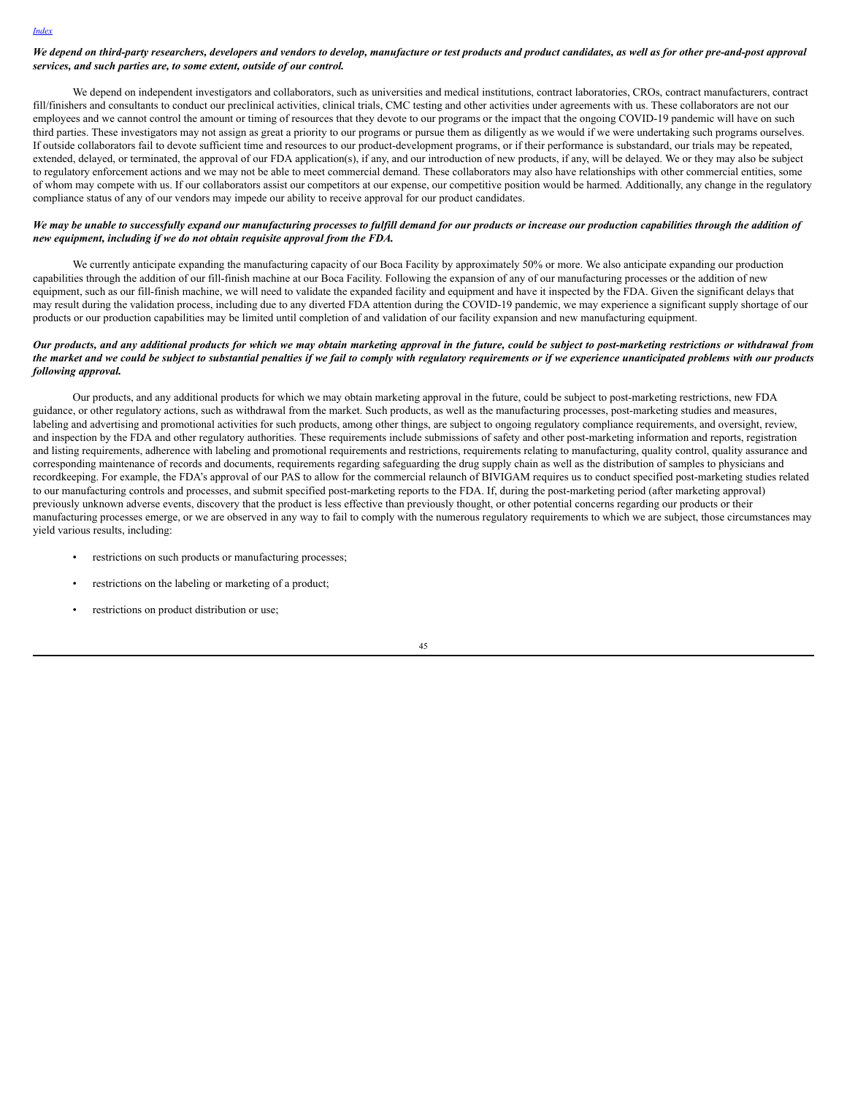### We depend on third-party researchers, developers and vendors to develop, manufacture or test products and product candidates, as well as for other pre-and-post approval *services, and such parties are, to some extent, outside of our control.*

We depend on independent investigators and collaborators, such as universities and medical institutions, contract laboratories, CROs, contract manufacturers, contract fill/finishers and consultants to conduct our preclinical activities, clinical trials, CMC testing and other activities under agreements with us. These collaborators are not our employees and we cannot control the amount or timing of resources that they devote to our programs or the impact that the ongoing COVID-19 pandemic will have on such third parties. These investigators may not assign as great a priority to our programs or pursue them as diligently as we would if we were undertaking such programs ourselves. If outside collaborators fail to devote sufficient time and resources to our product-development programs, or if their performance is substandard, our trials may be repeated, extended, delayed, or terminated, the approval of our FDA application(s), if any, and our introduction of new products, if any, will be delayed. We or they may also be subject to regulatory enforcement actions and we may not be able to meet commercial demand. These collaborators may also have relationships with other commercial entities, some of whom may compete with us. If our collaborators assist our competitors at our expense, our competitive position would be harmed. Additionally, any change in the regulatory compliance status of any of our vendors may impede our ability to receive approval for our product candidates.

### We may be unable to successfully expand our manufacturing processes to fulfill demand for our products or increase our production capabilities through the addition of *new equipment, including if we do not obtain requisite approval from the FDA.*

We currently anticipate expanding the manufacturing capacity of our Boca Facility by approximately 50% or more. We also anticipate expanding our production capabilities through the addition of our fill-finish machine at our Boca Facility. Following the expansion of any of our manufacturing processes or the addition of new equipment, such as our fill-finish machine, we will need to validate the expanded facility and equipment and have it inspected by the FDA. Given the significant delays that may result during the validation process, including due to any diverted FDA attention during the COVID-19 pandemic, we may experience a significant supply shortage of our products or our production capabilities may be limited until completion of and validation of our facility expansion and new manufacturing equipment.

## Our products, and any additional products for which we may obtain marketing approval in the future, could be subject to post-marketing restrictions or withdrawal from the market and we could be subject to substantial penalties if we fail to comply with regulatory requirements or if we experience unanticipated problems with our products *following approval.*

Our products, and any additional products for which we may obtain marketing approval in the future, could be subject to post-marketing restrictions, new FDA guidance, or other regulatory actions, such as withdrawal from the market. Such products, as well as the manufacturing processes, post-marketing studies and measures, labeling and advertising and promotional activities for such products, among other things, are subject to ongoing regulatory compliance requirements, and oversight, review, and inspection by the FDA and other regulatory authorities. These requirements include submissions of safety and other post-marketing information and reports, registration and listing requirements, adherence with labeling and promotional requirements and restrictions, requirements relating to manufacturing, quality control, quality assurance and corresponding maintenance of records and documents, requirements regarding safeguarding the drug supply chain as well as the distribution of samples to physicians and recordkeeping. For example, the FDA's approval of our PAS to allow for the commercial relaunch of BIVIGAM requires us to conduct specified post-marketing studies related to our manufacturing controls and processes, and submit specified post-marketing reports to the FDA. If, during the post-marketing period (after marketing approval) previously unknown adverse events, discovery that the product is less effective than previously thought, or other potential concerns regarding our products or their manufacturing processes emerge, or we are observed in any way to fail to comply with the numerous regulatory requirements to which we are subject, those circumstances may yield various results, including:

- restrictions on such products or manufacturing processes;
- restrictions on the labeling or marketing of a product;
- restrictions on product distribution or use;

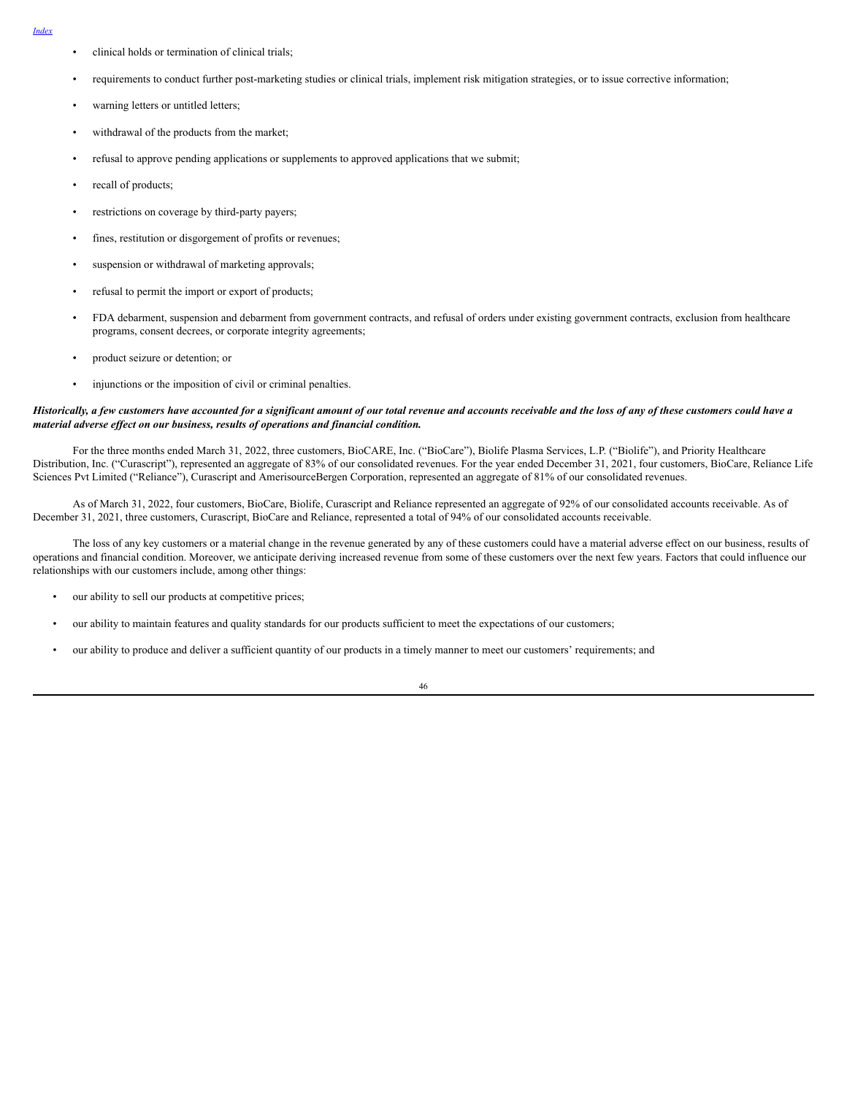- *[Index](#page-1-0)*
- clinical holds or termination of clinical trials;
- requirements to conduct further post-marketing studies or clinical trials, implement risk mitigation strategies, or to issue corrective information;
- warning letters or untitled letters;
- withdrawal of the products from the market;
- refusal to approve pending applications or supplements to approved applications that we submit;
- recall of products;
- restrictions on coverage by third-party payers;
- fines, restitution or disgorgement of profits or revenues;
- suspension or withdrawal of marketing approvals;
- refusal to permit the import or export of products;
- FDA debarment, suspension and debarment from government contracts, and refusal of orders under existing government contracts, exclusion from healthcare programs, consent decrees, or corporate integrity agreements;
- product seizure or detention; or
- injunctions or the imposition of civil or criminal penalties.

#### Historically, a few customers have accounted for a significant amount of our total revenue and accounts receivable and the loss of any of these customers could have a *material adverse ef ect on our business, results of operations and financial condition.*

For the three months ended March 31, 2022, three customers, BioCARE, Inc. ("BioCare"), Biolife Plasma Services, L.P. ("Biolife"), and Priority Healthcare Distribution, Inc. ("Curascript"), represented an aggregate of 83% of our consolidated revenues. For the year ended December 31, 2021, four customers, BioCare, Reliance Life Sciences Pvt Limited ("Reliance"), Curascript and AmerisourceBergen Corporation, represented an aggregate of 81% of our consolidated revenues.

As of March 31, 2022, four customers, BioCare, Biolife, Curascript and Reliance represented an aggregate of 92% of our consolidated accounts receivable. As of December 31, 2021, three customers, Curascript, BioCare and Reliance, represented a total of 94% of our consolidated accounts receivable.

The loss of any key customers or a material change in the revenue generated by any of these customers could have a material adverse effect on our business, results of operations and financial condition. Moreover, we anticipate deriving increased revenue from some of these customers over the next few years. Factors that could influence our relationships with our customers include, among other things:

- our ability to sell our products at competitive prices;
- our ability to maintain features and quality standards for our products sufficient to meet the expectations of our customers;
- our ability to produce and deliver a sufficient quantity of our products in a timely manner to meet our customers' requirements; and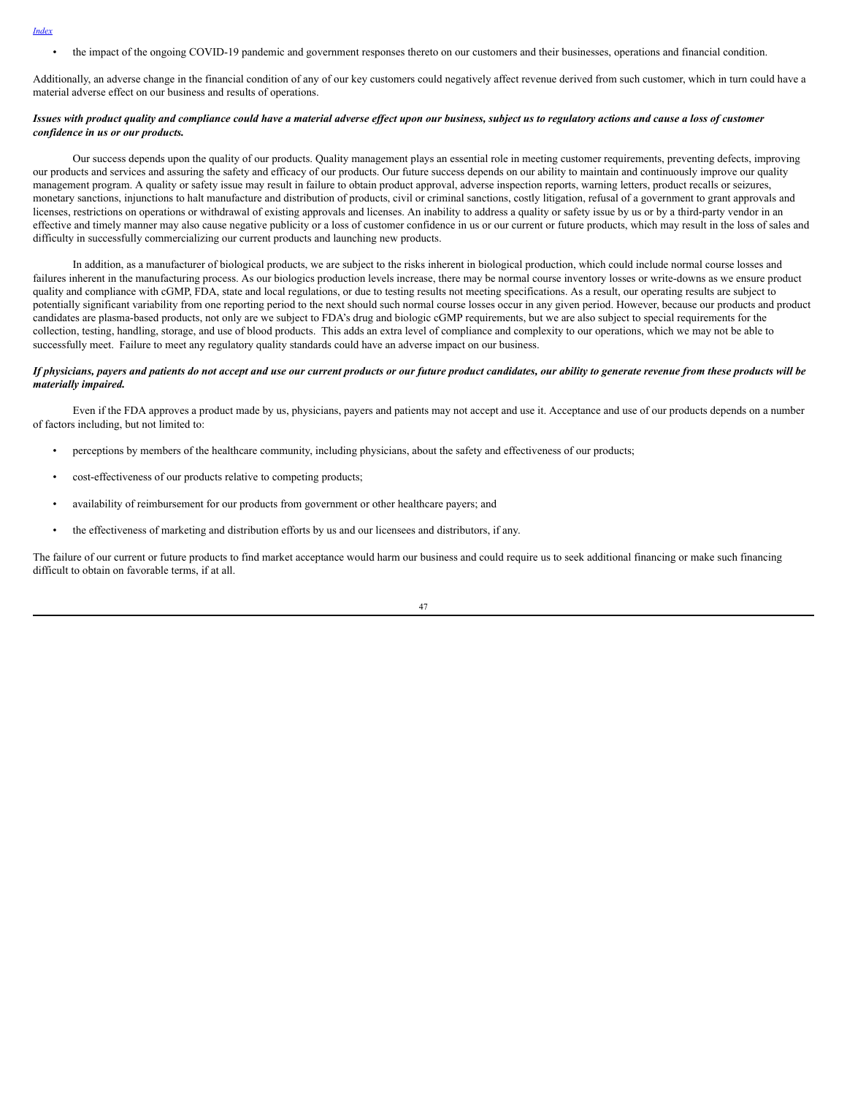• the impact of the ongoing COVID-19 pandemic and government responses thereto on our customers and their businesses, operations and financial condition.

Additionally, an adverse change in the financial condition of any of our key customers could negatively affect revenue derived from such customer, which in turn could have a material adverse effect on our business and results of operations.

### Issues with product quality and compliance could have a material adverse effect upon our business, subject us to regulatory actions and cause a loss of customer *confidence in us or our products.*

Our success depends upon the quality of our products. Quality management plays an essential role in meeting customer requirements, preventing defects, improving our products and services and assuring the safety and efficacy of our products. Our future success depends on our ability to maintain and continuously improve our quality management program. A quality or safety issue may result in failure to obtain product approval, adverse inspection reports, warning letters, product recalls or seizures, monetary sanctions, injunctions to halt manufacture and distribution of products, civil or criminal sanctions, costly litigation, refusal of a government to grant approvals and licenses, restrictions on operations or withdrawal of existing approvals and licenses. An inability to address a quality or safety issue by us or by a third-party vendor in an effective and timely manner may also cause negative publicity or a loss of customer confidence in us or our current or future products, which may result in the loss of sales and difficulty in successfully commercializing our current products and launching new products.

In addition, as a manufacturer of biological products, we are subject to the risks inherent in biological production, which could include normal course losses and failures inherent in the manufacturing process. As our biologics production levels increase, there may be normal course inventory losses or write-downs as we ensure product quality and compliance with cGMP, FDA, state and local regulations, or due to testing results not meeting specifications. As a result, our operating results are subject to potentially significant variability from one reporting period to the next should such normal course losses occur in any given period. However, because our products and product candidates are plasma-based products, not only are we subject to FDA's drug and biologic cGMP requirements, but we are also subject to special requirements for the collection, testing, handling, storage, and use of blood products. This adds an extra level of compliance and complexity to our operations, which we may not be able to successfully meet. Failure to meet any regulatory quality standards could have an adverse impact on our business.

### If physicians, payers and patients do not accept and use our current products or our future product candidates, our ability to generate revenue from these products will be *materially impaired.*

Even if the FDA approves a product made by us, physicians, payers and patients may not accept and use it. Acceptance and use of our products depends on a number of factors including, but not limited to:

- perceptions by members of the healthcare community, including physicians, about the safety and effectiveness of our products;
- cost-effectiveness of our products relative to competing products;
- availability of reimbursement for our products from government or other healthcare payers; and
- the effectiveness of marketing and distribution efforts by us and our licensees and distributors, if any.

The failure of our current or future products to find market acceptance would harm our business and could require us to seek additional financing or make such financing difficult to obtain on favorable terms, if at all.

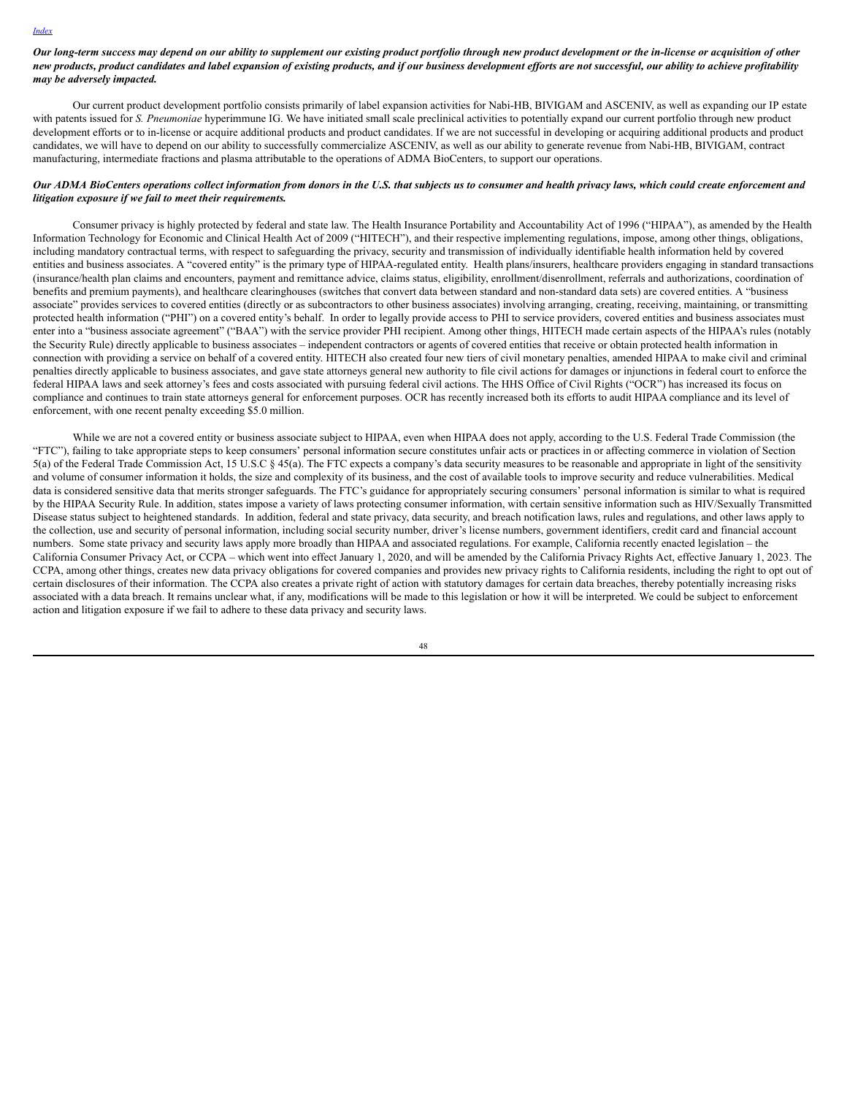Our long-term success may depend on our ability to supplement our existing product portfolio through new product development or the in-license or acquisition of other new products, product candidates and label expansion of existing products, and if our business development efforts are not successful, our ability to achieve profitability *may be adversely impacted.*

Our current product development portfolio consists primarily of label expansion activities for Nabi-HB, BIVIGAM and ASCENIV, as well as expanding our IP estate with patents issued for *S. Pneumoniae* hyperimmune IG. We have initiated small scale preclinical activities to potentially expand our current portfolio through new product development efforts or to in-license or acquire additional products and product candidates. If we are not successful in developing or acquiring additional products and product candidates, we will have to depend on our ability to successfully commercialize ASCENIV, as well as our ability to generate revenue from Nabi-HB, BIVIGAM, contract manufacturing, intermediate fractions and plasma attributable to the operations of ADMA BioCenters, to support our operations.

#### Our ADMA BioCenters operations collect information from donors in the U.S. that subjects us to consumer and health privacy laws, which could create enforcement and *litigation exposure if we fail to meet their requirements.*

Consumer privacy is highly protected by federal and state law. The Health Insurance Portability and Accountability Act of 1996 ("HIPAA"), as amended by the Health Information Technology for Economic and Clinical Health Act of 2009 ("HITECH"), and their respective implementing regulations, impose, among other things, obligations, including mandatory contractual terms, with respect to safeguarding the privacy, security and transmission of individually identifiable health information held by covered entities and business associates. A "covered entity" is the primary type of HIPAA-regulated entity. Health plans/insurers, healthcare providers engaging in standard transactions (insurance/health plan claims and encounters, payment and remittance advice, claims status, eligibility, enrollment/disenrollment, referrals and authorizations, coordination of benefits and premium payments), and healthcare clearinghouses (switches that convert data between standard and non-standard data sets) are covered entities. A "business associate" provides services to covered entities (directly or as subcontractors to other business associates) involving arranging, creating, receiving, maintaining, or transmitting protected health information ("PHI") on a covered entity's behalf. In order to legally provide access to PHI to service providers, covered entities and business associates must enter into a "business associate agreement" ("BAA") with the service provider PHI recipient. Among other things, HITECH made certain aspects of the HIPAA's rules (notably the Security Rule) directly applicable to business associates – independent contractors or agents of covered entities that receive or obtain protected health information in connection with providing a service on behalf of a covered entity. HITECH also created four new tiers of civil monetary penalties, amended HIPAA to make civil and criminal penalties directly applicable to business associates, and gave state attorneys general new authority to file civil actions for damages or injunctions in federal court to enforce the federal HIPAA laws and seek attorney's fees and costs associated with pursuing federal civil actions. The HHS Office of Civil Rights ("OCR") has increased its focus on compliance and continues to train state attorneys general for enforcement purposes. OCR has recently increased both its efforts to audit HIPAA compliance and its level of enforcement, with one recent penalty exceeding \$5.0 million.

While we are not a covered entity or business associate subject to HIPAA, even when HIPAA does not apply, according to the U.S. Federal Trade Commission (the "FTC"), failing to take appropriate steps to keep consumers' personal information secure constitutes unfair acts or practices in or affecting commerce in violation of Section 5(a) of the Federal Trade Commission Act, 15 U.S.C § 45(a). The FTC expects a company's data security measures to be reasonable and appropriate in light of the sensitivity and volume of consumer information it holds, the size and complexity of its business, and the cost of available tools to improve security and reduce vulnerabilities. Medical data is considered sensitive data that merits stronger safeguards. The FTC's guidance for appropriately securing consumers' personal information is similar to what is required by the HIPAA Security Rule. In addition, states impose a variety of laws protecting consumer information, with certain sensitive information such as HIV/Sexually Transmitted Disease status subject to heightened standards. In addition, federal and state privacy, data security, and breach notification laws, rules and regulations, and other laws apply to the collection, use and security of personal information, including social security number, driver's license numbers, government identifiers, credit card and financial account numbers. Some state privacy and security laws apply more broadly than HIPAA and associated regulations. For example, California recently enacted legislation – the California Consumer Privacy Act, or CCPA – which went into effect January 1, 2020, and will be amended by the California Privacy Rights Act, effective January 1, 2023. The CCPA, among other things, creates new data privacy obligations for covered companies and provides new privacy rights to California residents, including the right to opt out of certain disclosures of their information. The CCPA also creates a private right of action with statutory damages for certain data breaches, thereby potentially increasing risks associated with a data breach. It remains unclear what, if any, modifications will be made to this legislation or how it will be interpreted. We could be subject to enforcement action and litigation exposure if we fail to adhere to these data privacy and security laws.

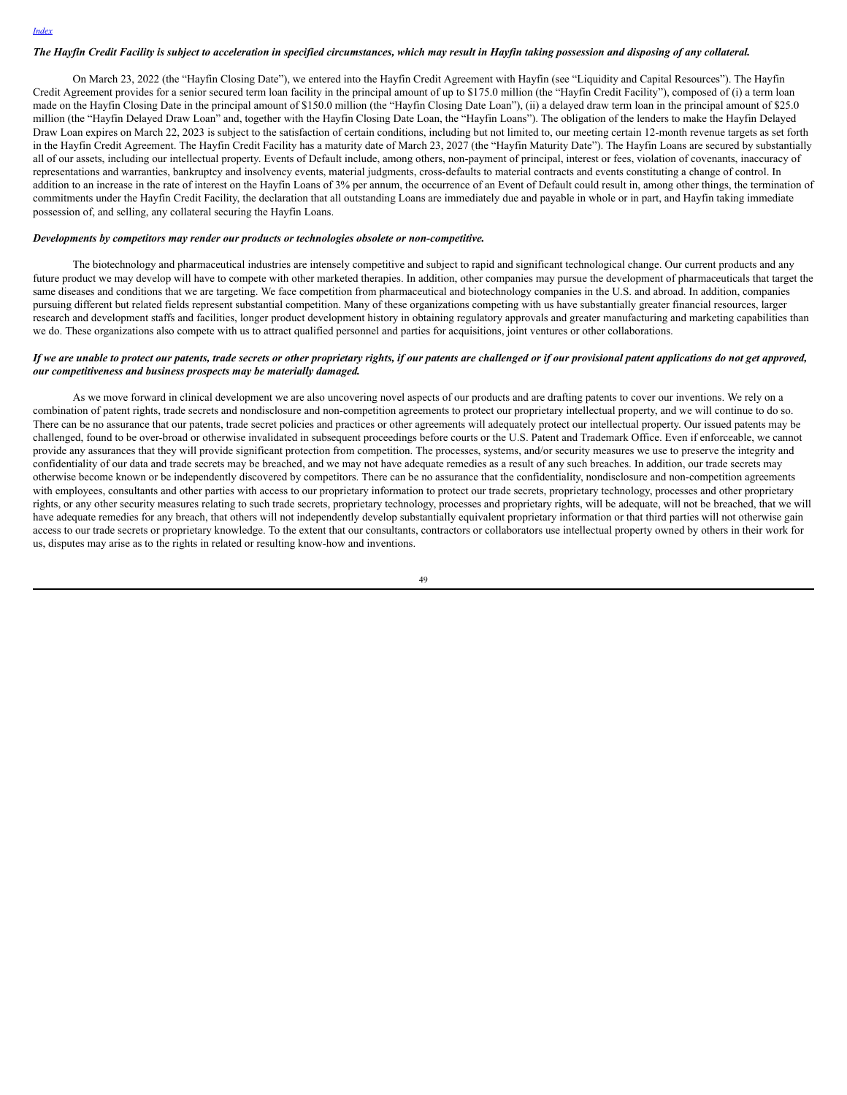## The Hayfin Credit Facility is subject to acceleration in specified circumstances, which may result in Hayfin taking possession and disposing of any collateral.

On March 23, 2022 (the "Hayfin Closing Date"), we entered into the Hayfin Credit Agreement with Hayfin (see "Liquidity and Capital Resources"). The Hayfin Credit Agreement provides for a senior secured term loan facility in the principal amount of up to \$175.0 million (the "Hayfin Credit Facility"), composed of (i) a term loan made on the Hayfin Closing Date in the principal amount of \$150.0 million (the "Hayfin Closing Date Loan"), (ii) a delayed draw term loan in the principal amount of \$25.0 million (the "Hayfin Delayed Draw Loan" and, together with the Hayfin Closing Date Loan, the "Hayfin Loans"). The obligation of the lenders to make the Hayfin Delayed Draw Loan expires on March 22, 2023 is subject to the satisfaction of certain conditions, including but not limited to, our meeting certain 12-month revenue targets as set forth in the Hayfin Credit Agreement. The Hayfin Credit Facility has a maturity date of March 23, 2027 (the "Hayfin Maturity Date"). The Hayfin Loans are secured by substantially all of our assets, including our intellectual property. Events of Default include, among others, non-payment of principal, interest or fees, violation of covenants, inaccuracy of representations and warranties, bankruptcy and insolvency events, material judgments, cross-defaults to material contracts and events constituting a change of control. In addition to an increase in the rate of interest on the Hayfin Loans of 3% per annum, the occurrence of an Event of Default could result in, among other things, the termination of commitments under the Hayfin Credit Facility, the declaration that all outstanding Loans are immediately due and payable in whole or in part, and Hayfin taking immediate possession of, and selling, any collateral securing the Hayfin Loans.

#### *Developments by competitors may render our products or technologies obsolete or non-competitive.*

The biotechnology and pharmaceutical industries are intensely competitive and subject to rapid and significant technological change. Our current products and any future product we may develop will have to compete with other marketed therapies. In addition, other companies may pursue the development of pharmaceuticals that target the same diseases and conditions that we are targeting. We face competition from pharmaceutical and biotechnology companies in the U.S. and abroad. In addition, companies pursuing different but related fields represent substantial competition. Many of these organizations competing with us have substantially greater financial resources, larger research and development staffs and facilities, longer product development history in obtaining regulatory approvals and greater manufacturing and marketing capabilities than we do. These organizations also compete with us to attract qualified personnel and parties for acquisitions, joint ventures or other collaborations.

### If we are unable to protect our patents, trade secrets or other proprietary rights, if our patents are challenged or if our provisional patent applications do not get approved, *our competitiveness and business prospects may be materially damaged.*

As we move forward in clinical development we are also uncovering novel aspects of our products and are drafting patents to cover our inventions. We rely on a combination of patent rights, trade secrets and nondisclosure and non-competition agreements to protect our proprietary intellectual property, and we will continue to do so. There can be no assurance that our patents, trade secret policies and practices or other agreements will adequately protect our intellectual property. Our issued patents may be challenged, found to be over-broad or otherwise invalidated in subsequent proceedings before courts or the U.S. Patent and Trademark Office. Even if enforceable, we cannot provide any assurances that they will provide significant protection from competition. The processes, systems, and/or security measures we use to preserve the integrity and confidentiality of our data and trade secrets may be breached, and we may not have adequate remedies as a result of any such breaches. In addition, our trade secrets may otherwise become known or be independently discovered by competitors. There can be no assurance that the confidentiality, nondisclosure and non-competition agreements with employees, consultants and other parties with access to our proprietary information to protect our trade secrets, proprietary technology, processes and other proprietary rights, or any other security measures relating to such trade secrets, proprietary technology, processes and proprietary rights, will be adequate, will not be breached, that we will have adequate remedies for any breach, that others will not independently develop substantially equivalent proprietary information or that third parties will not otherwise gain access to our trade secrets or proprietary knowledge. To the extent that our consultants, contractors or collaborators use intellectual property owned by others in their work for us, disputes may arise as to the rights in related or resulting know-how and inventions.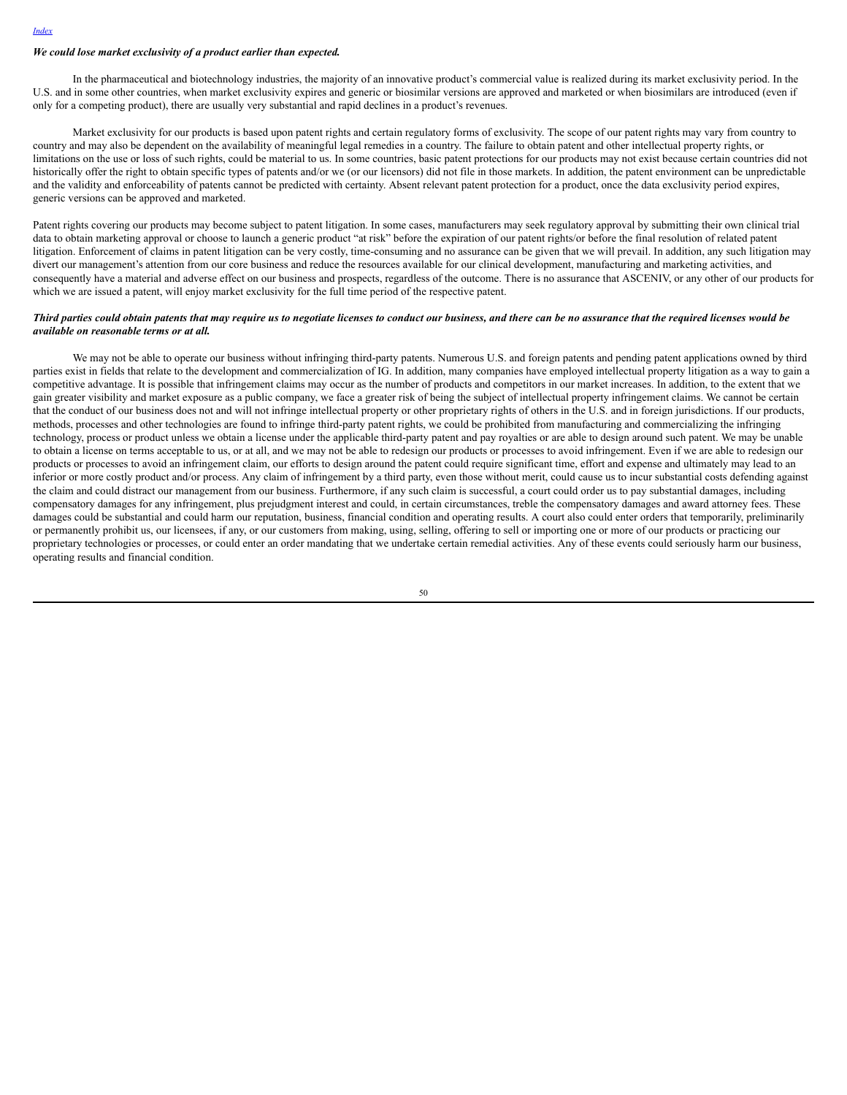#### *We could lose market exclusivity of a product earlier than expected.*

In the pharmaceutical and biotechnology industries, the majority of an innovative product's commercial value is realized during its market exclusivity period. In the U.S. and in some other countries, when market exclusivity expires and generic or biosimilar versions are approved and marketed or when biosimilars are introduced (even if only for a competing product), there are usually very substantial and rapid declines in a product's revenues.

Market exclusivity for our products is based upon patent rights and certain regulatory forms of exclusivity. The scope of our patent rights may vary from country to country and may also be dependent on the availability of meaningful legal remedies in a country. The failure to obtain patent and other intellectual property rights, or limitations on the use or loss of such rights, could be material to us. In some countries, basic patent protections for our products may not exist because certain countries did not historically offer the right to obtain specific types of patents and/or we (or our licensors) did not file in those markets. In addition, the patent environment can be unpredictable and the validity and enforceability of patents cannot be predicted with certainty. Absent relevant patent protection for a product, once the data exclusivity period expires, generic versions can be approved and marketed.

Patent rights covering our products may become subject to patent litigation. In some cases, manufacturers may seek regulatory approval by submitting their own clinical trial data to obtain marketing approval or choose to launch a generic product "at risk" before the expiration of our patent rights/or before the final resolution of related patent litigation. Enforcement of claims in patent litigation can be very costly, time-consuming and no assurance can be given that we will prevail. In addition, any such litigation may divert our management's attention from our core business and reduce the resources available for our clinical development, manufacturing and marketing activities, and consequently have a material and adverse effect on our business and prospects, regardless of the outcome. There is no assurance that ASCENIV, or any other of our products for which we are issued a patent, will enjoy market exclusivity for the full time period of the respective patent.

## Third parties could obtain patents that may require us to negotiate licenses to conduct our business, and there can be no assurance that the required licenses would be *available on reasonable terms or at all.*

We may not be able to operate our business without infringing third-party patents. Numerous U.S. and foreign patents and pending patent applications owned by third parties exist in fields that relate to the development and commercialization of IG. In addition, many companies have employed intellectual property litigation as a way to gain a competitive advantage. It is possible that infringement claims may occur as the number of products and competitors in our market increases. In addition, to the extent that we gain greater visibility and market exposure as a public company, we face a greater risk of being the subject of intellectual property infringement claims. We cannot be certain that the conduct of our business does not and will not infringe intellectual property or other proprietary rights of others in the U.S. and in foreign jurisdictions. If our products, methods, processes and other technologies are found to infringe third-party patent rights, we could be prohibited from manufacturing and commercializing the infringing technology, process or product unless we obtain a license under the applicable third-party patent and pay royalties or are able to design around such patent. We may be unable to obtain a license on terms acceptable to us, or at all, and we may not be able to redesign our products or processes to avoid infringement. Even if we are able to redesign our products or processes to avoid an infringement claim, our efforts to design around the patent could require significant time, effort and expense and ultimately may lead to an inferior or more costly product and/or process. Any claim of infringement by a third party, even those without merit, could cause us to incur substantial costs defending against the claim and could distract our management from our business. Furthermore, if any such claim is successful, a court could order us to pay substantial damages, including compensatory damages for any infringement, plus prejudgment interest and could, in certain circumstances, treble the compensatory damages and award attorney fees. These damages could be substantial and could harm our reputation, business, financial condition and operating results. A court also could enter orders that temporarily, preliminarily or permanently prohibit us, our licensees, if any, or our customers from making, using, selling, offering to sell or importing one or more of our products or practicing our proprietary technologies or processes, or could enter an order mandating that we undertake certain remedial activities. Any of these events could seriously harm our business, operating results and financial condition.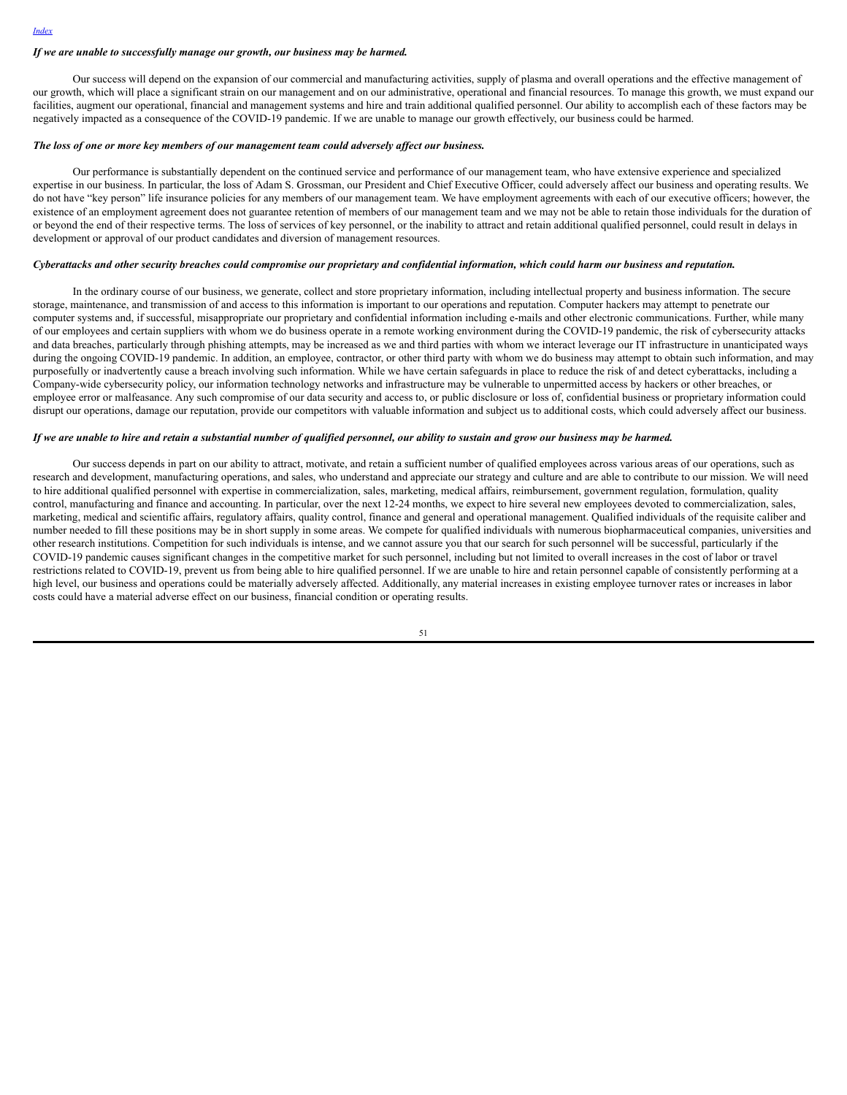#### *If we are unable to successfully manage our growth, our business may be harmed.*

Our success will depend on the expansion of our commercial and manufacturing activities, supply of plasma and overall operations and the effective management of our growth, which will place a significant strain on our management and on our administrative, operational and financial resources. To manage this growth, we must expand our facilities, augment our operational, financial and management systems and hire and train additional qualified personnel. Our ability to accomplish each of these factors may be negatively impacted as a consequence of the COVID-19 pandemic. If we are unable to manage our growth effectively, our business could be harmed.

### *The loss of one or more key members of our management team could adversely af ect our business.*

Our performance is substantially dependent on the continued service and performance of our management team, who have extensive experience and specialized expertise in our business. In particular, the loss of Adam S. Grossman, our President and Chief Executive Officer, could adversely affect our business and operating results. We do not have "key person" life insurance policies for any members of our management team. We have employment agreements with each of our executive officers; however, the existence of an employment agreement does not guarantee retention of members of our management team and we may not be able to retain those individuals for the duration of or beyond the end of their respective terms. The loss of services of key personnel, or the inability to attract and retain additional qualified personnel, could result in delays in development or approval of our product candidates and diversion of management resources.

#### Cyberattacks and other security breaches could compromise our proprietary and confidential information, which could harm our business and reputation.

In the ordinary course of our business, we generate, collect and store proprietary information, including intellectual property and business information. The secure storage, maintenance, and transmission of and access to this information is important to our operations and reputation. Computer hackers may attempt to penetrate our computer systems and, if successful, misappropriate our proprietary and confidential information including e-mails and other electronic communications. Further, while many of our employees and certain suppliers with whom we do business operate in a remote working environment during the COVID-19 pandemic, the risk of cybersecurity attacks and data breaches, particularly through phishing attempts, may be increased as we and third parties with whom we interact leverage our IT infrastructure in unanticipated ways during the ongoing COVID-19 pandemic. In addition, an employee, contractor, or other third party with whom we do business may attempt to obtain such information, and may purposefully or inadvertently cause a breach involving such information. While we have certain safeguards in place to reduce the risk of and detect cyberattacks, including a Company-wide cybersecurity policy, our information technology networks and infrastructure may be vulnerable to unpermitted access by hackers or other breaches, or employee error or malfeasance. Any such compromise of our data security and access to, or public disclosure or loss of, confidential business or proprietary information could disrupt our operations, damage our reputation, provide our competitors with valuable information and subject us to additional costs, which could adversely affect our business.

#### If we are unable to hire and retain a substantial number of qualified personnel, our ability to sustain and grow our business may be harmed.

Our success depends in part on our ability to attract, motivate, and retain a sufficient number of qualified employees across various areas of our operations, such as research and development, manufacturing operations, and sales, who understand and appreciate our strategy and culture and are able to contribute to our mission. We will need to hire additional qualified personnel with expertise in commercialization, sales, marketing, medical affairs, reimbursement, government regulation, formulation, quality control, manufacturing and finance and accounting. In particular, over the next 12-24 months, we expect to hire several new employees devoted to commercialization, sales, marketing, medical and scientific affairs, regulatory affairs, quality control, finance and general and operational management. Qualified individuals of the requisite caliber and number needed to fill these positions may be in short supply in some areas. We compete for qualified individuals with numerous biopharmaceutical companies, universities and other research institutions. Competition for such individuals is intense, and we cannot assure you that our search for such personnel will be successful, particularly if the COVID-19 pandemic causes significant changes in the competitive market for such personnel, including but not limited to overall increases in the cost of labor or travel restrictions related to COVID-19, prevent us from being able to hire qualified personnel. If we are unable to hire and retain personnel capable of consistently performing at a high level, our business and operations could be materially adversely affected. Additionally, any material increases in existing employee turnover rates or increases in labor costs could have a material adverse effect on our business, financial condition or operating results.

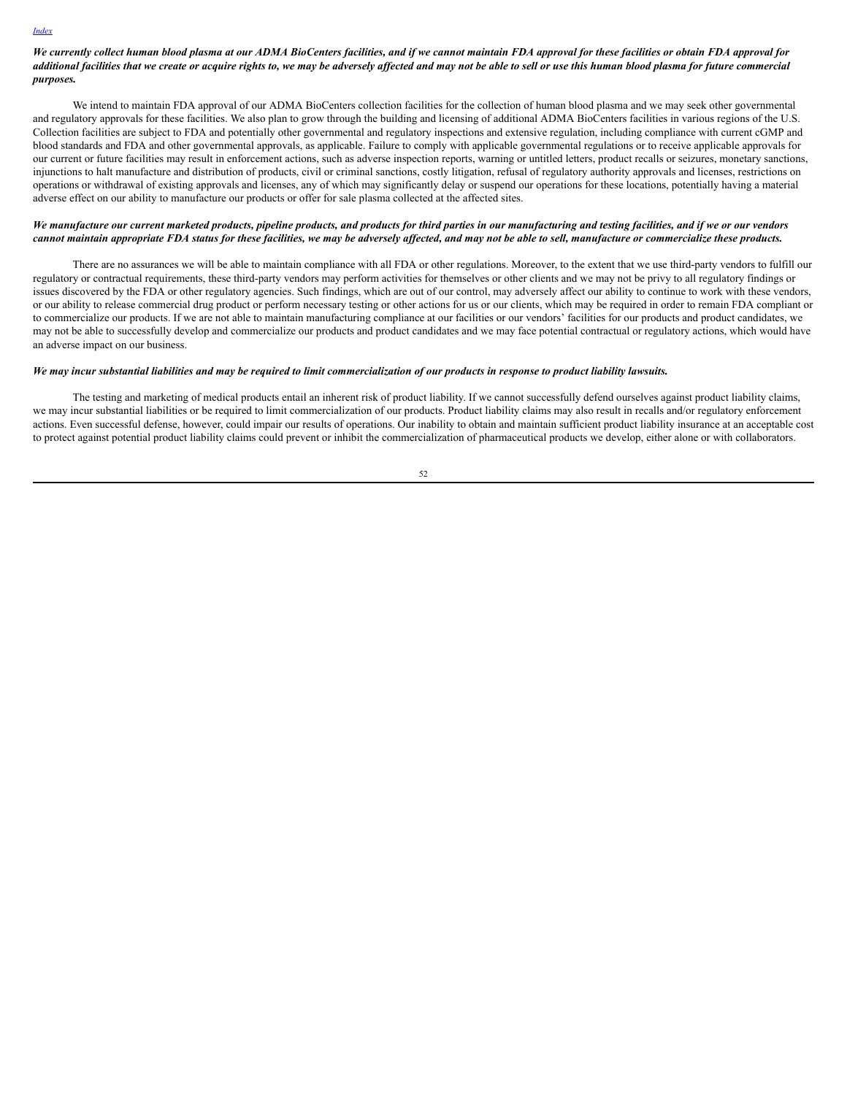We currently collect human blood plasma at our ADMA BioCenters facilities, and if we cannot maintain FDA approval for these facilities or obtain FDA approval for additional facilities that we create or acquire rights to, we may be adversely affected and may not be able to sell or use this human blood plasma for future commercial *purposes.*

We intend to maintain FDA approval of our ADMA BioCenters collection facilities for the collection of human blood plasma and we may seek other governmental and regulatory approvals for these facilities. We also plan to grow through the building and licensing of additional ADMA BioCenters facilities in various regions of the U.S. Collection facilities are subject to FDA and potentially other governmental and regulatory inspections and extensive regulation, including compliance with current cGMP and blood standards and FDA and other governmental approvals, as applicable. Failure to comply with applicable governmental regulations or to receive applicable approvals for our current or future facilities may result in enforcement actions, such as adverse inspection reports, warning or untitled letters, product recalls or seizures, monetary sanctions, injunctions to halt manufacture and distribution of products, civil or criminal sanctions, costly litigation, refusal of regulatory authority approvals and licenses, restrictions on operations or withdrawal of existing approvals and licenses, any of which may significantly delay or suspend our operations for these locations, potentially having a material adverse effect on our ability to manufacture our products or offer for sale plasma collected at the affected sites.

### We manufacture our current marketed products, pipeline products, and products for third parties in our manufacturing and testing facilities, and if we or our vendors cannot maintain appropriate FDA status for these facilities, we may be adversely affected, and may not be able to sell, manufacture or commercialize these products.

There are no assurances we will be able to maintain compliance with all FDA or other regulations. Moreover, to the extent that we use third-party vendors to fulfill our regulatory or contractual requirements, these third-party vendors may perform activities for themselves or other clients and we may not be privy to all regulatory findings or issues discovered by the FDA or other regulatory agencies. Such findings, which are out of our control, may adversely affect our ability to continue to work with these vendors, or our ability to release commercial drug product or perform necessary testing or other actions for us or our clients, which may be required in order to remain FDA compliant or to commercialize our products. If we are not able to maintain manufacturing compliance at our facilities or our vendors' facilities for our products and product candidates, we may not be able to successfully develop and commercialize our products and product candidates and we may face potential contractual or regulatory actions, which would have an adverse impact on our business.

#### We may incur substantial liabilities and may be required to limit commercialization of our products in response to product liability lawsuits.

The testing and marketing of medical products entail an inherent risk of product liability. If we cannot successfully defend ourselves against product liability claims, we may incur substantial liabilities or be required to limit commercialization of our products. Product liability claims may also result in recalls and/or regulatory enforcement actions. Even successful defense, however, could impair our results of operations. Our inability to obtain and maintain sufficient product liability insurance at an acceptable cost to protect against potential product liability claims could prevent or inhibit the commercialization of pharmaceutical products we develop, either alone or with collaborators.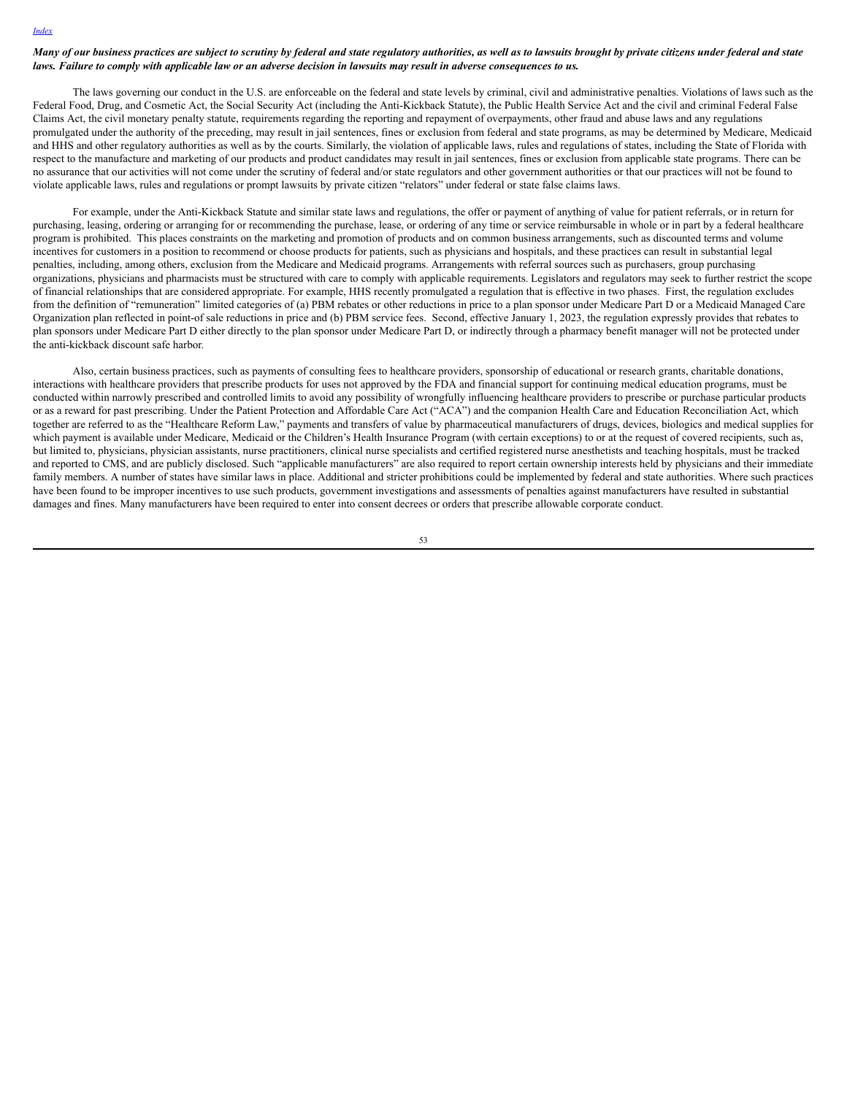## Many of our business practices are subject to scrutiny by federal and state regulatory authorities, as well as to lawsuits brought by private citizens under federal and state laws. Failure to comply with applicable law or an adverse decision in lawsuits may result in adverse consequences to us.

*[Index](#page-1-0)*

The laws governing our conduct in the U.S. are enforceable on the federal and state levels by criminal, civil and administrative penalties. Violations of laws such as the Federal Food, Drug, and Cosmetic Act, the Social Security Act (including the Anti-Kickback Statute), the Public Health Service Act and the civil and criminal Federal False Claims Act, the civil monetary penalty statute, requirements regarding the reporting and repayment of overpayments, other fraud and abuse laws and any regulations promulgated under the authority of the preceding, may result in jail sentences, fines or exclusion from federal and state programs, as may be determined by Medicare, Medicaid and HHS and other regulatory authorities as well as by the courts. Similarly, the violation of applicable laws, rules and regulations of states, including the State of Florida with respect to the manufacture and marketing of our products and product candidates may result in jail sentences, fines or exclusion from applicable state programs. There can be no assurance that our activities will not come under the scrutiny of federal and/or state regulators and other government authorities or that our practices will not be found to violate applicable laws, rules and regulations or prompt lawsuits by private citizen "relators" under federal or state false claims laws.

For example, under the Anti-Kickback Statute and similar state laws and regulations, the offer or payment of anything of value for patient referrals, or in return for purchasing, leasing, ordering or arranging for or recommending the purchase, lease, or ordering of any time or service reimbursable in whole or in part by a federal healthcare program is prohibited. This places constraints on the marketing and promotion of products and on common business arrangements, such as discounted terms and volume incentives for customers in a position to recommend or choose products for patients, such as physicians and hospitals, and these practices can result in substantial legal penalties, including, among others, exclusion from the Medicare and Medicaid programs. Arrangements with referral sources such as purchasers, group purchasing organizations, physicians and pharmacists must be structured with care to comply with applicable requirements. Legislators and regulators may seek to further restrict the scope of financial relationships that are considered appropriate. For example, HHS recently promulgated a regulation that is effective in two phases. First, the regulation excludes from the definition of "remuneration" limited categories of (a) PBM rebates or other reductions in price to a plan sponsor under Medicare Part D or a Medicaid Managed Care Organization plan reflected in point-of sale reductions in price and (b) PBM service fees. Second, effective January 1, 2023, the regulation expressly provides that rebates to plan sponsors under Medicare Part D either directly to the plan sponsor under Medicare Part D, or indirectly through a pharmacy benefit manager will not be protected under the anti-kickback discount safe harbor.

Also, certain business practices, such as payments of consulting fees to healthcare providers, sponsorship of educational or research grants, charitable donations, interactions with healthcare providers that prescribe products for uses not approved by the FDA and financial support for continuing medical education programs, must be conducted within narrowly prescribed and controlled limits to avoid any possibility of wrongfully influencing healthcare providers to prescribe or purchase particular products or as a reward for past prescribing. Under the Patient Protection and Affordable Care Act ("ACA") and the companion Health Care and Education Reconciliation Act, which together are referred to as the "Healthcare Reform Law," payments and transfers of value by pharmaceutical manufacturers of drugs, devices, biologics and medical supplies for which payment is available under Medicare, Medicaid or the Children's Health Insurance Program (with certain exceptions) to or at the request of covered recipients, such as, but limited to, physicians, physician assistants, nurse practitioners, clinical nurse specialists and certified registered nurse anesthetists and teaching hospitals, must be tracked and reported to CMS, and are publicly disclosed. Such "applicable manufacturers" are also required to report certain ownership interests held by physicians and their immediate family members. A number of states have similar laws in place. Additional and stricter prohibitions could be implemented by federal and state authorities. Where such practices have been found to be improper incentives to use such products, government investigations and assessments of penalties against manufacturers have resulted in substantial damages and fines. Many manufacturers have been required to enter into consent decrees or orders that prescribe allowable corporate conduct.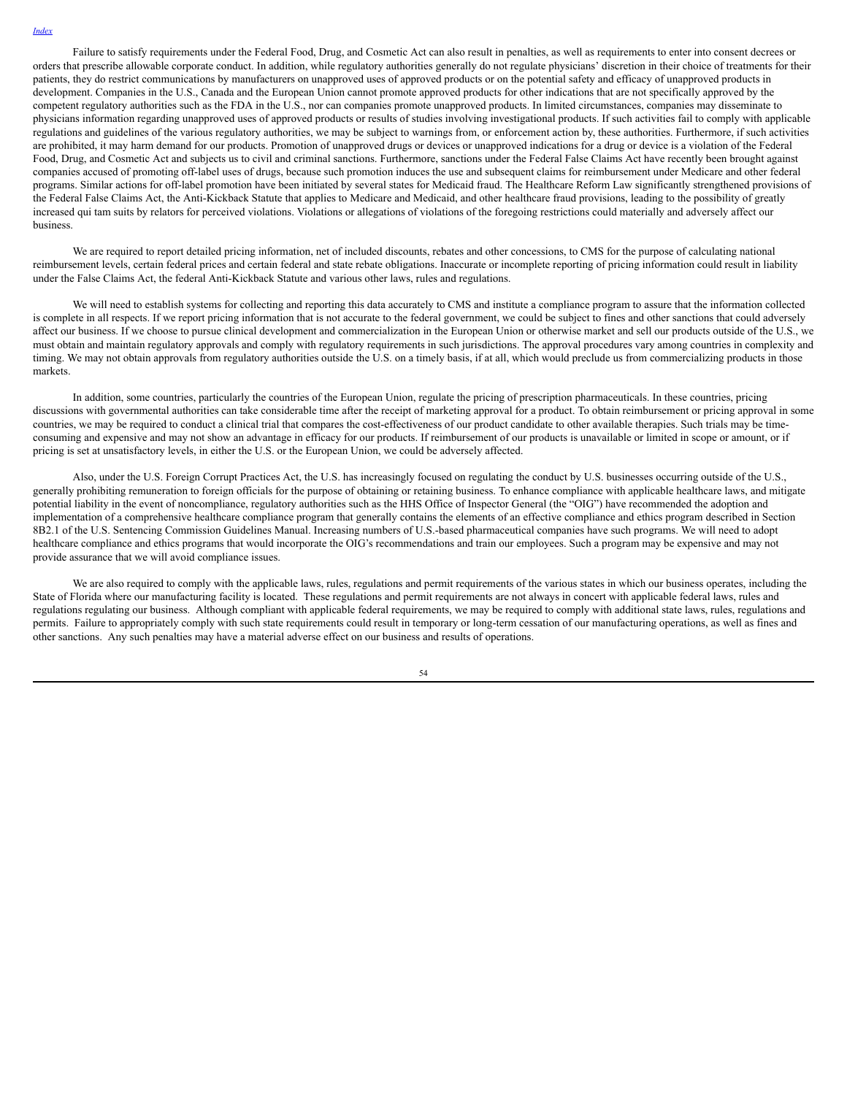Failure to satisfy requirements under the Federal Food, Drug, and Cosmetic Act can also result in penalties, as well as requirements to enter into consent decrees or orders that prescribe allowable corporate conduct. In addition, while regulatory authorities generally do not regulate physicians' discretion in their choice of treatments for their patients, they do restrict communications by manufacturers on unapproved uses of approved products or on the potential safety and efficacy of unapproved products in development. Companies in the U.S., Canada and the European Union cannot promote approved products for other indications that are not specifically approved by the competent regulatory authorities such as the FDA in the U.S., nor can companies promote unapproved products. In limited circumstances, companies may disseminate to physicians information regarding unapproved uses of approved products or results of studies involving investigational products. If such activities fail to comply with applicable regulations and guidelines of the various regulatory authorities, we may be subject to warnings from, or enforcement action by, these authorities. Furthermore, if such activities are prohibited, it may harm demand for our products. Promotion of unapproved drugs or devices or unapproved indications for a drug or device is a violation of the Federal Food, Drug, and Cosmetic Act and subjects us to civil and criminal sanctions. Furthermore, sanctions under the Federal False Claims Act have recently been brought against companies accused of promoting off-label uses of drugs, because such promotion induces the use and subsequent claims for reimbursement under Medicare and other federal programs. Similar actions for off-label promotion have been initiated by several states for Medicaid fraud. The Healthcare Reform Law significantly strengthened provisions of the Federal False Claims Act, the Anti-Kickback Statute that applies to Medicare and Medicaid, and other healthcare fraud provisions, leading to the possibility of greatly increased qui tam suits by relators for perceived violations. Violations or allegations of violations of the foregoing restrictions could materially and adversely affect our business.

We are required to report detailed pricing information, net of included discounts, rebates and other concessions, to CMS for the purpose of calculating national reimbursement levels, certain federal prices and certain federal and state rebate obligations. Inaccurate or incomplete reporting of pricing information could result in liability under the False Claims Act, the federal Anti-Kickback Statute and various other laws, rules and regulations.

We will need to establish systems for collecting and reporting this data accurately to CMS and institute a compliance program to assure that the information collected is complete in all respects. If we report pricing information that is not accurate to the federal government, we could be subject to fines and other sanctions that could adversely affect our business. If we choose to pursue clinical development and commercialization in the European Union or otherwise market and sell our products outside of the U.S., we must obtain and maintain regulatory approvals and comply with regulatory requirements in such jurisdictions. The approval procedures vary among countries in complexity and timing. We may not obtain approvals from regulatory authorities outside the U.S. on a timely basis, if at all, which would preclude us from commercializing products in those markets.

In addition, some countries, particularly the countries of the European Union, regulate the pricing of prescription pharmaceuticals. In these countries, pricing discussions with governmental authorities can take considerable time after the receipt of marketing approval for a product. To obtain reimbursement or pricing approval in some countries, we may be required to conduct a clinical trial that compares the cost-effectiveness of our product candidate to other available therapies. Such trials may be timeconsuming and expensive and may not show an advantage in efficacy for our products. If reimbursement of our products is unavailable or limited in scope or amount, or if pricing is set at unsatisfactory levels, in either the U.S. or the European Union, we could be adversely affected.

Also, under the U.S. Foreign Corrupt Practices Act, the U.S. has increasingly focused on regulating the conduct by U.S. businesses occurring outside of the U.S., generally prohibiting remuneration to foreign officials for the purpose of obtaining or retaining business. To enhance compliance with applicable healthcare laws, and mitigate potential liability in the event of noncompliance, regulatory authorities such as the HHS Office of Inspector General (the "OIG") have recommended the adoption and implementation of a comprehensive healthcare compliance program that generally contains the elements of an effective compliance and ethics program described in Section 8B2.1 of the U.S. Sentencing Commission Guidelines Manual. Increasing numbers of U.S.-based pharmaceutical companies have such programs. We will need to adopt healthcare compliance and ethics programs that would incorporate the OIG's recommendations and train our employees. Such a program may be expensive and may not provide assurance that we will avoid compliance issues.

We are also required to comply with the applicable laws, rules, regulations and permit requirements of the various states in which our business operates, including the State of Florida where our manufacturing facility is located. These regulations and permit requirements are not always in concert with applicable federal laws, rules and regulations regulating our business. Although compliant with applicable federal requirements, we may be required to comply with additional state laws, rules, regulations and permits. Failure to appropriately comply with such state requirements could result in temporary or long-term cessation of our manufacturing operations, as well as fines and other sanctions. Any such penalties may have a material adverse effect on our business and results of operations.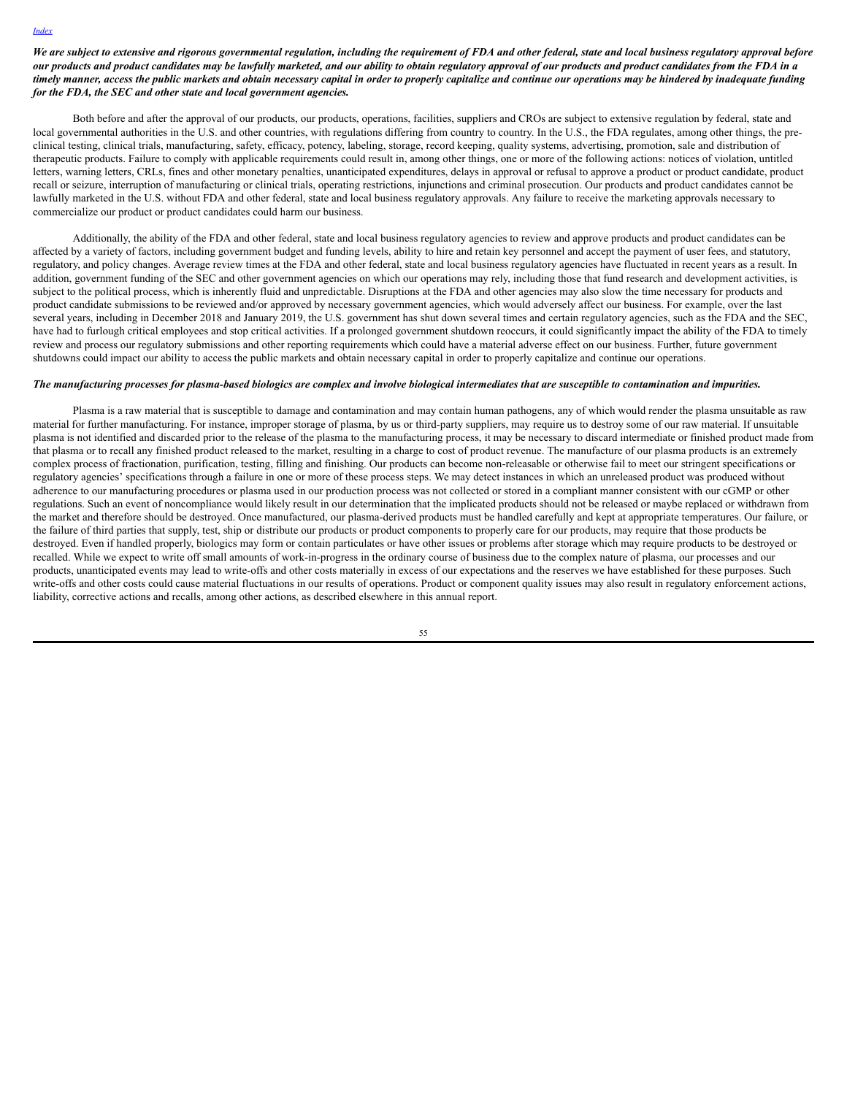## We are subject to extensive and rigorous governmental regulation, including the requirement of FDA and other federal, state and local business regulatory approval before our products and product candidates may be lawfully marketed, and our ability to obtain regulatory approval of our products and product candidates from the FDA in a timely manner, access the public markets and obtain necessary capital in order to properly capitalize and continue our operations may be hindered by inadequate funding *for the FDA, the SEC and other state and local government agencies.*

Both before and after the approval of our products, our products, operations, facilities, suppliers and CROs are subject to extensive regulation by federal, state and local governmental authorities in the U.S. and other countries, with regulations differing from country to country. In the U.S., the FDA regulates, among other things, the preclinical testing, clinical trials, manufacturing, safety, efficacy, potency, labeling, storage, record keeping, quality systems, advertising, promotion, sale and distribution of therapeutic products. Failure to comply with applicable requirements could result in, among other things, one or more of the following actions: notices of violation, untitled letters, warning letters, CRLs, fines and other monetary penalties, unanticipated expenditures, delays in approval or refusal to approve a product or product candidate, product recall or seizure, interruption of manufacturing or clinical trials, operating restrictions, injunctions and criminal prosecution. Our products and product candidates cannot be lawfully marketed in the U.S. without FDA and other federal, state and local business regulatory approvals. Any failure to receive the marketing approvals necessary to commercialize our product or product candidates could harm our business.

Additionally, the ability of the FDA and other federal, state and local business regulatory agencies to review and approve products and product candidates can be affected by a variety of factors, including government budget and funding levels, ability to hire and retain key personnel and accept the payment of user fees, and statutory, regulatory, and policy changes. Average review times at the FDA and other federal, state and local business regulatory agencies have fluctuated in recent years as a result. In addition, government funding of the SEC and other government agencies on which our operations may rely, including those that fund research and development activities, is subject to the political process, which is inherently fluid and unpredictable. Disruptions at the FDA and other agencies may also slow the time necessary for products and product candidate submissions to be reviewed and/or approved by necessary government agencies, which would adversely affect our business. For example, over the last several years, including in December 2018 and January 2019, the U.S. government has shut down several times and certain regulatory agencies, such as the FDA and the SEC, have had to furlough critical employees and stop critical activities. If a prolonged government shutdown reoccurs, it could significantly impact the ability of the FDA to timely review and process our regulatory submissions and other reporting requirements which could have a material adverse effect on our business. Further, future government shutdowns could impact our ability to access the public markets and obtain necessary capital in order to properly capitalize and continue our operations.

#### The manufacturing processes for plasma-based biologics are complex and involve biological intermediates that are susceptible to contamination and impurities.

Plasma is a raw material that is susceptible to damage and contamination and may contain human pathogens, any of which would render the plasma unsuitable as raw material for further manufacturing. For instance, improper storage of plasma, by us or third-party suppliers, may require us to destroy some of our raw material. If unsuitable plasma is not identified and discarded prior to the release of the plasma to the manufacturing process, it may be necessary to discard intermediate or finished product made from that plasma or to recall any finished product released to the market, resulting in a charge to cost of product revenue. The manufacture of our plasma products is an extremely complex process of fractionation, purification, testing, filling and finishing. Our products can become non-releasable or otherwise fail to meet our stringent specifications or regulatory agencies' specifications through a failure in one or more of these process steps. We may detect instances in which an unreleased product was produced without adherence to our manufacturing procedures or plasma used in our production process was not collected or stored in a compliant manner consistent with our cGMP or other regulations. Such an event of noncompliance would likely result in our determination that the implicated products should not be released or maybe replaced or withdrawn from the market and therefore should be destroyed. Once manufactured, our plasma-derived products must be handled carefully and kept at appropriate temperatures. Our failure, or the failure of third parties that supply, test, ship or distribute our products or product components to properly care for our products, may require that those products be destroyed. Even if handled properly, biologics may form or contain particulates or have other issues or problems after storage which may require products to be destroyed or recalled. While we expect to write off small amounts of work-in-progress in the ordinary course of business due to the complex nature of plasma, our processes and our products, unanticipated events may lead to write-offs and other costs materially in excess of our expectations and the reserves we have established for these purposes. Such write-offs and other costs could cause material fluctuations in our results of operations. Product or component quality issues may also result in regulatory enforcement actions, liability, corrective actions and recalls, among other actions, as described elsewhere in this annual report.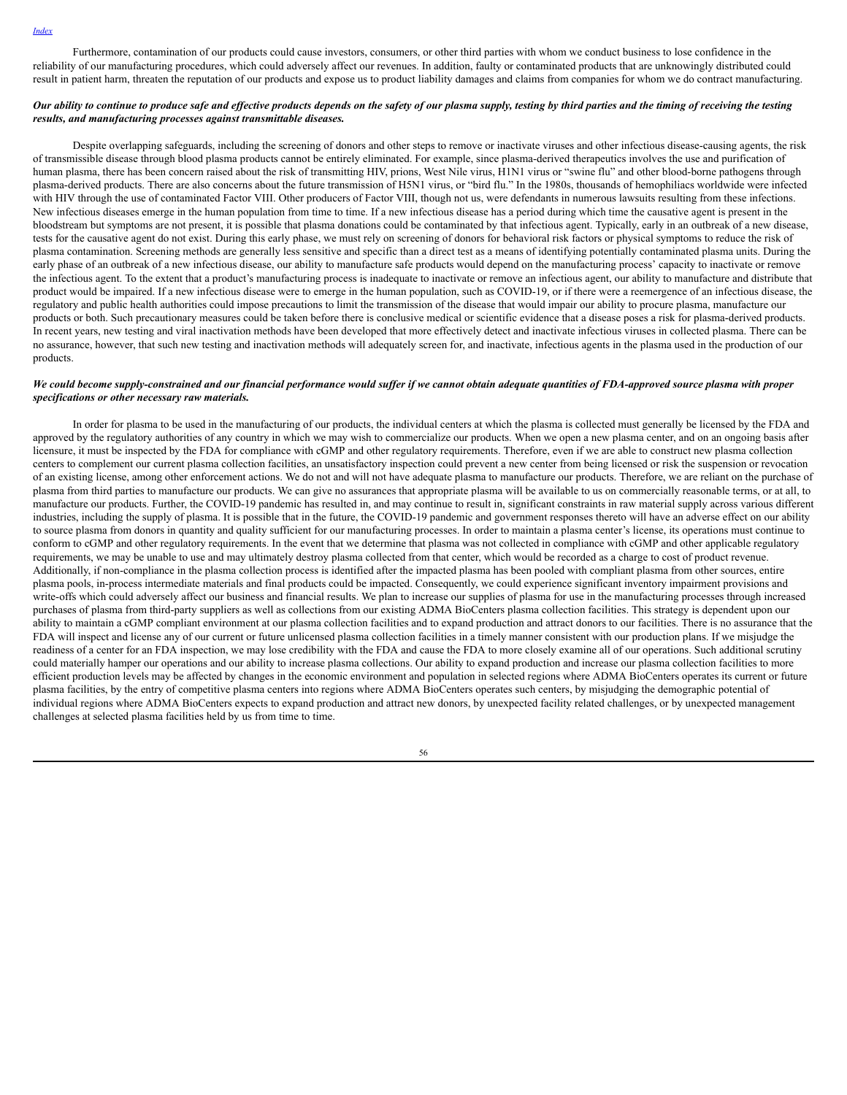Furthermore, contamination of our products could cause investors, consumers, or other third parties with whom we conduct business to lose confidence in the reliability of our manufacturing procedures, which could adversely affect our revenues. In addition, faulty or contaminated products that are unknowingly distributed could result in patient harm, threaten the reputation of our products and expose us to product liability damages and claims from companies for whom we do contract manufacturing.

### Our ability to continue to produce safe and effective products depends on the safety of our plasma supply, testing by third parties and the timing of receiving the testing *results, and manufacturing processes against transmittable diseases.*

Despite overlapping safeguards, including the screening of donors and other steps to remove or inactivate viruses and other infectious disease-causing agents, the risk of transmissible disease through blood plasma products cannot be entirely eliminated. For example, since plasma-derived therapeutics involves the use and purification of human plasma, there has been concern raised about the risk of transmitting HIV, prions, West Nile virus, H1N1 virus or "swine flu" and other blood-borne pathogens through plasma-derived products. There are also concerns about the future transmission of H5N1 virus, or "bird flu." In the 1980s, thousands of hemophiliacs worldwide were infected with HIV through the use of contaminated Factor VIII. Other producers of Factor VIII, though not us, were defendants in numerous lawsuits resulting from these infections. New infectious diseases emerge in the human population from time to time. If a new infectious disease has a period during which time the causative agent is present in the bloodstream but symptoms are not present, it is possible that plasma donations could be contaminated by that infectious agent. Typically, early in an outbreak of a new disease, tests for the causative agent do not exist. During this early phase, we must rely on screening of donors for behavioral risk factors or physical symptoms to reduce the risk of plasma contamination. Screening methods are generally less sensitive and specific than a direct test as a means of identifying potentially contaminated plasma units. During the early phase of an outbreak of a new infectious disease, our ability to manufacture safe products would depend on the manufacturing process' capacity to inactivate or remove the infectious agent. To the extent that a product's manufacturing process is inadequate to inactivate or remove an infectious agent, our ability to manufacture and distribute that product would be impaired. If a new infectious disease were to emerge in the human population, such as COVID-19, or if there were a reemergence of an infectious disease, the regulatory and public health authorities could impose precautions to limit the transmission of the disease that would impair our ability to procure plasma, manufacture our products or both. Such precautionary measures could be taken before there is conclusive medical or scientific evidence that a disease poses a risk for plasma-derived products. In recent years, new testing and viral inactivation methods have been developed that more effectively detect and inactivate infectious viruses in collected plasma. There can be no assurance, however, that such new testing and inactivation methods will adequately screen for, and inactivate, infectious agents in the plasma used in the production of our products.

### We could become supply-constrained and our financial performance would suffer if we cannot obtain adequate quantities of FDA-approved source plasma with proper *specifications or other necessary raw materials.*

In order for plasma to be used in the manufacturing of our products, the individual centers at which the plasma is collected must generally be licensed by the FDA and approved by the regulatory authorities of any country in which we may wish to commercialize our products. When we open a new plasma center, and on an ongoing basis after licensure, it must be inspected by the FDA for compliance with cGMP and other regulatory requirements. Therefore, even if we are able to construct new plasma collection centers to complement our current plasma collection facilities, an unsatisfactory inspection could prevent a new center from being licensed or risk the suspension or revocation of an existing license, among other enforcement actions. We do not and will not have adequate plasma to manufacture our products. Therefore, we are reliant on the purchase of plasma from third parties to manufacture our products. We can give no assurances that appropriate plasma will be available to us on commercially reasonable terms, or at all, to manufacture our products. Further, the COVID-19 pandemic has resulted in, and may continue to result in, significant constraints in raw material supply across various different industries, including the supply of plasma. It is possible that in the future, the COVID-19 pandemic and government responses thereto will have an adverse effect on our ability to source plasma from donors in quantity and quality sufficient for our manufacturing processes. In order to maintain a plasma center's license, its operations must continue to conform to cGMP and other regulatory requirements. In the event that we determine that plasma was not collected in compliance with cGMP and other applicable regulatory requirements, we may be unable to use and may ultimately destroy plasma collected from that center, which would be recorded as a charge to cost of product revenue. Additionally, if non-compliance in the plasma collection process is identified after the impacted plasma has been pooled with compliant plasma from other sources, entire plasma pools, in-process intermediate materials and final products could be impacted. Consequently, we could experience significant inventory impairment provisions and write-offs which could adversely affect our business and financial results. We plan to increase our supplies of plasma for use in the manufacturing processes through increased purchases of plasma from third-party suppliers as well as collections from our existing ADMA BioCenters plasma collection facilities. This strategy is dependent upon our ability to maintain a cGMP compliant environment at our plasma collection facilities and to expand production and attract donors to our facilities. There is no assurance that the FDA will inspect and license any of our current or future unlicensed plasma collection facilities in a timely manner consistent with our production plans. If we misjudge the readiness of a center for an FDA inspection, we may lose credibility with the FDA and cause the FDA to more closely examine all of our operations. Such additional scrutiny could materially hamper our operations and our ability to increase plasma collections. Our ability to expand production and increase our plasma collection facilities to more efficient production levels may be affected by changes in the economic environment and population in selected regions where ADMA BioCenters operates its current or future plasma facilities, by the entry of competitive plasma centers into regions where ADMA BioCenters operates such centers, by misjudging the demographic potential of individual regions where ADMA BioCenters expects to expand production and attract new donors, by unexpected facility related challenges, or by unexpected management challenges at selected plasma facilities held by us from time to time.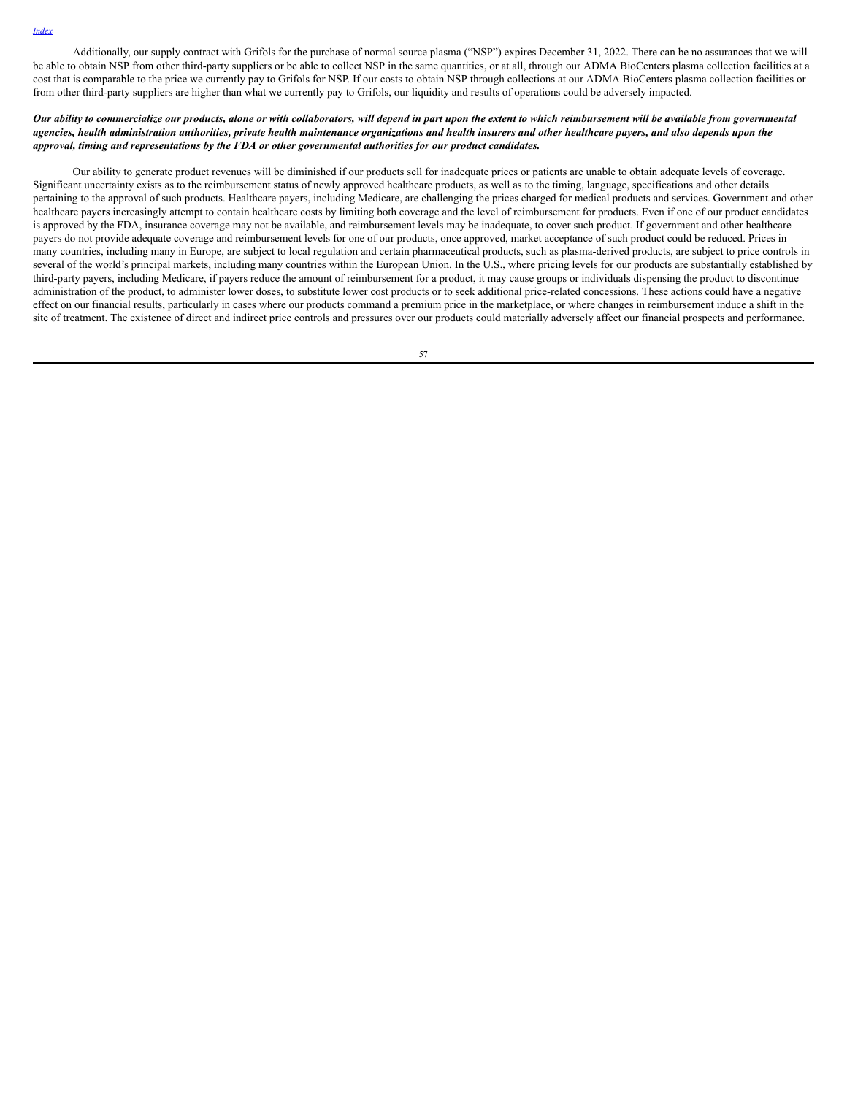Additionally, our supply contract with Grifols for the purchase of normal source plasma ("NSP") expires December 31, 2022. There can be no assurances that we will be able to obtain NSP from other third-party suppliers or be able to collect NSP in the same quantities, or at all, through our ADMA BioCenters plasma collection facilities at a cost that is comparable to the price we currently pay to Grifols for NSP. If our costs to obtain NSP through collections at our ADMA BioCenters plasma collection facilities or from other third-party suppliers are higher than what we currently pay to Grifols, our liquidity and results of operations could be adversely impacted.

## Our ability to commercialize our products, alone or with collaborators, will depend in part upon the extent to which reimbursement will be available from governmental agencies, health administration authorities, private health maintenance organizations and health insurers and other healthcare payers, and also depends upon the *approval, timing and representations by the FDA or other governmental authorities for our product candidates.*

Our ability to generate product revenues will be diminished if our products sell for inadequate prices or patients are unable to obtain adequate levels of coverage. Significant uncertainty exists as to the reimbursement status of newly approved healthcare products, as well as to the timing, language, specifications and other details pertaining to the approval of such products. Healthcare payers, including Medicare, are challenging the prices charged for medical products and services. Government and other healthcare payers increasingly attempt to contain healthcare costs by limiting both coverage and the level of reimbursement for products. Even if one of our product candidates is approved by the FDA, insurance coverage may not be available, and reimbursement levels may be inadequate, to cover such product. If government and other healthcare payers do not provide adequate coverage and reimbursement levels for one of our products, once approved, market acceptance of such product could be reduced. Prices in many countries, including many in Europe, are subject to local regulation and certain pharmaceutical products, such as plasma-derived products, are subject to price controls in several of the world's principal markets, including many countries within the European Union. In the U.S., where pricing levels for our products are substantially established by third-party payers, including Medicare, if payers reduce the amount of reimbursement for a product, it may cause groups or individuals dispensing the product to discontinue administration of the product, to administer lower doses, to substitute lower cost products or to seek additional price-related concessions. These actions could have a negative effect on our financial results, particularly in cases where our products command a premium price in the marketplace, or where changes in reimbursement induce a shift in the site of treatment. The existence of direct and indirect price controls and pressures over our products could materially adversely affect our financial prospects and performance.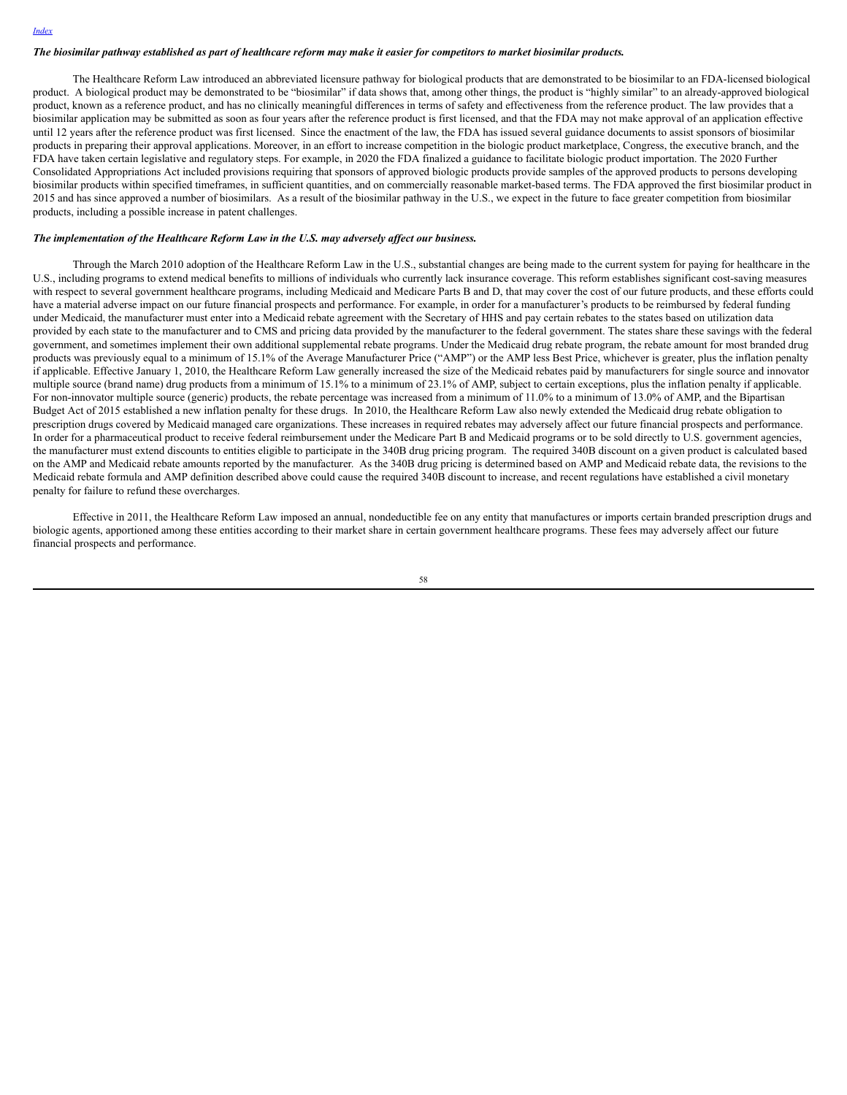#### The biosimilar pathway established as part of healthcare reform may make it easier for competitors to market biosimilar products.

The Healthcare Reform Law introduced an abbreviated licensure pathway for biological products that are demonstrated to be biosimilar to an FDA-licensed biological product. A biological product may be demonstrated to be "biosimilar" if data shows that, among other things, the product is "highly similar" to an already-approved biological product, known as a reference product, and has no clinically meaningful differences in terms of safety and effectiveness from the reference product. The law provides that a biosimilar application may be submitted as soon as four years after the reference product is first licensed, and that the FDA may not make approval of an application effective until 12 years after the reference product was first licensed. Since the enactment of the law, the FDA has issued several guidance documents to assist sponsors of biosimilar products in preparing their approval applications. Moreover, in an effort to increase competition in the biologic product marketplace, Congress, the executive branch, and the FDA have taken certain legislative and regulatory steps. For example, in 2020 the FDA finalized a guidance to facilitate biologic product importation. The 2020 Further Consolidated Appropriations Act included provisions requiring that sponsors of approved biologic products provide samples of the approved products to persons developing biosimilar products within specified timeframes, in sufficient quantities, and on commercially reasonable market-based terms. The FDA approved the first biosimilar product in 2015 and has since approved a number of biosimilars. As a result of the biosimilar pathway in the U.S., we expect in the future to face greater competition from biosimilar products, including a possible increase in patent challenges.

#### *The implementation of the Healthcare Reform Law in the U.S. may adversely af ect our business.*

Through the March 2010 adoption of the Healthcare Reform Law in the U.S., substantial changes are being made to the current system for paying for healthcare in the U.S., including programs to extend medical benefits to millions of individuals who currently lack insurance coverage. This reform establishes significant cost-saving measures with respect to several government healthcare programs, including Medicaid and Medicare Parts B and D, that may cover the cost of our future products, and these efforts could have a material adverse impact on our future financial prospects and performance. For example, in order for a manufacturer's products to be reimbursed by federal funding under Medicaid, the manufacturer must enter into a Medicaid rebate agreement with the Secretary of HHS and pay certain rebates to the states based on utilization data provided by each state to the manufacturer and to CMS and pricing data provided by the manufacturer to the federal government. The states share these savings with the federal government, and sometimes implement their own additional supplemental rebate programs. Under the Medicaid drug rebate program, the rebate amount for most branded drug products was previously equal to a minimum of 15.1% of the Average Manufacturer Price ("AMP") or the AMP less Best Price, whichever is greater, plus the inflation penalty if applicable. Effective January 1, 2010, the Healthcare Reform Law generally increased the size of the Medicaid rebates paid by manufacturers for single source and innovator multiple source (brand name) drug products from a minimum of 15.1% to a minimum of 23.1% of AMP, subject to certain exceptions, plus the inflation penalty if applicable. For non-innovator multiple source (generic) products, the rebate percentage was increased from a minimum of 11.0% to a minimum of 13.0% of AMP, and the Bipartisan Budget Act of 2015 established a new inflation penalty for these drugs. In 2010, the Healthcare Reform Law also newly extended the Medicaid drug rebate obligation to prescription drugs covered by Medicaid managed care organizations. These increases in required rebates may adversely affect our future financial prospects and performance. In order for a pharmaceutical product to receive federal reimbursement under the Medicare Part B and Medicaid programs or to be sold directly to U.S. government agencies, the manufacturer must extend discounts to entities eligible to participate in the 340B drug pricing program. The required 340B discount on a given product is calculated based on the AMP and Medicaid rebate amounts reported by the manufacturer. As the 340B drug pricing is determined based on AMP and Medicaid rebate data, the revisions to the Medicaid rebate formula and AMP definition described above could cause the required 340B discount to increase, and recent regulations have established a civil monetary penalty for failure to refund these overcharges.

Effective in 2011, the Healthcare Reform Law imposed an annual, nondeductible fee on any entity that manufactures or imports certain branded prescription drugs and biologic agents, apportioned among these entities according to their market share in certain government healthcare programs. These fees may adversely affect our future financial prospects and performance.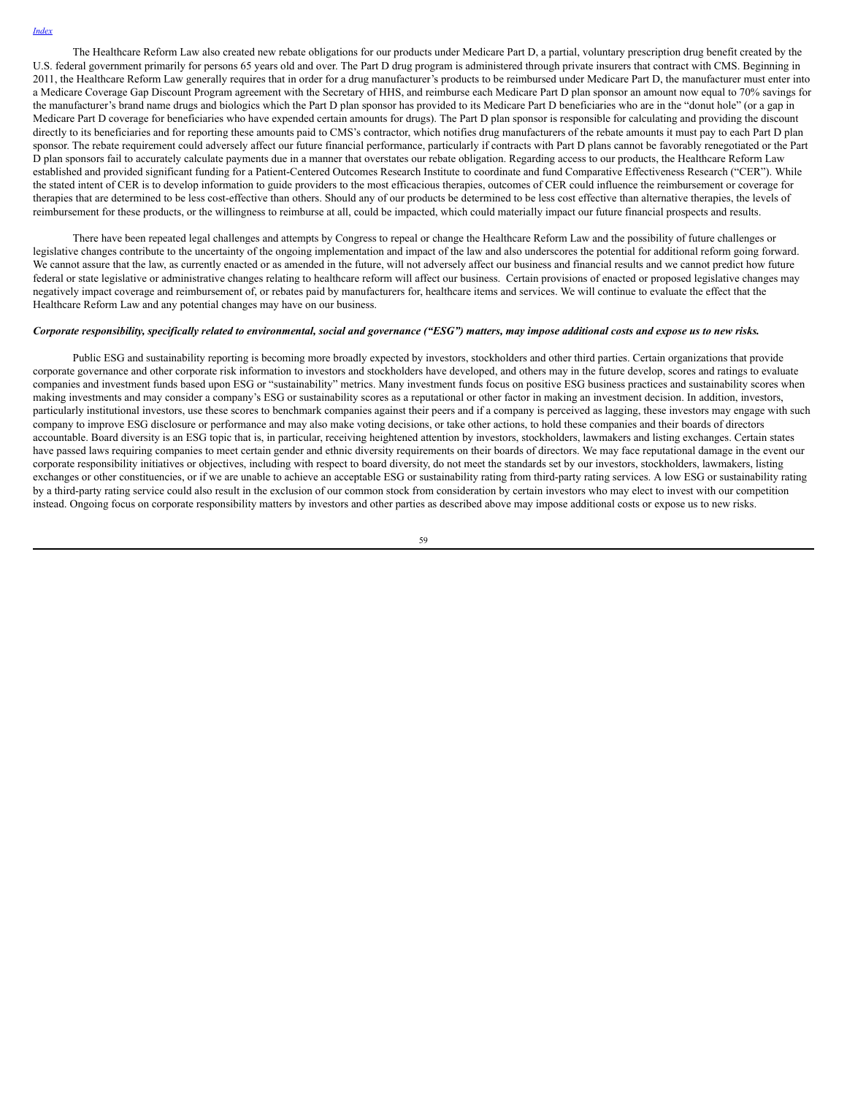The Healthcare Reform Law also created new rebate obligations for our products under Medicare Part D, a partial, voluntary prescription drug benefit created by the U.S. federal government primarily for persons 65 years old and over. The Part D drug program is administered through private insurers that contract with CMS. Beginning in 2011, the Healthcare Reform Law generally requires that in order for a drug manufacturer's products to be reimbursed under Medicare Part D, the manufacturer must enter into a Medicare Coverage Gap Discount Program agreement with the Secretary of HHS, and reimburse each Medicare Part D plan sponsor an amount now equal to 70% savings for the manufacturer's brand name drugs and biologics which the Part D plan sponsor has provided to its Medicare Part D beneficiaries who are in the "donut hole" (or a gap in Medicare Part D coverage for beneficiaries who have expended certain amounts for drugs). The Part D plan sponsor is responsible for calculating and providing the discount directly to its beneficiaries and for reporting these amounts paid to CMS's contractor, which notifies drug manufacturers of the rebate amounts it must pay to each Part D plan sponsor. The rebate requirement could adversely affect our future financial performance, particularly if contracts with Part D plans cannot be favorably renegotiated or the Part D plan sponsors fail to accurately calculate payments due in a manner that overstates our rebate obligation. Regarding access to our products, the Healthcare Reform Law established and provided significant funding for a Patient-Centered Outcomes Research Institute to coordinate and fund Comparative Effectiveness Research ("CER"). While the stated intent of CER is to develop information to guide providers to the most efficacious therapies, outcomes of CER could influence the reimbursement or coverage for therapies that are determined to be less cost-effective than others. Should any of our products be determined to be less cost effective than alternative therapies, the levels of reimbursement for these products, or the willingness to reimburse at all, could be impacted, which could materially impact our future financial prospects and results.

There have been repeated legal challenges and attempts by Congress to repeal or change the Healthcare Reform Law and the possibility of future challenges or legislative changes contribute to the uncertainty of the ongoing implementation and impact of the law and also underscores the potential for additional reform going forward. We cannot assure that the law, as currently enacted or as amended in the future, will not adversely affect our business and financial results and we cannot predict how future federal or state legislative or administrative changes relating to healthcare reform will affect our business. Certain provisions of enacted or proposed legislative changes may negatively impact coverage and reimbursement of, or rebates paid by manufacturers for, healthcare items and services. We will continue to evaluate the effect that the Healthcare Reform Law and any potential changes may have on our business.

#### Corporate responsibility, specifically related to environmental, social and governance ("ESG") matters, may impose additional costs and expose us to new risks.

Public ESG and sustainability reporting is becoming more broadly expected by investors, stockholders and other third parties. Certain organizations that provide corporate governance and other corporate risk information to investors and stockholders have developed, and others may in the future develop, scores and ratings to evaluate companies and investment funds based upon ESG or "sustainability" metrics. Many investment funds focus on positive ESG business practices and sustainability scores when making investments and may consider a company's ESG or sustainability scores as a reputational or other factor in making an investment decision. In addition, investors, particularly institutional investors, use these scores to benchmark companies against their peers and if a company is perceived as lagging, these investors may engage with such company to improve ESG disclosure or performance and may also make voting decisions, or take other actions, to hold these companies and their boards of directors accountable. Board diversity is an ESG topic that is, in particular, receiving heightened attention by investors, stockholders, lawmakers and listing exchanges. Certain states have passed laws requiring companies to meet certain gender and ethnic diversity requirements on their boards of directors. We may face reputational damage in the event our corporate responsibility initiatives or objectives, including with respect to board diversity, do not meet the standards set by our investors, stockholders, lawmakers, listing exchanges or other constituencies, or if we are unable to achieve an acceptable ESG or sustainability rating from third-party rating services. A low ESG or sustainability rating by a third-party rating service could also result in the exclusion of our common stock from consideration by certain investors who may elect to invest with our competition instead. Ongoing focus on corporate responsibility matters by investors and other parties as described above may impose additional costs or expose us to new risks.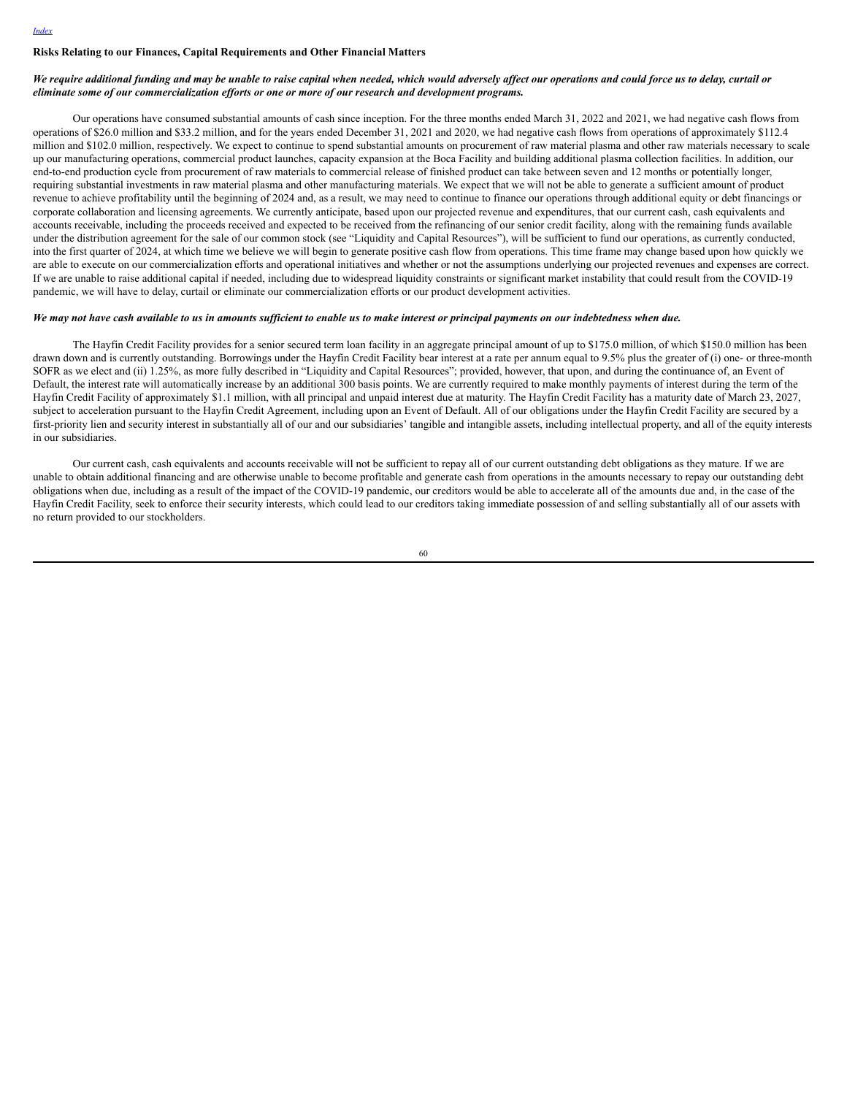## **Risks Relating to our Finances, Capital Requirements and Other Financial Matters**

### We require additional funding and may be unable to raise capital when needed, which would adversely affect our operations and could force us to delay, curtail or *eliminate some of our commercialization ef orts or one or more of our research and development programs.*

Our operations have consumed substantial amounts of cash since inception. For the three months ended March 31, 2022 and 2021, we had negative cash flows from operations of \$26.0 million and \$33.2 million, and for the years ended December 31, 2021 and 2020, we had negative cash flows from operations of approximately \$112.4 million and \$102.0 million, respectively. We expect to continue to spend substantial amounts on procurement of raw material plasma and other raw materials necessary to scale up our manufacturing operations, commercial product launches, capacity expansion at the Boca Facility and building additional plasma collection facilities. In addition, our end-to-end production cycle from procurement of raw materials to commercial release of finished product can take between seven and 12 months or potentially longer, requiring substantial investments in raw material plasma and other manufacturing materials. We expect that we will not be able to generate a sufficient amount of product revenue to achieve profitability until the beginning of 2024 and, as a result, we may need to continue to finance our operations through additional equity or debt financings or corporate collaboration and licensing agreements. We currently anticipate, based upon our projected revenue and expenditures, that our current cash, cash equivalents and accounts receivable, including the proceeds received and expected to be received from the refinancing of our senior credit facility, along with the remaining funds available under the distribution agreement for the sale of our common stock (see "Liquidity and Capital Resources"), will be sufficient to fund our operations, as currently conducted, into the first quarter of 2024, at which time we believe we will begin to generate positive cash flow from operations. This time frame may change based upon how quickly we are able to execute on our commercialization efforts and operational initiatives and whether or not the assumptions underlying our projected revenues and expenses are correct. If we are unable to raise additional capital if needed, including due to widespread liquidity constraints or significant market instability that could result from the COVID-19 pandemic, we will have to delay, curtail or eliminate our commercialization efforts or our product development activities.

## We may not have cash available to us in amounts sufficient to enable us to make interest or principal payments on our indebtedness when due.

The Hayfin Credit Facility provides for a senior secured term loan facility in an aggregate principal amount of up to \$175.0 million, of which \$150.0 million has been drawn down and is currently outstanding. Borrowings under the Hayfin Credit Facility bear interest at a rate per annum equal to 9.5% plus the greater of (i) one- or three-month SOFR as we elect and (ii) 1.25%, as more fully described in "Liquidity and Capital Resources"; provided, however, that upon, and during the continuance of, an Event of Default, the interest rate will automatically increase by an additional 300 basis points. We are currently required to make monthly payments of interest during the term of the Hayfin Credit Facility of approximately \$1.1 million, with all principal and unpaid interest due at maturity. The Hayfin Credit Facility has a maturity date of March 23, 2027, subject to acceleration pursuant to the Hayfin Credit Agreement, including upon an Event of Default. All of our obligations under the Hayfin Credit Facility are secured by a first-priority lien and security interest in substantially all of our and our subsidiaries' tangible and intangible assets, including intellectual property, and all of the equity interests in our subsidiaries.

Our current cash, cash equivalents and accounts receivable will not be sufficient to repay all of our current outstanding debt obligations as they mature. If we are unable to obtain additional financing and are otherwise unable to become profitable and generate cash from operations in the amounts necessary to repay our outstanding debt obligations when due, including as a result of the impact of the COVID-19 pandemic, our creditors would be able to accelerate all of the amounts due and, in the case of the Hayfin Credit Facility, seek to enforce their security interests, which could lead to our creditors taking immediate possession of and selling substantially all of our assets with no return provided to our stockholders.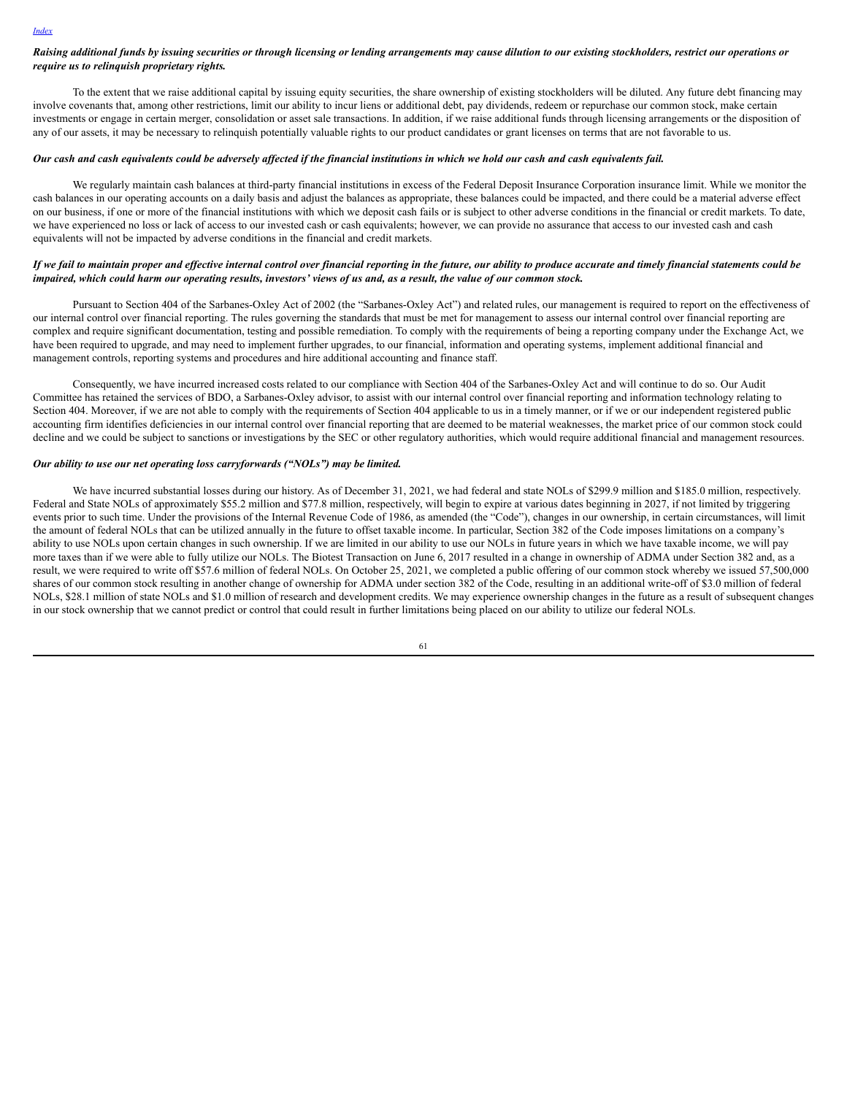#### Raising additional funds by issuing securities or through licensing or lending arrangements may cause dilution to our existing stockholders, restrict our operations or *require us to relinquish proprietary rights.*

To the extent that we raise additional capital by issuing equity securities, the share ownership of existing stockholders will be diluted. Any future debt financing may involve covenants that, among other restrictions, limit our ability to incur liens or additional debt, pay dividends, redeem or repurchase our common stock, make certain investments or engage in certain merger, consolidation or asset sale transactions. In addition, if we raise additional funds through licensing arrangements or the disposition of any of our assets, it may be necessary to relinquish potentially valuable rights to our product candidates or grant licenses on terms that are not favorable to us.

#### Our cash and cash equivalents could be adversely affected if the financial institutions in which we hold our cash and cash equivalents fail.

We regularly maintain cash balances at third-party financial institutions in excess of the Federal Deposit Insurance Corporation insurance limit. While we monitor the cash balances in our operating accounts on a daily basis and adjust the balances as appropriate, these balances could be impacted, and there could be a material adverse effect on our business, if one or more of the financial institutions with which we deposit cash fails or is subject to other adverse conditions in the financial or credit markets. To date, we have experienced no loss or lack of access to our invested cash or cash equivalents; however, we can provide no assurance that access to our invested cash and cash equivalents will not be impacted by adverse conditions in the financial and credit markets.

## If we fail to maintain proper and effective internal control over financial reporting in the future, our ability to produce accurate and timely financial statements could be impaired, which could harm our operating results, investors' views of us and, as a result, the value of our common stock.

Pursuant to Section 404 of the Sarbanes-Oxley Act of 2002 (the "Sarbanes-Oxley Act") and related rules, our management is required to report on the effectiveness of our internal control over financial reporting. The rules governing the standards that must be met for management to assess our internal control over financial reporting are complex and require significant documentation, testing and possible remediation. To comply with the requirements of being a reporting company under the Exchange Act, we have been required to upgrade, and may need to implement further upgrades, to our financial, information and operating systems, implement additional financial and management controls, reporting systems and procedures and hire additional accounting and finance staff.

Consequently, we have incurred increased costs related to our compliance with Section 404 of the Sarbanes-Oxley Act and will continue to do so. Our Audit Committee has retained the services of BDO, a Sarbanes-Oxley advisor, to assist with our internal control over financial reporting and information technology relating to Section 404. Moreover, if we are not able to comply with the requirements of Section 404 applicable to us in a timely manner, or if we or our independent registered public accounting firm identifies deficiencies in our internal control over financial reporting that are deemed to be material weaknesses, the market price of our common stock could decline and we could be subject to sanctions or investigations by the SEC or other regulatory authorities, which would require additional financial and management resources.

# *Our ability to use our net operating loss carryforwards ("NOLs") may be limited.*

We have incurred substantial losses during our history. As of December 31, 2021, we had federal and state NOLs of \$299.9 million and \$185.0 million, respectively. Federal and State NOLs of approximately \$55.2 million and \$77.8 million, respectively, will begin to expire at various dates beginning in 2027, if not limited by triggering events prior to such time. Under the provisions of the Internal Revenue Code of 1986, as amended (the "Code"), changes in our ownership, in certain circumstances, will limit the amount of federal NOLs that can be utilized annually in the future to offset taxable income. In particular, Section 382 of the Code imposes limitations on a company's ability to use NOLs upon certain changes in such ownership. If we are limited in our ability to use our NOLs in future years in which we have taxable income, we will pay more taxes than if we were able to fully utilize our NOLs. The Biotest Transaction on June 6, 2017 resulted in a change in ownership of ADMA under Section 382 and, as a result, we were required to write off \$57.6 million of federal NOLs. On October 25, 2021, we completed a public offering of our common stock whereby we issued 57,500,000 shares of our common stock resulting in another change of ownership for ADMA under section 382 of the Code, resulting in an additional write-off of \$3.0 million of federal NOLs, \$28.1 million of state NOLs and \$1.0 million of research and development credits. We may experience ownership changes in the future as a result of subsequent changes in our stock ownership that we cannot predict or control that could result in further limitations being placed on our ability to utilize our federal NOLs.

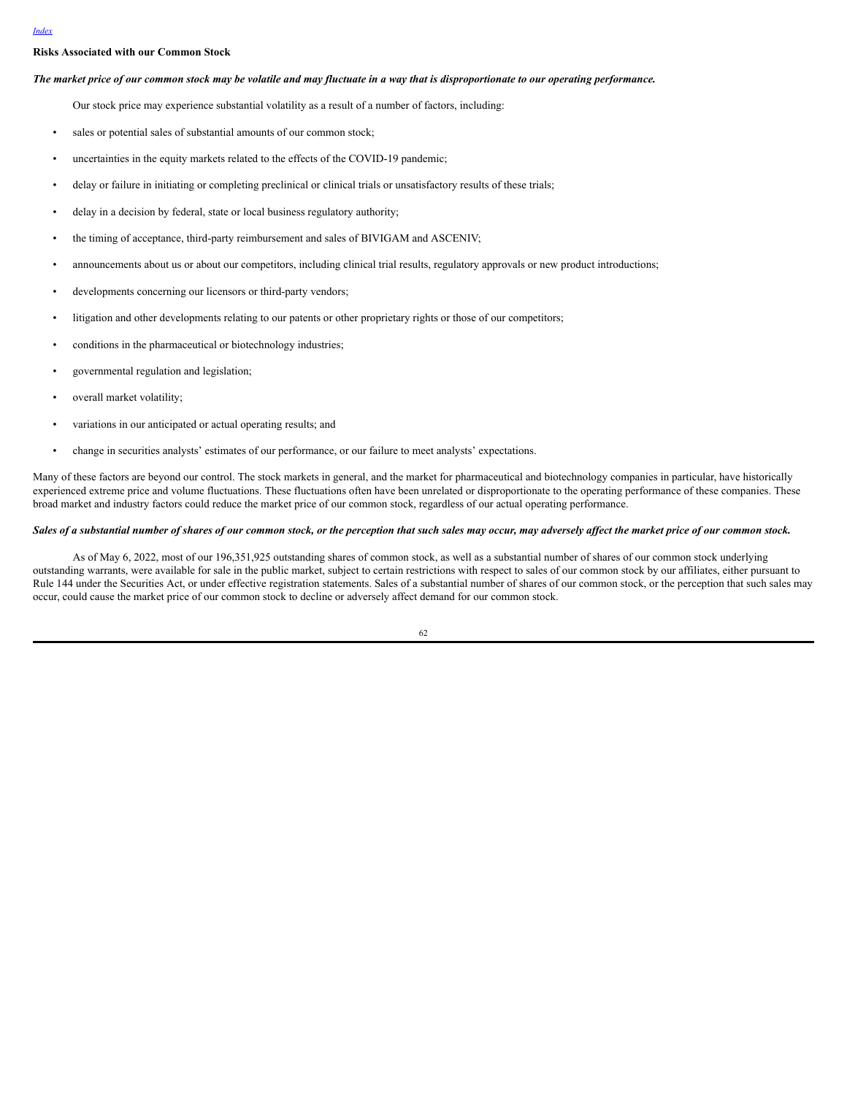## **Risks Associated with our Common Stock**

#### The market price of our common stock may be volatile and may fluctuate in a way that is disproportionate to our operating performance.

Our stock price may experience substantial volatility as a result of a number of factors, including:

- sales or potential sales of substantial amounts of our common stock;
- uncertainties in the equity markets related to the effects of the COVID-19 pandemic;
- delay or failure in initiating or completing preclinical or clinical trials or unsatisfactory results of these trials;
- delay in a decision by federal, state or local business regulatory authority;
- the timing of acceptance, third-party reimbursement and sales of BIVIGAM and ASCENIV;
- announcements about us or about our competitors, including clinical trial results, regulatory approvals or new product introductions;
- developments concerning our licensors or third-party vendors;
- litigation and other developments relating to our patents or other proprietary rights or those of our competitors;
- conditions in the pharmaceutical or biotechnology industries;
- governmental regulation and legislation;
- overall market volatility;
- variations in our anticipated or actual operating results; and
- change in securities analysts' estimates of our performance, or our failure to meet analysts' expectations.

Many of these factors are beyond our control. The stock markets in general, and the market for pharmaceutical and biotechnology companies in particular, have historically experienced extreme price and volume fluctuations. These fluctuations often have been unrelated or disproportionate to the operating performance of these companies. These broad market and industry factors could reduce the market price of our common stock, regardless of our actual operating performance.

#### Sales of a substantial number of shares of our common stock, or the perception that such sales may occur, may adversely affect the market price of our common stock.

As of May 6, 2022, most of our 196,351,925 outstanding shares of common stock, as well as a substantial number of shares of our common stock underlying outstanding warrants, were available for sale in the public market, subject to certain restrictions with respect to sales of our common stock by our affiliates, either pursuant to Rule 144 under the Securities Act, or under effective registration statements. Sales of a substantial number of shares of our common stock, or the perception that such sales may occur, could cause the market price of our common stock to decline or adversely affect demand for our common stock.

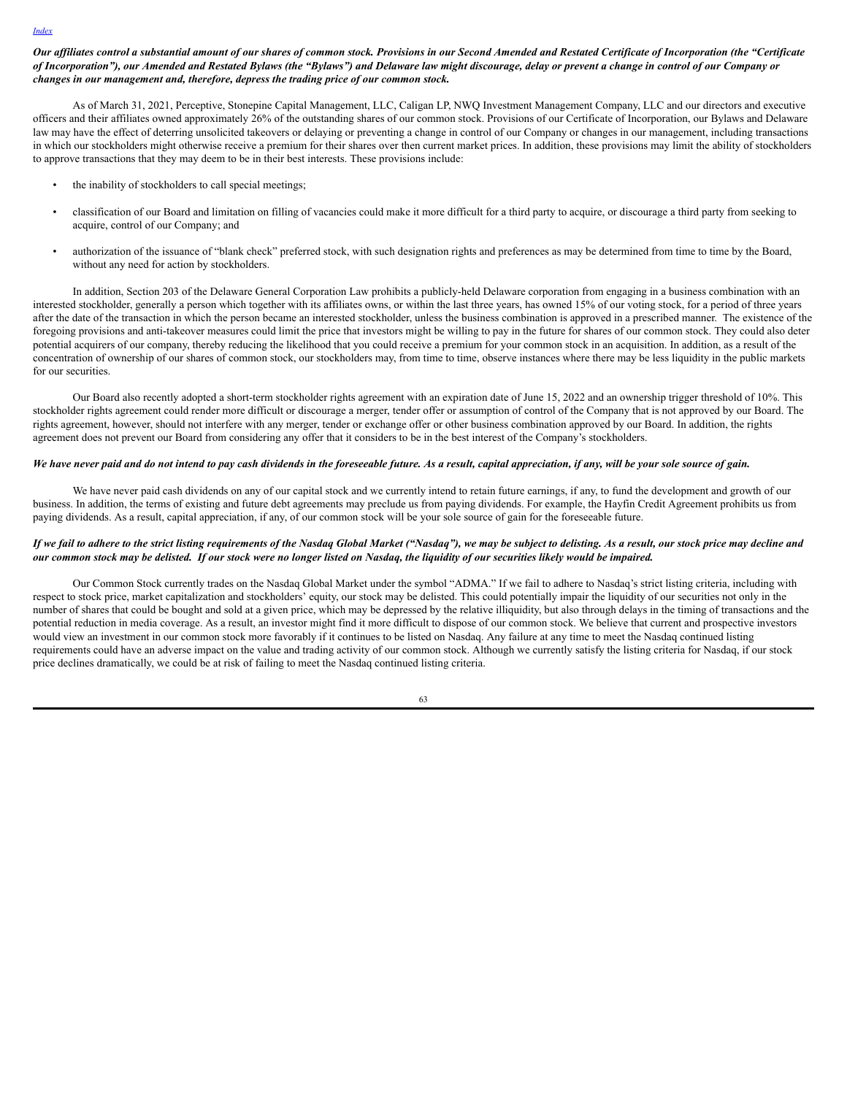Our affiliates control a substantial amount of our shares of common stock. Provisions in our Second Amended and Restated Certificate of Incorporation (the "Certificate of Incorporation"), our Amended and Restated Bylaws (the "Bylaws") and Delaware law might discourage, delay or prevent a change in control of our Company or *changes in our management and, therefore, depress the trading price of our common stock.*

As of March 31, 2021, Perceptive, Stonepine Capital Management, LLC, Caligan LP, NWQ Investment Management Company, LLC and our directors and executive officers and their affiliates owned approximately 26% of the outstanding shares of our common stock. Provisions of our Certificate of Incorporation, our Bylaws and Delaware law may have the effect of deterring unsolicited takeovers or delaying or preventing a change in control of our Company or changes in our management, including transactions in which our stockholders might otherwise receive a premium for their shares over then current market prices. In addition, these provisions may limit the ability of stockholders to approve transactions that they may deem to be in their best interests. These provisions include:

- the inability of stockholders to call special meetings;
- classification of our Board and limitation on filling of vacancies could make it more difficult for a third party to acquire, or discourage a third party from seeking to acquire, control of our Company; and
- authorization of the issuance of "blank check" preferred stock, with such designation rights and preferences as may be determined from time to time by the Board, without any need for action by stockholders.

In addition, Section 203 of the Delaware General Corporation Law prohibits a publicly-held Delaware corporation from engaging in a business combination with an interested stockholder, generally a person which together with its affiliates owns, or within the last three years, has owned 15% of our voting stock, for a period of three years after the date of the transaction in which the person became an interested stockholder, unless the business combination is approved in a prescribed manner. The existence of the foregoing provisions and anti-takeover measures could limit the price that investors might be willing to pay in the future for shares of our common stock. They could also deter potential acquirers of our company, thereby reducing the likelihood that you could receive a premium for your common stock in an acquisition. In addition, as a result of the concentration of ownership of our shares of common stock, our stockholders may, from time to time, observe instances where there may be less liquidity in the public markets for our securities.

Our Board also recently adopted a short-term stockholder rights agreement with an expiration date of June 15, 2022 and an ownership trigger threshold of 10%. This stockholder rights agreement could render more difficult or discourage a merger, tender offer or assumption of control of the Company that is not approved by our Board. The rights agreement, however, should not interfere with any merger, tender or exchange offer or other business combination approved by our Board. In addition, the rights agreement does not prevent our Board from considering any offer that it considers to be in the best interest of the Company's stockholders.

# We have never paid and do not intend to pay cash dividends in the foreseeable future. As a result, capital appreciation, if any, will be your sole source of gain.

We have never paid cash dividends on any of our capital stock and we currently intend to retain future earnings, if any, to fund the development and growth of our business. In addition, the terms of existing and future debt agreements may preclude us from paying dividends. For example, the Hayfin Credit Agreement prohibits us from paying dividends. As a result, capital appreciation, if any, of our common stock will be your sole source of gain for the foreseeable future.

### If we fail to adhere to the strict listing requirements of the Nasdaq Global Market ("Nasdaq"), we may be subject to delisting. As a result, our stock price may decline and our common stock may be delisted. If our stock were no longer listed on Nasdaq, the liquidity of our securities likely would be impaired.

Our Common Stock currently trades on the Nasdaq Global Market under the symbol "ADMA." If we fail to adhere to Nasdaq's strict listing criteria, including with respect to stock price, market capitalization and stockholders' equity, our stock may be delisted. This could potentially impair the liquidity of our securities not only in the number of shares that could be bought and sold at a given price, which may be depressed by the relative illiquidity, but also through delays in the timing of transactions and the potential reduction in media coverage. As a result, an investor might find it more difficult to dispose of our common stock. We believe that current and prospective investors would view an investment in our common stock more favorably if it continues to be listed on Nasdaq. Any failure at any time to meet the Nasdaq continued listing requirements could have an adverse impact on the value and trading activity of our common stock. Although we currently satisfy the listing criteria for Nasdaq, if our stock price declines dramatically, we could be at risk of failing to meet the Nasdaq continued listing criteria.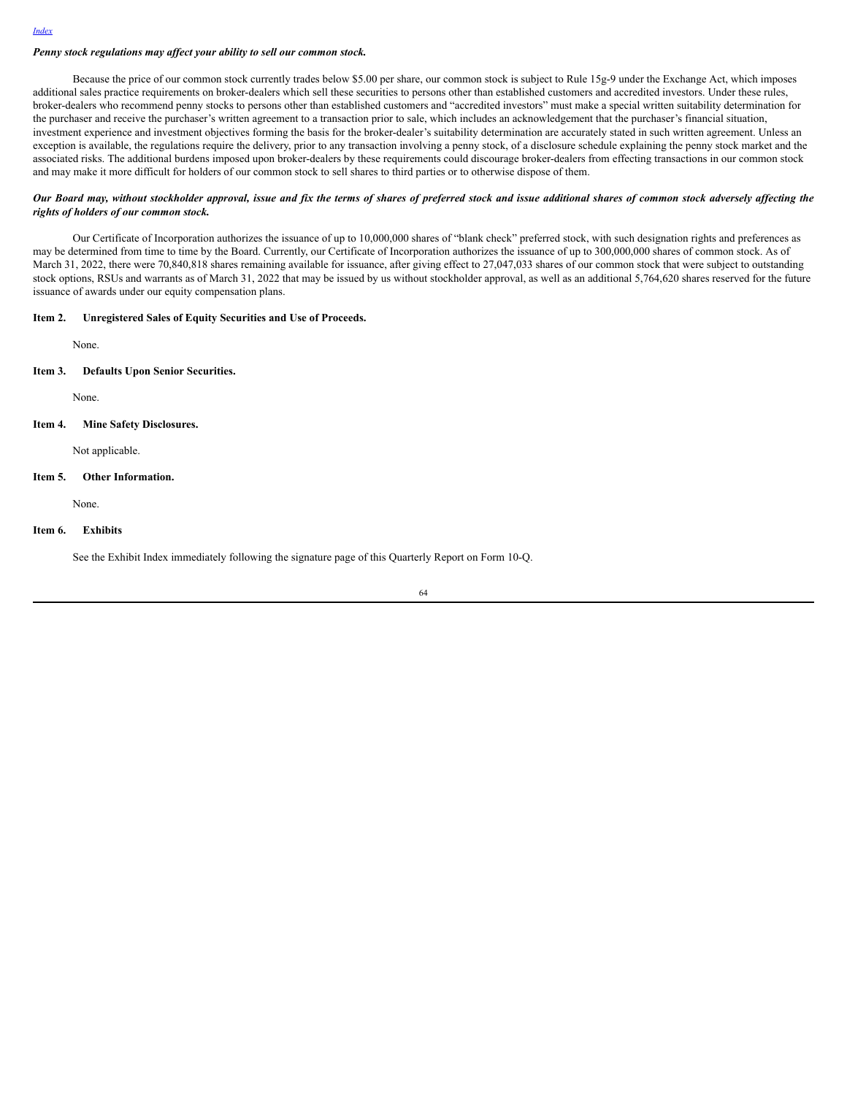## *Penny stock regulations may af ect your ability to sell our common stock.*

Because the price of our common stock currently trades below \$5.00 per share, our common stock is subject to Rule 15g-9 under the Exchange Act, which imposes additional sales practice requirements on broker-dealers which sell these securities to persons other than established customers and accredited investors. Under these rules, broker-dealers who recommend penny stocks to persons other than established customers and "accredited investors" must make a special written suitability determination for the purchaser and receive the purchaser's written agreement to a transaction prior to sale, which includes an acknowledgement that the purchaser's financial situation, investment experience and investment objectives forming the basis for the broker-dealer's suitability determination are accurately stated in such written agreement. Unless an exception is available, the regulations require the delivery, prior to any transaction involving a penny stock, of a disclosure schedule explaining the penny stock market and the associated risks. The additional burdens imposed upon broker-dealers by these requirements could discourage broker-dealers from effecting transactions in our common stock and may make it more difficult for holders of our common stock to sell shares to third parties or to otherwise dispose of them.

#### Our Board may, without stockholder approval, issue and fix the terms of shares of preferred stock and issue additional shares of common stock adversely affecting the *rights of holders of our common stock.*

Our Certificate of Incorporation authorizes the issuance of up to 10,000,000 shares of "blank check" preferred stock, with such designation rights and preferences as may be determined from time to time by the Board. Currently, our Certificate of Incorporation authorizes the issuance of up to 300,000,000 shares of common stock. As of March 31, 2022, there were 70,840,818 shares remaining available for issuance, after giving effect to 27,047,033 shares of our common stock that were subject to outstanding stock options, RSUs and warrants as of March 31, 2022 that may be issued by us without stockholder approval, as well as an additional 5,764,620 shares reserved for the future issuance of awards under our equity compensation plans.

# **Item 2. Unregistered Sales of Equity Securities and Use of Proceeds.**

None.

**Item 3. Defaults Upon Senior Securities.**

None.

**Item 4. Mine Safety Disclosures.**

Not applicable.

#### **Item 5. Other Information.**

None.

### **Item 6. Exhibits**

See the Exhibit Index immediately following the signature page of this Quarterly Report on Form 10-Q.

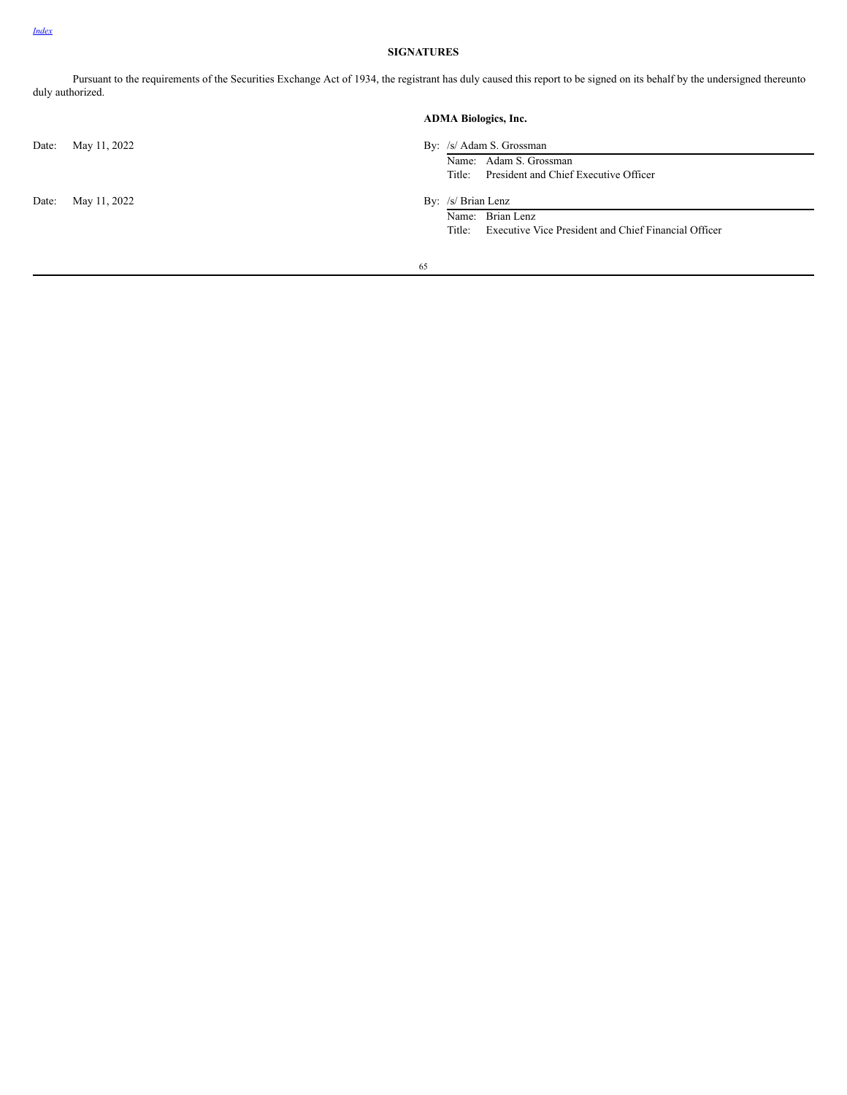# **SIGNATURES**

Pursuant to the requirements of the Securities Exchange Act of 1934, the registrant has duly caused this report to be signed on its behalf by the undersigned thereunto duly authorized.

|       |              | <b>ADMA Biologics, Inc.</b> |                                                                |  |
|-------|--------------|-----------------------------|----------------------------------------------------------------|--|
| Date: | May 11, 2022 |                             | By: /s/ Adam S. Grossman<br>Name: Adam S. Grossman             |  |
|       |              |                             | President and Chief Executive Officer<br>Title:                |  |
| Date: | May 11, 2022 |                             | By: /s/ Brian Lenz                                             |  |
|       |              |                             | Name: Brian Lenz                                               |  |
|       |              |                             | Executive Vice President and Chief Financial Officer<br>Title: |  |
|       |              | 65                          |                                                                |  |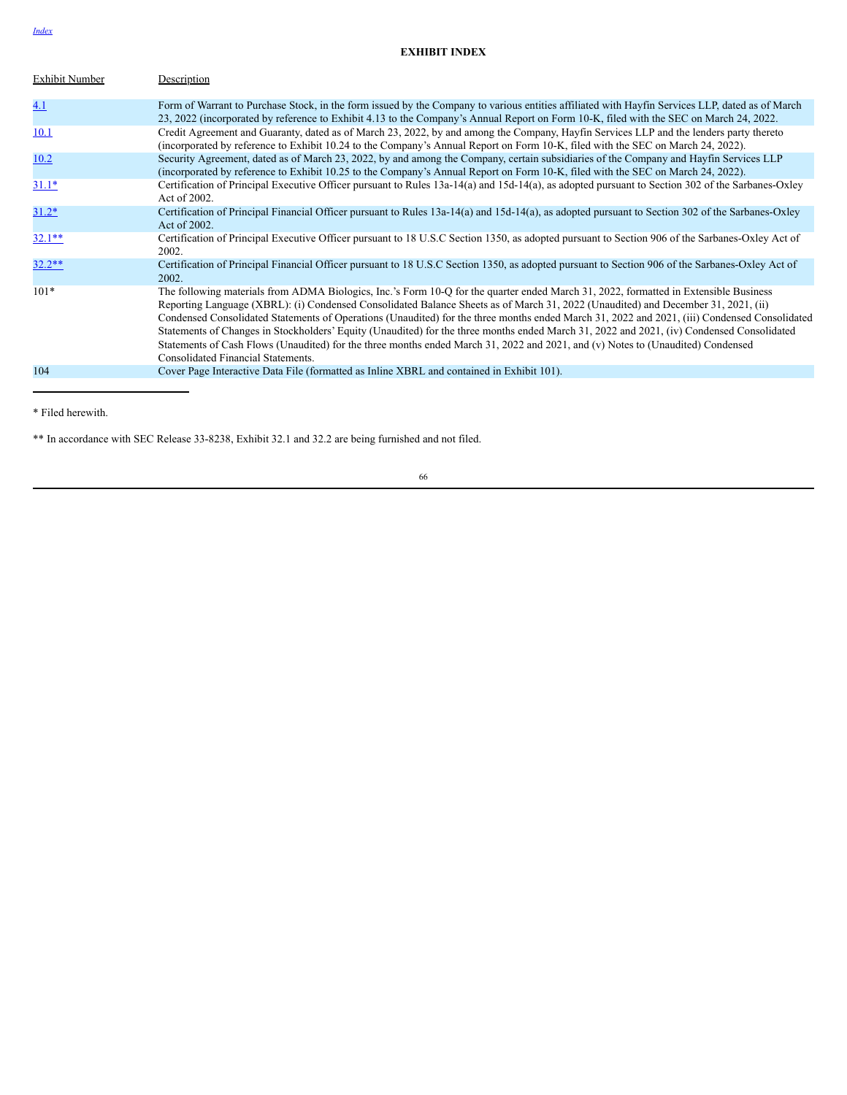# *[Index](#page-1-0)*

# **EXHIBIT INDEX**

| <b>Exhibit Number</b> | Description                                                                                                                                                                                                                                                                                                                                                                                                                                                                                                                                                                                                                                                                                                                                     |
|-----------------------|-------------------------------------------------------------------------------------------------------------------------------------------------------------------------------------------------------------------------------------------------------------------------------------------------------------------------------------------------------------------------------------------------------------------------------------------------------------------------------------------------------------------------------------------------------------------------------------------------------------------------------------------------------------------------------------------------------------------------------------------------|
| 4.1                   | Form of Warrant to Purchase Stock, in the form issued by the Company to various entities affiliated with Hayfin Services LLP, dated as of March<br>23, 2022 (incorporated by reference to Exhibit 4.13 to the Company's Annual Report on Form 10-K, filed with the SEC on March 24, 2022.                                                                                                                                                                                                                                                                                                                                                                                                                                                       |
| 10.1                  | Credit Agreement and Guaranty, dated as of March 23, 2022, by and among the Company, Hayfin Services LLP and the lenders party thereto<br>(incorporated by reference to Exhibit 10.24 to the Company's Annual Report on Form 10-K, filed with the SEC on March 24, 2022).                                                                                                                                                                                                                                                                                                                                                                                                                                                                       |
| 10.2                  | Security Agreement, dated as of March 23, 2022, by and among the Company, certain subsidiaries of the Company and Hayfin Services LLP<br>(incorporated by reference to Exhibit 10.25 to the Company's Annual Report on Form 10-K, filed with the SEC on March 24, 2022).                                                                                                                                                                                                                                                                                                                                                                                                                                                                        |
| $31.1*$               | Certification of Principal Executive Officer pursuant to Rules 13a-14(a) and 15d-14(a), as adopted pursuant to Section 302 of the Sarbanes-Oxley<br>Act of 2002.                                                                                                                                                                                                                                                                                                                                                                                                                                                                                                                                                                                |
| $31.2*$               | Certification of Principal Financial Officer pursuant to Rules 13a-14(a) and 15d-14(a), as adopted pursuant to Section 302 of the Sarbanes-Oxley<br>Act of 2002.                                                                                                                                                                                                                                                                                                                                                                                                                                                                                                                                                                                |
| $32.1**$              | Certification of Principal Executive Officer pursuant to 18 U.S.C Section 1350, as adopted pursuant to Section 906 of the Sarbanes-Oxley Act of<br>2002.                                                                                                                                                                                                                                                                                                                                                                                                                                                                                                                                                                                        |
| $32.2**$              | Certification of Principal Financial Officer pursuant to 18 U.S.C Section 1350, as adopted pursuant to Section 906 of the Sarbanes-Oxley Act of<br>2002.                                                                                                                                                                                                                                                                                                                                                                                                                                                                                                                                                                                        |
| $101*$                | The following materials from ADMA Biologics, Inc.'s Form 10-Q for the quarter ended March 31, 2022, formatted in Extensible Business<br>Reporting Language (XBRL): (i) Condensed Consolidated Balance Sheets as of March 31, 2022 (Unaudited) and December 31, 2021, (ii)<br>Condensed Consolidated Statements of Operations (Unaudited) for the three months ended March 31, 2022 and 2021, (iii) Condensed Consolidated<br>Statements of Changes in Stockholders' Equity (Unaudited) for the three months ended March 31, 2022 and 2021, (iv) Condensed Consolidated<br>Statements of Cash Flows (Unaudited) for the three months ended March 31, 2022 and 2021, and (v) Notes to (Unaudited) Condensed<br>Consolidated Financial Statements. |
| 104                   | Cover Page Interactive Data File (formatted as Inline XBRL and contained in Exhibit 101).                                                                                                                                                                                                                                                                                                                                                                                                                                                                                                                                                                                                                                                       |
|                       |                                                                                                                                                                                                                                                                                                                                                                                                                                                                                                                                                                                                                                                                                                                                                 |

\* Filed herewith.

\*\* In accordance with SEC Release 33-8238, Exhibit 32.1 and 32.2 are being furnished and not filed.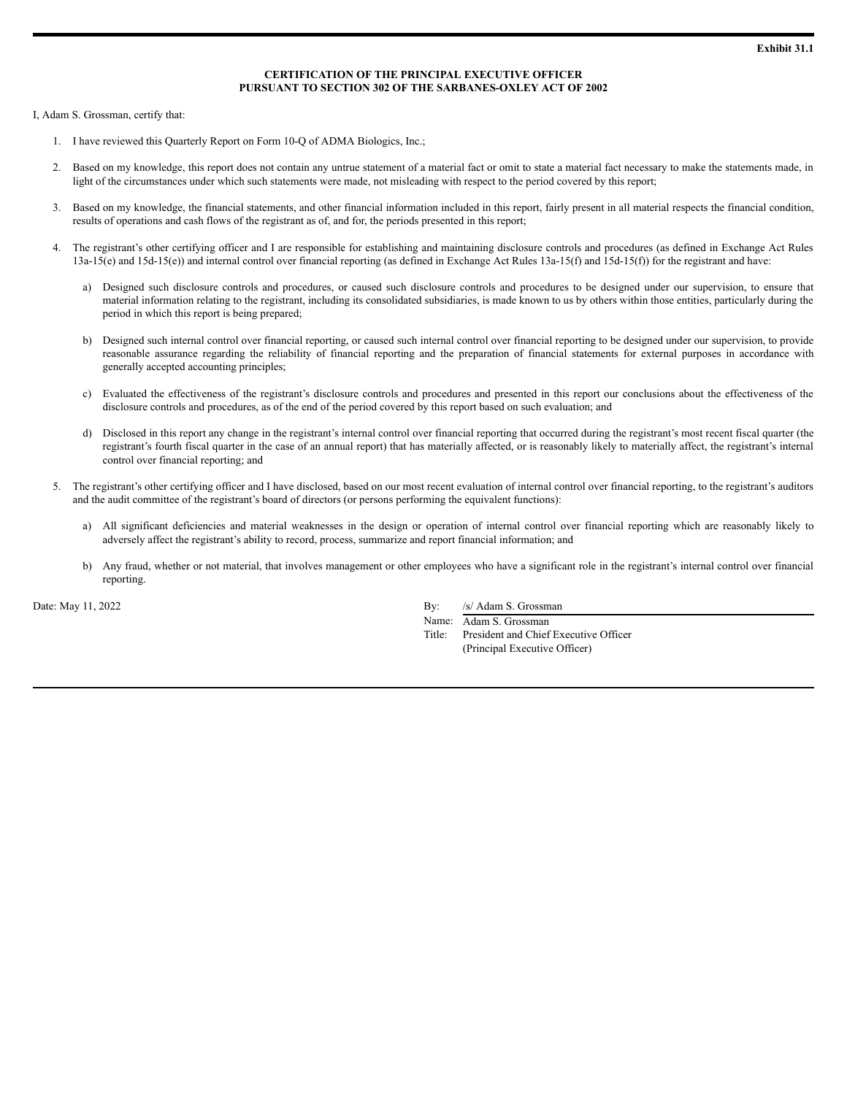# **CERTIFICATION OF THE PRINCIPAL EXECUTIVE OFFICER PURSUANT TO SECTION 302 OF THE SARBANES-OXLEY ACT OF 2002**

I, Adam S. Grossman, certify that:

- 1. I have reviewed this Quarterly Report on Form 10-Q of ADMA Biologics, Inc.;
- 2. Based on my knowledge, this report does not contain any untrue statement of a material fact or omit to state a material fact necessary to make the statements made, in light of the circumstances under which such statements were made, not misleading with respect to the period covered by this report;
- 3. Based on my knowledge, the financial statements, and other financial information included in this report, fairly present in all material respects the financial condition, results of operations and cash flows of the registrant as of, and for, the periods presented in this report;
- 4. The registrant's other certifying officer and I are responsible for establishing and maintaining disclosure controls and procedures (as defined in Exchange Act Rules  $13a-15(e)$  and  $15d-15(e)$  and internal control over financial reporting (as defined in Exchange Act Rules  $13a-15(f)$  and  $15d-15(f)$ ) for the registrant and have:
	- a) Designed such disclosure controls and procedures, or caused such disclosure controls and procedures to be designed under our supervision, to ensure that material information relating to the registrant, including its consolidated subsidiaries, is made known to us by others within those entities, particularly during the period in which this report is being prepared;
	- b) Designed such internal control over financial reporting, or caused such internal control over financial reporting to be designed under our supervision, to provide reasonable assurance regarding the reliability of financial reporting and the preparation of financial statements for external purposes in accordance with generally accepted accounting principles;
	- c) Evaluated the effectiveness of the registrant's disclosure controls and procedures and presented in this report our conclusions about the effectiveness of the disclosure controls and procedures, as of the end of the period covered by this report based on such evaluation; and
	- d) Disclosed in this report any change in the registrant's internal control over financial reporting that occurred during the registrant's most recent fiscal quarter (the registrant's fourth fiscal quarter in the case of an annual report) that has materially affected, or is reasonably likely to materially affect, the registrant's internal control over financial reporting; and
- 5. The registrant's other certifying officer and I have disclosed, based on our most recent evaluation of internal control over financial reporting, to the registrant's auditors and the audit committee of the registrant's board of directors (or persons performing the equivalent functions):
	- a) All significant deficiencies and material weaknesses in the design or operation of internal control over financial reporting which are reasonably likely to adversely affect the registrant's ability to record, process, summarize and report financial information; and
	- b) Any fraud, whether or not material, that involves management or other employees who have a significant role in the registrant's internal control over financial reporting.

Date: May 11, 2022 By: /s/ Adam S. Grossman

Name: Adam S. Grossman Title: President and Chief Executive Officer (Principal Executive Officer)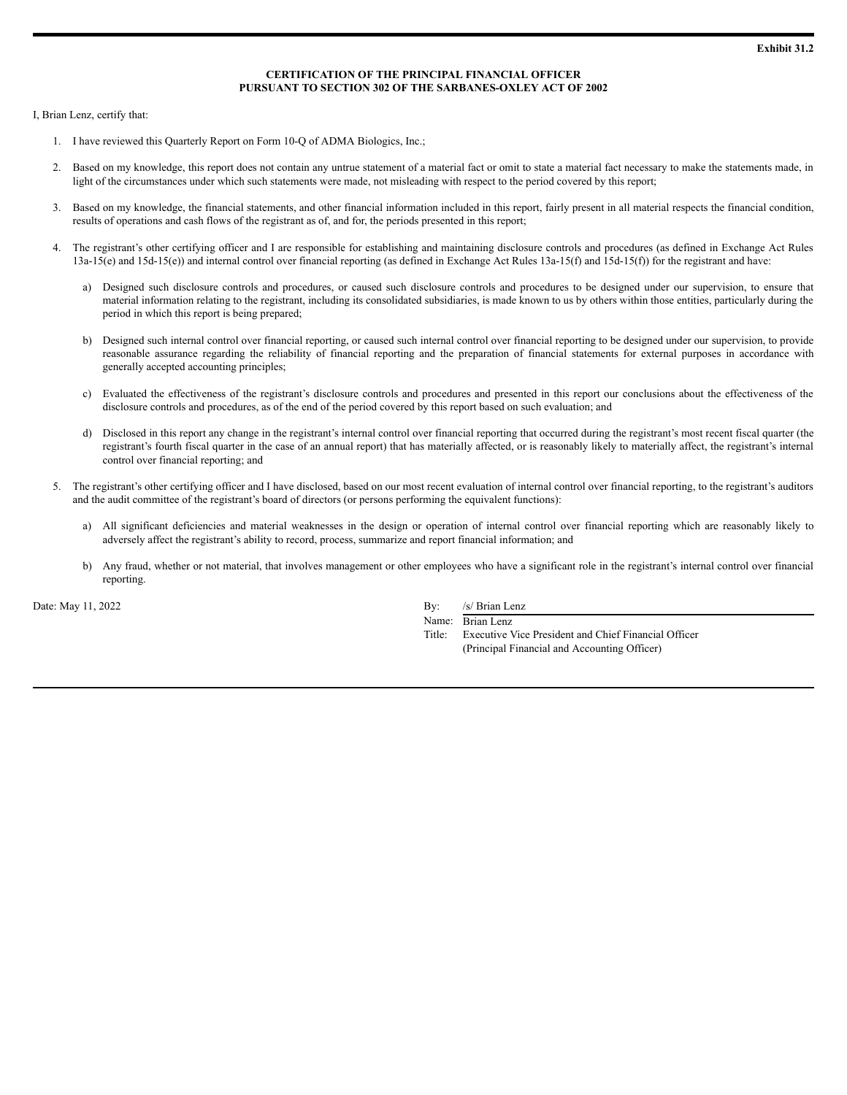## **CERTIFICATION OF THE PRINCIPAL FINANCIAL OFFICER PURSUANT TO SECTION 302 OF THE SARBANES-OXLEY ACT OF 2002**

I, Brian Lenz, certify that:

- 1. I have reviewed this Quarterly Report on Form 10-Q of ADMA Biologics, Inc.;
- 2. Based on my knowledge, this report does not contain any untrue statement of a material fact or omit to state a material fact necessary to make the statements made, in light of the circumstances under which such statements were made, not misleading with respect to the period covered by this report;
- 3. Based on my knowledge, the financial statements, and other financial information included in this report, fairly present in all material respects the financial condition, results of operations and cash flows of the registrant as of, and for, the periods presented in this report;
- 4. The registrant's other certifying officer and I are responsible for establishing and maintaining disclosure controls and procedures (as defined in Exchange Act Rules  $13a-15(e)$  and  $15d-15(e)$  and internal control over financial reporting (as defined in Exchange Act Rules  $13a-15(f)$  and  $15d-15(f)$ ) for the registrant and have:
	- a) Designed such disclosure controls and procedures, or caused such disclosure controls and procedures to be designed under our supervision, to ensure that material information relating to the registrant, including its consolidated subsidiaries, is made known to us by others within those entities, particularly during the period in which this report is being prepared;
	- b) Designed such internal control over financial reporting, or caused such internal control over financial reporting to be designed under our supervision, to provide reasonable assurance regarding the reliability of financial reporting and the preparation of financial statements for external purposes in accordance with generally accepted accounting principles;
	- c) Evaluated the effectiveness of the registrant's disclosure controls and procedures and presented in this report our conclusions about the effectiveness of the disclosure controls and procedures, as of the end of the period covered by this report based on such evaluation; and
	- d) Disclosed in this report any change in the registrant's internal control over financial reporting that occurred during the registrant's most recent fiscal quarter (the registrant's fourth fiscal quarter in the case of an annual report) that has materially affected, or is reasonably likely to materially affect, the registrant's internal control over financial reporting; and
- 5. The registrant's other certifying officer and I have disclosed, based on our most recent evaluation of internal control over financial reporting, to the registrant's auditors and the audit committee of the registrant's board of directors (or persons performing the equivalent functions):
	- a) All significant deficiencies and material weaknesses in the design or operation of internal control over financial reporting which are reasonably likely to adversely affect the registrant's ability to record, process, summarize and report financial information; and
	- b) Any fraud, whether or not material, that involves management or other employees who have a significant role in the registrant's internal control over financial reporting.

Date: May 11, 2022 By: /s/ Brian Lenz

Name: Brian Lenz Title: Executive Vice President and Chief Financial Officer (Principal Financial and Accounting Officer)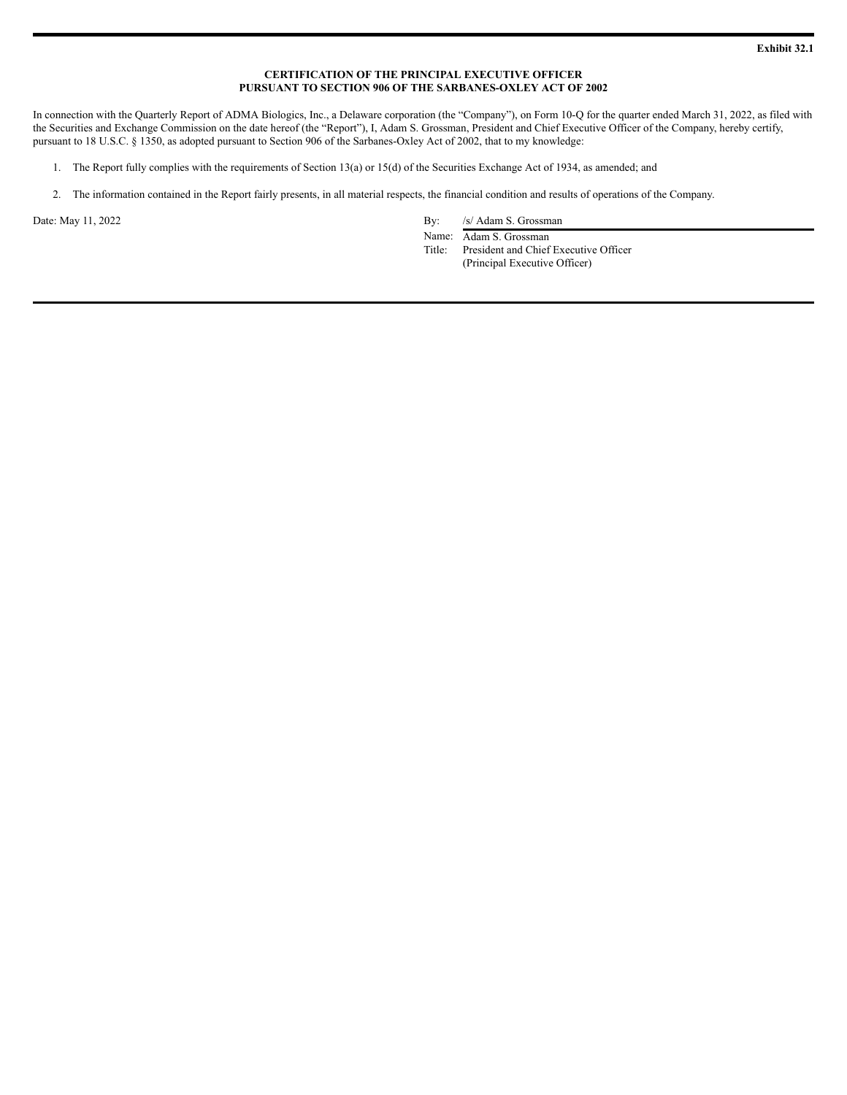## **CERTIFICATION OF THE PRINCIPAL EXECUTIVE OFFICER PURSUANT TO SECTION 906 OF THE SARBANES-OXLEY ACT OF 2002**

In connection with the Quarterly Report of ADMA Biologics, Inc., a Delaware corporation (the "Company"), on Form 10-Q for the quarter ended March 31, 2022, as filed with the Securities and Exchange Commission on the date hereof (the "Report"), I, Adam S. Grossman, President and Chief Executive Officer of the Company, hereby certify, pursuant to 18 U.S.C. § 1350, as adopted pursuant to Section 906 of the Sarbanes-Oxley Act of 2002, that to my knowledge:

- 1. The Report fully complies with the requirements of Section 13(a) or 15(d) of the Securities Exchange Act of 1934, as amended; and
- 2. The information contained in the Report fairly presents, in all material respects, the financial condition and results of operations of the Company.

Date: May 11, 2022 By: /s/ Adam S. Grossman

Name: Adam S. Grossman Title: President and Chief Executive Officer (Principal Executive Officer)